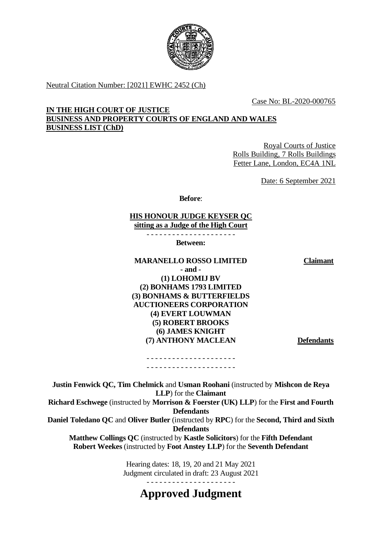

Neutral Citation Number: [2021] EWHC 2452 (Ch)

Case No: BL-2020-000765

## **IN THE HIGH COURT OF JUSTICE BUSINESS AND PROPERTY COURTS OF ENGLAND AND WALES BUSINESS LIST (ChD)**

Royal Courts of Justice Rolls Building, 7 Rolls Buildings Fetter Lane, London, EC4A 1NL

Date: 6 September 2021

**Before**:

**HIS HONOUR JUDGE KEYSER QC sitting as a Judge of the High Court**

- - - - - - - - - - - - - - - - - - - - -

**Between:**

**MARANELLO ROSSO LIMITED Claimant - and - (1) LOHOMIJ BV (2) BONHAMS 1793 LIMITED (3) BONHAMS & BUTTERFIELDS AUCTIONEERS CORPORATION (4) EVERT LOUWMAN (5) ROBERT BROOKS (6) JAMES KNIGHT (7) ANTHONY MACLEAN Defendants**

- - - - - - - - - - - - - - - - - - - - - - - - - - - - - - - - - - - - - - - - - -

**Justin Fenwick QC, Tim Chelmick** and **Usman Roohani** (instructed by **Mishcon de Reya LLP**) for the **Claimant Richard Eschwege** (instructed by **Morrison & Foerster (UK) LLP**) for the **First and Fourth Defendants Daniel Toledano QC** and **Oliver Butler** (instructed by **RPC**) for the **Second, Third and Sixth Defendants Matthew Collings QC** (instructed by **Kastle Solicitors**) for the **Fifth Defendant Robert Weekes** (instructed by **Foot Anstey LLP**) for the **Seventh Defendant**

> Hearing dates: 18, 19, 20 and 21 May 2021 Judgment circulated in draft: 23 August 2021 - - - - - - - - - - - - - - - - - - - - -

> > **Approved Judgment**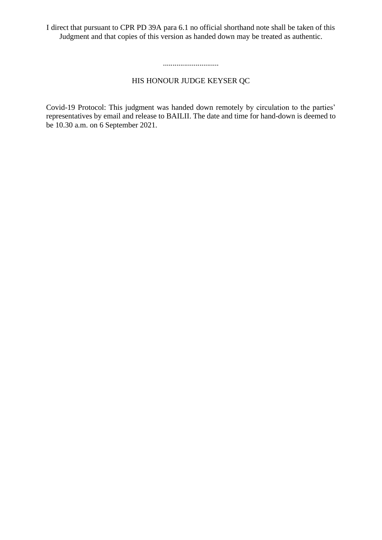I direct that pursuant to CPR PD 39A para 6.1 no official shorthand note shall be taken of this Judgment and that copies of this version as handed down may be treated as authentic.

#### .............................

## HIS HONOUR JUDGE KEYSER QC

Covid-19 Protocol: This judgment was handed down remotely by circulation to the parties' representatives by email and release to BAILII. The date and time for hand-down is deemed to be 10.30 a.m. on 6 September 2021.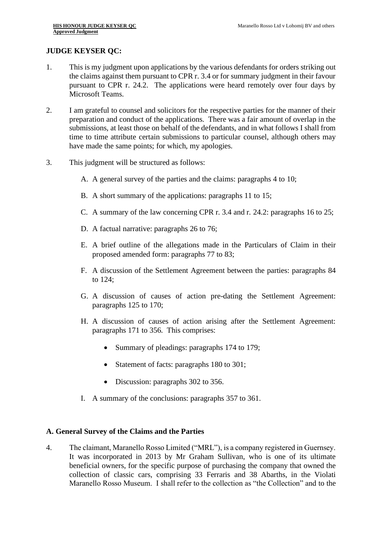### **JUDGE KEYSER QC:**

- 1. This is my judgment upon applications by the various defendants for orders striking out the claims against them pursuant to CPR r. 3.4 or for summary judgment in their favour pursuant to CPR r. 24.2. The applications were heard remotely over four days by Microsoft Teams.
- 2. I am grateful to counsel and solicitors for the respective parties for the manner of their preparation and conduct of the applications. There was a fair amount of overlap in the submissions, at least those on behalf of the defendants, and in what follows I shall from time to time attribute certain submissions to particular counsel, although others may have made the same points; for which, my apologies.
- 3. This judgment will be structured as follows:
	- A. A general survey of the parties and the claims: paragraphs 4 to 10;
	- B. A short summary of the applications: paragraphs 11 to 15;
	- C. A summary of the law concerning CPR r. 3.4 and r. 24.2: paragraphs 16 to 25;
	- D. A factual narrative: paragraphs 26 to 76;
	- E. A brief outline of the allegations made in the Particulars of Claim in their proposed amended form: paragraphs 77 to 83;
	- F. A discussion of the Settlement Agreement between the parties: paragraphs 84 to 124;
	- G. A discussion of causes of action pre-dating the Settlement Agreement: paragraphs 125 to 170;
	- H. A discussion of causes of action arising after the Settlement Agreement: paragraphs 171 to 356. This comprises:
		- Summary of pleadings: paragraphs 174 to 179;
		- Statement of facts: paragraphs 180 to 301;
		- Discussion: paragraphs 302 to 356.
	- I. A summary of the conclusions: paragraphs 357 to 361.

#### **A. General Survey of the Claims and the Parties**

4. The claimant, Maranello Rosso Limited ("MRL"), is a company registered in Guernsey. It was incorporated in 2013 by Mr Graham Sullivan, who is one of its ultimate beneficial owners, for the specific purpose of purchasing the company that owned the collection of classic cars, comprising 33 Ferraris and 38 Abarths, in the Violati Maranello Rosso Museum. I shall refer to the collection as "the Collection" and to the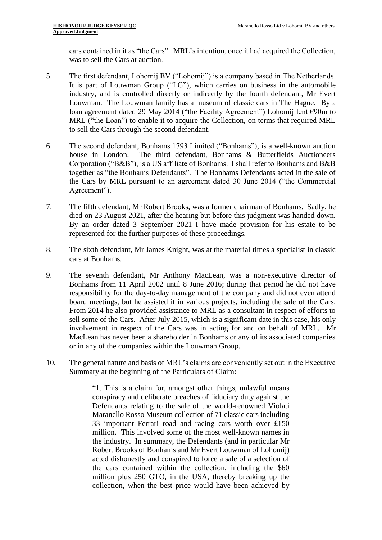cars contained in it as "the Cars". MRL's intention, once it had acquired the Collection, was to sell the Cars at auction.

- 5. The first defendant, Lohomij BV ("Lohomij") is a company based in The Netherlands. It is part of Louwman Group ("LG"), which carries on business in the automobile industry, and is controlled directly or indirectly by the fourth defendant, Mr Evert Louwman. The Louwman family has a museum of classic cars in The Hague. By a loan agreement dated 29 May 2014 ("the Facility Agreement") Lohomij lent €90m to MRL ("the Loan") to enable it to acquire the Collection, on terms that required MRL to sell the Cars through the second defendant.
- 6. The second defendant, Bonhams 1793 Limited ("Bonhams"), is a well-known auction house in London. The third defendant, Bonhams & Butterfields Auctioneers Corporation ("B&B"), is a US affiliate of Bonhams. I shall refer to Bonhams and B&B together as "the Bonhams Defendants". The Bonhams Defendants acted in the sale of the Cars by MRL pursuant to an agreement dated 30 June 2014 ("the Commercial Agreement").
- 7. The fifth defendant, Mr Robert Brooks, was a former chairman of Bonhams. Sadly, he died on 23 August 2021, after the hearing but before this judgment was handed down. By an order dated 3 September 2021 I have made provision for his estate to be represented for the further purposes of these proceedings.
- 8. The sixth defendant, Mr James Knight, was at the material times a specialist in classic cars at Bonhams.
- 9. The seventh defendant, Mr Anthony MacLean, was a non-executive director of Bonhams from 11 April 2002 until 8 June 2016; during that period he did not have responsibility for the day-to-day management of the company and did not even attend board meetings, but he assisted it in various projects, including the sale of the Cars. From 2014 he also provided assistance to MRL as a consultant in respect of efforts to sell some of the Cars. After July 2015, which is a significant date in this case, his only involvement in respect of the Cars was in acting for and on behalf of MRL. Mr MacLean has never been a shareholder in Bonhams or any of its associated companies or in any of the companies within the Louwman Group.
- 10. The general nature and basis of MRL's claims are conveniently set out in the Executive Summary at the beginning of the Particulars of Claim:

"1. This is a claim for, amongst other things, unlawful means conspiracy and deliberate breaches of fiduciary duty against the Defendants relating to the sale of the world-renowned Violati Maranello Rosso Museum collection of 71 classic cars including 33 important Ferrari road and racing cars worth over £150 million. This involved some of the most well-known names in the industry. In summary, the Defendants (and in particular Mr Robert Brooks of Bonhams and Mr Evert Louwman of Lohomij) acted dishonestly and conspired to force a sale of a selection of the cars contained within the collection, including the \$60 million plus 250 GTO, in the USA, thereby breaking up the collection, when the best price would have been achieved by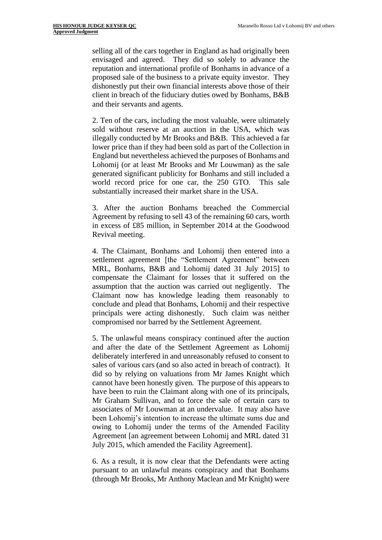selling all of the cars together in England as had originally been envisaged and agreed. They did so solely to advance the reputation and international profile of Bonhams in advance of a proposed sale of the business to a private equity investor. They dishonestly put their own financial interests above those of their client in breach of the fiduciary duties owed by Bonhams, B&B and their servants and agents.

2. Ten of the cars, including the most valuable, were ultimately sold without reserve at an auction in the USA, which was illegally conducted by Mr Brooks and B&B. This achieved a far lower price than if they had been sold as part of the Collection in England but nevertheless achieved the purposes of Bonhams and Lohomij (or at least Mr Brooks and Mr Louwman) as the sale generated significant publicity for Bonhams and still included a world record price for one car, the 250 GTO. This sale substantially increased their market share in the USA.

3. After the auction Bonhams breached the Commercial Agreement by refusing to sell 43 of the remaining 60 cars, worth in excess of £85 million, in September 2014 at the Goodwood Revival meeting.

4. The Claimant, Bonhams and Lohomij then entered into a settlement agreement [the "Settlement Agreement" between MRL, Bonhams, B&B and Lohomij dated 31 July 2015] to compensate the Claimant for losses that it suffered on the assumption that the auction was carried out negligently. The Claimant now has knowledge leading them reasonably to conclude and plead that Bonhams, Lohomij and their respective principals were acting dishonestly. Such claim was neither compromised nor barred by the Settlement Agreement.

5. The unlawful means conspiracy continued after the auction and after the date of the Settlement Agreement as Lohomij deliberately interfered in and unreasonably refused to consent to sales of various cars (and so also acted in breach of contract). It did so by relying on valuations from Mr James Knight which cannot have been honestly given. The purpose of this appears to have been to ruin the Claimant along with one of its principals, Mr Graham Sullivan, and to force the sale of certain cars to associates of Mr Louwman at an undervalue. It may also have been Lohomij's intention to increase the ultimate sums due and owing to Lohomij under the terms of the Amended Facility Agreement [an agreement between Lohomij and MRL dated 31 July 2015, which amended the Facility Agreement].

6. As a result, it is now clear that the Defendants were acting pursuant to an unlawful means conspiracy and that Bonhams (through Mr Brooks, Mr Anthony Maclean and Mr Knight) were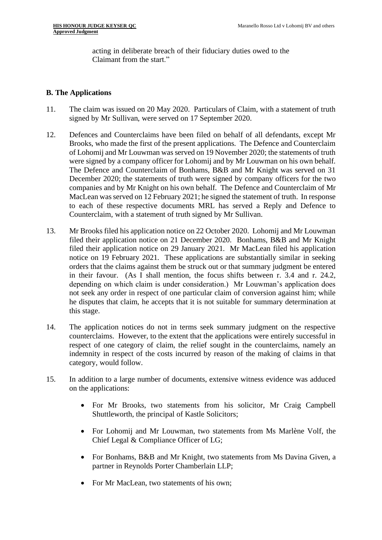acting in deliberate breach of their fiduciary duties owed to the Claimant from the start."

## **B. The Applications**

- 11. The claim was issued on 20 May 2020. Particulars of Claim, with a statement of truth signed by Mr Sullivan, were served on 17 September 2020.
- 12. Defences and Counterclaims have been filed on behalf of all defendants, except Mr Brooks, who made the first of the present applications. The Defence and Counterclaim of Lohomij and Mr Louwman was served on 19 November 2020; the statements of truth were signed by a company officer for Lohomij and by Mr Louwman on his own behalf. The Defence and Counterclaim of Bonhams, B&B and Mr Knight was served on 31 December 2020; the statements of truth were signed by company officers for the two companies and by Mr Knight on his own behalf. The Defence and Counterclaim of Mr MacLean was served on 12 February 2021; he signed the statement of truth. In response to each of these respective documents MRL has served a Reply and Defence to Counterclaim, with a statement of truth signed by Mr Sullivan.
- 13. Mr Brooks filed his application notice on 22 October 2020. Lohomij and Mr Louwman filed their application notice on 21 December 2020. Bonhams, B&B and Mr Knight filed their application notice on 29 January 2021. Mr MacLean filed his application notice on 19 February 2021. These applications are substantially similar in seeking orders that the claims against them be struck out or that summary judgment be entered in their favour. (As I shall mention, the focus shifts between r. 3.4 and r. 24.2, depending on which claim is under consideration.) Mr Louwman's application does not seek any order in respect of one particular claim of conversion against him; while he disputes that claim, he accepts that it is not suitable for summary determination at this stage.
- 14. The application notices do not in terms seek summary judgment on the respective counterclaims. However, to the extent that the applications were entirely successful in respect of one category of claim, the relief sought in the counterclaims, namely an indemnity in respect of the costs incurred by reason of the making of claims in that category, would follow.
- 15. In addition to a large number of documents, extensive witness evidence was adduced on the applications:
	- For Mr Brooks, two statements from his solicitor, Mr Craig Campbell Shuttleworth, the principal of Kastle Solicitors;
	- For Lohomij and Mr Louwman, two statements from Ms Marlène Volf, the Chief Legal & Compliance Officer of LG;
	- For Bonhams, B&B and Mr Knight, two statements from Ms Davina Given, a partner in Reynolds Porter Chamberlain LLP;
	- For Mr MacLean, two statements of his own;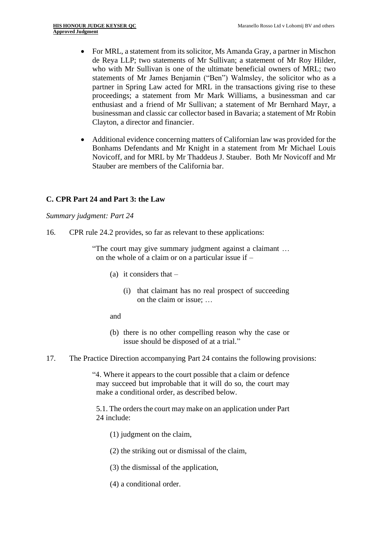- For MRL, a statement from its solicitor, Ms Amanda Gray, a partner in Mischon de Reya LLP; two statements of Mr Sullivan; a statement of Mr Roy Hilder, who with Mr Sullivan is one of the ultimate beneficial owners of MRL; two statements of Mr James Benjamin ("Ben") Walmsley, the solicitor who as a partner in Spring Law acted for MRL in the transactions giving rise to these proceedings; a statement from Mr Mark Williams, a businessman and car enthusiast and a friend of Mr Sullivan; a statement of Mr Bernhard Mayr, a businessman and classic car collector based in Bavaria; a statement of Mr Robin Clayton, a director and financier.
- Additional evidence concerning matters of Californian law was provided for the Bonhams Defendants and Mr Knight in a statement from Mr Michael Louis Novicoff, and for MRL by Mr Thaddeus J. Stauber. Both Mr Novicoff and Mr Stauber are members of the California bar.

# **C. CPR Part 24 and Part 3: the Law**

*Summary judgment: Part 24*

16. CPR rule 24.2 provides, so far as relevant to these applications:

"The court may give summary judgment against a claimant … on the whole of a claim or on a particular issue if –

- (a) it considers that  $-$ 
	- (i) that claimant has no real prospect of succeeding on the claim or issue; …

and

- (b) there is no other compelling reason why the case or issue should be disposed of at a trial."
- 17. The Practice Direction accompanying Part 24 contains the following provisions:

"4. Where it appears to the court possible that a claim or defence may succeed but improbable that it will do so, the court may make a conditional order, as described below.

5.1. The orders the court may make on an application under Part 24 include:

- (1) judgment on the claim,
- (2) the striking out or dismissal of the claim,
- (3) the dismissal of the application,
- (4) a conditional order.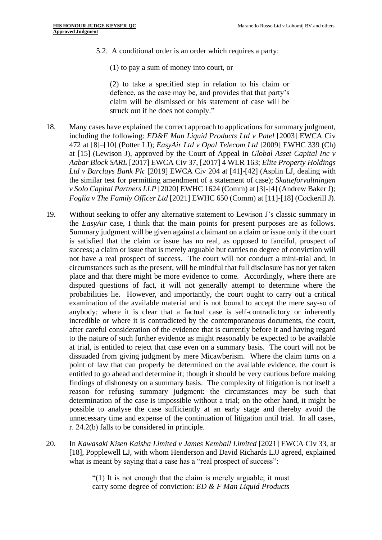5.2. A conditional order is an order which requires a party:

(1) to pay a sum of money into court, or

(2) to take a specified step in relation to his claim or defence, as the case may be, and provides that that party's claim will be dismissed or his statement of case will be struck out if he does not comply."

- 18. Many cases have explained the correct approach to applications for summary judgment, including the following: *ED&F Man Liquid Products Ltd v Patel* [2003] EWCA Civ 472 at [8]–[10] (Potter LJ); *EasyAir Ltd v Opal Telecom Ltd* [2009] EWHC 339 (Ch) at [15] (Lewison J), approved by the Court of Appeal in *Global Asset Capital Inc v Aabar Block SARL* [2017] EWCA Civ 37, [2017] 4 WLR 163; *Elite Property Holdings Ltd v Barclays Bank Plc* [2019] EWCA Civ 204 at [41]-[42] (Asplin LJ, dealing with the similar test for permitting amendment of a statement of case); *Skatteforvaltningen v Solo Capital Partners LLP* [2020] EWHC 1624 (Comm) at [3]-[4] (Andrew Baker J); *Foglia v The Family Officer Ltd* [2021] EWHC 650 (Comm) at [11]-[18] (Cockerill J).
- 19. Without seeking to offer any alternative statement to Lewison J's classic summary in the *EasyAir* case, I think that the main points for present purposes are as follows. Summary judgment will be given against a claimant on a claim or issue only if the court is satisfied that the claim or issue has no real, as opposed to fanciful, prospect of success; a claim or issue that is merely arguable but carries no degree of conviction will not have a real prospect of success. The court will not conduct a mini-trial and, in circumstances such as the present, will be mindful that full disclosure has not yet taken place and that there might be more evidence to come. Accordingly, where there are disputed questions of fact, it will not generally attempt to determine where the probabilities lie. However, and importantly, the court ought to carry out a critical examination of the available material and is not bound to accept the mere say-so of anybody; where it is clear that a factual case is self-contradictory or inherently incredible or where it is contradicted by the contemporaneous documents, the court, after careful consideration of the evidence that is currently before it and having regard to the nature of such further evidence as might reasonably be expected to be available at trial, is entitled to reject that case even on a summary basis. The court will not be dissuaded from giving judgment by mere Micawberism. Where the claim turns on a point of law that can properly be determined on the available evidence, the court is entitled to go ahead and determine it; though it should be very cautious before making findings of dishonesty on a summary basis. The complexity of litigation is not itself a reason for refusing summary judgment: the circumstances may be such that determination of the case is impossible without a trial; on the other hand, it might be possible to analyse the case sufficiently at an early stage and thereby avoid the unnecessary time and expense of the continuation of litigation until trial. In all cases, r. 24.2(b) falls to be considered in principle.
- 20. In *Kawasaki Kisen Kaisha Limited v James Kemball Limited* [2021] EWCA Civ 33, at [18], Popplewell LJ, with whom Henderson and David Richards LJJ agreed, explained what is meant by saying that a case has a "real prospect of success":

"(1) It is not enough that the claim is merely arguable; it must carry some degree of conviction: *ED & F Man Liquid Products*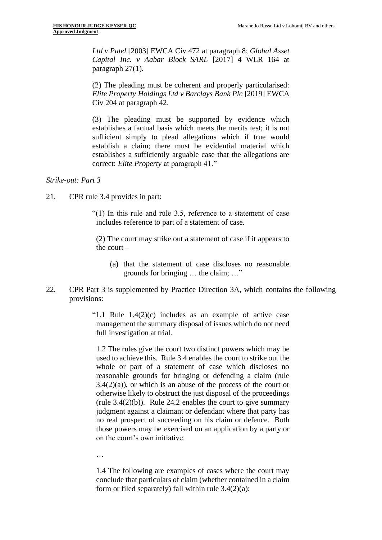*Ltd v Patel* [2003] EWCA Civ 472 at paragraph 8; *Global Asset Capital Inc. v Aabar Block SARL* [2017] 4 WLR 164 at paragraph 27(1).

(2) The pleading must be coherent and properly particularised: *Elite Property Holdings Ltd v Barclays Bank Plc* [2019] EWCA Civ 204 at paragraph 42.

(3) The pleading must be supported by evidence which establishes a factual basis which meets the merits test; it is not sufficient simply to plead allegations which if true would establish a claim; there must be evidential material which establishes a sufficiently arguable case that the allegations are correct: *Elite Property* at paragraph 41."

#### *Strike-out: Part 3*

21. CPR rule 3.4 provides in part:

"(1) In this rule and rule 3.5, reference to a statement of case includes reference to part of a statement of case.

(2) The court may strike out a statement of case if it appears to the court –

- (a) that the statement of case discloses no reasonable grounds for bringing … the claim; …"
- 22. CPR Part 3 is supplemented by Practice Direction 3A, which contains the following provisions:

"1.1 Rule  $1.4(2)(c)$  includes as an example of active case management the summary disposal of issues which do not need full investigation at trial.

1.2 The rules give the court two distinct powers which may be used to achieve this. Rule 3.4 enables the court to strike out the whole or part of a statement of case which discloses no reasonable grounds for bringing or defending a claim (rule  $3.4(2)(a)$ , or which is an abuse of the process of the court or otherwise likely to obstruct the just disposal of the proceedings (rule  $3.4(2)(b)$ ). Rule 24.2 enables the court to give summary judgment against a claimant or defendant where that party has no real prospect of succeeding on his claim or defence. Both those powers may be exercised on an application by a party or on the court's own initiative.

…

1.4 The following are examples of cases where the court may conclude that particulars of claim (whether contained in a claim form or filed separately) fall within rule  $3.4(2)(a)$ :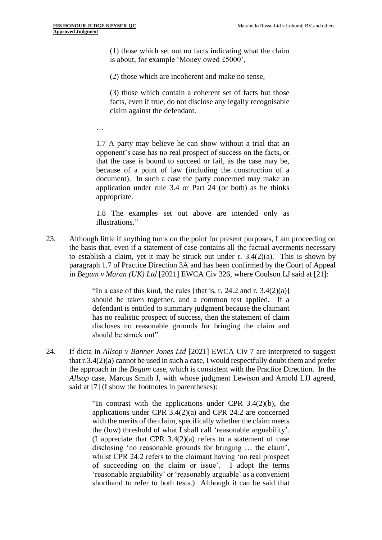(1) those which set out no facts indicating what the claim is about, for example 'Money owed £5000',

(2) those which are incoherent and make no sense,

(3) those which contain a coherent set of facts but those facts, even if true, do not disclose any legally recognisable claim against the defendant.

…

1.7 A party may believe he can show without a trial that an opponent's case has no real prospect of success on the facts, or that the case is bound to succeed or fail, as the case may be, because of a point of law (including the construction of a document). In such a case the party concerned may make an application under rule 3.4 or Part 24 (or both) as he thinks appropriate.

1.8 The examples set out above are intended only as illustrations."

23. Although little if anything turns on the point for present purposes, I am proceeding on the basis that, even if a statement of case contains all the factual averments necessary to establish a claim, yet it may be struck out under r. 3.4(2)(a). This is shown by paragraph 1.7 of Practice Direction 3A and has been confirmed by the Court of Appeal in *Begum v Maran (UK) Ltd* [2021] EWCA Civ 326, where Coulson LJ said at [21]:

> "In a case of this kind, the rules [that is, r. 24.2 and r.  $3.4(2)(a)$ ] should be taken together, and a common test applied. If a defendant is entitled to summary judgment because the claimant has no realistic prospect of success, then the statement of claim discloses no reasonable grounds for bringing the claim and should be struck out".

24. If dicta in *Allsop v Banner Jones Ltd* [2021] EWCA Civ 7 are interpreted to suggest that r.3.4(2)(a) cannot be used in such a case, I would respectfully doubt them and prefer the approach in the *Begum* case, which is consistent with the Practice Direction. In the *Allsop* case, Marcus Smith J, with whose judgment Lewison and Arnold LJJ agreed, said at [7] (I show the footnotes in parentheses):

> "In contrast with the applications under CPR  $3.4(2)(b)$ , the applications under CPR 3.4(2)(a) and CPR 24.2 are concerned with the merits of the claim, specifically whether the claim meets the (low) threshold of what I shall call 'reasonable arguability'. (I appreciate that CPR  $3.4(2)(a)$  refers to a statement of case disclosing 'no reasonable grounds for bringing … the claim', whilst CPR 24.2 refers to the claimant having 'no real prospect of succeeding on the claim or issue'. I adopt the terms 'reasonable arguability' or 'reasonably arguable' as a convenient shorthand to refer to both tests.) Although it can be said that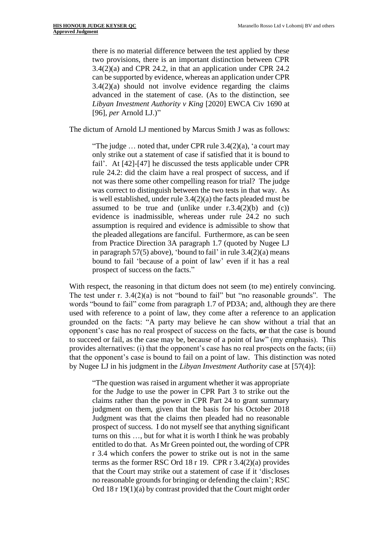there is no material difference between the test applied by these two provisions, there is an important distinction between CPR 3.4(2)(a) and CPR 24.2, in that an application under CPR 24.2 can be supported by evidence, whereas an application under CPR 3.4(2)(a) should not involve evidence regarding the claims advanced in the statement of case. (As to the distinction, see *Libyan Investment Authority v King* [2020] EWCA Civ 1690 at [96], *per* Arnold LJ.)"

The dictum of Arnold LJ mentioned by Marcus Smith J was as follows:

"The judge  $\ldots$  noted that, under CPR rule 3.4(2)(a), 'a court may only strike out a statement of case if satisfied that it is bound to fail'. At [42]-[47] he discussed the tests applicable under CPR rule 24.2: did the claim have a real prospect of success, and if not was there some other compelling reason for trial? The judge was correct to distinguish between the two tests in that way. As is well established, under rule 3.4(2)(a) the facts pleaded must be assumed to be true and (unlike under  $r \cdot 3.4(2)(b)$  and (c)) evidence is inadmissible, whereas under rule 24.2 no such assumption is required and evidence is admissible to show that the pleaded allegations are fanciful. Furthermore, as can be seen from Practice Direction 3A paragraph 1.7 (quoted by Nugee LJ in paragraph 57(5) above), 'bound to fail' in rule  $3.4(2)(a)$  means bound to fail 'because of a point of law' even if it has a real prospect of success on the facts."

With respect, the reasoning in that dictum does not seem (to me) entirely convincing. The test under r. 3.4(2)(a) is not "bound to fail" but "no reasonable grounds". The words "bound to fail" come from paragraph 1.7 of PD3A; and, although they are there used with reference to a point of law, they come after a reference to an application grounded on the facts: "A party may believe he can show without a trial that an opponent's case has no real prospect of success on the facts, **or** that the case is bound to succeed or fail, as the case may be, because of a point of law" (my emphasis). This provides alternatives: (i) that the opponent's case has no real prospects on the facts; (ii) that the opponent's case is bound to fail on a point of law. This distinction was noted by Nugee LJ in his judgment in the *Libyan Investment Authority* case at [57(4)]:

"The question was raised in argument whether it was appropriate for the Judge to use the power in CPR Part 3 to strike out the claims rather than the power in CPR Part 24 to grant summary judgment on them, given that the basis for his October 2018 Judgment was that the claims then pleaded had no reasonable prospect of success. I do not myself see that anything significant turns on this …, but for what it is worth I think he was probably entitled to do that. As Mr Green pointed out, the wording of CPR r 3.4 which confers the power to strike out is not in the same terms as the former RSC Ord 18 r 19. CPR r 3.4(2)(a) provides that the Court may strike out a statement of case if it 'discloses no reasonable grounds for bringing or defending the claim'; RSC Ord 18 r 19(1)(a) by contrast provided that the Court might order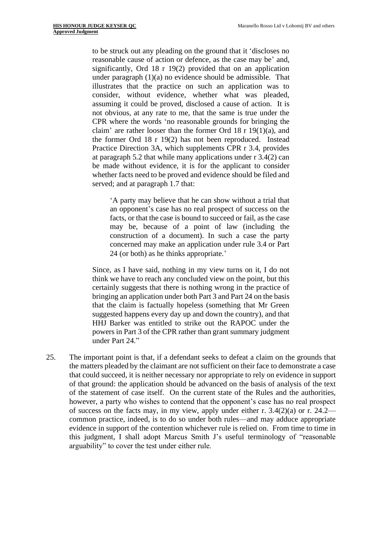to be struck out any pleading on the ground that it 'discloses no reasonable cause of action or defence, as the case may be' and, significantly, Ord 18 r 19(2) provided that on an application under paragraph (1)(a) no evidence should be admissible. That illustrates that the practice on such an application was to consider, without evidence, whether what was pleaded, assuming it could be proved, disclosed a cause of action. It is not obvious, at any rate to me, that the same is true under the CPR where the words 'no reasonable grounds for bringing the claim' are rather looser than the former Ord 18 r 19(1)(a), and the former Ord 18 r 19(2) has not been reproduced. Instead Practice Direction 3A, which supplements CPR r 3.4, provides at paragraph 5.2 that while many applications under r 3.4(2) can be made without evidence, it is for the applicant to consider whether facts need to be proved and evidence should be filed and served; and at paragraph 1.7 that:

'A party may believe that he can show without a trial that an opponent's case has no real prospect of success on the facts, or that the case is bound to succeed or fail, as the case may be, because of a point of law (including the construction of a document). In such a case the party concerned may make an application under rule 3.4 or Part 24 (or both) as he thinks appropriate.'

Since, as I have said, nothing in my view turns on it, I do not think we have to reach any concluded view on the point, but this certainly suggests that there is nothing wrong in the practice of bringing an application under both Part 3 and Part 24 on the basis that the claim is factually hopeless (something that Mr Green suggested happens every day up and down the country), and that HHJ Barker was entitled to strike out the RAPOC under the powers in Part 3 of the CPR rather than grant summary judgment under Part 24."

25. The important point is that, if a defendant seeks to defeat a claim on the grounds that the matters pleaded by the claimant are not sufficient on their face to demonstrate a case that could succeed, it is neither necessary nor appropriate to rely on evidence in support of that ground: the application should be advanced on the basis of analysis of the text of the statement of case itself. On the current state of the Rules and the authorities, however, a party who wishes to contend that the opponent's case has no real prospect of success on the facts may, in my view, apply under either r. 3.4(2)(a) or r. 24.2 common practice, indeed, is to do so under both rules—and may adduce appropriate evidence in support of the contention whichever rule is relied on. From time to time in this judgment, I shall adopt Marcus Smith J's useful terminology of "reasonable arguability" to cover the test under either rule.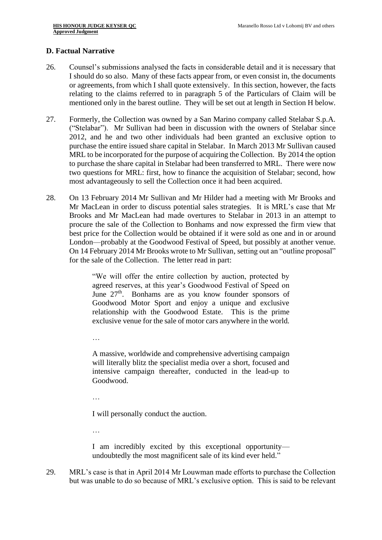### **D. Factual Narrative**

- 26. Counsel's submissions analysed the facts in considerable detail and it is necessary that I should do so also. Many of these facts appear from, or even consist in, the documents or agreements, from which I shall quote extensively. In this section, however, the facts relating to the claims referred to in paragraph 5 of the Particulars of Claim will be mentioned only in the barest outline. They will be set out at length in Section H below.
- 27. Formerly, the Collection was owned by a San Marino company called Stelabar S.p.A. ("Stelabar"). Mr Sullivan had been in discussion with the owners of Stelabar since 2012, and he and two other individuals had been granted an exclusive option to purchase the entire issued share capital in Stelabar. In March 2013 Mr Sullivan caused MRL to be incorporated for the purpose of acquiring the Collection. By 2014 the option to purchase the share capital in Stelabar had been transferred to MRL. There were now two questions for MRL: first, how to finance the acquisition of Stelabar; second, how most advantageously to sell the Collection once it had been acquired.
- 28. On 13 February 2014 Mr Sullivan and Mr Hilder had a meeting with Mr Brooks and Mr MacLean in order to discuss potential sales strategies. It is MRL's case that Mr Brooks and Mr MacLean had made overtures to Stelabar in 2013 in an attempt to procure the sale of the Collection to Bonhams and now expressed the firm view that best price for the Collection would be obtained if it were sold as one and in or around London—probably at the Goodwood Festival of Speed, but possibly at another venue. On 14 February 2014 Mr Brooks wrote to Mr Sullivan, setting out an "outline proposal" for the sale of the Collection. The letter read in part:

"We will offer the entire collection by auction, protected by agreed reserves, at this year's Goodwood Festival of Speed on June  $27<sup>th</sup>$ . Bonhams are as you know founder sponsors of Goodwood Motor Sport and enjoy a unique and exclusive relationship with the Goodwood Estate. This is the prime exclusive venue for the sale of motor cars anywhere in the world.

…

A massive, worldwide and comprehensive advertising campaign will literally blitz the specialist media over a short, focused and intensive campaign thereafter, conducted in the lead-up to Goodwood.

…

…

I will personally conduct the auction.

I am incredibly excited by this exceptional opportunity undoubtedly the most magnificent sale of its kind ever held."

29. MRL's case is that in April 2014 Mr Louwman made efforts to purchase the Collection but was unable to do so because of MRL's exclusive option. This is said to be relevant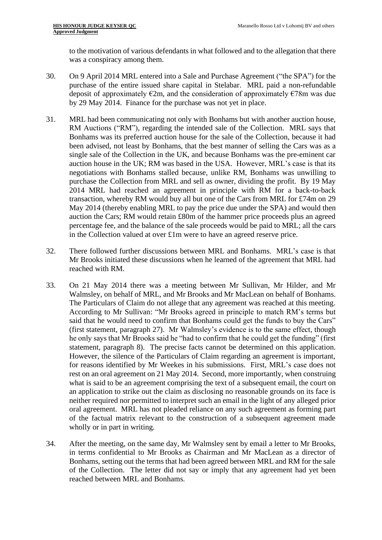to the motivation of various defendants in what followed and to the allegation that there was a conspiracy among them.

- 30. On 9 April 2014 MRL entered into a Sale and Purchase Agreement ("the SPA") for the purchase of the entire issued share capital in Stelabar. MRL paid a non-refundable deposit of approximately  $\epsilon$ 2m, and the consideration of approximately  $\epsilon$ 78m was due by 29 May 2014. Finance for the purchase was not yet in place.
- 31. MRL had been communicating not only with Bonhams but with another auction house, RM Auctions ("RM"), regarding the intended sale of the Collection. MRL says that Bonhams was its preferred auction house for the sale of the Collection, because it had been advised, not least by Bonhams, that the best manner of selling the Cars was as a single sale of the Collection in the UK, and because Bonhams was the pre-eminent car auction house in the UK; RM was based in the USA. However, MRL's case is that its negotiations with Bonhams stalled because, unlike RM, Bonhams was unwilling to purchase the Collection from MRL and sell as owner, dividing the profit. By 19 May 2014 MRL had reached an agreement in principle with RM for a back-to-back transaction, whereby RM would buy all but one of the Cars from MRL for £74m on 29 May 2014 (thereby enabling MRL to pay the price due under the SPA) and would then auction the Cars; RM would retain £80m of the hammer price proceeds plus an agreed percentage fee, and the balance of the sale proceeds would be paid to MRL; all the cars in the Collection valued at over £1m were to have an agreed reserve price.
- 32. There followed further discussions between MRL and Bonhams. MRL's case is that Mr Brooks initiated these discussions when he learned of the agreement that MRL had reached with RM.
- 33. On 21 May 2014 there was a meeting between Mr Sullivan, Mr Hilder, and Mr Walmsley, on behalf of MRL, and Mr Brooks and Mr MacLean on behalf of Bonhams. The Particulars of Claim do not allege that any agreement was reached at this meeting. According to Mr Sullivan: "Mr Brooks agreed in principle to match RM's terms but said that he would need to confirm that Bonhams could get the funds to buy the Cars" (first statement, paragraph 27). Mr Walmsley's evidence is to the same effect, though he only says that Mr Brooks said he "had to confirm that he could get the funding" (first statement, paragraph 8). The precise facts cannot be determined on this application. However, the silence of the Particulars of Claim regarding an agreement is important, for reasons identified by Mr Weekes in his submissions. First, MRL's case does not rest on an oral agreement on 21 May 2014. Second, more importantly, when construing what is said to be an agreement comprising the text of a subsequent email, the court on an application to strike out the claim as disclosing no reasonable grounds on its face is neither required nor permitted to interpret such an email in the light of any alleged prior oral agreement. MRL has not pleaded reliance on any such agreement as forming part of the factual matrix relevant to the construction of a subsequent agreement made wholly or in part in writing.
- 34. After the meeting, on the same day, Mr Walmsley sent by email a letter to Mr Brooks, in terms confidential to Mr Brooks as Chairman and Mr MacLean as a director of Bonhams, setting out the terms that had been agreed between MRL and RM for the sale of the Collection. The letter did not say or imply that any agreement had yet been reached between MRL and Bonhams.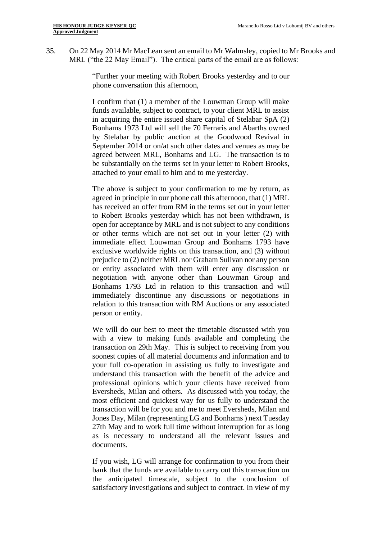35. On 22 May 2014 Mr MacLean sent an email to Mr Walmsley, copied to Mr Brooks and MRL ("the 22 May Email"). The critical parts of the email are as follows:

> "Further your meeting with Robert Brooks yesterday and to our phone conversation this afternoon,

> I confirm that (1) a member of the Louwman Group will make funds available, subject to contract, to your client MRL to assist in acquiring the entire issued share capital of Stelabar SpA (2) Bonhams 1973 Ltd will sell the 70 Ferraris and Abarths owned by Stelabar by public auction at the Goodwood Revival in September 2014 or on/at such other dates and venues as may be agreed between MRL, Bonhams and LG. The transaction is to be substantially on the terms set in your letter to Robert Brooks, attached to your email to him and to me yesterday.

> The above is subject to your confirmation to me by return, as agreed in principle in our phone call this afternoon, that (1) MRL has received an offer from RM in the terms set out in your letter to Robert Brooks yesterday which has not been withdrawn, is open for acceptance by MRL and is not subject to any conditions or other terms which are not set out in your letter (2) with immediate effect Louwman Group and Bonhams 1793 have exclusive worldwide rights on this transaction, and (3) without prejudice to (2) neither MRL nor Graham Sulivan nor any person or entity associated with them will enter any discussion or negotiation with anyone other than Louwman Group and Bonhams 1793 Ltd in relation to this transaction and will immediately discontinue any discussions or negotiations in relation to this transaction with RM Auctions or any associated person or entity.

> We will do our best to meet the timetable discussed with you with a view to making funds available and completing the transaction on 29th May. This is subject to receiving from you soonest copies of all material documents and information and to your full co-operation in assisting us fully to investigate and understand this transaction with the benefit of the advice and professional opinions which your clients have received from Eversheds, Milan and others. As discussed with you today, the most efficient and quickest way for us fully to understand the transaction will be for you and me to meet Eversheds, Milan and Jones Day, Milan (representing LG and Bonhams ) next Tuesday 27th May and to work full time without interruption for as long as is necessary to understand all the relevant issues and documents.

> If you wish, LG will arrange for confirmation to you from their bank that the funds are available to carry out this transaction on the anticipated timescale, subject to the conclusion of satisfactory investigations and subject to contract. In view of my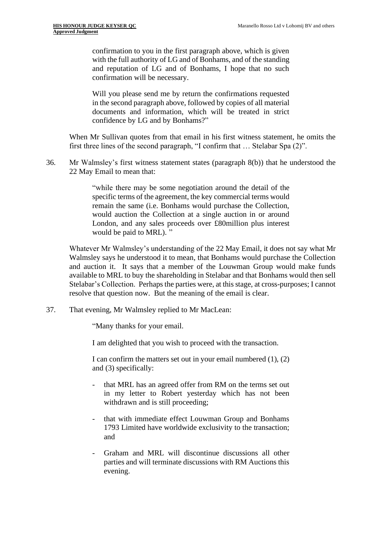confirmation to you in the first paragraph above, which is given with the full authority of LG and of Bonhams, and of the standing and reputation of LG and of Bonhams, I hope that no such confirmation will be necessary.

Will you please send me by return the confirmations requested in the second paragraph above, followed by copies of all material documents and information, which will be treated in strict confidence by LG and by Bonhams?"

When Mr Sullivan quotes from that email in his first witness statement, he omits the first three lines of the second paragraph, "I confirm that … Stelabar Spa (2)".

36. Mr Walmsley's first witness statement states (paragraph 8(b)) that he understood the 22 May Email to mean that:

> "while there may be some negotiation around the detail of the specific terms of the agreement, the key commercial terms would remain the same (i.e. Bonhams would purchase the Collection, would auction the Collection at a single auction in or around London, and any sales proceeds over £80million plus interest would be paid to MRL). "

Whatever Mr Walmsley's understanding of the 22 May Email, it does not say what Mr Walmsley says he understood it to mean, that Bonhams would purchase the Collection and auction it. It says that a member of the Louwman Group would make funds available to MRL to buy the shareholding in Stelabar and that Bonhams would then sell Stelabar's Collection. Perhaps the parties were, at this stage, at cross-purposes; I cannot resolve that question now. But the meaning of the email is clear.

37. That evening, Mr Walmsley replied to Mr MacLean:

"Many thanks for your email.

I am delighted that you wish to proceed with the transaction.

I can confirm the matters set out in your email numbered (1), (2) and (3) specifically:

- that MRL has an agreed offer from RM on the terms set out in my letter to Robert yesterday which has not been withdrawn and is still proceeding;
- that with immediate effect Louwman Group and Bonhams 1793 Limited have worldwide exclusivity to the transaction; and
- Graham and MRL will discontinue discussions all other parties and will terminate discussions with RM Auctions this evening.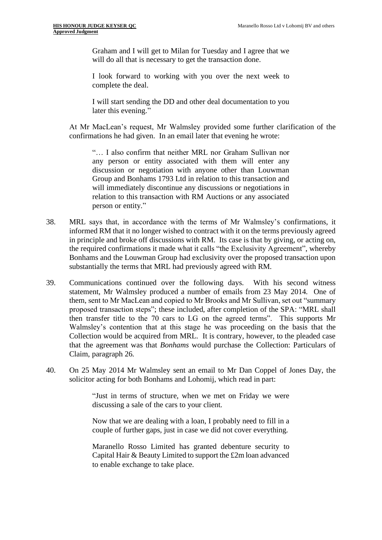Graham and I will get to Milan for Tuesday and I agree that we will do all that is necessary to get the transaction done.

I look forward to working with you over the next week to complete the deal.

I will start sending the DD and other deal documentation to you later this evening."

At Mr MacLean's request, Mr Walmsley provided some further clarification of the confirmations he had given. In an email later that evening he wrote:

"… I also confirm that neither MRL nor Graham Sullivan nor any person or entity associated with them will enter any discussion or negotiation with anyone other than Louwman Group and Bonhams 1793 Ltd in relation to this transaction and will immediately discontinue any discussions or negotiations in relation to this transaction with RM Auctions or any associated person or entity."

- 38. MRL says that, in accordance with the terms of Mr Walmsley's confirmations, it informed RM that it no longer wished to contract with it on the terms previously agreed in principle and broke off discussions with RM. Its case is that by giving, or acting on, the required confirmations it made what it calls "the Exclusivity Agreement", whereby Bonhams and the Louwman Group had exclusivity over the proposed transaction upon substantially the terms that MRL had previously agreed with RM.
- 39. Communications continued over the following days. With his second witness statement, Mr Walmsley produced a number of emails from 23 May 2014. One of them, sent to Mr MacLean and copied to Mr Brooks and Mr Sullivan, set out "summary proposed transaction steps"; these included, after completion of the SPA: "MRL shall then transfer title to the 70 cars to LG on the agreed terms". This supports Mr Walmsley's contention that at this stage he was proceeding on the basis that the Collection would be acquired from MRL. It is contrary, however, to the pleaded case that the agreement was that *Bonhams* would purchase the Collection: Particulars of Claim, paragraph 26.
- 40. On 25 May 2014 Mr Walmsley sent an email to Mr Dan Coppel of Jones Day, the solicitor acting for both Bonhams and Lohomij, which read in part:

"Just in terms of structure, when we met on Friday we were discussing a sale of the cars to your client.

Now that we are dealing with a loan, I probably need to fill in a couple of further gaps, just in case we did not cover everything.

Maranello Rosso Limited has granted debenture security to Capital Hair & Beauty Limited to support the £2m loan advanced to enable exchange to take place.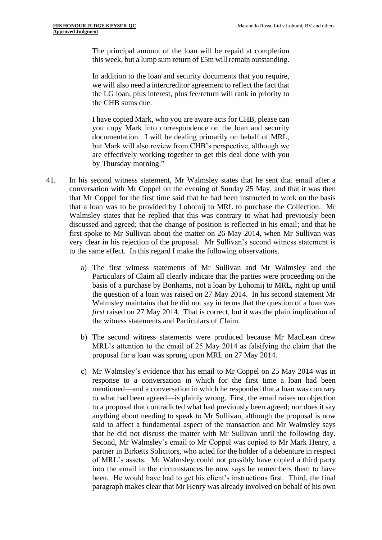The principal amount of the loan will be repaid at completion this week, but a lump sum return of £5m will remain outstanding.

In addition to the loan and security documents that you require, we will also need a intercreditor agreement to reflect the fact that the LG loan, plus interest, plus fee/return will rank in priority to the CHB sums due.

I have copied Mark, who you are aware acts for CHB, please can you copy Mark into correspondence on the loan and security documentation. I will be dealing primarily on behalf of MRL, but Mark will also review from CHB's perspective, although we are effectively working together to get this deal done with you by Thursday morning."

- 41. In his second witness statement, Mr Walmsley states that he sent that email after a conversation with Mr Coppel on the evening of Sunday 25 May, and that it was then that Mr Coppel for the first time said that he had been instructed to work on the basis that a loan was to be provided by Lohomij to MRL to purchase the Collection. Mr Walmsley states that he replied that this was contrary to what had previously been discussed and agreed; that the change of position is reflected in his email; and that he first spoke to Mr Sullivan about the matter on 26 May 2014, when Mr Sullivan was very clear in his rejection of the proposal. Mr Sullivan's second witness statement is to the same effect. In this regard I make the following observations.
	- a) The first witness statements of Mr Sullivan and Mr Walmsley and the Particulars of Claim all clearly indicate that the parties were proceeding on the basis of a purchase by Bonhams, not a loan by Lohomij to MRL, right up until the question of a loan was raised on 27 May 2014. In his second statement Mr Walmsley maintains that he did not say in terms that the question of a loan was *first* raised on 27 May 2014. That is correct, but it was the plain implication of the witness statements and Particulars of Claim.
	- b) The second witness statements were produced because Mr MacLean drew MRL's attention to the email of 25 May 2014 as falsifying the claim that the proposal for a loan was sprung upon MRL on 27 May 2014.
	- c) Mr Walmsley's evidence that his email to Mr Coppel on 25 May 2014 was in response to a conversation in which for the first time a loan had been mentioned—and a conversation in which he responded that a loan was contrary to what had been agreed—is plainly wrong. First, the email raises no objection to a proposal that contradicted what had previously been agreed; nor does it say anything about needing to speak to Mr Sullivan, although the proposal is now said to affect a fundamental aspect of the transaction and Mr Walmsley says that he did not discuss the matter with Mr Sullivan until the following day. Second, Mr Walmsley's email to Mr Coppel was copied to Mr Mark Henry, a partner in Birketts Solicitors, who acted for the holder of a debenture in respect of MRL's assets. Mr Walmsley could not possibly have copied a third party into the email in the circumstances he now says he remembers them to have been. He would have had to get his client's instructions first. Third, the final paragraph makes clear that Mr Henry was already involved on behalf of his own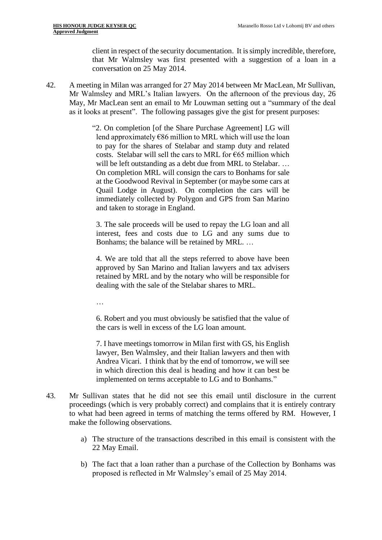client in respect of the security documentation. It is simply incredible, therefore, that Mr Walmsley was first presented with a suggestion of a loan in a conversation on 25 May 2014.

42. A meeting in Milan was arranged for 27 May 2014 between Mr MacLean, Mr Sullivan, Mr Walmsley and MRL's Italian lawyers. On the afternoon of the previous day, 26 May, Mr MacLean sent an email to Mr Louwman setting out a "summary of the deal as it looks at present". The following passages give the gist for present purposes:

> "2. On completion [of the Share Purchase Agreement] LG will lend approximately  $E86$  million to MRL which will use the loan to pay for the shares of Stelabar and stamp duty and related costs. Stelabar will sell the cars to MRL for  $\epsilon$ 65 million which will be left outstanding as a debt due from MRL to Stelabar. ... On completion MRL will consign the cars to Bonhams for sale at the Goodwood Revival in September (or maybe some cars at Quail Lodge in August). On completion the cars will be immediately collected by Polygon and GPS from San Marino and taken to storage in England.

3. The sale proceeds will be used to repay the LG loan and all interest, fees and costs due to LG and any sums due to Bonhams; the balance will be retained by MRL. …

4. We are told that all the steps referred to above have been approved by San Marino and Italian lawyers and tax advisers retained by MRL and by the notary who will be responsible for dealing with the sale of the Stelabar shares to MRL.

…

6. Robert and you must obviously be satisfied that the value of the cars is well in excess of the LG loan amount.

7. I have meetings tomorrow in Milan first with GS, his English lawyer, Ben Walmsley, and their Italian lawyers and then with Andrea Vicari. I think that by the end of tomorrow, we will see in which direction this deal is heading and how it can best be implemented on terms acceptable to LG and to Bonhams."

- 43. Mr Sullivan states that he did not see this email until disclosure in the current proceedings (which is very probably correct) and complains that it is entirely contrary to what had been agreed in terms of matching the terms offered by RM. However, I make the following observations.
	- a) The structure of the transactions described in this email is consistent with the 22 May Email.
	- b) The fact that a loan rather than a purchase of the Collection by Bonhams was proposed is reflected in Mr Walmsley's email of 25 May 2014.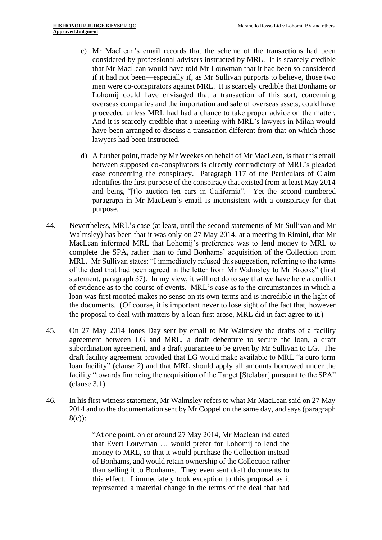- c) Mr MacLean's email records that the scheme of the transactions had been considered by professional advisers instructed by MRL. It is scarcely credible that Mr MacLean would have told Mr Louwman that it had been so considered if it had not been—especially if, as Mr Sullivan purports to believe, those two men were co-conspirators against MRL. It is scarcely credible that Bonhams or Lohomij could have envisaged that a transaction of this sort, concerning overseas companies and the importation and sale of overseas assets, could have proceeded unless MRL had had a chance to take proper advice on the matter. And it is scarcely credible that a meeting with MRL's lawyers in Milan would have been arranged to discuss a transaction different from that on which those lawyers had been instructed.
- d) A further point, made by Mr Weekes on behalf of Mr MacLean, is that this email between supposed co-conspirators is directly contradictory of MRL's pleaded case concerning the conspiracy. Paragraph 117 of the Particulars of Claim identifies the first purpose of the conspiracy that existed from at least May 2014 and being "[t]o auction ten cars in California". Yet the second numbered paragraph in Mr MacLean's email is inconsistent with a conspiracy for that purpose.
- 44. Nevertheless, MRL's case (at least, until the second statements of Mr Sullivan and Mr Walmsley) has been that it was only on 27 May 2014, at a meeting in Rimini, that Mr MacLean informed MRL that Lohomij's preference was to lend money to MRL to complete the SPA, rather than to fund Bonhams' acquisition of the Collection from MRL. Mr Sullivan states: "I immediately refused this suggestion, referring to the terms of the deal that had been agreed in the letter from Mr Walmsley to Mr Brooks" (first statement, paragraph 37). In my view, it will not do to say that we have here a conflict of evidence as to the course of events. MRL's case as to the circumstances in which a loan was first mooted makes no sense on its own terms and is incredible in the light of the documents. (Of course, it is important never to lose sight of the fact that, however the proposal to deal with matters by a loan first arose, MRL did in fact agree to it.)
- 45. On 27 May 2014 Jones Day sent by email to Mr Walmsley the drafts of a facility agreement between LG and MRL, a draft debenture to secure the loan, a draft subordination agreement, and a draft guarantee to be given by Mr Sullivan to LG. The draft facility agreement provided that LG would make available to MRL "a euro term loan facility" (clause 2) and that MRL should apply all amounts borrowed under the facility "towards financing the acquisition of the Target [Stelabar] pursuant to the SPA" (clause 3.1).
- 46. In his first witness statement, Mr Walmsley refers to what Mr MacLean said on 27 May 2014 and to the documentation sent by Mr Coppel on the same day, and says (paragraph 8(c)):

"At one point, on or around 27 May 2014, Mr Maclean indicated that Evert Louwman … would prefer for Lohomij to lend the money to MRL, so that it would purchase the Collection instead of Bonhams, and would retain ownership of the Collection rather than selling it to Bonhams. They even sent draft documents to this effect. I immediately took exception to this proposal as it represented a material change in the terms of the deal that had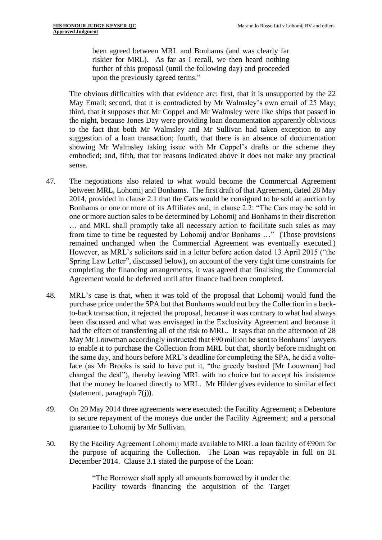been agreed between MRL and Bonhams (and was clearly far riskier for MRL). As far as I recall, we then heard nothing further of this proposal (until the following day) and proceeded upon the previously agreed terms."

The obvious difficulties with that evidence are: first, that it is unsupported by the 22 May Email; second, that it is contradicted by Mr Walmsley's own email of 25 May; third, that it supposes that Mr Coppel and Mr Walmsley were like ships that passed in the night, because Jones Day were providing loan documentation apparently oblivious to the fact that both Mr Walmsley and Mr Sullivan had taken exception to any suggestion of a loan transaction; fourth, that there is an absence of documentation showing Mr Walmsley taking issue with Mr Coppel's drafts or the scheme they embodied; and, fifth, that for reasons indicated above it does not make any practical sense.

- 47. The negotiations also related to what would become the Commercial Agreement between MRL, Lohomij and Bonhams. The first draft of that Agreement, dated 28 May 2014, provided in clause 2.1 that the Cars would be consigned to be sold at auction by Bonhams or one or more of its Affiliates and, in clause 2.2: "The Cars may be sold in one or more auction sales to be determined by Lohomij and Bonhams in their discretion … and MRL shall promptly take all necessary action to facilitate such sales as may from time to time be requested by Lohomij and/or Bonhams …" (Those provisions remained unchanged when the Commercial Agreement was eventually executed.) However, as MRL's solicitors said in a letter before action dated 13 April 2015 ("the Spring Law Letter", discussed below), on account of the very tight time constraints for completing the financing arrangements, it was agreed that finalising the Commercial Agreement would be deferred until after finance had been completed.
- 48. MRL's case is that, when it was told of the proposal that Lohomij would fund the purchase price under the SPA but that Bonhams would not buy the Collection in a backto-back transaction, it rejected the proposal, because it was contrary to what had always been discussed and what was envisaged in the Exclusivity Agreement and because it had the effect of transferring all of the risk to MRL. It says that on the afternoon of 28 May Mr Louwman accordingly instructed that €90 million be sent to Bonhams' lawyers to enable it to purchase the Collection from MRL but that, shortly before midnight on the same day, and hours before MRL's deadline for completing the SPA, he did a volteface (as Mr Brooks is said to have put it, "the greedy bastard [Mr Louwman] had changed the deal"), thereby leaving MRL with no choice but to accept his insistence that the money be loaned directly to MRL. Mr Hilder gives evidence to similar effect (statement, paragraph 7(j)).
- 49. On 29 May 2014 three agreements were executed: the Facility Agreement; a Debenture to secure repayment of the moneys due under the Facility Agreement; and a personal guarantee to Lohomij by Mr Sullivan.
- 50. By the Facility Agreement Lohomij made available to MRL a loan facility of  $\epsilon$ 90m for the purpose of acquiring the Collection. The Loan was repayable in full on 31 December 2014. Clause 3.1 stated the purpose of the Loan:

"The Borrower shall apply all amounts borrowed by it under the Facility towards financing the acquisition of the Target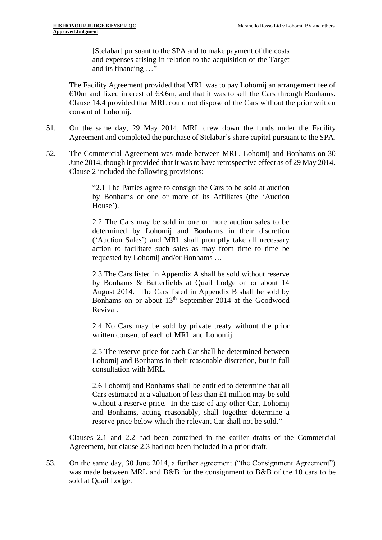[Stelabar] pursuant to the SPA and to make payment of the costs and expenses arising in relation to the acquisition of the Target and its financing …"

The Facility Agreement provided that MRL was to pay Lohomij an arrangement fee of €10m and fixed interest of €3.6m, and that it was to sell the Cars through Bonhams. Clause 14.4 provided that MRL could not dispose of the Cars without the prior written consent of Lohomij.

- 51. On the same day, 29 May 2014, MRL drew down the funds under the Facility Agreement and completed the purchase of Stelabar's share capital pursuant to the SPA.
- 52. The Commercial Agreement was made between MRL, Lohomij and Bonhams on 30 June 2014, though it provided that it was to have retrospective effect as of 29 May 2014. Clause 2 included the following provisions:

"2.1 The Parties agree to consign the Cars to be sold at auction by Bonhams or one or more of its Affiliates (the 'Auction House').

2.2 The Cars may be sold in one or more auction sales to be determined by Lohomij and Bonhams in their discretion ('Auction Sales') and MRL shall promptly take all necessary action to facilitate such sales as may from time to time be requested by Lohomij and/or Bonhams …

2.3 The Cars listed in Appendix A shall be sold without reserve by Bonhams & Butterfields at Quail Lodge on or about 14 August 2014. The Cars listed in Appendix B shall be sold by Bonhams on or about 13<sup>th</sup> September 2014 at the Goodwood Revival.

2.4 No Cars may be sold by private treaty without the prior written consent of each of MRL and Lohomij.

2.5 The reserve price for each Car shall be determined between Lohomij and Bonhams in their reasonable discretion, but in full consultation with MRL.

2.6 Lohomij and Bonhams shall be entitled to determine that all Cars estimated at a valuation of less than £1 million may be sold without a reserve price. In the case of any other Car, Lohomij and Bonhams, acting reasonably, shall together determine a reserve price below which the relevant Car shall not be sold."

Clauses 2.1 and 2.2 had been contained in the earlier drafts of the Commercial Agreement, but clause 2.3 had not been included in a prior draft.

53. On the same day, 30 June 2014, a further agreement ("the Consignment Agreement") was made between MRL and B&B for the consignment to B&B of the 10 cars to be sold at Quail Lodge.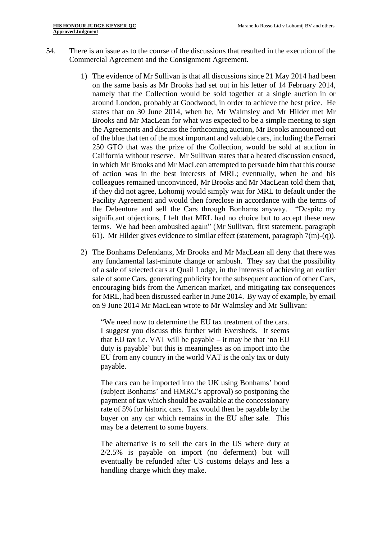- 54. There is an issue as to the course of the discussions that resulted in the execution of the Commercial Agreement and the Consignment Agreement.
	- 1) The evidence of Mr Sullivan is that all discussions since 21 May 2014 had been on the same basis as Mr Brooks had set out in his letter of 14 February 2014, namely that the Collection would be sold together at a single auction in or around London, probably at Goodwood, in order to achieve the best price. He states that on 30 June 2014, when he, Mr Walmsley and Mr Hilder met Mr Brooks and Mr MacLean for what was expected to be a simple meeting to sign the Agreements and discuss the forthcoming auction, Mr Brooks announced out of the blue that ten of the most important and valuable cars, including the Ferrari 250 GTO that was the prize of the Collection, would be sold at auction in California without reserve. Mr Sullivan states that a heated discussion ensued, in which Mr Brooks and Mr MacLean attempted to persuade him that this course of action was in the best interests of MRL; eventually, when he and his colleagues remained unconvinced, Mr Brooks and Mr MacLean told them that, if they did not agree, Lohomij would simply wait for MRL to default under the Facility Agreement and would then foreclose in accordance with the terms of the Debenture and sell the Cars through Bonhams anyway. "Despite my significant objections, I felt that MRL had no choice but to accept these new terms. We had been ambushed again" (Mr Sullivan, first statement, paragraph 61). Mr Hilder gives evidence to similar effect (statement, paragraph  $7(m)-(q)$ ).
	- 2) The Bonhams Defendants, Mr Brooks and Mr MacLean all deny that there was any fundamental last-minute change or ambush. They say that the possibility of a sale of selected cars at Quail Lodge, in the interests of achieving an earlier sale of some Cars, generating publicity for the subsequent auction of other Cars, encouraging bids from the American market, and mitigating tax consequences for MRL, had been discussed earlier in June 2014. By way of example, by email on 9 June 2014 Mr MacLean wrote to Mr Walmsley and Mr Sullivan:

"We need now to determine the EU tax treatment of the cars. I suggest you discuss this further with Eversheds. It seems that EU tax i.e. VAT will be payable  $-$  it may be that 'no EU duty is payable' but this is meaningless as on import into the EU from any country in the world VAT is the only tax or duty payable.

The cars can be imported into the UK using Bonhams' bond (subject Bonhams' and HMRC's approval) so postponing the payment of tax which should be available at the concessionary rate of 5% for historic cars. Tax would then be payable by the buyer on any car which remains in the EU after sale. This may be a deterrent to some buyers.

The alternative is to sell the cars in the US where duty at 2/2.5% is payable on import (no deferment) but will eventually be refunded after US customs delays and less a handling charge which they make.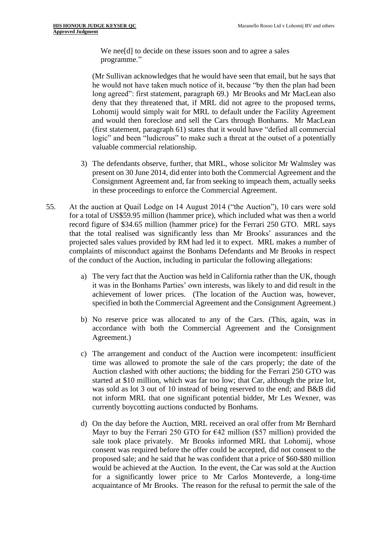We nee<sup>[d]</sup> to decide on these issues soon and to agree a sales programme."

(Mr Sullivan acknowledges that he would have seen that email, but he says that he would not have taken much notice of it, because "by then the plan had been long agreed": first statement, paragraph 69.) Mr Brooks and Mr MacLean also deny that they threatened that, if MRL did not agree to the proposed terms, Lohomij would simply wait for MRL to default under the Facility Agreement and would then foreclose and sell the Cars through Bonhams. Mr MacLean (first statement, paragraph 61) states that it would have "defied all commercial logic" and been "ludicrous" to make such a threat at the outset of a potentially valuable commercial relationship.

- 3) The defendants observe, further, that MRL, whose solicitor Mr Walmsley was present on 30 June 2014, did enter into both the Commercial Agreement and the Consignment Agreement and, far from seeking to impeach them, actually seeks in these proceedings to enforce the Commercial Agreement.
- 55. At the auction at Quail Lodge on 14 August 2014 ("the Auction"), 10 cars were sold for a total of US\$59.95 million (hammer price), which included what was then a world record figure of \$34.65 million (hammer price) for the Ferrari 250 GTO. MRL says that the total realised was significantly less than Mr Brooks' assurances and the projected sales values provided by RM had led it to expect. MRL makes a number of complaints of misconduct against the Bonhams Defendants and Mr Brooks in respect of the conduct of the Auction, including in particular the following allegations:
	- a) The very fact that the Auction was held in California rather than the UK, though it was in the Bonhams Parties' own interests, was likely to and did result in the achievement of lower prices. (The location of the Auction was, however, specified in both the Commercial Agreement and the Consignment Agreement.)
	- b) No reserve price was allocated to any of the Cars. (This, again, was in accordance with both the Commercial Agreement and the Consignment Agreement.)
	- c) The arrangement and conduct of the Auction were incompetent: insufficient time was allowed to promote the sale of the cars properly; the date of the Auction clashed with other auctions; the bidding for the Ferrari 250 GTO was started at \$10 million, which was far too low; that Car, although the prize lot, was sold as lot 3 out of 10 instead of being reserved to the end; and B&B did not inform MRL that one significant potential bidder, Mr Les Wexner, was currently boycotting auctions conducted by Bonhams.
	- d) On the day before the Auction, MRL received an oral offer from Mr Bernhard Mayr to buy the Ferrari 250 GTO for  $642$  million (\$57 million) provided the sale took place privately. Mr Brooks informed MRL that Lohomij, whose consent was required before the offer could be accepted, did not consent to the proposed sale; and he said that he was confident that a price of \$60-\$80 million would be achieved at the Auction. In the event, the Car was sold at the Auction for a significantly lower price to Mr Carlos Monteverde, a long-time acquaintance of Mr Brooks. The reason for the refusal to permit the sale of the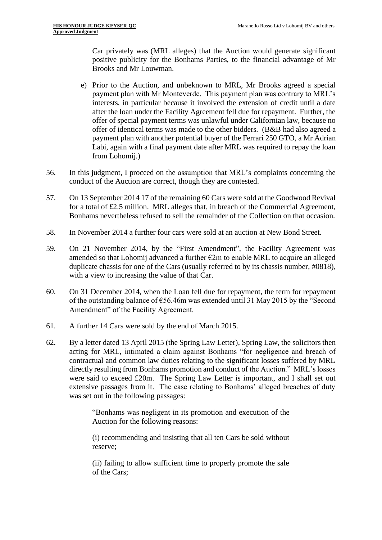Car privately was (MRL alleges) that the Auction would generate significant positive publicity for the Bonhams Parties, to the financial advantage of Mr Brooks and Mr Louwman.

- e) Prior to the Auction, and unbeknown to MRL, Mr Brooks agreed a special payment plan with Mr Monteverde. This payment plan was contrary to MRL's interests, in particular because it involved the extension of credit until a date after the loan under the Facility Agreement fell due for repayment. Further, the offer of special payment terms was unlawful under Californian law, because no offer of identical terms was made to the other bidders. (B&B had also agreed a payment plan with another potential buyer of the Ferrari 250 GTO, a Mr Adrian Labi, again with a final payment date after MRL was required to repay the loan from Lohomij.)
- 56. In this judgment, I proceed on the assumption that MRL's complaints concerning the conduct of the Auction are correct, though they are contested.
- 57. On 13 September 2014 17 of the remaining 60 Cars were sold at the Goodwood Revival for a total of £2.5 million. MRL alleges that, in breach of the Commercial Agreement, Bonhams nevertheless refused to sell the remainder of the Collection on that occasion.
- 58. In November 2014 a further four cars were sold at an auction at New Bond Street.
- 59. On 21 November 2014, by the "First Amendment", the Facility Agreement was amended so that Lohomij advanced a further  $\epsilon$ 2m to enable MRL to acquire an alleged duplicate chassis for one of the Cars (usually referred to by its chassis number, #0818), with a view to increasing the value of that Car.
- 60. On 31 December 2014, when the Loan fell due for repayment, the term for repayment of the outstanding balance of €56.46m was extended until 31 May 2015 by the "Second Amendment" of the Facility Agreement.
- 61. A further 14 Cars were sold by the end of March 2015.
- 62. By a letter dated 13 April 2015 (the Spring Law Letter), Spring Law, the solicitors then acting for MRL, intimated a claim against Bonhams "for negligence and breach of contractual and common law duties relating to the significant losses suffered by MRL directly resulting from Bonhams promotion and conduct of the Auction." MRL's losses were said to exceed £20m. The Spring Law Letter is important, and I shall set out extensive passages from it. The case relating to Bonhams' alleged breaches of duty was set out in the following passages:

"Bonhams was negligent in its promotion and execution of the Auction for the following reasons:

(i) recommending and insisting that all ten Cars be sold without reserve;

(ii) failing to allow sufficient time to properly promote the sale of the Cars;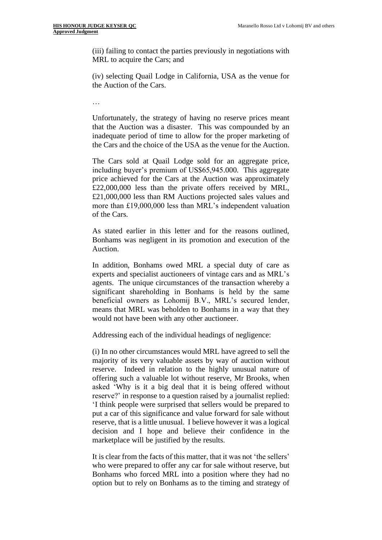(iii) failing to contact the parties previously in negotiations with MRL to acquire the Cars; and

(iv) selecting Quail Lodge in California, USA as the venue for the Auction of the Cars.

…

Unfortunately, the strategy of having no reserve prices meant that the Auction was a disaster. This was compounded by an inadequate period of time to allow for the proper marketing of the Cars and the choice of the USA as the venue for the Auction.

The Cars sold at Quail Lodge sold for an aggregate price, including buyer's premium of US\$65,945.000. This aggregate price achieved for the Cars at the Auction was approximately £22,000,000 less than the private offers received by MRL, £21,000,000 less than RM Auctions projected sales values and more than £19,000,000 less than MRL's independent valuation of the Cars.

As stated earlier in this letter and for the reasons outlined, Bonhams was negligent in its promotion and execution of the Auction.

In addition, Bonhams owed MRL a special duty of care as experts and specialist auctioneers of vintage cars and as MRL's agents. The unique circumstances of the transaction whereby a significant shareholding in Bonhams is held by the same beneficial owners as Lohomij B.V., MRL's secured lender, means that MRL was beholden to Bonhams in a way that they would not have been with any other auctioneer.

Addressing each of the individual headings of negligence:

(i) In no other circumstances would MRL have agreed to sell the majority of its very valuable assets by way of auction without reserve. Indeed in relation to the highly unusual nature of offering such a valuable lot without reserve, Mr Brooks, when asked 'Why is it a big deal that it is being offered without reserve?' in response to a question raised by a journalist replied: 'I think people were surprised that sellers would be prepared to put a car of this significance and value forward for sale without reserve, that is a little unusual. I believe however it was a logical decision and I hope and believe their confidence in the marketplace will be justified by the results.

It is clear from the facts of this matter, that it was not 'the sellers' who were prepared to offer any car for sale without reserve, but Bonhams who forced MRL into a position where they had no option but to rely on Bonhams as to the timing and strategy of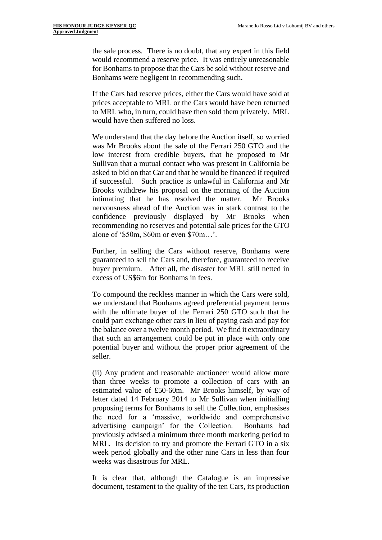the sale process. There is no doubt, that any expert in this field would recommend a reserve price. It was entirely unreasonable for Bonhams to propose that the Cars be sold without reserve and Bonhams were negligent in recommending such.

If the Cars had reserve prices, either the Cars would have sold at prices acceptable to MRL or the Cars would have been returned to MRL who, in turn, could have then sold them privately. MRL would have then suffered no loss.

We understand that the day before the Auction itself, so worried was Mr Brooks about the sale of the Ferrari 250 GTO and the low interest from credible buyers, that he proposed to Mr Sullivan that a mutual contact who was present in California be asked to bid on that Car and that he would be financed if required if successful. Such practice is unlawful in California and Mr Brooks withdrew his proposal on the morning of the Auction intimating that he has resolved the matter. Mr Brooks nervousness ahead of the Auction was in stark contrast to the confidence previously displayed by Mr Brooks when recommending no reserves and potential sale prices for the GTO alone of '\$50m, \$60m or even \$70m…'.

Further, in selling the Cars without reserve, Bonhams were guaranteed to sell the Cars and, therefore, guaranteed to receive buyer premium. After all, the disaster for MRL still netted in excess of US\$6m for Bonhams in fees.

To compound the reckless manner in which the Cars were sold, we understand that Bonhams agreed preferential payment terms with the ultimate buyer of the Ferrari 250 GTO such that he could part exchange other cars in lieu of paying cash and pay for the balance over a twelve month period. We find it extraordinary that such an arrangement could be put in place with only one potential buyer and without the proper prior agreement of the seller.

(ii) Any prudent and reasonable auctioneer would allow more than three weeks to promote a collection of cars with an estimated value of £50-60m. Mr Brooks himself, by way of letter dated 14 February 2014 to Mr Sullivan when initialling proposing terms for Bonhams to sell the Collection, emphasises the need for a 'massive, worldwide and comprehensive advertising campaign' for the Collection. Bonhams had previously advised a minimum three month marketing period to MRL. Its decision to try and promote the Ferrari GTO in a six week period globally and the other nine Cars in less than four weeks was disastrous for MRL.

It is clear that, although the Catalogue is an impressive document, testament to the quality of the ten Cars, its production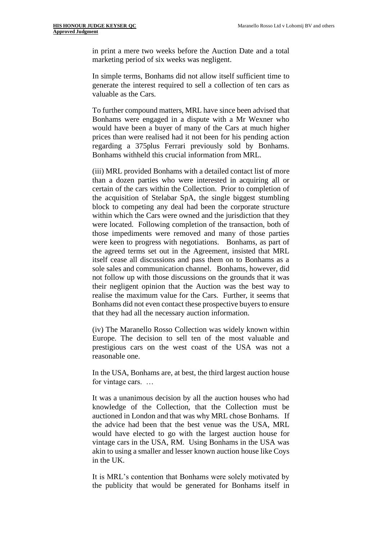in print a mere two weeks before the Auction Date and a total marketing period of six weeks was negligent.

In simple terms, Bonhams did not allow itself sufficient time to generate the interest required to sell a collection of ten cars as valuable as the Cars.

To further compound matters, MRL have since been advised that Bonhams were engaged in a dispute with a Mr Wexner who would have been a buyer of many of the Cars at much higher prices than were realised had it not been for his pending action regarding a 375plus Ferrari previously sold by Bonhams. Bonhams withheld this crucial information from MRL.

(iii) MRL provided Bonhams with a detailed contact list of more than a dozen parties who were interested in acquiring all or certain of the cars within the Collection. Prior to completion of the acquisition of Stelabar SpA, the single biggest stumbling block to competing any deal had been the corporate structure within which the Cars were owned and the jurisdiction that they were located. Following completion of the transaction, both of those impediments were removed and many of those parties were keen to progress with negotiations. Bonhams, as part of the agreed terms set out in the Agreement, insisted that MRL itself cease all discussions and pass them on to Bonhams as a sole sales and communication channel. Bonhams, however, did not follow up with those discussions on the grounds that it was their negligent opinion that the Auction was the best way to realise the maximum value for the Cars. Further, it seems that Bonhams did not even contact these prospective buyers to ensure that they had all the necessary auction information.

(iv) The Maranello Rosso Collection was widely known within Europe. The decision to sell ten of the most valuable and prestigious cars on the west coast of the USA was not a reasonable one.

In the USA, Bonhams are, at best, the third largest auction house for vintage cars. …

It was a unanimous decision by all the auction houses who had knowledge of the Collection, that the Collection must be auctioned in London and that was why MRL chose Bonhams. If the advice had been that the best venue was the USA, MRL would have elected to go with the largest auction house for vintage cars in the USA, RM. Using Bonhams in the USA was akin to using a smaller and lesser known auction house like Coys in the UK.

It is MRL's contention that Bonhams were solely motivated by the publicity that would be generated for Bonhams itself in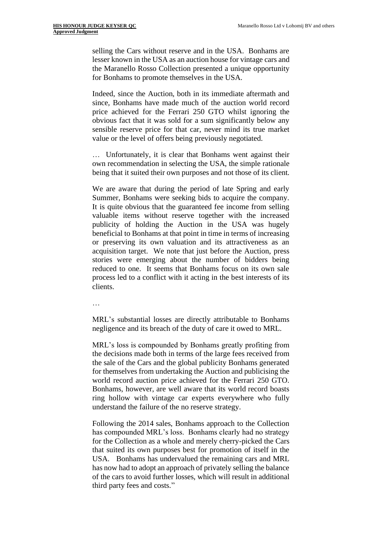selling the Cars without reserve and in the USA. Bonhams are lesser known in the USA as an auction house for vintage cars and the Maranello Rosso Collection presented a unique opportunity for Bonhams to promote themselves in the USA.

Indeed, since the Auction, both in its immediate aftermath and since, Bonhams have made much of the auction world record price achieved for the Ferrari 250 GTO whilst ignoring the obvious fact that it was sold for a sum significantly below any sensible reserve price for that car, never mind its true market value or the level of offers being previously negotiated.

… Unfortunately, it is clear that Bonhams went against their own recommendation in selecting the USA, the simple rationale being that it suited their own purposes and not those of its client.

We are aware that during the period of late Spring and early Summer, Bonhams were seeking bids to acquire the company. It is quite obvious that the guaranteed fee income from selling valuable items without reserve together with the increased publicity of holding the Auction in the USA was hugely beneficial to Bonhams at that point in time in terms of increasing or preserving its own valuation and its attractiveness as an acquisition target. We note that just before the Auction, press stories were emerging about the number of bidders being reduced to one. It seems that Bonhams focus on its own sale process led to a conflict with it acting in the best interests of its clients.

…

MRL's substantial losses are directly attributable to Bonhams negligence and its breach of the duty of care it owed to MRL.

MRL's loss is compounded by Bonhams greatly profiting from the decisions made both in terms of the large fees received from the sale of the Cars and the global publicity Bonhams generated for themselves from undertaking the Auction and publicising the world record auction price achieved for the Ferrari 250 GTO. Bonhams, however, are well aware that its world record boasts ring hollow with vintage car experts everywhere who fully understand the failure of the no reserve strategy.

Following the 2014 sales, Bonhams approach to the Collection has compounded MRL's loss. Bonhams clearly had no strategy for the Collection as a whole and merely cherry-picked the Cars that suited its own purposes best for promotion of itself in the USA. Bonhams has undervalued the remaining cars and MRL has now had to adopt an approach of privately selling the balance of the cars to avoid further losses, which will result in additional third party fees and costs."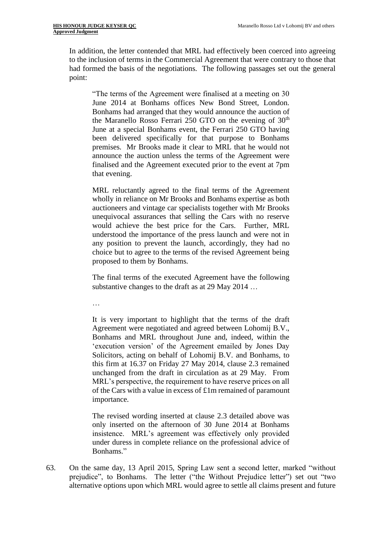In addition, the letter contended that MRL had effectively been coerced into agreeing to the inclusion of terms in the Commercial Agreement that were contrary to those that had formed the basis of the negotiations. The following passages set out the general point:

"The terms of the Agreement were finalised at a meeting on 30 June 2014 at Bonhams offices New Bond Street, London. Bonhams had arranged that they would announce the auction of the Maranello Rosso Ferrari 250 GTO on the evening of  $30<sup>th</sup>$ June at a special Bonhams event, the Ferrari 250 GTO having been delivered specifically for that purpose to Bonhams premises. Mr Brooks made it clear to MRL that he would not announce the auction unless the terms of the Agreement were finalised and the Agreement executed prior to the event at 7pm that evening.

MRL reluctantly agreed to the final terms of the Agreement wholly in reliance on Mr Brooks and Bonhams expertise as both auctioneers and vintage car specialists together with Mr Brooks unequivocal assurances that selling the Cars with no reserve would achieve the best price for the Cars. Further, MRL understood the importance of the press launch and were not in any position to prevent the launch, accordingly, they had no choice but to agree to the terms of the revised Agreement being proposed to them by Bonhams.

The final terms of the executed Agreement have the following substantive changes to the draft as at 29 May 2014 …

…

It is very important to highlight that the terms of the draft Agreement were negotiated and agreed between Lohomij B.V., Bonhams and MRL throughout June and, indeed, within the 'execution version' of the Agreement emailed by Jones Day Solicitors, acting on behalf of Lohomij B.V. and Bonhams, to this firm at 16.37 on Friday 27 May 2014, clause 2.3 remained unchanged from the draft in circulation as at 29 May. From MRL's perspective, the requirement to have reserve prices on all of the Cars with a value in excess of £1m remained of paramount importance.

The revised wording inserted at clause 2.3 detailed above was only inserted on the afternoon of 30 June 2014 at Bonhams insistence. MRL's agreement was effectively only provided under duress in complete reliance on the professional advice of Bonhams."

63. On the same day, 13 April 2015, Spring Law sent a second letter, marked "without prejudice", to Bonhams. The letter ("the Without Prejudice letter") set out "two alternative options upon which MRL would agree to settle all claims present and future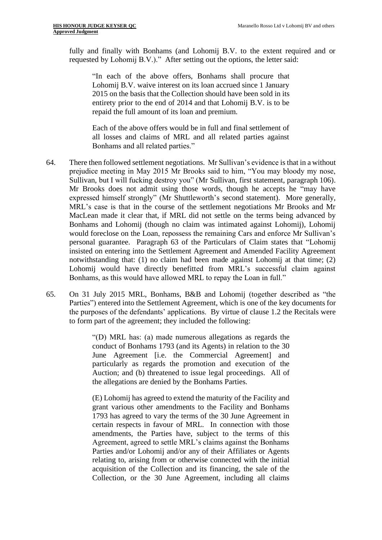fully and finally with Bonhams (and Lohomij B.V. to the extent required and or requested by Lohomij B.V.)." After setting out the options, the letter said:

"In each of the above offers, Bonhams shall procure that Lohomij B.V. waive interest on its loan accrued since 1 January 2015 on the basis that the Collection should have been sold in its entirety prior to the end of 2014 and that Lohomij B.V. is to be repaid the full amount of its loan and premium.

Each of the above offers would be in full and final settlement of all losses and claims of MRL and all related parties against Bonhams and all related parties."

- 64. There then followed settlement negotiations. Mr Sullivan's evidence is that in a without prejudice meeting in May 2015 Mr Brooks said to him, "You may bloody my nose, Sullivan, but I will fucking destroy you" (Mr Sullivan, first statement, paragraph 106). Mr Brooks does not admit using those words, though he accepts he "may have expressed himself strongly" (Mr Shuttleworth's second statement). More generally, MRL's case is that in the course of the settlement negotiations Mr Brooks and Mr MacLean made it clear that, if MRL did not settle on the terms being advanced by Bonhams and Lohomij (though no claim was intimated against Lohomij), Lohomij would foreclose on the Loan, repossess the remaining Cars and enforce Mr Sullivan's personal guarantee. Paragraph 63 of the Particulars of Claim states that "Lohomij insisted on entering into the Settlement Agreement and Amended Facility Agreement notwithstanding that: (1) no claim had been made against Lohomij at that time; (2) Lohomij would have directly benefitted from MRL's successful claim against Bonhams, as this would have allowed MRL to repay the Loan in full."
- 65. On 31 July 2015 MRL, Bonhams, B&B and Lohomij (together described as "the Parties") entered into the Settlement Agreement, which is one of the key documents for the purposes of the defendants' applications. By virtue of clause 1.2 the Recitals were to form part of the agreement; they included the following:

"(D) MRL has: (a) made numerous allegations as regards the conduct of Bonhams 1793 (and its Agents) in relation to the 30 June Agreement [i.e. the Commercial Agreement] and particularly as regards the promotion and execution of the Auction; and (b) threatened to issue legal proceedings. All of the allegations are denied by the Bonhams Parties.

(E) Lohomij has agreed to extend the maturity of the Facility and grant various other amendments to the Facility and Bonhams 1793 has agreed to vary the terms of the 30 June Agreement in certain respects in favour of MRL. In connection with those amendments, the Parties have, subject to the terms of this Agreement, agreed to settle MRL's claims against the Bonhams Parties and/or Lohomij and/or any of their Affiliates or Agents relating to, arising from or otherwise connected with the initial acquisition of the Collection and its financing, the sale of the Collection, or the 30 June Agreement, including all claims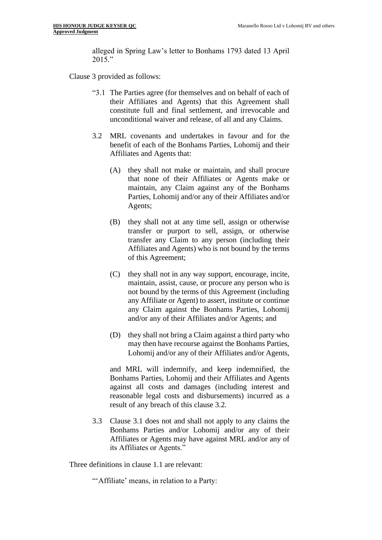alleged in Spring Law's letter to Bonhams 1793 dated 13 April 2015."

Clause 3 provided as follows:

- "3.1 The Parties agree (for themselves and on behalf of each of their Affiliates and Agents) that this Agreement shall constitute full and final settlement, and irrevocable and unconditional waiver and release, of all and any Claims.
- 3.2 MRL covenants and undertakes in favour and for the benefit of each of the Bonhams Parties, Lohomij and their Affiliates and Agents that:
	- (A) they shall not make or maintain, and shall procure that none of their Affiliates or Agents make or maintain, any Claim against any of the Bonhams Parties, Lohomij and/or any of their Affiliates and/or Agents;
	- (B) they shall not at any time sell, assign or otherwise transfer or purport to sell, assign, or otherwise transfer any Claim to any person (including their Affiliates and Agents) who is not bound by the terms of this Agreement;
	- (C) they shall not in any way support, encourage, incite, maintain, assist, cause, or procure any person who is not bound by the terms of this Agreement (including any Affiliate or Agent) to assert, institute or continue any Claim against the Bonhams Parties, Lohomij and/or any of their Affiliates and/or Agents; and
	- (D) they shall not bring a Claim against a third party who may then have recourse against the Bonhams Parties, Lohomij and/or any of their Affiliates and/or Agents,

and MRL will indemnify, and keep indemnified, the Bonhams Parties, Lohomij and their Affiliates and Agents against all costs and damages (including interest and reasonable legal costs and disbursements) incurred as a result of any breach of this clause 3.2.

3.3 Clause 3.1 does not and shall not apply to any claims the Bonhams Parties and/or Lohomij and/or any of their Affiliates or Agents may have against MRL and/or any of its Affiliates or Agents."

Three definitions in clause 1.1 are relevant:

""Affiliate' means, in relation to a Party: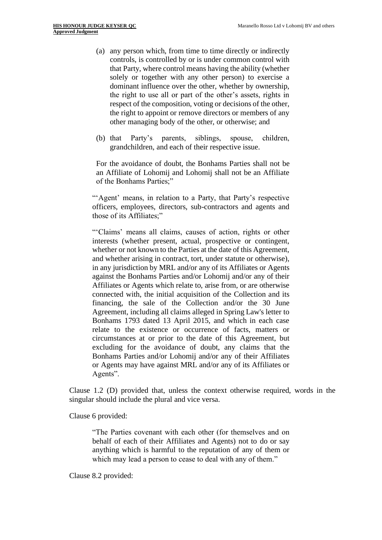- (a) any person which, from time to time directly or indirectly controls, is controlled by or is under common control with that Party, where control means having the ability (whether solely or together with any other person) to exercise a dominant influence over the other, whether by ownership, the right to use all or part of the other's assets, rights in respect of the composition, voting or decisions of the other, the right to appoint or remove directors or members of any other managing body of the other, or otherwise; and
- (b) that Party's parents, siblings, spouse, children, grandchildren, and each of their respective issue.

For the avoidance of doubt, the Bonhams Parties shall not be an Affiliate of Lohomij and Lohomij shall not be an Affiliate of the Bonhams Parties;"

"'Agent' means, in relation to a Party, that Party's respective officers, employees, directors, sub-contractors and agents and those of its Affiliates;"

"Claims' means all claims, causes of action, rights or other interests (whether present, actual, prospective or contingent, whether or not known to the Parties at the date of this Agreement, and whether arising in contract, tort, under statute or otherwise), in any jurisdiction by MRL and/or any of its Affiliates or Agents against the Bonhams Parties and/or Lohomij and/or any of their Affiliates or Agents which relate to, arise from, or are otherwise connected with, the initial acquisition of the Collection and its financing, the sale of the Collection and/or the 30 June Agreement, including all claims alleged in Spring Law's letter to Bonhams 1793 dated 13 April 2015, and which in each case relate to the existence or occurrence of facts, matters or circumstances at or prior to the date of this Agreement, but excluding for the avoidance of doubt, any claims that the Bonhams Parties and/or Lohomij and/or any of their Affiliates or Agents may have against MRL and/or any of its Affiliates or Agents".

Clause 1.2 (D) provided that, unless the context otherwise required, words in the singular should include the plural and vice versa.

Clause 6 provided:

"The Parties covenant with each other (for themselves and on behalf of each of their Affiliates and Agents) not to do or say anything which is harmful to the reputation of any of them or which may lead a person to cease to deal with any of them."

Clause 8.2 provided: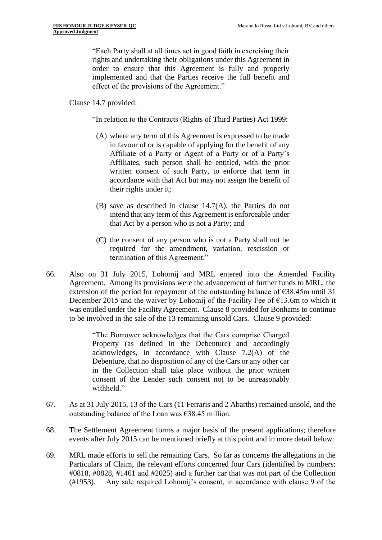"Each Party shall at all times act in good faith in exercising their rights and undertaking their obligations under this Agreement in order to ensure that this Agreement is fully and properly implemented and that the Parties receive the full benefit and effect of the provisions of the Agreement."

Clause 14.7 provided:

"In relation to the Contracts (Rights of Third Parties) Act 1999:

- (A) where any term of this Agreement is expressed to be made in favour of or is capable of applying for the benefit of any Affiliate of a Party or Agent of a Party or of a Party's Affiliates, such person shall be entitled, with the prior written consent of such Party, to enforce that term in accordance with that Act but may not assign the benefit of their rights under it;
- (B) save as described in clause 14.7(A), the Parties do not intend that any term of this Agreement is enforceable under that Act by a person who is not a Party; and
- (C) the consent of any person who is not a Party shall not be required for the amendment, variation, rescission or termination of this Agreement."
- 66. Also on 31 July 2015, Lohomij and MRL entered into the Amended Facility Agreement. Among its provisions were the advancement of further funds to MRL, the extension of the period for repayment of the outstanding balance of €38.45m until 31 December 2015 and the waiver by Lohomij of the Facility Fee of  $\epsilon$ 13.6m to which it was entitled under the Facility Agreement. Clause 8 provided for Bonhams to continue to be involved in the sale of the 13 remaining unsold Cars. Clause 9 provided:

"The Borrower acknowledges that the Cars comprise Charged Property (as defined in the Debenture) and accordingly acknowledges, in accordance with Clause 7.2(A) of the Debenture, that no disposition of any of the Cars or any other car in the Collection shall take place without the prior written consent of the Lender such consent not to be unreasonably withheld."

- 67. As at 31 July 2015, 13 of the Cars (11 Ferraris and 2 Abarths) remained unsold, and the outstanding balance of the Loan was €38.45 million.
- 68. The Settlement Agreement forms a major basis of the present applications; therefore events after July 2015 can be mentioned briefly at this point and in more detail below.
- 69. MRL made efforts to sell the remaining Cars. So far as concerns the allegations in the Particulars of Claim, the relevant efforts concerned four Cars (identified by numbers: #0818, #0828, #1461 and #2025) and a further car that was not part of the Collection (#1953). Any sale required Lohomij's consent, in accordance with clause 9 of the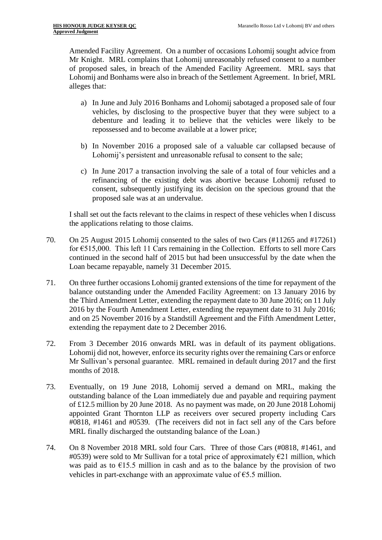Amended Facility Agreement. On a number of occasions Lohomij sought advice from Mr Knight. MRL complains that Lohomij unreasonably refused consent to a number of proposed sales, in breach of the Amended Facility Agreement. MRL says that Lohomij and Bonhams were also in breach of the Settlement Agreement. In brief, MRL alleges that:

- a) In June and July 2016 Bonhams and Lohomij sabotaged a proposed sale of four vehicles, by disclosing to the prospective buyer that they were subject to a debenture and leading it to believe that the vehicles were likely to be repossessed and to become available at a lower price;
- b) In November 2016 a proposed sale of a valuable car collapsed because of Lohomij's persistent and unreasonable refusal to consent to the sale;
- c) In June 2017 a transaction involving the sale of a total of four vehicles and a refinancing of the existing debt was abortive because Lohomij refused to consent, subsequently justifying its decision on the specious ground that the proposed sale was at an undervalue.

I shall set out the facts relevant to the claims in respect of these vehicles when I discuss the applications relating to those claims.

- 70. On 25 August 2015 Lohomij consented to the sales of two Cars (#11265 and #17261) for €515,000. This left 11 Cars remaining in the Collection. Efforts to sell more Cars continued in the second half of 2015 but had been unsuccessful by the date when the Loan became repayable, namely 31 December 2015.
- 71. On three further occasions Lohomij granted extensions of the time for repayment of the balance outstanding under the Amended Facility Agreement: on 13 January 2016 by the Third Amendment Letter, extending the repayment date to 30 June 2016; on 11 July 2016 by the Fourth Amendment Letter, extending the repayment date to 31 July 2016; and on 25 November 2016 by a Standstill Agreement and the Fifth Amendment Letter, extending the repayment date to 2 December 2016.
- 72. From 3 December 2016 onwards MRL was in default of its payment obligations. Lohomij did not, however, enforce its security rights over the remaining Cars or enforce Mr Sullivan's personal guarantee. MRL remained in default during 2017 and the first months of 2018.
- 73. Eventually, on 19 June 2018, Lohomij served a demand on MRL, making the outstanding balance of the Loan immediately due and payable and requiring payment of £12.5 million by 20 June 2018. As no payment was made, on 20 June 2018 Lohomij appointed Grant Thornton LLP as receivers over secured property including Cars #0818, #1461 and #0539. (The receivers did not in fact sell any of the Cars before MRL finally discharged the outstanding balance of the Loan.)
- 74. On 8 November 2018 MRL sold four Cars. Three of those Cars (#0818, #1461, and #0539) were sold to Mr Sullivan for a total price of approximately  $E$ 21 million, which was paid as to  $\epsilon$ 15.5 million in cash and as to the balance by the provision of two vehicles in part-exchange with an approximate value of  $\epsilon$ 5.5 million.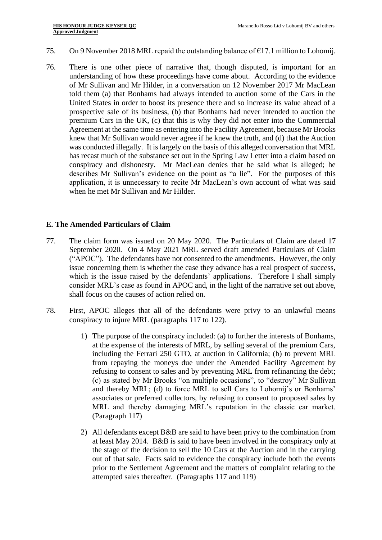- 75. On 9 November 2018 MRL repaid the outstanding balance of  $\epsilon$ 17.1 million to Lohomij.
- 76. There is one other piece of narrative that, though disputed, is important for an understanding of how these proceedings have come about. According to the evidence of Mr Sullivan and Mr Hilder, in a conversation on 12 November 2017 Mr MacLean told them (a) that Bonhams had always intended to auction some of the Cars in the United States in order to boost its presence there and so increase its value ahead of a prospective sale of its business, (b) that Bonhams had never intended to auction the premium Cars in the UK, (c) that this is why they did not enter into the Commercial Agreement at the same time as entering into the Facility Agreement, because Mr Brooks knew that Mr Sullivan would never agree if he knew the truth, and (d) that the Auction was conducted illegally. It is largely on the basis of this alleged conversation that MRL has recast much of the substance set out in the Spring Law Letter into a claim based on conspiracy and dishonesty. Mr MacLean denies that he said what is alleged; he describes Mr Sullivan's evidence on the point as "a lie". For the purposes of this application, it is unnecessary to recite Mr MacLean's own account of what was said when he met Mr Sullivan and Mr Hilder.

### **E. The Amended Particulars of Claim**

- 77. The claim form was issued on 20 May 2020. The Particulars of Claim are dated 17 September 2020. On 4 May 2021 MRL served draft amended Particulars of Claim ("APOC"). The defendants have not consented to the amendments. However, the only issue concerning them is whether the case they advance has a real prospect of success, which is the issue raised by the defendants' applications. Therefore I shall simply consider MRL's case as found in APOC and, in the light of the narrative set out above, shall focus on the causes of action relied on.
- 78. First, APOC alleges that all of the defendants were privy to an unlawful means conspiracy to injure MRL (paragraphs 117 to 122).
	- 1) The purpose of the conspiracy included: (a) to further the interests of Bonhams, at the expense of the interests of MRL, by selling several of the premium Cars, including the Ferrari 250 GTO, at auction in California; (b) to prevent MRL from repaying the moneys due under the Amended Facility Agreement by refusing to consent to sales and by preventing MRL from refinancing the debt; (c) as stated by Mr Brooks "on multiple occasions", to "destroy" Mr Sullivan and thereby MRL; (d) to force MRL to sell Cars to Lohomij's or Bonhams' associates or preferred collectors, by refusing to consent to proposed sales by MRL and thereby damaging MRL's reputation in the classic car market. (Paragraph 117)
	- 2) All defendants except B&B are said to have been privy to the combination from at least May 2014. B&B is said to have been involved in the conspiracy only at the stage of the decision to sell the 10 Cars at the Auction and in the carrying out of that sale. Facts said to evidence the conspiracy include both the events prior to the Settlement Agreement and the matters of complaint relating to the attempted sales thereafter. (Paragraphs 117 and 119)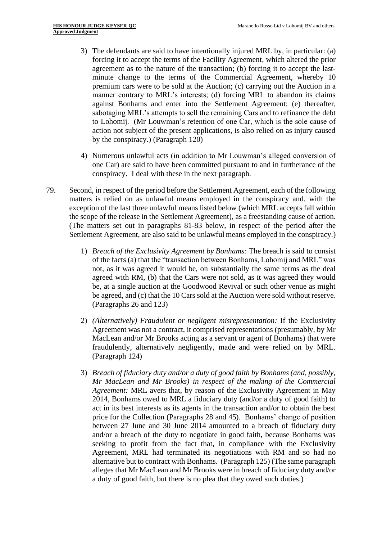- 3) The defendants are said to have intentionally injured MRL by, in particular: (a) forcing it to accept the terms of the Facility Agreement, which altered the prior agreement as to the nature of the transaction; (b) forcing it to accept the lastminute change to the terms of the Commercial Agreement, whereby 10 premium cars were to be sold at the Auction; (c) carrying out the Auction in a manner contrary to MRL's interests; (d) forcing MRL to abandon its claims against Bonhams and enter into the Settlement Agreement; (e) thereafter, sabotaging MRL's attempts to sell the remaining Cars and to refinance the debt to Lohomij. (Mr Louwman's retention of one Car, which is the sole cause of action not subject of the present applications, is also relied on as injury caused by the conspiracy.) (Paragraph 120)
- 4) Numerous unlawful acts (in addition to Mr Louwman's alleged conversion of one Car) are said to have been committed pursuant to and in furtherance of the conspiracy. I deal with these in the next paragraph.
- 79. Second, in respect of the period before the Settlement Agreement, each of the following matters is relied on as unlawful means employed in the conspiracy and, with the exception of the last three unlawful means listed below (which MRL accepts fall within the scope of the release in the Settlement Agreement), as a freestanding cause of action. (The matters set out in paragraphs 81-83 below, in respect of the period after the Settlement Agreement, are also said to be unlawful means employed in the conspiracy.)
	- 1) *Breach of the Exclusivity Agreement by Bonhams:* The breach is said to consist of the facts (a) that the "transaction between Bonhams, Lohomij and MRL" was not, as it was agreed it would be, on substantially the same terms as the deal agreed with RM, (b) that the Cars were not sold, as it was agreed they would be, at a single auction at the Goodwood Revival or such other venue as might be agreed, and (c) that the 10 Cars sold at the Auction were sold without reserve. (Paragraphs 26 and 123)
	- 2) *(Alternatively) Fraudulent or negligent misrepresentation:* If the Exclusivity Agreement was not a contract, it comprised representations (presumably, by Mr MacLean and/or Mr Brooks acting as a servant or agent of Bonhams) that were fraudulently, alternatively negligently, made and were relied on by MRL. (Paragraph 124)
	- 3) *Breach of fiduciary duty and/or a duty of good faith by Bonhams (and, possibly, Mr MacLean and Mr Brooks) in respect of the making of the Commercial Agreement:* MRL avers that, by reason of the Exclusivity Agreement in May 2014, Bonhams owed to MRL a fiduciary duty (and/or a duty of good faith) to act in its best interests as its agents in the transaction and/or to obtain the best price for the Collection (Paragraphs 28 and 45). Bonhams' change of position between 27 June and 30 June 2014 amounted to a breach of fiduciary duty and/or a breach of the duty to negotiate in good faith, because Bonhams was seeking to profit from the fact that, in compliance with the Exclusivity Agreement, MRL had terminated its negotiations with RM and so had no alternative but to contract with Bonhams. (Paragraph 125) (The same paragraph alleges that Mr MacLean and Mr Brooks were in breach of fiduciary duty and/or a duty of good faith, but there is no plea that they owed such duties.)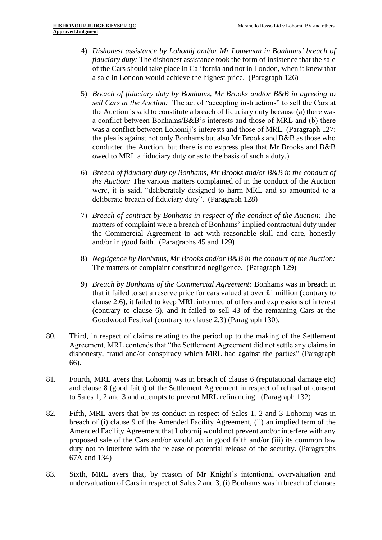- 4) *Dishonest assistance by Lohomij and/or Mr Louwman in Bonhams' breach of fiduciary duty:* The dishonest assistance took the form of insistence that the sale of the Cars should take place in California and not in London, when it knew that a sale in London would achieve the highest price. (Paragraph 126)
- 5) *Breach of fiduciary duty by Bonhams, Mr Brooks and/or B&B in agreeing to sell Cars at the Auction:* The act of "accepting instructions" to sell the Cars at the Auction is said to constitute a breach of fiduciary duty because (a) there was a conflict between Bonhams/B&B's interests and those of MRL and (b) there was a conflict between Lohomij's interests and those of MRL. (Paragraph 127: the plea is against not only Bonhams but also Mr Brooks and B&B as those who conducted the Auction, but there is no express plea that Mr Brooks and B&B owed to MRL a fiduciary duty or as to the basis of such a duty.)
- 6) *Breach of fiduciary duty by Bonhams, Mr Brooks and/or B&B in the conduct of the Auction:* The various matters complained of in the conduct of the Auction were, it is said, "deliberately designed to harm MRL and so amounted to a deliberate breach of fiduciary duty". (Paragraph 128)
- 7) *Breach of contract by Bonhams in respect of the conduct of the Auction:* The matters of complaint were a breach of Bonhams' implied contractual duty under the Commercial Agreement to act with reasonable skill and care, honestly and/or in good faith. (Paragraphs 45 and 129)
- 8) *Negligence by Bonhams, Mr Brooks and/or B&B in the conduct of the Auction:*  The matters of complaint constituted negligence. (Paragraph 129)
- 9) *Breach by Bonhams of the Commercial Agreement:* Bonhams was in breach in that it failed to set a reserve price for cars valued at over £1 million (contrary to clause 2.6), it failed to keep MRL informed of offers and expressions of interest (contrary to clause 6), and it failed to sell 43 of the remaining Cars at the Goodwood Festival (contrary to clause 2.3) (Paragraph 130).
- 80. Third, in respect of claims relating to the period up to the making of the Settlement Agreement, MRL contends that "the Settlement Agreement did not settle any claims in dishonesty, fraud and/or conspiracy which MRL had against the parties" (Paragraph 66).
- 81. Fourth, MRL avers that Lohomij was in breach of clause 6 (reputational damage etc) and clause 8 (good faith) of the Settlement Agreement in respect of refusal of consent to Sales 1, 2 and 3 and attempts to prevent MRL refinancing. (Paragraph 132)
- 82. Fifth, MRL avers that by its conduct in respect of Sales 1, 2 and 3 Lohomij was in breach of (i) clause 9 of the Amended Facility Agreement, (ii) an implied term of the Amended Facility Agreement that Lohomij would not prevent and/or interfere with any proposed sale of the Cars and/or would act in good faith and/or (iii) its common law duty not to interfere with the release or potential release of the security. (Paragraphs 67A and 134)
- 83. Sixth, MRL avers that, by reason of Mr Knight's intentional overvaluation and undervaluation of Cars in respect of Sales 2 and 3, (i) Bonhams was in breach of clauses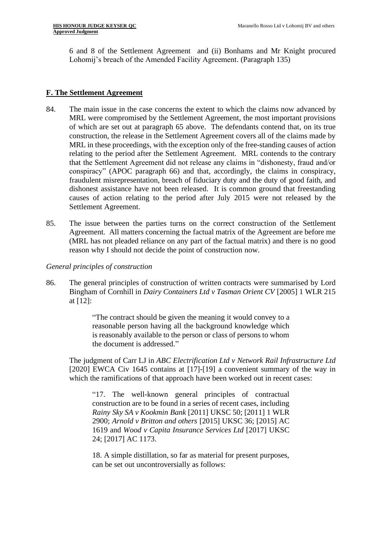6 and 8 of the Settlement Agreement and (ii) Bonhams and Mr Knight procured Lohomij's breach of the Amended Facility Agreement. (Paragraph 135)

## **F. The Settlement Agreement**

- 84. The main issue in the case concerns the extent to which the claims now advanced by MRL were compromised by the Settlement Agreement, the most important provisions of which are set out at paragraph 65 above. The defendants contend that, on its true construction, the release in the Settlement Agreement covers all of the claims made by MRL in these proceedings, with the exception only of the free-standing causes of action relating to the period after the Settlement Agreement. MRL contends to the contrary that the Settlement Agreement did not release any claims in "dishonesty, fraud and/or conspiracy" (APOC paragraph 66) and that, accordingly, the claims in conspiracy, fraudulent misrepresentation, breach of fiduciary duty and the duty of good faith, and dishonest assistance have not been released. It is common ground that freestanding causes of action relating to the period after July 2015 were not released by the Settlement Agreement.
- 85. The issue between the parties turns on the correct construction of the Settlement Agreement. All matters concerning the factual matrix of the Agreement are before me (MRL has not pleaded reliance on any part of the factual matrix) and there is no good reason why I should not decide the point of construction now.

### *General principles of construction*

86. The general principles of construction of written contracts were summarised by Lord Bingham of Cornhill in *Dairy Containers Ltd v Tasman Orient CV* [2005] 1 WLR 215 at [12]:

> "The contract should be given the meaning it would convey to a reasonable person having all the background knowledge which is reasonably available to the person or class of persons to whom the document is addressed."

The judgment of Carr LJ in *ABC Electrification Ltd v Network Rail Infrastructure Ltd*  [2020] EWCA Civ 1645 contains at [17]-[19] a convenient summary of the way in which the ramifications of that approach have been worked out in recent cases:

"17. The well-known general principles of contractual construction are to be found in a series of recent cases, including *Rainy Sky SA v Kookmin Bank* [\[2011\] UKSC 50;](http://www.bailii.org/uk/cases/UKSC/2011/50.html) [\[2011\] 1 WLR](http://www.bailii.org/cgi-bin/redirect.cgi?path=/uk/cases/UKSC/2011/50.html)  [2900;](http://www.bailii.org/cgi-bin/redirect.cgi?path=/uk/cases/UKSC/2011/50.html) *Arnold v Britton and others* [\[2015\] UKSC 36;](http://www.bailii.org/uk/cases/UKSC/2015/36.html) [\[2015\] AC](http://www.bailii.org/cgi-bin/redirect.cgi?path=/uk/cases/UKSC/2015/36.html)  [1619](http://www.bailii.org/cgi-bin/redirect.cgi?path=/uk/cases/UKSC/2015/36.html) and *Wood v Capita Insurance Services Ltd* [\[2017\] UKSC](http://www.bailii.org/uk/cases/UKSC/2017/24.html)  [24;](http://www.bailii.org/uk/cases/UKSC/2017/24.html) [\[2017\] AC 1173.](http://www.bailii.org/cgi-bin/redirect.cgi?path=/uk/cases/UKSC/2017/24.html)

18. A simple distillation, so far as material for present purposes, can be set out uncontroversially as follows: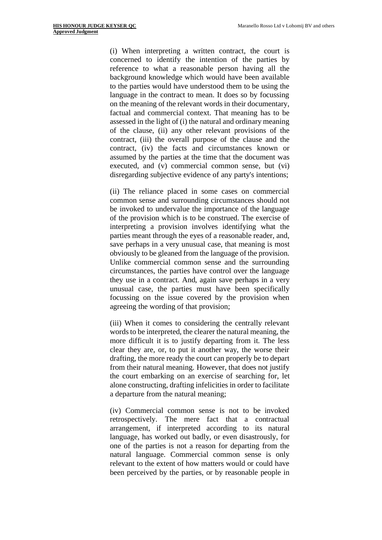(i) When interpreting a written contract, the court is concerned to identify the intention of the parties by reference to what a reasonable person having all the background knowledge which would have been available to the parties would have understood them to be using the language in the contract to mean. It does so by focussing on the meaning of the relevant words in their documentary, factual and commercial context. That meaning has to be assessed in the light of (i) the natural and ordinary meaning of the clause, (ii) any other relevant provisions of the contract, (iii) the overall purpose of the clause and the contract, (iv) the facts and circumstances known or assumed by the parties at the time that the document was executed, and (v) commercial common sense, but (vi) disregarding subjective evidence of any party's intentions;

(ii) The reliance placed in some cases on commercial common sense and surrounding circumstances should not be invoked to undervalue the importance of the language of the provision which is to be construed. The exercise of interpreting a provision involves identifying what the parties meant through the eyes of a reasonable reader, and, save perhaps in a very unusual case, that meaning is most obviously to be gleaned from the language of the provision. Unlike commercial common sense and the surrounding circumstances, the parties have control over the language they use in a contract. And, again save perhaps in a very unusual case, the parties must have been specifically focussing on the issue covered by the provision when agreeing the wording of that provision;

(iii) When it comes to considering the centrally relevant words to be interpreted, the clearer the natural meaning, the more difficult it is to justify departing from it. The less clear they are, or, to put it another way, the worse their drafting, the more ready the court can properly be to depart from their natural meaning. However, that does not justify the court embarking on an exercise of searching for, let alone constructing, drafting infelicities in order to facilitate a departure from the natural meaning;

(iv) Commercial common sense is not to be invoked retrospectively. The mere fact that a contractual arrangement, if interpreted according to its natural language, has worked out badly, or even disastrously, for one of the parties is not a reason for departing from the natural language. Commercial common sense is only relevant to the extent of how matters would or could have been perceived by the parties, or by reasonable people in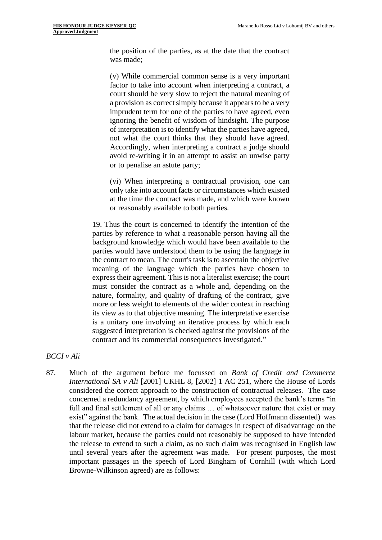the position of the parties, as at the date that the contract was made;

(v) While commercial common sense is a very important factor to take into account when interpreting a contract, a court should be very slow to reject the natural meaning of a provision as correct simply because it appears to be a very imprudent term for one of the parties to have agreed, even ignoring the benefit of wisdom of hindsight. The purpose of interpretation is to identify what the parties have agreed, not what the court thinks that they should have agreed. Accordingly, when interpreting a contract a judge should avoid re-writing it in an attempt to assist an unwise party or to penalise an astute party;

(vi) When interpreting a contractual provision, one can only take into account facts or circumstances which existed at the time the contract was made, and which were known or reasonably available to both parties.

19. Thus the court is concerned to identify the intention of the parties by reference to what a reasonable person having all the background knowledge which would have been available to the parties would have understood them to be using the language in the contract to mean. The court's task is to ascertain the objective meaning of the language which the parties have chosen to express their agreement. This is not a literalist exercise; the court must consider the contract as a whole and, depending on the nature, formality, and quality of drafting of the contract, give more or less weight to elements of the wider context in reaching its view as to that objective meaning. The interpretative exercise is a unitary one involving an iterative process by which each suggested interpretation is checked against the provisions of the contract and its commercial consequences investigated."

*BCCI v Ali*

87. Much of the argument before me focussed on *Bank of Credit and Commerce International SA v Ali* [2001] UKHL 8, [2002] 1 AC 251, where the House of Lords considered the correct approach to the construction of contractual releases. The case concerned a redundancy agreement, by which employees accepted the bank's terms "in full and final settlement of all or any claims … of whatsoever nature that exist or may exist" against the bank. The actual decision in the case (Lord Hoffmann dissented) was that the release did not extend to a claim for damages in respect of disadvantage on the labour market, because the parties could not reasonably be supposed to have intended the release to extend to such a claim, as no such claim was recognised in English law until several years after the agreement was made. For present purposes, the most important passages in the speech of Lord Bingham of Cornhill (with which Lord Browne-Wilkinson agreed) are as follows: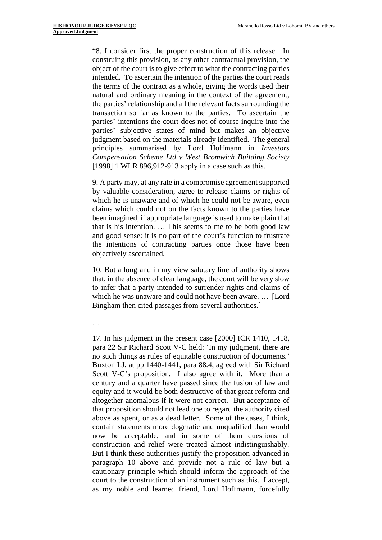"8. I consider first the proper construction of this release. In construing this provision, as any other contractual provision, the object of the court is to give effect to what the contracting parties intended. To ascertain the intention of the parties the court reads the terms of the contract as a whole, giving the words used their natural and ordinary meaning in the context of the agreement, the parties' relationship and all the relevant facts surrounding the transaction so far as known to the parties. To ascertain the parties' intentions the court does not of course inquire into the parties' subjective states of mind but makes an objective judgment based on the materials already identified. The general principles summarised by Lord Hoffmann in *Investors Compensation Scheme Ltd v West Bromwich Building Society* [1998] 1 WLR 896,912-913 apply in a case such as this.

9. A party may, at any rate in a compromise agreement supported by valuable consideration, agree to release claims or rights of which he is unaware and of which he could not be aware, even claims which could not on the facts known to the parties have been imagined, if appropriate language is used to make plain that that is his intention. … This seems to me to be both good law and good sense: it is no part of the court's function to frustrate the intentions of contracting parties once those have been objectively ascertained.

10. But a long and in my view salutary line of authority shows that, in the absence of clear language, the court will be very slow to infer that a party intended to surrender rights and claims of which he was unaware and could not have been aware. … [Lord Bingham then cited passages from several authorities.]

…

17. In his judgment in the present case [2000] ICR 1410, 1418, para 22 Sir Richard Scott V-C held: 'In my judgment, there are no such things as rules of equitable construction of documents.' Buxton LJ, at pp 1440-1441, para 88.4, agreed with Sir Richard Scott V-C's proposition. I also agree with it. More than a century and a quarter have passed since the fusion of law and equity and it would be both destructive of that great reform and altogether anomalous if it were not correct. But acceptance of that proposition should not lead one to regard the authority cited above as spent, or as a dead letter. Some of the cases, I think, contain statements more dogmatic and unqualified than would now be acceptable, and in some of them questions of construction and relief were treated almost indistinguishably. But I think these authorities justify the proposition advanced in paragraph 10 above and provide not a rule of law but a cautionary principle which should inform the approach of the court to the construction of an instrument such as this. I accept, as my noble and learned friend, Lord Hoffmann, forcefully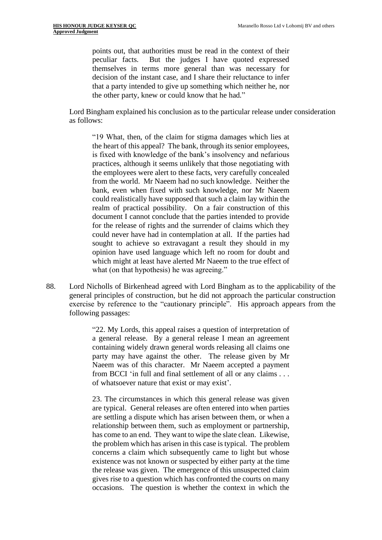points out, that authorities must be read in the context of their peculiar facts. But the judges I have quoted expressed themselves in terms more general than was necessary for decision of the instant case, and I share their reluctance to infer that a party intended to give up something which neither he, nor the other party, knew or could know that he had."

Lord Bingham explained his conclusion as to the particular release under consideration as follows:

"19 What, then, of the claim for stigma damages which lies at the heart of this appeal? The bank, through its senior employees, is fixed with knowledge of the bank's insolvency and nefarious practices, although it seems unlikely that those negotiating with the employees were alert to these facts, very carefully concealed from the world. Mr Naeem had no such knowledge. Neither the bank, even when fixed with such knowledge, nor Mr Naeem could realistically have supposed that such a claim lay within the realm of practical possibility. On a fair construction of this document I cannot conclude that the parties intended to provide for the release of rights and the surrender of claims which they could never have had in contemplation at all. If the parties had sought to achieve so extravagant a result they should in my opinion have used language which left no room for doubt and which might at least have alerted Mr Naeem to the true effect of what (on that hypothesis) he was agreeing."

88. Lord Nicholls of Birkenhead agreed with Lord Bingham as to the applicability of the general principles of construction, but he did not approach the particular construction exercise by reference to the "cautionary principle". His approach appears from the following passages:

> "22. My Lords, this appeal raises a question of interpretation of a general release. By a general release I mean an agreement containing widely drawn general words releasing all claims one party may have against the other. The release given by Mr Naeem was of this character. Mr Naeem accepted a payment from BCCI 'in full and final settlement of all or any claims . . . of whatsoever nature that exist or may exist'.

> 23. The circumstances in which this general release was given are typical. General releases are often entered into when parties are settling a dispute which has arisen between them, or when a relationship between them, such as employment or partnership, has come to an end. They want to wipe the slate clean. Likewise, the problem which has arisen in this case is typical. The problem concerns a claim which subsequently came to light but whose existence was not known or suspected by either party at the time the release was given. The emergence of this unsuspected claim gives rise to a question which has confronted the courts on many occasions. The question is whether the context in which the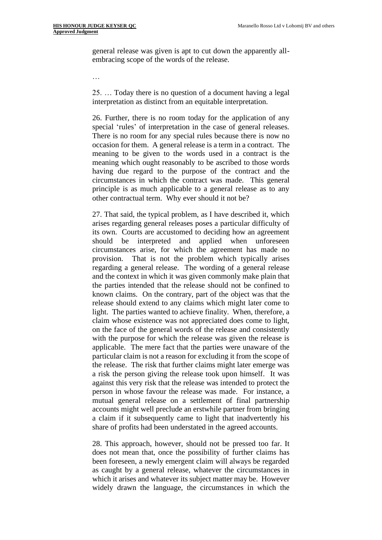general release was given is apt to cut down the apparently allembracing scope of the words of the release.

…

25. … Today there is no question of a document having a legal interpretation as distinct from an equitable interpretation.

26. Further, there is no room today for the application of any special 'rules' of interpretation in the case of general releases. There is no room for any special rules because there is now no occasion for them. A general release is a term in a contract. The meaning to be given to the words used in a contract is the meaning which ought reasonably to be ascribed to those words having due regard to the purpose of the contract and the circumstances in which the contract was made. This general principle is as much applicable to a general release as to any other contractual term. Why ever should it not be?

27. That said, the typical problem, as I have described it, which arises regarding general releases poses a particular difficulty of its own. Courts are accustomed to deciding how an agreement should be interpreted and applied when unforeseen circumstances arise, for which the agreement has made no provision. That is not the problem which typically arises regarding a general release. The wording of a general release and the context in which it was given commonly make plain that the parties intended that the release should not be confined to known claims. On the contrary, part of the object was that the release should extend to any claims which might later come to light. The parties wanted to achieve finality. When, therefore, a claim whose existence was not appreciated does come to light, on the face of the general words of the release and consistently with the purpose for which the release was given the release is applicable. The mere fact that the parties were unaware of the particular claim is not a reason for excluding it from the scope of the release. The risk that further claims might later emerge was a risk the person giving the release took upon himself. It was against this very risk that the release was intended to protect the person in whose favour the release was made. For instance, a mutual general release on a settlement of final partnership accounts might well preclude an erstwhile partner from bringing a claim if it subsequently came to light that inadvertently his share of profits had been understated in the agreed accounts.

28. This approach, however, should not be pressed too far. It does not mean that, once the possibility of further claims has been foreseen, a newly emergent claim will always be regarded as caught by a general release, whatever the circumstances in which it arises and whatever its subject matter may be. However widely drawn the language, the circumstances in which the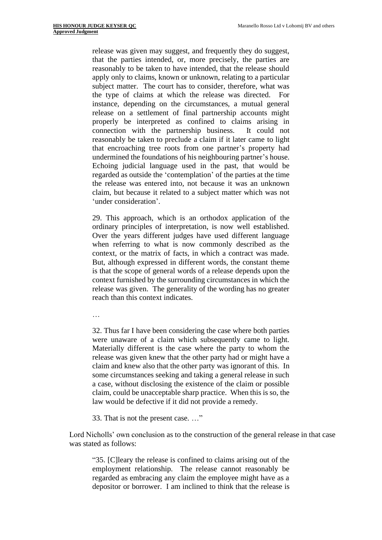release was given may suggest, and frequently they do suggest, that the parties intended, or, more precisely, the parties are reasonably to be taken to have intended, that the release should apply only to claims, known or unknown, relating to a particular subject matter. The court has to consider, therefore, what was the type of claims at which the release was directed. For instance, depending on the circumstances, a mutual general release on a settlement of final partnership accounts might properly be interpreted as confined to claims arising in connection with the partnership business. It could not reasonably be taken to preclude a claim if it later came to light that encroaching tree roots from one partner's property had undermined the foundations of his neighbouring partner's house. Echoing judicial language used in the past, that would be regarded as outside the 'contemplation' of the parties at the time the release was entered into, not because it was an unknown claim, but because it related to a subject matter which was not 'under consideration'.

29. This approach, which is an orthodox application of the ordinary principles of interpretation, is now well established. Over the years different judges have used different language when referring to what is now commonly described as the context, or the matrix of facts, in which a contract was made. But, although expressed in different words, the constant theme is that the scope of general words of a release depends upon the context furnished by the surrounding circumstances in which the release was given. The generality of the wording has no greater reach than this context indicates.

…

32. Thus far I have been considering the case where both parties were unaware of a claim which subsequently came to light. Materially different is the case where the party to whom the release was given knew that the other party had or might have a claim and knew also that the other party was ignorant of this. In some circumstances seeking and taking a general release in such a case, without disclosing the existence of the claim or possible claim, could be unacceptable sharp practice. When this is so, the law would be defective if it did not provide a remedy.

33. That is not the present case. …"

Lord Nicholls' own conclusion as to the construction of the general release in that case was stated as follows:

"35. [C]leary the release is confined to claims arising out of the employment relationship. The release cannot reasonably be regarded as embracing any claim the employee might have as a depositor or borrower. I am inclined to think that the release is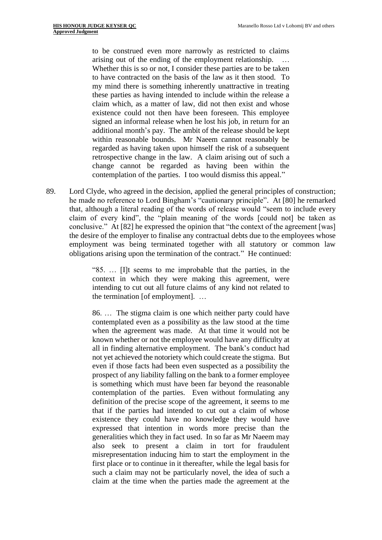to be construed even more narrowly as restricted to claims arising out of the ending of the employment relationship. … Whether this is so or not, I consider these parties are to be taken to have contracted on the basis of the law as it then stood. To my mind there is something inherently unattractive in treating these parties as having intended to include within the release a claim which, as a matter of law, did not then exist and whose existence could not then have been foreseen. This employee signed an informal release when he lost his job, in return for an additional month's pay. The ambit of the release should be kept within reasonable bounds. Mr Naeem cannot reasonably be regarded as having taken upon himself the risk of a subsequent retrospective change in the law. A claim arising out of such a change cannot be regarded as having been within the contemplation of the parties. I too would dismiss this appeal."

89. Lord Clyde, who agreed in the decision, applied the general principles of construction; he made no reference to Lord Bingham's "cautionary principle". At [80] he remarked that, although a literal reading of the words of release would "seem to include every claim of every kind", the "plain meaning of the words [could not] be taken as conclusive." At [82] he expressed the opinion that "the context of the agreement [was] the desire of the employer to finalise any contractual debts due to the employees whose employment was being terminated together with all statutory or common law obligations arising upon the termination of the contract." He continued:

> "85. … [I]t seems to me improbable that the parties, in the context in which they were making this agreement, were intending to cut out all future claims of any kind not related to the termination [of employment]. …

> 86. … The stigma claim is one which neither party could have contemplated even as a possibility as the law stood at the time when the agreement was made. At that time it would not be known whether or not the employee would have any difficulty at all in finding alternative employment. The bank's conduct had not yet achieved the notoriety which could create the stigma. But even if those facts had been even suspected as a possibility the prospect of any liability falling on the bank to a former employee is something which must have been far beyond the reasonable contemplation of the parties. Even without formulating any definition of the precise scope of the agreement, it seems to me that if the parties had intended to cut out a claim of whose existence they could have no knowledge they would have expressed that intention in words more precise than the generalities which they in fact used. In so far as Mr Naeem may also seek to present a claim in tort for fraudulent misrepresentation inducing him to start the employment in the first place or to continue in it thereafter, while the legal basis for such a claim may not be particularly novel, the idea of such a claim at the time when the parties made the agreement at the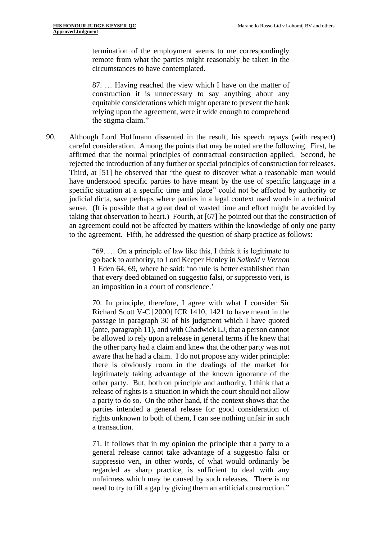termination of the employment seems to me correspondingly remote from what the parties might reasonably be taken in the circumstances to have contemplated.

87. … Having reached the view which I have on the matter of construction it is unnecessary to say anything about any equitable considerations which might operate to prevent the bank relying upon the agreement, were it wide enough to comprehend the stigma claim."

90. Although Lord Hoffmann dissented in the result, his speech repays (with respect) careful consideration. Among the points that may be noted are the following. First, he affirmed that the normal principles of contractual construction applied. Second, he rejected the introduction of any further or special principles of construction for releases. Third, at [51] he observed that "the quest to discover what a reasonable man would have understood specific parties to have meant by the use of specific language in a specific situation at a specific time and place" could not be affected by authority or judicial dicta, save perhaps where parties in a legal context used words in a technical sense. (It is possible that a great deal of wasted time and effort might be avoided by taking that observation to heart.) Fourth, at [67] he pointed out that the construction of an agreement could not be affected by matters within the knowledge of only one party to the agreement. Fifth, he addressed the question of sharp practice as follows:

> "69. … On a principle of law like this, I think it is legitimate to go back to authority, to Lord Keeper Henley in *Salkeld v Vernon*  1 Eden 64, 69, where he said: 'no rule is better established than that every deed obtained on suggestio falsi, or suppressio veri, is an imposition in a court of conscience.'

> 70. In principle, therefore, I agree with what I consider Sir Richard Scott V-C [2000] ICR 1410, 1421 to have meant in the passage in paragraph 30 of his judgment which I have quoted (ante, paragraph 11), and with Chadwick LJ, that a person cannot be allowed to rely upon a release in general terms if he knew that the other party had a claim and knew that the other party was not aware that he had a claim. I do not propose any wider principle: there is obviously room in the dealings of the market for legitimately taking advantage of the known ignorance of the other party. But, both on principle and authority, I think that a release of rights is a situation in which the court should not allow a party to do so. On the other hand, if the context shows that the parties intended a general release for good consideration of rights unknown to both of them, I can see nothing unfair in such a transaction.

> 71. It follows that in my opinion the principle that a party to a general release cannot take advantage of a suggestio falsi or suppressio veri, in other words, of what would ordinarily be regarded as sharp practice, is sufficient to deal with any unfairness which may be caused by such releases. There is no need to try to fill a gap by giving them an artificial construction."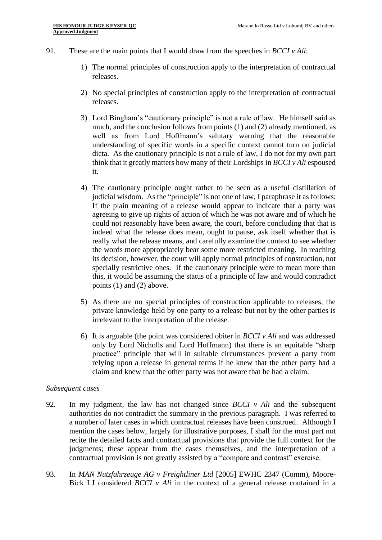- 91. These are the main points that I would draw from the speeches in *BCCI v Ali*:
	- 1) The normal principles of construction apply to the interpretation of contractual releases.
	- 2) No special principles of construction apply to the interpretation of contractual releases.
	- 3) Lord Bingham's "cautionary principle" is not a rule of law. He himself said as much, and the conclusion follows from points (1) and (2) already mentioned, as well as from Lord Hoffmann's salutary warning that the reasonable understanding of specific words in a specific context cannot turn on judicial dicta. As the cautionary principle is not a rule of law, I do not for my own part think that it greatly matters how many of their Lordships in *BCCI v Ali* espoused it.
	- 4) The cautionary principle ought rather to be seen as a useful distillation of judicial wisdom. As the "principle" is not one of law, I paraphrase it as follows: If the plain meaning of a release would appear to indicate that a party was agreeing to give up rights of action of which he was not aware and of which he could not reasonably have been aware, the court, before concluding that that is indeed what the release does mean, ought to pause, ask itself whether that is really what the release means, and carefully examine the context to see whether the words more appropriately bear some more restricted meaning. In reaching its decision, however, the court will apply normal principles of construction, not specially restrictive ones. If the cautionary principle were to mean more than this, it would be assuming the status of a principle of law and would contradict points (1) and (2) above.
	- 5) As there are no special principles of construction applicable to releases, the private knowledge held by one party to a release but not by the other parties is irrelevant to the interpretation of the release.
	- 6) It is arguable (the point was considered obiter in *BCCI v Ali* and was addressed only by Lord Nicholls and Lord Hoffmann) that there is an equitable "sharp practice" principle that will in suitable circumstances prevent a party from relying upon a release in general terms if he knew that the other party had a claim and knew that the other party was not aware that he had a claim.

## *Subsequent cases*

- 92. In my judgment, the law has not changed since *BCCI v Ali* and the subsequent authorities do not contradict the summary in the previous paragraph. I was referred to a number of later cases in which contractual releases have been construed. Although I mention the cases below, largely for illustrative purposes, I shall for the most part not recite the detailed facts and contractual provisions that provide the full context for the judgments; these appear from the cases themselves, and the interpretation of a contractual provision is not greatly assisted by a "compare and contrast" exercise.
- 93. In *MAN Nutzfahrzeuge AG v Freightliner Ltd* [2005] EWHC 2347 (Comm), Moore-Bick LJ considered *BCCI v Ali* in the context of a general release contained in a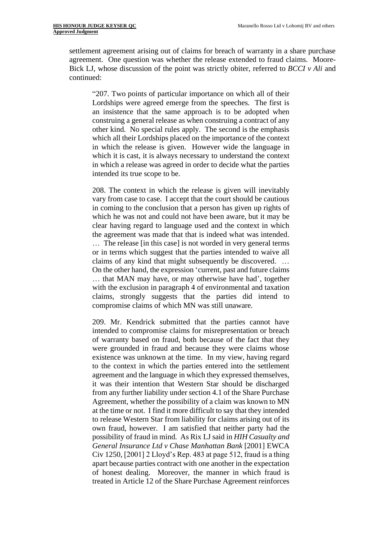settlement agreement arising out of claims for breach of warranty in a share purchase agreement. One question was whether the release extended to fraud claims. Moore-Bick LJ, whose discussion of the point was strictly obiter, referred to *BCCI v Ali* and continued:

"207. Two points of particular importance on which all of their Lordships were agreed emerge from the speeches. The first is an insistence that the same approach is to be adopted when construing a general release as when construing a contract of any other kind. No special rules apply. The second is the emphasis which all their Lordships placed on the importance of the context in which the release is given. However wide the language in which it is cast, it is always necessary to understand the context in which a release was agreed in order to decide what the parties intended its true scope to be.

208. The context in which the release is given will inevitably vary from case to case. I accept that the court should be cautious in coming to the conclusion that a person has given up rights of which he was not and could not have been aware, but it may be clear having regard to language used and the context in which the agreement was made that that is indeed what was intended. … The release [in this case] is not worded in very general terms or in terms which suggest that the parties intended to waive all claims of any kind that might subsequently be discovered. … On the other hand, the expression 'current, past and future claims … that MAN may have, or may otherwise have had', together with the exclusion in paragraph 4 of environmental and taxation claims, strongly suggests that the parties did intend to compromise claims of which MN was still unaware.

209. Mr. Kendrick submitted that the parties cannot have intended to compromise claims for misrepresentation or breach of warranty based on fraud, both because of the fact that they were grounded in fraud and because they were claims whose existence was unknown at the time. In my view, having regard to the context in which the parties entered into the settlement agreement and the language in which they expressed themselves, it was their intention that Western Star should be discharged from any further liability under section 4.1 of the Share Purchase Agreement, whether the possibility of a claim was known to MN at the time or not. I find it more difficult to say that they intended to release Western Star from liability for claims arising out of its own fraud, however. I am satisfied that neither party had the possibility of fraud in mind. As Rix LJ said in *HIH Casualty and General Insurance Ltd v Chase Manhattan Bank* [2001] EWCA Civ 1250, [2001] 2 Lloyd's Rep. 483 at page 512, fraud is a thing apart because parties contract with one another in the expectation of honest dealing. Moreover, the manner in which fraud is treated in Article 12 of the Share Purchase Agreement reinforces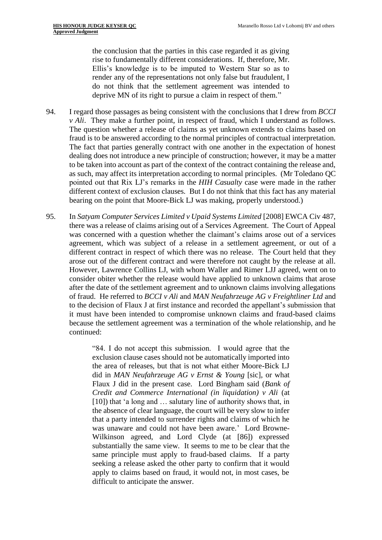the conclusion that the parties in this case regarded it as giving rise to fundamentally different considerations. If, therefore, Mr. Ellis's knowledge is to be imputed to Western Star so as to render any of the representations not only false but fraudulent, I do not think that the settlement agreement was intended to deprive MN of its right to pursue a claim in respect of them."

- 94. I regard those passages as being consistent with the conclusions that I drew from *BCCI v Ali*. They make a further point, in respect of fraud, which I understand as follows. The question whether a release of claims as yet unknown extends to claims based on fraud is to be answered according to the normal principles of contractual interpretation. The fact that parties generally contract with one another in the expectation of honest dealing does not introduce a new principle of construction; however, it may be a matter to be taken into account as part of the context of the contract containing the release and, as such, may affect its interpretation according to normal principles. (Mr Toledano QC pointed out that Rix LJ's remarks in the *HIH Casualty* case were made in the rather different context of exclusion clauses. But I do not think that this fact has any material bearing on the point that Moore-Bick LJ was making, properly understood.)
- 95. In *Satyam Computer Services Limited v Upaid Systems Limited* [2008] EWCA Civ 487, there was a release of claims arising out of a Services Agreement. The Court of Appeal was concerned with a question whether the claimant's claims arose out of a services agreement, which was subject of a release in a settlement agreement, or out of a different contract in respect of which there was no release. The Court held that they arose out of the different contract and were therefore not caught by the release at all. However, Lawrence Collins LJ, with whom Waller and Rimer LJJ agreed, went on to consider obiter whether the release would have applied to unknown claims that arose after the date of the settlement agreement and to unknown claims involving allegations of fraud. He referred to *BCCI v Ali* and *MAN Neufahrzeuge AG v Freightliner Ltd* and to the decision of Flaux J at first instance and recorded the appellant's submission that it must have been intended to compromise unknown claims and fraud-based claims because the settlement agreement was a termination of the whole relationship, and he continued:

"84. I do not accept this submission. I would agree that the exclusion clause cases should not be automatically imported into the area of releases, but that is not what either Moore-Bick LJ did in *MAN Neufahrzeuge AG v Ernst & Young* [sic], or what Flaux J did in the present case. Lord Bingham said (*Bank of Credit and Commerce International (in liquidation) v Ali* (at [10]) that 'a long and ... salutary line of authority shows that, in the absence of clear language, the court will be very slow to infer that a party intended to surrender rights and claims of which he was unaware and could not have been aware.' Lord Browne-Wilkinson agreed, and Lord Clyde (at [86]) expressed substantially the same view. It seems to me to be clear that the same principle must apply to fraud-based claims. If a party seeking a release asked the other party to confirm that it would apply to claims based on fraud, it would not, in most cases, be difficult to anticipate the answer.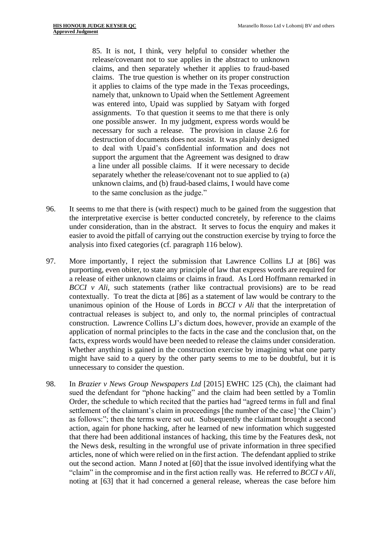85. It is not, I think, very helpful to consider whether the release/covenant not to sue applies in the abstract to unknown claims, and then separately whether it applies to fraud-based claims. The true question is whether on its proper construction it applies to claims of the type made in the Texas proceedings, namely that, unknown to Upaid when the Settlement Agreement was entered into, Upaid was supplied by Satyam with forged assignments. To that question it seems to me that there is only one possible answer. In my judgment, express words would be necessary for such a release. The provision in clause 2.6 for destruction of documents does not assist. It was plainly designed to deal with Upaid's confidential information and does not support the argument that the Agreement was designed to draw a line under all possible claims. If it were necessary to decide separately whether the release/covenant not to sue applied to (a) unknown claims, and (b) fraud-based claims, I would have come to the same conclusion as the judge."

- 96. It seems to me that there is (with respect) much to be gained from the suggestion that the interpretative exercise is better conducted concretely, by reference to the claims under consideration, than in the abstract. It serves to focus the enquiry and makes it easier to avoid the pitfall of carrying out the construction exercise by trying to force the analysis into fixed categories (cf. paragraph 116 below).
- 97. More importantly, I reject the submission that Lawrence Collins LJ at [86] was purporting, even obiter, to state any principle of law that express words are required for a release of either unknown claims or claims in fraud. As Lord Hoffmann remarked in *BCCI v Ali*, such statements (rather like contractual provisions) are to be read contextually. To treat the dicta at [86] as a statement of law would be contrary to the unanimous opinion of the House of Lords in *BCCI v Ali* that the interpretation of contractual releases is subject to, and only to, the normal principles of contractual construction. Lawrence Collins LJ's dictum does, however, provide an example of the application of normal principles to the facts in the case and the conclusion that, on the facts, express words would have been needed to release the claims under consideration. Whether anything is gained in the construction exercise by imagining what one party might have said to a query by the other party seems to me to be doubtful, but it is unnecessary to consider the question.
- 98. In *Brazier v News Group Newspapers Ltd* [2015] EWHC 125 (Ch), the claimant had sued the defendant for "phone hacking" and the claim had been settled by a Tomlin Order, the schedule to which recited that the parties had "agreed terms in full and final settlement of the claimant's claim in proceedings [the number of the case] 'the Claim') as follows:"; then the terms were set out. Subsequently the claimant brought a second action, again for phone hacking, after he learned of new information which suggested that there had been additional instances of hacking, this time by the Features desk, not the News desk, resulting in the wrongful use of private information in three specified articles, none of which were relied on in the first action. The defendant applied to strike out the second action. Mann J noted at [60] that the issue involved identifying what the "claim" in the compromise and in the first action really was. He referred to *BCCI v Ali*, noting at [63] that it had concerned a general release, whereas the case before him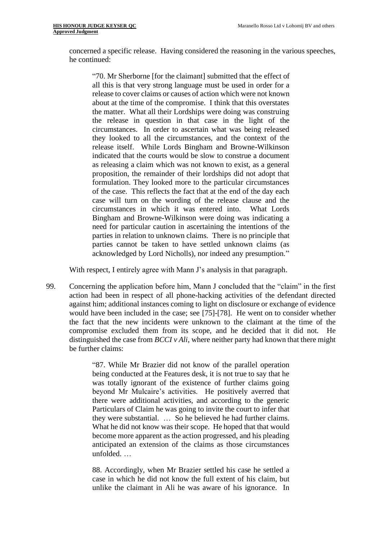concerned a specific release. Having considered the reasoning in the various speeches, he continued:

"70. Mr Sherborne [for the claimant] submitted that the effect of all this is that very strong language must be used in order for a release to cover claims or causes of action which were not known about at the time of the compromise. I think that this overstates the matter. What all their Lordships were doing was construing the release in question in that case in the light of the circumstances. In order to ascertain what was being released they looked to all the circumstances, and the context of the release itself. While Lords Bingham and Browne-Wilkinson indicated that the courts would be slow to construe a document as releasing a claim which was not known to exist, as a general proposition, the remainder of their lordships did not adopt that formulation. They looked more to the particular circumstances of the case. This reflects the fact that at the end of the day each case will turn on the wording of the release clause and the circumstances in which it was entered into. What Lords Bingham and Browne-Wilkinson were doing was indicating a need for particular caution in ascertaining the intentions of the parties in relation to unknown claims. There is no principle that parties cannot be taken to have settled unknown claims (as acknowledged by Lord Nicholls), nor indeed any presumption."

With respect, I entirely agree with Mann J's analysis in that paragraph.

99. Concerning the application before him, Mann J concluded that the "claim" in the first action had been in respect of all phone-hacking activities of the defendant directed against him; additional instances coming to light on disclosure or exchange of evidence would have been included in the case; see [75]-[78]. He went on to consider whether the fact that the new incidents were unknown to the claimant at the time of the compromise excluded them from its scope, and he decided that it did not. He distinguished the case from *BCCI v Ali*, where neither party had known that there might be further claims:

> "87. While Mr Brazier did not know of the parallel operation being conducted at the Features desk, it is not true to say that he was totally ignorant of the existence of further claims going beyond Mr Mulcaire's activities. He positively averred that there were additional activities, and according to the generic Particulars of Claim he was going to invite the court to infer that they were substantial. … So he believed he had further claims. What he did not know was their scope. He hoped that that would become more apparent as the action progressed, and his pleading anticipated an extension of the claims as those circumstances unfolded. …

> 88. Accordingly, when Mr Brazier settled his case he settled a case in which he did not know the full extent of his claim, but unlike the claimant in Ali he was aware of his ignorance. In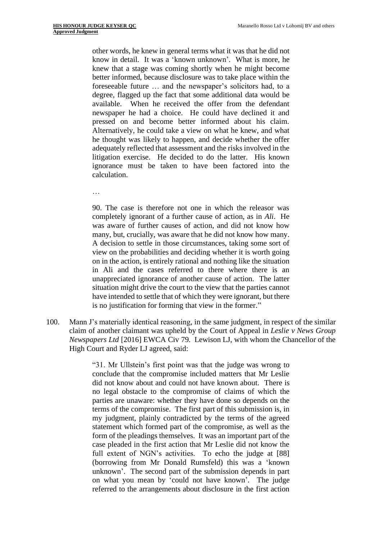other words, he knew in general terms what it was that he did not know in detail. It was a 'known unknown'. What is more, he knew that a stage was coming shortly when he might become better informed, because disclosure was to take place within the foreseeable future … and the newspaper's solicitors had, to a degree, flagged up the fact that some additional data would be available. When he received the offer from the defendant newspaper he had a choice. He could have declined it and pressed on and become better informed about his claim. Alternatively, he could take a view on what he knew, and what he thought was likely to happen, and decide whether the offer adequately reflected that assessment and the risks involved in the litigation exercise. He decided to do the latter. His known ignorance must be taken to have been factored into the calculation.

…

90. The case is therefore not one in which the releasor was completely ignorant of a further cause of action, as in *Ali*. He was aware of further causes of action, and did not know how many, but, crucially, was aware that he did not know how many. A decision to settle in those circumstances, taking some sort of view on the probabilities and deciding whether it is worth going on in the action, is entirely rational and nothing like the situation in Ali and the cases referred to there where there is an unappreciated ignorance of another cause of action. The latter situation might drive the court to the view that the parties cannot have intended to settle that of which they were ignorant, but there is no justification for forming that view in the former."

100. Mann J's materially identical reasoning, in the same judgment, in respect of the similar claim of another claimant was upheld by the Court of Appeal in *Leslie v News Group Newspapers Ltd* [2016] EWCA Civ 79. Lewison LJ, with whom the Chancellor of the High Court and Ryder LJ agreed, said:

> "31. Mr Ullstein's first point was that the judge was wrong to conclude that the compromise included matters that Mr Leslie did not know about and could not have known about. There is no legal obstacle to the compromise of claims of which the parties are unaware: whether they have done so depends on the terms of the compromise. The first part of this submission is, in my judgment, plainly contradicted by the terms of the agreed statement which formed part of the compromise, as well as the form of the pleadings themselves. It was an important part of the case pleaded in the first action that Mr Leslie did not know the full extent of NGN's activities. To echo the judge at [88] (borrowing from Mr Donald Rumsfeld) this was a 'known unknown'. The second part of the submission depends in part on what you mean by 'could not have known'. The judge referred to the arrangements about disclosure in the first action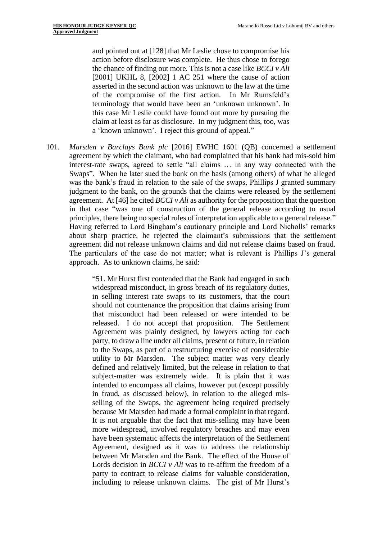and pointed out at [128] that Mr Leslie chose to compromise his action before disclosure was complete. He thus chose to forego the chance of finding out more. This is not a case like *BCCI v Ali* [2001] UKHL 8, [2002] 1 AC 251 where the cause of action asserted in the second action was unknown to the law at the time of the compromise of the first action. In Mr Rumsfeld's terminology that would have been an 'unknown unknown'. In this case Mr Leslie could have found out more by pursuing the claim at least as far as disclosure. In my judgment this, too, was a 'known unknown'. I reject this ground of appeal."

101. *Marsden v Barclays Bank plc* [2016] EWHC 1601 (QB) concerned a settlement agreement by which the claimant, who had complained that his bank had mis-sold him interest-rate swaps, agreed to settle "all claims … in any way connected with the Swaps". When he later sued the bank on the basis (among others) of what he alleged was the bank's fraud in relation to the sale of the swaps, Phillips J granted summary judgment to the bank, on the grounds that the claims were released by the settlement agreement. At [46] he cited *BCCI v Ali* as authority for the proposition that the question in that case "was one of construction of the general release according to usual principles, there being no special rules of interpretation applicable to a general release." Having referred to Lord Bingham's cautionary principle and Lord Nicholls' remarks about sharp practice, he rejected the claimant's submissions that the settlement agreement did not release unknown claims and did not release claims based on fraud. The particulars of the case do not matter; what is relevant is Phillips J's general approach. As to unknown claims, he said:

> "51. Mr Hurst first contended that the Bank had engaged in such widespread misconduct, in gross breach of its regulatory duties, in selling interest rate swaps to its customers, that the court should not countenance the proposition that claims arising from that misconduct had been released or were intended to be released. I do not accept that proposition. The Settlement Agreement was plainly designed, by lawyers acting for each party, to draw a line under all claims, present or future, in relation to the Swaps, as part of a restructuring exercise of considerable utility to Mr Marsden. The subject matter was very clearly defined and relatively limited, but the release in relation to that subject-matter was extremely wide. It is plain that it was intended to encompass all claims, however put (except possibly in fraud, as discussed below), in relation to the alleged misselling of the Swaps, the agreement being required precisely because Mr Marsden had made a formal complaint in that regard. It is not arguable that the fact that mis-selling may have been more widespread, involved regulatory breaches and may even have been systematic affects the interpretation of the Settlement Agreement, designed as it was to address the relationship between Mr Marsden and the Bank. The effect of the House of Lords decision in *BCCI v Ali* was to re-affirm the freedom of a party to contract to release claims for valuable consideration, including to release unknown claims. The gist of Mr Hurst's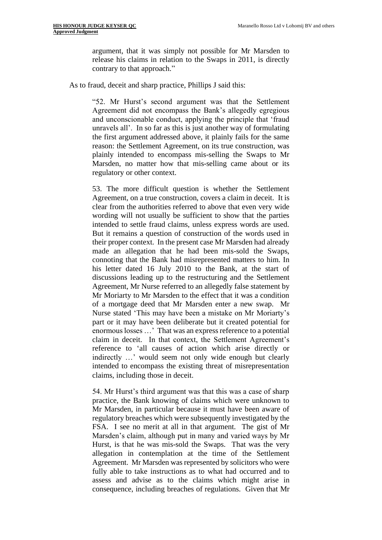argument, that it was simply not possible for Mr Marsden to release his claims in relation to the Swaps in 2011, is directly contrary to that approach."

As to fraud, deceit and sharp practice, Phillips J said this:

"52. Mr Hurst's second argument was that the Settlement Agreement did not encompass the Bank's allegedly egregious and unconscionable conduct, applying the principle that 'fraud unravels all'. In so far as this is just another way of formulating the first argument addressed above, it plainly fails for the same reason: the Settlement Agreement, on its true construction, was plainly intended to encompass mis-selling the Swaps to Mr Marsden, no matter how that mis-selling came about or its regulatory or other context.

53. The more difficult question is whether the Settlement Agreement, on a true construction, covers a claim in deceit. It is clear from the authorities referred to above that even very wide wording will not usually be sufficient to show that the parties intended to settle fraud claims, unless express words are used. But it remains a question of construction of the words used in their proper context. In the present case Mr Marsden had already made an allegation that he had been mis-sold the Swaps, connoting that the Bank had misrepresented matters to him. In his letter dated 16 July 2010 to the Bank, at the start of discussions leading up to the restructuring and the Settlement Agreement, Mr Nurse referred to an allegedly false statement by Mr Moriarty to Mr Marsden to the effect that it was a condition of a mortgage deed that Mr Marsden enter a new swap. Mr Nurse stated 'This may have been a mistake on Mr Moriarty's part or it may have been deliberate but it created potential for enormous losses …' That was an express reference to a potential claim in deceit. In that context, the Settlement Agreement's reference to 'all causes of action which arise directly or indirectly …' would seem not only wide enough but clearly intended to encompass the existing threat of misrepresentation claims, including those in deceit.

54. Mr Hurst's third argument was that this was a case of sharp practice, the Bank knowing of claims which were unknown to Mr Marsden, in particular because it must have been aware of regulatory breaches which were subsequently investigated by the FSA. I see no merit at all in that argument. The gist of Mr Marsden's claim, although put in many and varied ways by Mr Hurst, is that he was mis-sold the Swaps. That was the very allegation in contemplation at the time of the Settlement Agreement. Mr Marsden was represented by solicitors who were fully able to take instructions as to what had occurred and to assess and advise as to the claims which might arise in consequence, including breaches of regulations. Given that Mr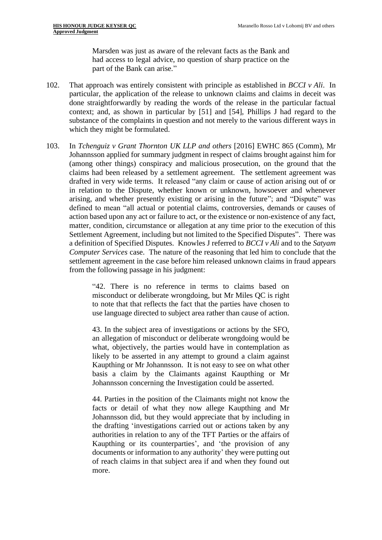Marsden was just as aware of the relevant facts as the Bank and had access to legal advice, no question of sharp practice on the part of the Bank can arise."

- 102. That approach was entirely consistent with principle as established in *BCCI v Ali*. In particular, the application of the release to unknown claims and claims in deceit was done straightforwardly by reading the words of the release in the particular factual context; and, as shown in particular by [51] and [54], Phillips J had regard to the substance of the complaints in question and not merely to the various different ways in which they might be formulated.
- 103. In *Tchenguiz v Grant Thornton UK LLP and others* [2016] EWHC 865 (Comm), Mr Johannsson applied for summary judgment in respect of claims brought against him for (among other things) conspiracy and malicious prosecution, on the ground that the claims had been released by a settlement agreement. The settlement agreement was drafted in very wide terms. It released "any claim or cause of action arising out of or in relation to the Dispute, whether known or unknown, howsoever and whenever arising, and whether presently existing or arising in the future"; and "Dispute" was defined to mean "all actual or potential claims, controversies, demands or causes of action based upon any act or failure to act, or the existence or non-existence of any fact, matter, condition, circumstance or allegation at any time prior to the execution of this Settlement Agreement, including but not limited to the Specified Disputes". There was a definition of Specified Disputes. Knowles J referred to *BCCI v Ali* and to the *Satyam Computer Services* case. The nature of the reasoning that led him to conclude that the settlement agreement in the case before him released unknown claims in fraud appears from the following passage in his judgment:

"42. There is no reference in terms to claims based on misconduct or deliberate wrongdoing, but Mr Miles QC is right to note that that reflects the fact that the parties have chosen to use language directed to subject area rather than cause of action.

43. In the subject area of investigations or actions by the SFO, an allegation of misconduct or deliberate wrongdoing would be what, objectively, the parties would have in contemplation as likely to be asserted in any attempt to ground a claim against Kaupthing or Mr Johannsson. It is not easy to see on what other basis a claim by the Claimants against Kaupthing or Mr Johannsson concerning the Investigation could be asserted.

44. Parties in the position of the Claimants might not know the facts or detail of what they now allege Kaupthing and Mr Johannsson did, but they would appreciate that by including in the drafting 'investigations carried out or actions taken by any authorities in relation to any of the TFT Parties or the affairs of Kaupthing or its counterparties', and 'the provision of any documents or information to any authority' they were putting out of reach claims in that subject area if and when they found out more.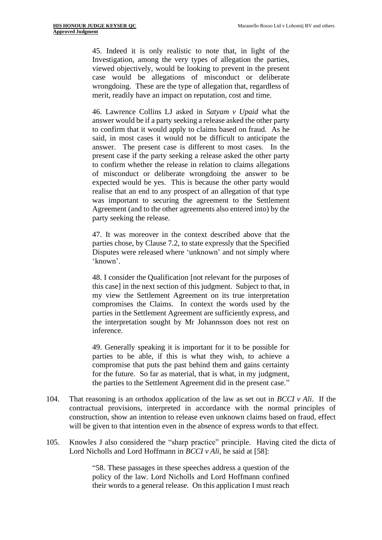45. Indeed it is only realistic to note that, in light of the Investigation, among the very types of allegation the parties, viewed objectively, would be looking to prevent in the present case would be allegations of misconduct or deliberate wrongdoing. These are the type of allegation that, regardless of merit, readily have an impact on reputation, cost and time.

46. Lawrence Collins LJ asked in *Satyam v Upaid* what the answer would be if a party seeking a release asked the other party to confirm that it would apply to claims based on fraud. As he said, in most cases it would not be difficult to anticipate the answer. The present case is different to most cases. In the present case if the party seeking a release asked the other party to confirm whether the release in relation to claims allegations of misconduct or deliberate wrongdoing the answer to be expected would be yes. This is because the other party would realise that an end to any prospect of an allegation of that type was important to securing the agreement to the Settlement Agreement (and to the other agreements also entered into) by the party seeking the release.

47. It was moreover in the context described above that the parties chose, by Clause 7.2, to state expressly that the Specified Disputes were released where 'unknown' and not simply where 'known'.

48. I consider the Qualification [not relevant for the purposes of this case] in the next section of this judgment. Subject to that, in my view the Settlement Agreement on its true interpretation compromises the Claims. In context the words used by the parties in the Settlement Agreement are sufficiently express, and the interpretation sought by Mr Johannsson does not rest on inference.

49. Generally speaking it is important for it to be possible for parties to be able, if this is what they wish, to achieve a compromise that puts the past behind them and gains certainty for the future. So far as material, that is what, in my judgment, the parties to the Settlement Agreement did in the present case."

- 104. That reasoning is an orthodox application of the law as set out in *BCCI v Ali*. If the contractual provisions, interpreted in accordance with the normal principles of construction, show an intention to release even unknown claims based on fraud, effect will be given to that intention even in the absence of express words to that effect.
- 105. Knowles J also considered the "sharp practice" principle. Having cited the dicta of Lord Nicholls and Lord Hoffmann in *BCCI* v Ali, he said at [58]:

"58. These passages in these speeches address a question of the policy of the law. Lord Nicholls and Lord Hoffmann confined their words to a general release. On this application I must reach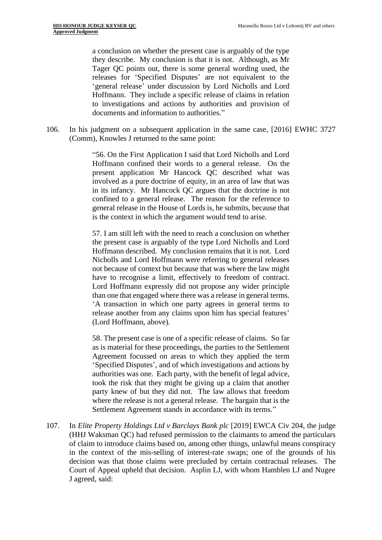a conclusion on whether the present case is arguably of the type they describe. My conclusion is that it is not. Although, as Mr Tager QC points out, there is some general wording used, the releases for 'Specified Disputes' are not equivalent to the 'general release' under discussion by Lord Nicholls and Lord Hoffmann. They include a specific release of claims in relation to investigations and actions by authorities and provision of documents and information to authorities."

106. In his judgment on a subsequent application in the same case, [2016] EWHC 3727 (Comm), Knowles J returned to the same point:

> "56. On the First Application I said that Lord Nicholls and Lord Hoffmann confined their words to a general release. On the present application Mr Hancock QC described what was involved as a pure doctrine of equity, in an area of law that was in its infancy. Mr Hancock QC argues that the doctrine is not confined to a general release. The reason for the reference to general release in the House of Lords is, he submits, because that is the context in which the argument would tend to arise.

> 57. I am still left with the need to reach a conclusion on whether the present case is arguably of the type Lord Nicholls and Lord Hoffmann described. My conclusion remains that it is not. Lord Nicholls and Lord Hoffmann were referring to general releases not because of context but because that was where the law might have to recognise a limit, effectively to freedom of contract. Lord Hoffmann expressly did not propose any wider principle than one that engaged where there was a release in general terms. 'A transaction in which one party agrees in general terms to release another from any claims upon him has special features' (Lord Hoffmann, above).

> 58. The present case is one of a specific release of claims. So far as is material for these proceedings, the parties to the Settlement Agreement focussed on areas to which they applied the term 'Specified Disputes', and of which investigations and actions by authorities was one. Each party, with the benefit of legal advice, took the risk that they might be giving up a claim that another party knew of but they did not. The law allows that freedom where the release is not a general release. The bargain that is the Settlement Agreement stands in accordance with its terms."

107. In *Elite Property Holdings Ltd v Barclays Bank plc* [2019] EWCA Civ 204, the judge (HHJ Waksman QC) had refused permission to the claimants to amend the particulars of claim to introduce claims based on, among other things, unlawful means conspiracy in the context of the mis-selling of interest-rate swaps; one of the grounds of his decision was that those claims were precluded by certain contractual releases. The Court of Appeal upheld that decision. Asplin LJ, with whom Hamblen LJ and Nugee J agreed, said: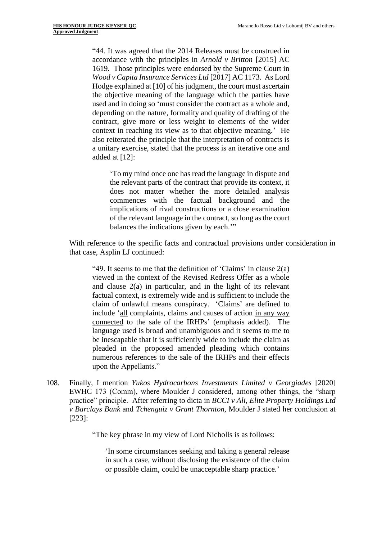"44. It was agreed that the 2014 Releases must be construed in accordance with the principles in *Arnold v Britton* [2015] AC 1619. Those principles were endorsed by the Supreme Court in *Wood v Capita Insurance Services Ltd* [2017] AC 1173. As Lord Hodge explained at [10] of his judgment, the court must ascertain the objective meaning of the language which the parties have used and in doing so 'must consider the contract as a whole and, depending on the nature, formality and quality of drafting of the contract, give more or less weight to elements of the wider context in reaching its view as to that objective meaning.' He also reiterated the principle that the interpretation of contracts is a unitary exercise, stated that the process is an iterative one and added at [12]:

'To my mind once one has read the language in dispute and the relevant parts of the contract that provide its context, it does not matter whether the more detailed analysis commences with the factual background and the implications of rival constructions or a close examination of the relevant language in the contract, so long as the court balances the indications given by each."

With reference to the specific facts and contractual provisions under consideration in that case, Asplin LJ continued:

"49. It seems to me that the definition of 'Claims' in clause 2(a) viewed in the context of the Revised Redress Offer as a whole and clause 2(a) in particular, and in the light of its relevant factual context, is extremely wide and is sufficient to include the claim of unlawful means conspiracy. 'Claims' are defined to include 'all complaints, claims and causes of action in any way connected to the sale of the IRHPs' (emphasis added). The language used is broad and unambiguous and it seems to me to be inescapable that it is sufficiently wide to include the claim as pleaded in the proposed amended pleading which contains numerous references to the sale of the IRHPs and their effects upon the Appellants."

108. Finally, I mention *Yukos Hydrocarbons Investments Limited v Georgiades* [2020] EWHC 173 (Comm), where Moulder J considered, among other things, the "sharp practice" principle. After referring to dicta in *BCCI v Ali, Elite Property Holdings Ltd v Barclays Bank* and *Tchenguiz v Grant Thornton,* Moulder J stated her conclusion at [223]:

"The key phrase in my view of Lord Nicholls is as follows:

'In some circumstances seeking and taking a general release in such a case, without disclosing the existence of the claim or possible claim, could be unacceptable sharp practice.'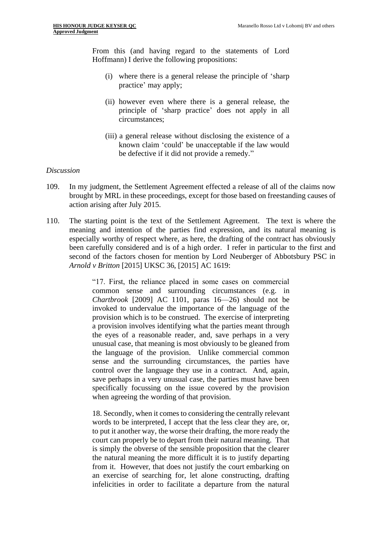From this (and having regard to the statements of Lord Hoffmann) I derive the following propositions:

- (i) where there is a general release the principle of 'sharp practice' may apply;
- (ii) however even where there is a general release, the principle of 'sharp practice' does not apply in all circumstances;
- (iii) a general release without disclosing the existence of a known claim 'could' be unacceptable if the law would be defective if it did not provide a remedy."

## *Discussion*

- 109. In my judgment, the Settlement Agreement effected a release of all of the claims now brought by MRL in these proceedings, except for those based on freestanding causes of action arising after July 2015.
- 110. The starting point is the text of the Settlement Agreement. The text is where the meaning and intention of the parties find expression, and its natural meaning is especially worthy of respect where, as here, the drafting of the contract has obviously been carefully considered and is of a high order. I refer in particular to the first and second of the factors chosen for mention by Lord Neuberger of Abbotsbury PSC in *Arnold v Britton* [2015] UKSC 36, [2015] AC 1619:

"17. First, the reliance placed in some cases on commercial common sense and surrounding circumstances (e.g. in *Chartbrook* [2009] AC 1101, paras 16—26) should not be invoked to undervalue the importance of the language of the provision which is to be construed. The exercise of interpreting a provision involves identifying what the parties meant through the eyes of a reasonable reader, and, save perhaps in a very unusual case, that meaning is most obviously to be gleaned from the language of the provision. Unlike commercial common sense and the surrounding circumstances, the parties have control over the language they use in a contract. And, again, save perhaps in a very unusual case, the parties must have been specifically focussing on the issue covered by the provision when agreeing the wording of that provision.

18. Secondly, when it comes to considering the centrally relevant words to be interpreted, I accept that the less clear they are, or, to put it another way, the worse their drafting, the more ready the court can properly be to depart from their natural meaning. That is simply the obverse of the sensible proposition that the clearer the natural meaning the more difficult it is to justify departing from it. However, that does not justify the court embarking on an exercise of searching for, let alone constructing, drafting infelicities in order to facilitate a departure from the natural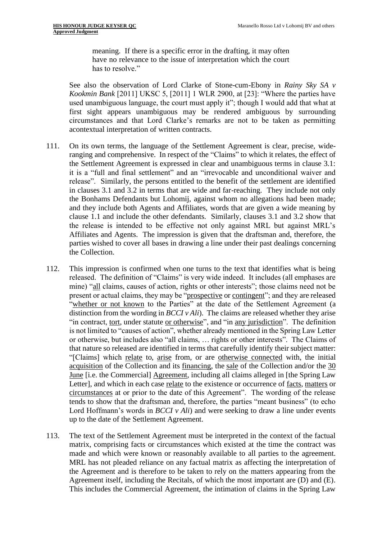meaning. If there is a specific error in the drafting, it may often have no relevance to the issue of interpretation which the court has to resolve."

See also the observation of Lord Clarke of Stone-cum-Ebony in *Rainy Sky SA v Kookmin Bank* [2011] UKSC 5, [2011] 1 WLR 2900, at [23]: "Where the parties have used unambiguous language, the court must apply it"; though I would add that what at first sight appears unambiguous may be rendered ambiguous by surrounding circumstances and that Lord Clarke's remarks are not to be taken as permitting acontextual interpretation of written contracts.

- 111. On its own terms, the language of the Settlement Agreement is clear, precise, wideranging and comprehensive. In respect of the "Claims" to which it relates, the effect of the Settlement Agreement is expressed in clear and unambiguous terms in clause 3.1: it is a "full and final settlement" and an "irrevocable and unconditional waiver and release". Similarly, the persons entitled to the benefit of the settlement are identified in clauses 3.1 and 3.2 in terms that are wide and far-reaching. They include not only the Bonhams Defendants but Lohomij, against whom no allegations had been made; and they include both Agents and Affiliates, words that are given a wide meaning by clause 1.1 and include the other defendants. Similarly, clauses 3.1 and 3.2 show that the release is intended to be effective not only against MRL but against MRL's Affiliates and Agents. The impression is given that the draftsman and, therefore, the parties wished to cover all bases in drawing a line under their past dealings concerning the Collection.
- 112. This impression is confirmed when one turns to the text that identifies what is being released. The definition of "Claims" is very wide indeed. It includes (all emphases are mine) "all claims, causes of action, rights or other interests"; those claims need not be present or actual claims, they may be "prospective or contingent"; and they are released "whether or not known to the Parties" at the date of the Settlement Agreement (a distinction from the wording in *BCCI v Ali*). The claims are released whether they arise "in contract, tort, under statute or otherwise", and "in any jurisdiction". The definition is not limited to "causes of action", whether already mentioned in the Spring Law Letter or otherwise, but includes also "all claims, … rights or other interests". The Claims of that nature so released are identified in terms that carefully identify their subject matter: "[Claims] which relate to, arise from, or are otherwise connected with, the initial acquisition of the Collection and its <u>financing</u>, the sale of the Collection and/or the 30 June [i.e. the Commercial] Agreement, including all claims alleged in [the Spring Law Letter], and which in each case relate to the existence or occurrence of facts, matters or circumstances at or prior to the date of this Agreement". The wording of the release tends to show that the draftsman and, therefore, the parties "meant business" (to echo Lord Hoffmann's words in *BCCI v Ali*) and were seeking to draw a line under events up to the date of the Settlement Agreement.
- 113. The text of the Settlement Agreement must be interpreted in the context of the factual matrix, comprising facts or circumstances which existed at the time the contract was made and which were known or reasonably available to all parties to the agreement. MRL has not pleaded reliance on any factual matrix as affecting the interpretation of the Agreement and is therefore to be taken to rely on the matters appearing from the Agreement itself, including the Recitals, of which the most important are (D) and (E). This includes the Commercial Agreement, the intimation of claims in the Spring Law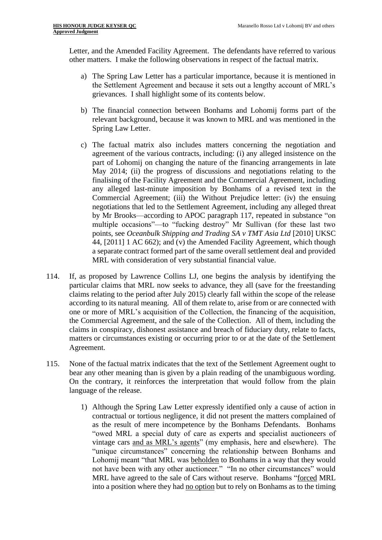Letter, and the Amended Facility Agreement. The defendants have referred to various other matters. I make the following observations in respect of the factual matrix.

- a) The Spring Law Letter has a particular importance, because it is mentioned in the Settlement Agreement and because it sets out a lengthy account of MRL's grievances. I shall highlight some of its contents below.
- b) The financial connection between Bonhams and Lohomij forms part of the relevant background, because it was known to MRL and was mentioned in the Spring Law Letter.
- c) The factual matrix also includes matters concerning the negotiation and agreement of the various contracts, including: (i) any alleged insistence on the part of Lohomij on changing the nature of the financing arrangements in late May 2014; (ii) the progress of discussions and negotiations relating to the finalising of the Facility Agreement and the Commercial Agreement, including any alleged last-minute imposition by Bonhams of a revised text in the Commercial Agreement; (iii) the Without Prejudice letter: (iv) the ensuing negotiations that led to the Settlement Agreement, including any alleged threat by Mr Brooks—according to APOC paragraph 117, repeated in substance "on multiple occasions"—to "fucking destroy" Mr Sullivan (for these last two points, see *Oceanbulk Shipping and Trading SA v TMT Asia Ltd* [2010] UKSC 44, [2011] 1 AC 662); and (v) the Amended Facility Agreement, which though a separate contract formed part of the same overall settlement deal and provided MRL with consideration of very substantial financial value.
- 114. If, as proposed by Lawrence Collins LJ, one begins the analysis by identifying the particular claims that MRL now seeks to advance, they all (save for the freestanding claims relating to the period after July 2015) clearly fall within the scope of the release according to its natural meaning. All of them relate to, arise from or are connected with one or more of MRL's acquisition of the Collection, the financing of the acquisition, the Commercial Agreement, and the sale of the Collection. All of them, including the claims in conspiracy, dishonest assistance and breach of fiduciary duty, relate to facts, matters or circumstances existing or occurring prior to or at the date of the Settlement Agreement.
- 115. None of the factual matrix indicates that the text of the Settlement Agreement ought to bear any other meaning than is given by a plain reading of the unambiguous wording. On the contrary, it reinforces the interpretation that would follow from the plain language of the release.
	- 1) Although the Spring Law Letter expressly identified only a cause of action in contractual or tortious negligence, it did not present the matters complained of as the result of mere incompetence by the Bonhams Defendants. Bonhams "owed MRL a special duty of care as experts and specialist auctioneers of vintage cars and as MRL's agents" (my emphasis, here and elsewhere). The "unique circumstances" concerning the relationship between Bonhams and Lohomij meant "that MRL was beholden to Bonhams in a way that they would not have been with any other auctioneer." "In no other circumstances" would MRL have agreed to the sale of Cars without reserve. Bonhams "forced MRL into a position where they had no option but to rely on Bonhams as to the timing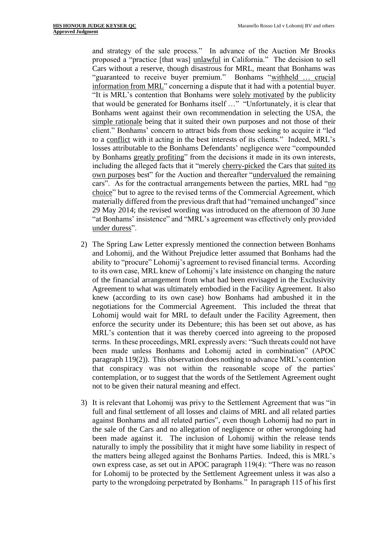and strategy of the sale process." In advance of the Auction Mr Brooks proposed a "practice [that was] unlawful in California." The decision to sell Cars without a reserve, though disastrous for MRL, meant that Bonhams was "guaranteed to receive buyer premium." Bonhams "withheld … crucial information from MRL" concerning a dispute that it had with a potential buyer. "It is MRL's contention that Bonhams were solely motivated by the publicity that would be generated for Bonhams itself …" "Unfortunately, it is clear that Bonhams went against their own recommendation in selecting the USA, the simple rationale being that it suited their own purposes and not those of their client." Bonhams' concern to attract bids from those seeking to acquire it "led to a conflict with it acting in the best interests of its clients." Indeed, MRL's losses attributable to the Bonhams Defendants' negligence were "compounded by Bonhams greatly profiting" from the decisions it made in its own interests, including the alleged facts that it "merely cherry*-*picked the Cars that suited its own purposes best" for the Auction and thereafter "undervalued the remaining cars". As for the contractual arrangements between the parties, MRL had "no choice" but to agree to the revised terms of the Commercial Agreement, which materially differed from the previous draft that had "remained unchanged" since 29 May 2014; the revised wording was introduced on the afternoon of 30 June "at Bonhams' insistence" and "MRL's agreement was effectively only provided under duress".

- 2) The Spring Law Letter expressly mentioned the connection between Bonhams and Lohomij, and the Without Prejudice letter assumed that Bonhams had the ability to "procure" Lohomij's agreement to revised financial terms. According to its own case, MRL knew of Lohomij's late insistence on changing the nature of the financial arrangement from what had been envisaged in the Exclusivity Agreement to what was ultimately embodied in the Facility Agreement. It also knew (according to its own case) how Bonhams had ambushed it in the negotiations for the Commercial Agreement. This included the threat that Lohomij would wait for MRL to default under the Facility Agreement, then enforce the security under its Debenture; this has been set out above, as has MRL's contention that it was thereby coerced into agreeing to the proposed terms. In these proceedings, MRL expressly avers: "Such threats could not have been made unless Bonhams and Lohomij acted in combination" (APOC paragraph 119(2)). This observation does nothing to advance MRL's contention that conspiracy was not within the reasonable scope of the parties' contemplation, or to suggest that the words of the Settlement Agreement ought not to be given their natural meaning and effect.
- 3) It is relevant that Lohomij was privy to the Settlement Agreement that was "in full and final settlement of all losses and claims of MRL and all related parties against Bonhams and all related parties", even though Lohomij had no part in the sale of the Cars and no allegation of negligence or other wrongdoing had been made against it. The inclusion of Lohomij within the release tends naturally to imply the possibility that it might have some liability in respect of the matters being alleged against the Bonhams Parties. Indeed, this is MRL's own express case, as set out in APOC paragraph 119(4): "There was no reason for Lohomij to be protected by the Settlement Agreement unless it was also a party to the wrongdoing perpetrated by Bonhams." In paragraph 115 of his first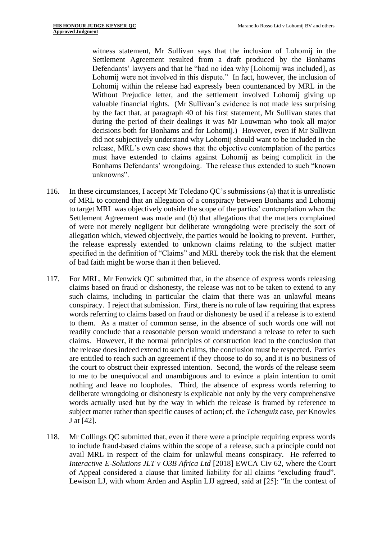witness statement, Mr Sullivan says that the inclusion of Lohomij in the Settlement Agreement resulted from a draft produced by the Bonhams Defendants' lawyers and that he "had no idea why [Lohomij was included], as Lohomij were not involved in this dispute." In fact, however, the inclusion of Lohomij within the release had expressly been countenanced by MRL in the Without Prejudice letter, and the settlement involved Lohomij giving up valuable financial rights. (Mr Sullivan's evidence is not made less surprising by the fact that, at paragraph 40 of his first statement, Mr Sullivan states that during the period of their dealings it was Mr Louwman who took all major decisions both for Bonhams and for Lohomij.) However, even if Mr Sullivan did not subjectively understand why Lohomij should want to be included in the release, MRL's own case shows that the objective contemplation of the parties must have extended to claims against Lohomij as being complicit in the Bonhams Defendants' wrongdoing. The release thus extended to such "known unknowns".

- 116. In these circumstances, I accept Mr Toledano QC's submissions (a) that it is unrealistic of MRL to contend that an allegation of a conspiracy between Bonhams and Lohomij to target MRL was objectively outside the scope of the parties' contemplation when the Settlement Agreement was made and (b) that allegations that the matters complained of were not merely negligent but deliberate wrongdoing were precisely the sort of allegation which, viewed objectively, the parties would be looking to prevent. Further, the release expressly extended to unknown claims relating to the subject matter specified in the definition of "Claims" and MRL thereby took the risk that the element of bad faith might be worse than it then believed.
- 117. For MRL, Mr Fenwick QC submitted that, in the absence of express words releasing claims based on fraud or dishonesty, the release was not to be taken to extend to any such claims, including in particular the claim that there was an unlawful means conspiracy. I reject that submission. First, there is no rule of law requiring that express words referring to claims based on fraud or dishonesty be used if a release is to extend to them. As a matter of common sense, in the absence of such words one will not readily conclude that a reasonable person would understand a release to refer to such claims. However, if the normal principles of construction lead to the conclusion that the release does indeed extend to such claims, the conclusion must be respected. Parties are entitled to reach such an agreement if they choose to do so, and it is no business of the court to obstruct their expressed intention. Second, the words of the release seem to me to be unequivocal and unambiguous and to evince a plain intention to omit nothing and leave no loopholes. Third, the absence of express words referring to deliberate wrongdoing or dishonesty is explicable not only by the very comprehensive words actually used but by the way in which the release is framed by reference to subject matter rather than specific causes of action; cf. the *Tchenguiz* case, *per* Knowles J at [42].
- 118. Mr Collings QC submitted that, even if there were a principle requiring express words to include fraud-based claims within the scope of a release, such a principle could not avail MRL in respect of the claim for unlawful means conspiracy. He referred to *Interactive E-Solutions JLT v O3B Africa Ltd* [2018] EWCA Civ 62, where the Court of Appeal considered a clause that limited liability for all claims "excluding fraud". Lewison LJ, with whom Arden and Asplin LJJ agreed, said at [25]: "In the context of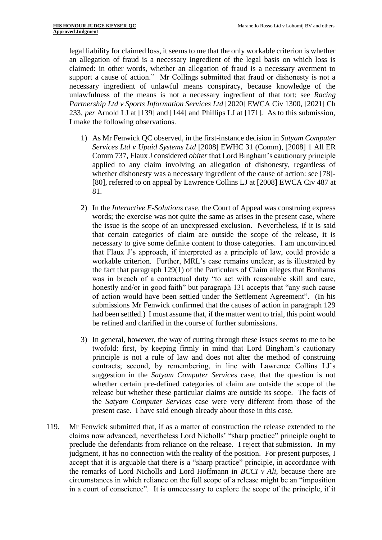legal liability for claimed loss, it seems to me that the only workable criterion is whether an allegation of fraud is a necessary ingredient of the legal basis on which loss is claimed: in other words, whether an allegation of fraud is a necessary averment to support a cause of action." Mr Collings submitted that fraud or dishonesty is not a necessary ingredient of unlawful means conspiracy, because knowledge of the unlawfulness of the means is not a necessary ingredient of that tort: see *Racing Partnership Ltd v Sports Information Services Ltd* [2020] EWCA Civ 1300, [2021] Ch 233, *per* Arnold LJ at [139] and [144] and Phillips LJ at [171]. As to this submission, I make the following observations.

- 1) As Mr Fenwick QC observed, in the first-instance decision in *Satyam Computer Services Ltd v Upaid Systems Ltd* [2008] EWHC 31 (Comm), [2008] 1 All ER Comm 737, Flaux J considered *obiter* that Lord Bingham's cautionary principle applied to any claim involving an allegation of dishonesty, regardless of whether dishonesty was a necessary ingredient of the cause of action: see [78]- [80], referred to on appeal by Lawrence Collins LJ at [2008] EWCA Civ 487 at 81.
- 2) In the *Interactive E-Solutions* case, the Court of Appeal was construing express words; the exercise was not quite the same as arises in the present case, where the issue is the scope of an unexpressed exclusion. Nevertheless, if it is said that certain categories of claim are outside the scope of the release, it is necessary to give some definite content to those categories. I am unconvinced that Flaux J's approach, if interpreted as a principle of law, could provide a workable criterion. Further, MRL's case remains unclear, as is illustrated by the fact that paragraph 129(1) of the Particulars of Claim alleges that Bonhams was in breach of a contractual duty "to act with reasonable skill and care, honestly and/or in good faith" but paragraph 131 accepts that "any such cause of action would have been settled under the Settlement Agreement". (In his submissions Mr Fenwick confirmed that the causes of action in paragraph 129 had been settled.) I must assume that, if the matter went to trial, this point would be refined and clarified in the course of further submissions.
- 3) In general, however, the way of cutting through these issues seems to me to be twofold: first, by keeping firmly in mind that Lord Bingham's cautionary principle is not a rule of law and does not alter the method of construing contracts; second, by remembering, in line with Lawrence Collins LJ's suggestion in the *Satyam Computer Services* case, that the question is not whether certain pre-defined categories of claim are outside the scope of the release but whether these particular claims are outside its scope. The facts of the *Satyam Computer Services* case were very different from those of the present case. I have said enough already about those in this case.
- 119. Mr Fenwick submitted that, if as a matter of construction the release extended to the claims now advanced, nevertheless Lord Nicholls' "sharp practice" principle ought to preclude the defendants from reliance on the release. I reject that submission. In my judgment, it has no connection with the reality of the position. For present purposes, I accept that it is arguable that there is a "sharp practice" principle, in accordance with the remarks of Lord Nicholls and Lord Hoffmann in *BCCI v Ali*, because there are circumstances in which reliance on the full scope of a release might be an "imposition in a court of conscience". It is unnecessary to explore the scope of the principle, if it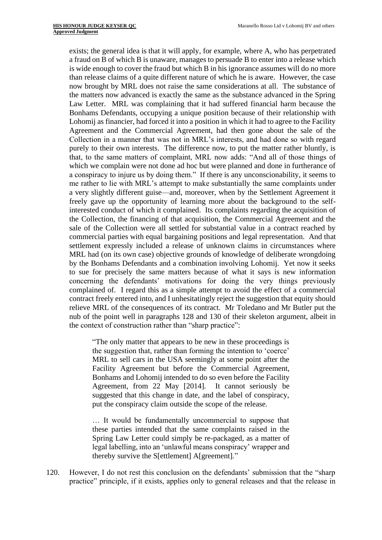exists; the general idea is that it will apply, for example, where A, who has perpetrated a fraud on B of which B is unaware, manages to persuade B to enter into a release which is wide enough to cover the fraud but which B in his ignorance assumes will do no more than release claims of a quite different nature of which he is aware. However, the case now brought by MRL does not raise the same considerations at all. The substance of the matters now advanced is exactly the same as the substance advanced in the Spring Law Letter. MRL was complaining that it had suffered financial harm because the Bonhams Defendants, occupying a unique position because of their relationship with Lohomij as financier, had forced it into a position in which it had to agree to the Facility Agreement and the Commercial Agreement, had then gone about the sale of the Collection in a manner that was not in MRL's interests, and had done so with regard purely to their own interests. The difference now, to put the matter rather bluntly, is that, to the same matters of complaint, MRL now adds: "And all of those things of which we complain were not done ad hoc but were planned and done in furtherance of a conspiracy to injure us by doing them." If there is any unconscionability, it seems to me rather to lie with MRL's attempt to make substantially the same complaints under a very slightly different guise—and, moreover, when by the Settlement Agreement it freely gave up the opportunity of learning more about the background to the selfinterested conduct of which it complained. Its complaints regarding the acquisition of the Collection, the financing of that acquisition, the Commercial Agreement and the sale of the Collection were all settled for substantial value in a contract reached by commercial parties with equal bargaining positions and legal representation. And that settlement expressly included a release of unknown claims in circumstances where MRL had (on its own case) objective grounds of knowledge of deliberate wrongdoing by the Bonhams Defendants and a combination involving Lohomij. Yet now it seeks to sue for precisely the same matters because of what it says is new information concerning the defendants' motivations for doing the very things previously complained of. I regard this as a simple attempt to avoid the effect of a commercial contract freely entered into, and I unhesitatingly reject the suggestion that equity should relieve MRL of the consequences of its contract. Mr Toledano and Mr Butler put the nub of the point well in paragraphs 128 and 130 of their skeleton argument, albeit in the context of construction rather than "sharp practice":

"The only matter that appears to be new in these proceedings is the suggestion that, rather than forming the intention to 'coerce' MRL to sell cars in the USA seemingly at some point after the Facility Agreement but before the Commercial Agreement, Bonhams and Lohomij intended to do so even before the Facility Agreement, from 22 May [2014]. It cannot seriously be suggested that this change in date, and the label of conspiracy, put the conspiracy claim outside the scope of the release.

… It would be fundamentally uncommercial to suppose that these parties intended that the same complaints raised in the Spring Law Letter could simply be re-packaged, as a matter of legal labelling, into an 'unlawful means conspiracy' wrapper and thereby survive the S[ettlement] A[greement]."

120. However, I do not rest this conclusion on the defendants' submission that the "sharp practice" principle, if it exists, applies only to general releases and that the release in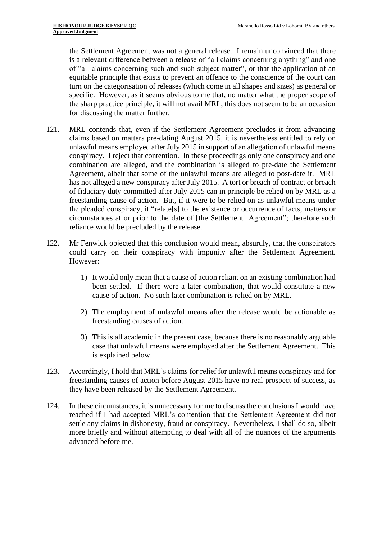the Settlement Agreement was not a general release. I remain unconvinced that there is a relevant difference between a release of "all claims concerning anything" and one of "all claims concerning such-and-such subject matter", or that the application of an equitable principle that exists to prevent an offence to the conscience of the court can turn on the categorisation of releases (which come in all shapes and sizes) as general or specific. However, as it seems obvious to me that, no matter what the proper scope of the sharp practice principle, it will not avail MRL, this does not seem to be an occasion for discussing the matter further.

- 121. MRL contends that, even if the Settlement Agreement precludes it from advancing claims based on matters pre-dating August 2015, it is nevertheless entitled to rely on unlawful means employed after July 2015 in support of an allegation of unlawful means conspiracy. I reject that contention. In these proceedings only one conspiracy and one combination are alleged, and the combination is alleged to pre-date the Settlement Agreement, albeit that some of the unlawful means are alleged to post-date it. MRL has not alleged a new conspiracy after July 2015. A tort or breach of contract or breach of fiduciary duty committed after July 2015 can in principle be relied on by MRL as a freestanding cause of action. But, if it were to be relied on as unlawful means under the pleaded conspiracy, it "relate[s] to the existence or occurrence of facts, matters or circumstances at or prior to the date of [the Settlement] Agreement"; therefore such reliance would be precluded by the release.
- 122. Mr Fenwick objected that this conclusion would mean, absurdly, that the conspirators could carry on their conspiracy with impunity after the Settlement Agreement. However:
	- 1) It would only mean that a cause of action reliant on an existing combination had been settled. If there were a later combination, that would constitute a new cause of action. No such later combination is relied on by MRL.
	- 2) The employment of unlawful means after the release would be actionable as freestanding causes of action.
	- 3) This is all academic in the present case, because there is no reasonably arguable case that unlawful means were employed after the Settlement Agreement. This is explained below.
- 123. Accordingly, I hold that MRL's claims for relief for unlawful means conspiracy and for freestanding causes of action before August 2015 have no real prospect of success, as they have been released by the Settlement Agreement.
- 124. In these circumstances, it is unnecessary for me to discuss the conclusions I would have reached if I had accepted MRL's contention that the Settlement Agreement did not settle any claims in dishonesty, fraud or conspiracy. Nevertheless, I shall do so, albeit more briefly and without attempting to deal with all of the nuances of the arguments advanced before me.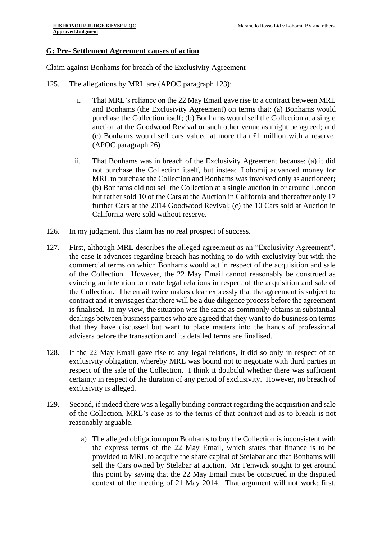#### **G: Pre- Settlement Agreement causes of action**

Claim against Bonhams for breach of the Exclusivity Agreement

- 125. The allegations by MRL are (APOC paragraph 123):
	- i. That MRL's reliance on the 22 May Email gave rise to a contract between MRL and Bonhams (the Exclusivity Agreement) on terms that: (a) Bonhams would purchase the Collection itself; (b) Bonhams would sell the Collection at a single auction at the Goodwood Revival or such other venue as might be agreed; and (c) Bonhams would sell cars valued at more than £1 million with a reserve. (APOC paragraph 26)
	- ii. That Bonhams was in breach of the Exclusivity Agreement because: (a) it did not purchase the Collection itself, but instead Lohomij advanced money for MRL to purchase the Collection and Bonhams was involved only as auctioneer; (b) Bonhams did not sell the Collection at a single auction in or around London but rather sold 10 of the Cars at the Auction in California and thereafter only 17 further Cars at the 2014 Goodwood Revival; (c) the 10 Cars sold at Auction in California were sold without reserve.
- 126. In my judgment, this claim has no real prospect of success.
- 127. First, although MRL describes the alleged agreement as an "Exclusivity Agreement", the case it advances regarding breach has nothing to do with exclusivity but with the commercial terms on which Bonhams would act in respect of the acquisition and sale of the Collection. However, the 22 May Email cannot reasonably be construed as evincing an intention to create legal relations in respect of the acquisition and sale of the Collection. The email twice makes clear expressly that the agreement is subject to contract and it envisages that there will be a due diligence process before the agreement is finalised. In my view, the situation was the same as commonly obtains in substantial dealings between business parties who are agreed that they want to do business on terms that they have discussed but want to place matters into the hands of professional advisers before the transaction and its detailed terms are finalised.
- 128. If the 22 May Email gave rise to any legal relations, it did so only in respect of an exclusivity obligation, whereby MRL was bound not to negotiate with third parties in respect of the sale of the Collection. I think it doubtful whether there was sufficient certainty in respect of the duration of any period of exclusivity. However, no breach of exclusivity is alleged.
- 129. Second, if indeed there was a legally binding contract regarding the acquisition and sale of the Collection, MRL's case as to the terms of that contract and as to breach is not reasonably arguable.
	- a) The alleged obligation upon Bonhams to buy the Collection is inconsistent with the express terms of the 22 May Email, which states that finance is to be provided to MRL to acquire the share capital of Stelabar and that Bonhams will sell the Cars owned by Stelabar at auction. Mr Fenwick sought to get around this point by saying that the 22 May Email must be construed in the disputed context of the meeting of 21 May 2014. That argument will not work: first,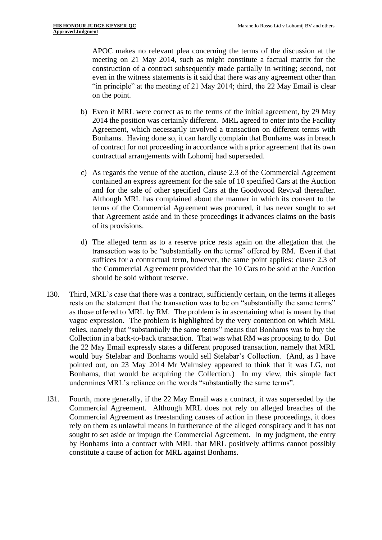APOC makes no relevant plea concerning the terms of the discussion at the meeting on 21 May 2014, such as might constitute a factual matrix for the construction of a contract subsequently made partially in writing; second, not even in the witness statements is it said that there was any agreement other than "in principle" at the meeting of 21 May 2014; third, the 22 May Email is clear on the point.

- b) Even if MRL were correct as to the terms of the initial agreement, by 29 May 2014 the position was certainly different. MRL agreed to enter into the Facility Agreement, which necessarily involved a transaction on different terms with Bonhams. Having done so, it can hardly complain that Bonhams was in breach of contract for not proceeding in accordance with a prior agreement that its own contractual arrangements with Lohomij had superseded.
- c) As regards the venue of the auction, clause 2.3 of the Commercial Agreement contained an express agreement for the sale of 10 specified Cars at the Auction and for the sale of other specified Cars at the Goodwood Revival thereafter. Although MRL has complained about the manner in which its consent to the terms of the Commercial Agreement was procured, it has never sought to set that Agreement aside and in these proceedings it advances claims on the basis of its provisions.
- d) The alleged term as to a reserve price rests again on the allegation that the transaction was to be "substantially on the terms" offered by RM. Even if that suffices for a contractual term, however, the same point applies: clause 2.3 of the Commercial Agreement provided that the 10 Cars to be sold at the Auction should be sold without reserve.
- 130. Third, MRL's case that there was a contract, sufficiently certain, on the terms it alleges rests on the statement that the transaction was to be on "substantially the same terms" as those offered to MRL by RM. The problem is in ascertaining what is meant by that vague expression. The problem is highlighted by the very contention on which MRL relies, namely that "substantially the same terms" means that Bonhams was to buy the Collection in a back-to-back transaction. That was what RM was proposing to do. But the 22 May Email expressly states a different proposed transaction, namely that MRL would buy Stelabar and Bonhams would sell Stelabar's Collection. (And, as I have pointed out, on 23 May 2014 Mr Walmsley appeared to think that it was LG, not Bonhams, that would be acquiring the Collection.) In my view, this simple fact undermines MRL's reliance on the words "substantially the same terms".
- 131. Fourth, more generally, if the 22 May Email was a contract, it was superseded by the Commercial Agreement. Although MRL does not rely on alleged breaches of the Commercial Agreement as freestanding causes of action in these proceedings, it does rely on them as unlawful means in furtherance of the alleged conspiracy and it has not sought to set aside or impugn the Commercial Agreement. In my judgment, the entry by Bonhams into a contract with MRL that MRL positively affirms cannot possibly constitute a cause of action for MRL against Bonhams.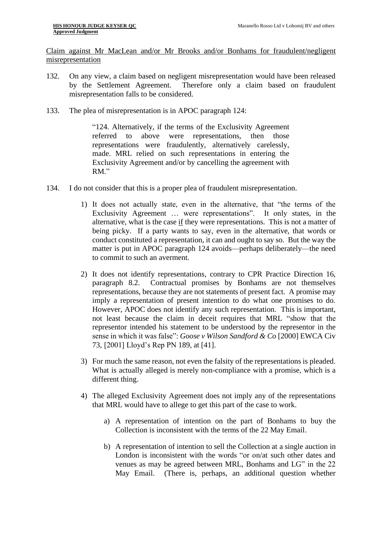Claim against Mr MacLean and/or Mr Brooks and/or Bonhams for fraudulent/negligent misrepresentation

- 132. On any view, a claim based on negligent misrepresentation would have been released by the Settlement Agreement. Therefore only a claim based on fraudulent misrepresentation falls to be considered.
- 133. The plea of misrepresentation is in APOC paragraph 124:

"124. Alternatively, if the terms of the Exclusivity Agreement referred to above were representations, then those representations were fraudulently, alternatively carelessly, made. MRL relied on such representations in entering the Exclusivity Agreement and/or by cancelling the agreement with RM."

- 134. I do not consider that this is a proper plea of fraudulent misrepresentation.
	- 1) It does not actually state, even in the alternative, that "the terms of the Exclusivity Agreement … were representations". It only states, in the alternative, what is the case if they were representations. This is not a matter of being picky. If a party wants to say, even in the alternative, that words or conduct constituted a representation, it can and ought to say so. But the way the matter is put in APOC paragraph 124 avoids—perhaps deliberately—the need to commit to such an averment.
	- 2) It does not identify representations, contrary to CPR Practice Direction 16, paragraph 8.2. Contractual promises by Bonhams are not themselves representations, because they are not statements of present fact. A promise may imply a representation of present intention to do what one promises to do. However, APOC does not identify any such representation. This is important, not least because the claim in deceit requires that MRL "show that the representor intended his statement to be understood by the representor in the sense in which it was false": *Goose v Wilson Sandford & Co* [2000] EWCA Civ 73, [2001] Lloyd's Rep PN 189, at [41].
	- 3) For much the same reason, not even the falsity of the representations is pleaded. What is actually alleged is merely non-compliance with a promise, which is a different thing.
	- 4) The alleged Exclusivity Agreement does not imply any of the representations that MRL would have to allege to get this part of the case to work.
		- a) A representation of intention on the part of Bonhams to buy the Collection is inconsistent with the terms of the 22 May Email.
		- b) A representation of intention to sell the Collection at a single auction in London is inconsistent with the words "or on/at such other dates and venues as may be agreed between MRL, Bonhams and LG" in the 22 May Email. (There is, perhaps, an additional question whether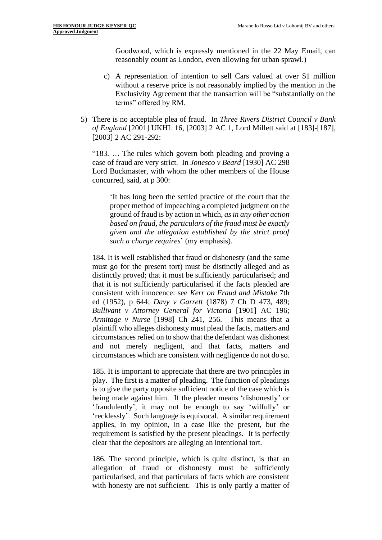Goodwood, which is expressly mentioned in the 22 May Email, can reasonably count as London, even allowing for urban sprawl.)

- c) A representation of intention to sell Cars valued at over \$1 million without a reserve price is not reasonably implied by the mention in the Exclusivity Agreement that the transaction will be "substantially on the terms" offered by RM.
- 5) There is no acceptable plea of fraud. In *Three Rivers District Council v Bank of England* [2001] UKHL 16, [2003] 2 AC 1, Lord Millett said at [183]-[187], [2003] 2 AC 291-292:

"183. … The rules which govern both pleading and proving a case of fraud are very strict. In *Jonesco v Beard* [1930] AC 298 Lord Buckmaster, with whom the other members of the House concurred, said, at p 300:

'It has long been the settled practice of the court that the proper method of impeaching a completed judgment on the ground of fraud is by action in which, *as in any other action based on fraud, the particulars of the fraud must be exactly given and the allegation established by the strict proof such a charge requires*' (my emphasis).

184. It is well established that fraud or dishonesty (and the same must go for the present tort) must be distinctly alleged and as distinctly proved; that it must be sufficiently particularised; and that it is not sufficiently particularised if the facts pleaded are consistent with innocence: see *Kerr on Fraud and Mistake* 7th ed (1952), p 644; *Davy v Garrett* (1878) 7 Ch D 473, 489; *Bullivant v Attorney General for Victoria* [1901] AC 196; *Armitage v Nurse* [1998] Ch 241, 256. This means that a plaintiff who alleges dishonesty must plead the facts, matters and circumstances relied on to show that the defendant was dishonest and not merely negligent, and that facts, matters and circumstances which are consistent with negligence do not do so.

185. It is important to appreciate that there are two principles in play. The first is a matter of pleading. The function of pleadings is to give the party opposite sufficient notice of the case which is being made against him. If the pleader means 'dishonestly' or 'fraudulently', it may not be enough to say 'wilfully' or 'recklessly'. Such language is equivocal. A similar requirement applies, in my opinion, in a case like the present, but the requirement is satisfied by the present pleadings. It is perfectly clear that the depositors are alleging an intentional tort.

186. The second principle, which is quite distinct, is that an allegation of fraud or dishonesty must be sufficiently particularised, and that particulars of facts which are consistent with honesty are not sufficient. This is only partly a matter of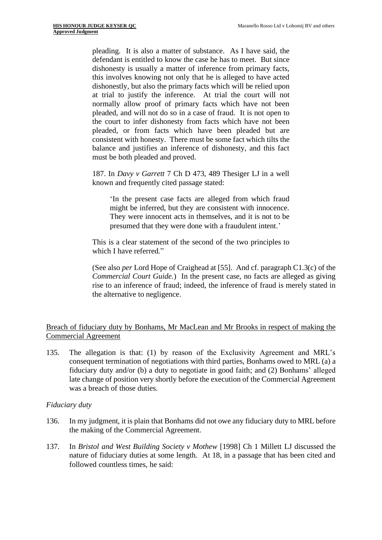pleading. It is also a matter of substance. As I have said, the defendant is entitled to know the case he has to meet. But since dishonesty is usually a matter of inference from primary facts, this involves knowing not only that he is alleged to have acted dishonestly, but also the primary facts which will be relied upon at trial to justify the inference. At trial the court will not normally allow proof of primary facts which have not been pleaded, and will not do so in a case of fraud. It is not open to the court to infer dishonesty from facts which have not been pleaded, or from facts which have been pleaded but are consistent with honesty. There must be some fact which tilts the balance and justifies an inference of dishonesty, and this fact must be both pleaded and proved.

187. In *Davy v Garrett* 7 Ch D 473, 489 Thesiger LJ in a well known and frequently cited passage stated:

'In the present case facts are alleged from which fraud might be inferred, but they are consistent with innocence. They were innocent acts in themselves, and it is not to be presumed that they were done with a fraudulent intent.'

This is a clear statement of the second of the two principles to which I have referred."

(See also *per* Lord Hope of Craighead at [55]. And cf. paragraph C1.3(c) of the *Commercial Court Guide.*)In the present case, no facts are alleged as giving rise to an inference of fraud; indeed, the inference of fraud is merely stated in the alternative to negligence.

Breach of fiduciary duty by Bonhams, Mr MacLean and Mr Brooks in respect of making the Commercial Agreement

135. The allegation is that: (1) by reason of the Exclusivity Agreement and MRL's consequent termination of negotiations with third parties, Bonhams owed to MRL (a) a fiduciary duty and/or (b) a duty to negotiate in good faith; and (2) Bonhams' alleged late change of position very shortly before the execution of the Commercial Agreement was a breach of those duties.

# *Fiduciary duty*

- 136. In my judgment, it is plain that Bonhams did not owe any fiduciary duty to MRL before the making of the Commercial Agreement.
- 137. In *Bristol and West Building Society v Mothew* [1998] Ch 1 Millett LJ discussed the nature of fiduciary duties at some length. At 18, in a passage that has been cited and followed countless times, he said: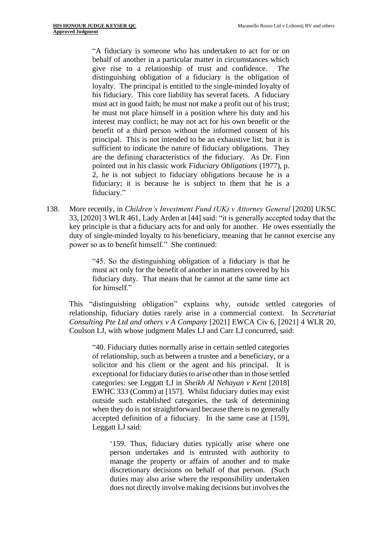"A fiduciary is someone who has undertaken to act for or on behalf of another in a particular matter in circumstances which give rise to a relationship of trust and confidence. The distinguishing obligation of a fiduciary is the obligation of loyalty. The principal is entitled to the single-minded loyalty of his fiduciary. This core liability has several facets. A fiduciary must act in good faith; he must not make a profit out of his trust; he must not place himself in a position where his duty and his interest may conflict; he may not act for his own benefit or the benefit of a third person without the informed consent of his principal. This is not intended to be an exhaustive list, but it is sufficient to indicate the nature of fiduciary obligations. They are the defining characteristics of the fiduciary. As Dr. Finn pointed out in his classic work *Fiduciary Obligations* (1977), p. 2, he is not subject to fiduciary obligations because he is a fiduciary; it is because he is subject to them that he is a fiduciary."

138. More recently, in *Children's Investment Fund (UK) v Attorney General* [2020] UKSC 33, [2020] 3 WLR 461, Lady Arden at [44] said: "it is generally accepted today that the key principle is that a fiduciary acts for and only for another. He owes essentially the duty of single-minded loyalty to his beneficiary, meaning that he cannot exercise any power so as to benefit himself." She continued:

> "45. So the distinguishing obligation of a fiduciary is that he must act only for the benefit of another in matters covered by his fiduciary duty. That means that he cannot at the same time act for himself."

This "distinguishing obligation" explains why, outside settled categories of relationship, fiduciary duties rarely arise in a commercial context. In *Secretariat Consulting Pte Ltd and others v A Company* [2021] EWCA Civ 6, [2021] 4 WLR 20, Coulson LJ, with whose judgment Males LJ and Carr LJ concurred, said:

"40. Fiduciary duties normally arise in certain settled categories of relationship, such as between a trustee and a beneficiary, or a solicitor and his client or the agent and his principal. It is exceptional for fiduciary duties to arise other than in those settled categories: see Leggatt LJ in *Sheikh Al Nehayan v Kent* [2018] EWHC 333 (Comm) at [157]. Whilst fiduciary duties may exist outside such established categories, the task of determining when they do is not straightforward because there is no generally accepted definition of a fiduciary. In the same case at [159], Leggatt LJ said:

'159. Thus, fiduciary duties typically arise where one person undertakes and is entrusted with authority to manage the property or affairs of another and to make discretionary decisions on behalf of that person. (Such duties may also arise where the responsibility undertaken does not directly involve making decisions but involves the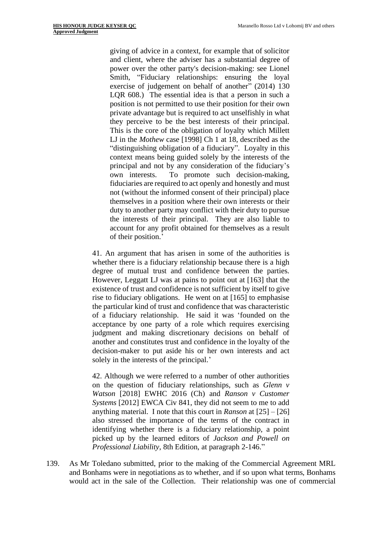giving of advice in a context, for example that of solicitor and client, where the adviser has a substantial degree of power over the other party's decision-making: see Lionel Smith, "Fiduciary relationships: ensuring the loyal exercise of judgement on behalf of another" (2014) 130 LQR 608.) The essential idea is that a person in such a position is not permitted to use their position for their own private advantage but is required to act unselfishly in what they perceive to be the best interests of their principal. This is the core of the obligation of loyalty which Millett LJ in the *Mothew* case [1998] Ch 1 at 18, described as the "distinguishing obligation of a fiduciary". Loyalty in this context means being guided solely by the interests of the principal and not by any consideration of the fiduciary's own interests. To promote such decision-making, fiduciaries are required to act openly and honestly and must not (without the informed consent of their principal) place themselves in a position where their own interests or their duty to another party may conflict with their duty to pursue the interests of their principal. They are also liable to account for any profit obtained for themselves as a result of their position.'

41. An argument that has arisen in some of the authorities is whether there is a fiduciary relationship because there is a high degree of mutual trust and confidence between the parties. However, Leggatt LJ was at pains to point out at [163] that the existence of trust and confidence is not sufficient by itself to give rise to fiduciary obligations. He went on at [165] to emphasise the particular kind of trust and confidence that was characteristic of a fiduciary relationship. He said it was 'founded on the acceptance by one party of a role which requires exercising judgment and making discretionary decisions on behalf of another and constitutes trust and confidence in the loyalty of the decision-maker to put aside his or her own interests and act solely in the interests of the principal.'

42. Although we were referred to a number of other authorities on the question of fiduciary relationships, such as *Glenn v Watson* [2018] EWHC 2016 (Ch) and *Ranson v Customer Systems* [2012] EWCA Civ 841, they did not seem to me to add anything material. I note that this court in *Ranson* at [25] – [26] also stressed the importance of the terms of the contract in identifying whether there is a fiduciary relationship, a point picked up by the learned editors of *Jackson and Powell on Professional Liability*, 8th Edition, at paragraph 2-146."

139. As Mr Toledano submitted, prior to the making of the Commercial Agreement MRL and Bonhams were in negotiations as to whether, and if so upon what terms, Bonhams would act in the sale of the Collection. Their relationship was one of commercial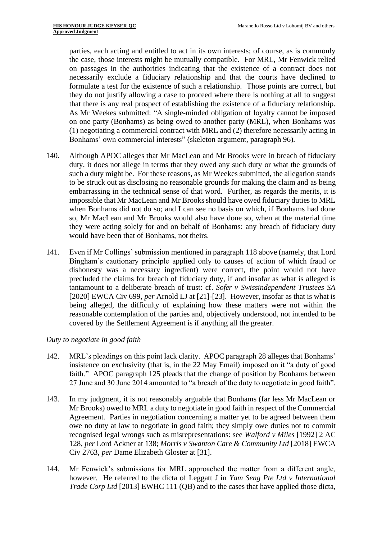parties, each acting and entitled to act in its own interests; of course, as is commonly the case, those interests might be mutually compatible. For MRL, Mr Fenwick relied on passages in the authorities indicating that the existence of a contract does not necessarily exclude a fiduciary relationship and that the courts have declined to formulate a test for the existence of such a relationship. Those points are correct, but they do not justify allowing a case to proceed where there is nothing at all to suggest that there is any real prospect of establishing the existence of a fiduciary relationship. As Mr Weekes submitted: "A single-minded obligation of loyalty cannot be imposed on one party (Bonhams) as being owed to another party (MRL), when Bonhams was (1) negotiating a commercial contract with MRL and (2) therefore necessarily acting in Bonhams' own commercial interests" (skeleton argument, paragraph 96).

- 140. Although APOC alleges that Mr MacLean and Mr Brooks were in breach of fiduciary duty, it does not allege in terms that they owed any such duty or what the grounds of such a duty might be. For these reasons, as Mr Weekes submitted, the allegation stands to be struck out as disclosing no reasonable grounds for making the claim and as being embarrassing in the technical sense of that word. Further, as regards the merits, it is impossible that Mr MacLean and Mr Brooks should have owed fiduciary duties to MRL when Bonhams did not do so; and I can see no basis on which, if Bonhams had done so, Mr MacLean and Mr Brooks would also have done so, when at the material time they were acting solely for and on behalf of Bonhams: any breach of fiduciary duty would have been that of Bonhams, not theirs.
- 141. Even if Mr Collings' submission mentioned in paragraph 118 above (namely, that Lord Bingham's cautionary principle applied only to causes of action of which fraud or dishonesty was a necessary ingredient) were correct, the point would not have precluded the claims for breach of fiduciary duty, if and insofar as what is alleged is tantamount to a deliberate breach of trust: cf. *Sofer v Swissindependent Trustees SA*  [2020] EWCA Civ 699, *per* Arnold LJ at [21]-[23]. However, insofar as that is what is being alleged, the difficulty of explaining how these matters were not within the reasonable contemplation of the parties and, objectively understood, not intended to be covered by the Settlement Agreement is if anything all the greater.

### *Duty to negotiate in good faith*

- 142. MRL's pleadings on this point lack clarity. APOC paragraph 28 alleges that Bonhams' insistence on exclusivity (that is, in the 22 May Email) imposed on it "a duty of good faith." APOC paragraph 125 pleads that the change of position by Bonhams between 27 June and 30 June 2014 amounted to "a breach of the duty to negotiate in good faith".
- 143. In my judgment, it is not reasonably arguable that Bonhams (far less Mr MacLean or Mr Brooks) owed to MRL a duty to negotiate in good faith in respect of the Commercial Agreement. Parties in negotiation concerning a matter yet to be agreed between them owe no duty at law to negotiate in good faith; they simply owe duties not to commit recognised legal wrongs such as misrepresentations: see *Walford v Miles* [1992] 2 AC 128, *per* Lord Ackner at 138; *Morris v Swanton Care & Community Ltd* [2018] EWCA Civ 2763, *per* Dame Elizabeth Gloster at [31].
- 144. Mr Fenwick's submissions for MRL approached the matter from a different angle, however. He referred to the dicta of Leggatt J in *Yam Seng Pte Ltd v International Trade Corp Ltd* [2013] EWHC 111 (QB) and to the cases that have applied those dicta,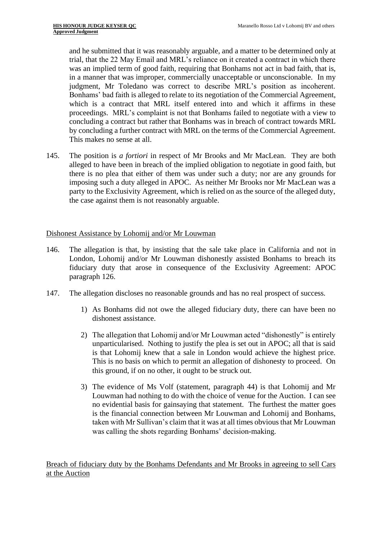and he submitted that it was reasonably arguable, and a matter to be determined only at trial, that the 22 May Email and MRL's reliance on it created a contract in which there was an implied term of good faith, requiring that Bonhams not act in bad faith, that is, in a manner that was improper, commercially unacceptable or unconscionable. In my judgment, Mr Toledano was correct to describe MRL's position as incoherent. Bonhams' bad faith is alleged to relate to its negotiation of the Commercial Agreement, which is a contract that MRL itself entered into and which it affirms in these proceedings. MRL's complaint is not that Bonhams failed to negotiate with a view to concluding a contract but rather that Bonhams was in breach of contract towards MRL by concluding a further contract with MRL on the terms of the Commercial Agreement. This makes no sense at all.

145. The position is *a fortiori* in respect of Mr Brooks and Mr MacLean. They are both alleged to have been in breach of the implied obligation to negotiate in good faith, but there is no plea that either of them was under such a duty; nor are any grounds for imposing such a duty alleged in APOC. As neither Mr Brooks nor Mr MacLean was a party to the Exclusivity Agreement, which is relied on as the source of the alleged duty, the case against them is not reasonably arguable.

### Dishonest Assistance by Lohomij and/or Mr Louwman

- 146. The allegation is that, by insisting that the sale take place in California and not in London, Lohomij and/or Mr Louwman dishonestly assisted Bonhams to breach its fiduciary duty that arose in consequence of the Exclusivity Agreement: APOC paragraph 126.
- 147. The allegation discloses no reasonable grounds and has no real prospect of success.
	- 1) As Bonhams did not owe the alleged fiduciary duty, there can have been no dishonest assistance.
	- 2) The allegation that Lohomij and/or Mr Louwman acted "dishonestly" is entirely unparticularised. Nothing to justify the plea is set out in APOC; all that is said is that Lohomij knew that a sale in London would achieve the highest price. This is no basis on which to permit an allegation of dishonesty to proceed. On this ground, if on no other, it ought to be struck out.
	- 3) The evidence of Ms Volf (statement, paragraph 44) is that Lohomij and Mr Louwman had nothing to do with the choice of venue for the Auction. I can see no evidential basis for gainsaying that statement. The furthest the matter goes is the financial connection between Mr Louwman and Lohomij and Bonhams, taken with Mr Sullivan's claim that it was at all times obvious that Mr Louwman was calling the shots regarding Bonhams' decision-making.

Breach of fiduciary duty by the Bonhams Defendants and Mr Brooks in agreeing to sell Cars at the Auction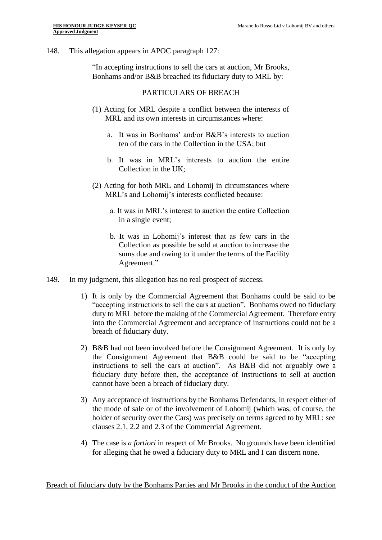#### 148. This allegation appears in APOC paragraph 127:

"In accepting instructions to sell the cars at auction, Mr Brooks, Bonhams and/or B&B breached its fiduciary duty to MRL by:

#### PARTICULARS OF BREACH

- (1) Acting for MRL despite a conflict between the interests of MRL and its own interests in circumstances where:
	- a. It was in Bonhams' and/or B&B's interests to auction ten of the cars in the Collection in the USA; but
	- b. It was in MRL's interests to auction the entire Collection in the UK;
- (2) Acting for both MRL and Lohomij in circumstances where MRL's and Lohomij's interests conflicted because:
	- a. It was in MRL's interest to auction the entire Collection in a single event;
	- b. It was in Lohomij's interest that as few cars in the Collection as possible be sold at auction to increase the sums due and owing to it under the terms of the Facility Agreement."
- 149. In my judgment, this allegation has no real prospect of success.
	- 1) It is only by the Commercial Agreement that Bonhams could be said to be "accepting instructions to sell the cars at auction". Bonhams owed no fiduciary duty to MRL before the making of the Commercial Agreement. Therefore entry into the Commercial Agreement and acceptance of instructions could not be a breach of fiduciary duty.
	- 2) B&B had not been involved before the Consignment Agreement. It is only by the Consignment Agreement that B&B could be said to be "accepting instructions to sell the cars at auction". As B&B did not arguably owe a fiduciary duty before then, the acceptance of instructions to sell at auction cannot have been a breach of fiduciary duty.
	- 3) Any acceptance of instructions by the Bonhams Defendants, in respect either of the mode of sale or of the involvement of Lohomij (which was, of course, the holder of security over the Cars) was precisely on terms agreed to by MRL: see clauses 2.1, 2.2 and 2.3 of the Commercial Agreement.
	- 4) The case is *a fortiori* in respect of Mr Brooks. No grounds have been identified for alleging that he owed a fiduciary duty to MRL and I can discern none.

Breach of fiduciary duty by the Bonhams Parties and Mr Brooks in the conduct of the Auction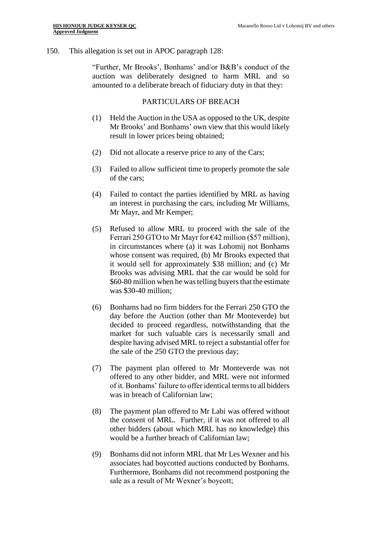#### 150. This allegation is set out in APOC paragraph 128:

"Further, Mr Brooks', Bonhams' and/or B&B's conduct of the auction was deliberately designed to harm MRL and so amounted to a deliberate breach of fiduciary duty in that they:

#### PARTICULARS OF BREACH

- (1) Held the Auction in the USA as opposed to the UK, despite Mr Brooks' and Bonhams' own view that this would likely result in lower prices being obtained;
- (2) Did not allocate a reserve price to any of the Cars;
- (3) Failed to allow sufficient time to properly promote the sale of the cars;
- (4) Failed to contact the parties identified by MRL as having an interest in purchasing the cars, including Mr Williams, Mr Mayr, and Mr Kemper;
- (5) Refused to allow MRL to proceed with the sale of the Ferrari 250 GTO to Mr Mayr for €42 million (\$57 million), in circumstances where (a) it was Lohomij not Bonhams whose consent was required, (b) Mr Brooks expected that it would sell for approximately \$38 million; and (c) Mr Brooks was advising MRL that the car would be sold for \$60-80 million when he was telling buyers that the estimate was \$30-40 million;
- (6) Bonhams had no firm bidders for the Ferrari 250 GTO the day before the Auction (other than Mr Monteverde) but decided to proceed regardless, notwithstanding that the market for such valuable cars is necessarily small and despite having advised MRL to reject a substantial offer for the sale of the 250 GTO the previous day;
- (7) The payment plan offered to Mr Monteverde was not offered to any other bidder, and MRL were not informed of it. Bonhams' failure to offer identical terms to all bidders was in breach of Californian law;
- (8) The payment plan offered to Mr Labi was offered without the consent of MRL. Further, if it was not offered to all other bidders (about which MRL has no knowledge) this would be a further breach of Californian law;
- (9) Bonhams did not inform MRL that Mr Les Wexner and his associates had boycotted auctions conducted by Bonhams. Furthermore, Bonhams did not recommend postponing the sale as a result of Mr Wexner's boycott;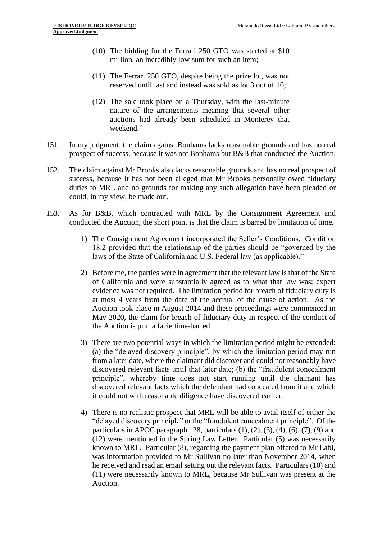- (10) The bidding for the Ferrari 250 GTO was started at \$10 million, an incredibly low sum for such an item;
- (11) The Ferrari 250 GTO, despite being the prize lot, was not reserved until last and instead was sold as lot 3 out of 10;
- (12) The sale took place on a Thursday, with the last-minute nature of the arrangements meaning that several other auctions had already been scheduled in Monterey that weekend."
- 151. In my judgment, the claim against Bonhams lacks reasonable grounds and has no real prospect of success, because it was not Bonhams but B&B that conducted the Auction.
- 152. The claim against Mr Brooks also lacks reasonable grounds and has no real prospect of success, because it has not been alleged that Mr Brooks personally owed fiduciary duties to MRL and no grounds for making any such allegation have been pleaded or could, in my view, be made out.
- 153. As for B&B, which contracted with MRL by the Consignment Agreement and conducted the Auction, the short point is that the claim is barred by limitation of time.
	- 1) The Consignment Agreement incorporated the Seller's Conditions. Condition 18.2 provided that the relationship of the parties should be "governed by the laws of the State of California and U.S. Federal law (as applicable)."
	- 2) Before me, the parties were in agreement that the relevant law is that of the State of California and were substantially agreed as to what that law was; expert evidence was not required. The limitation period for breach of fiduciary duty is at most 4 years from the date of the accrual of the cause of action. As the Auction took place in August 2014 and these proceedings were commenced in May 2020, the claim for breach of fiduciary duty in respect of the conduct of the Auction is prima facie time-barred.
	- 3) There are two potential ways in which the limitation period might be extended: (a) the "delayed discovery principle", by which the limitation period may run from a later date, where the claimant did discover and could not reasonably have discovered relevant facts until that later date; (b) the "fraudulent concealment principle", whereby time does not start running until the claimant has discovered relevant facts which the defendant had concealed from it and which it could not with reasonable diligence have discovered earlier.
	- 4) There is no realistic prospect that MRL will be able to avail itself of either the "delayed discovery principle" or the "fraudulent concealment principle". Of the particulars in APOC paragraph 128, particulars (1), (2), (3), (4), (6), (7), (9) and (12) were mentioned in the Spring Law Letter. Particular (5) was necessarily known to MRL. Particular (8), regarding the payment plan offered to Mr Labi, was information provided to Mr Sullivan no later than November 2014, when he received and read an email setting out the relevant facts. Particulars (10) and (11) were necessarily known to MRL, because Mr Sullivan was present at the Auction.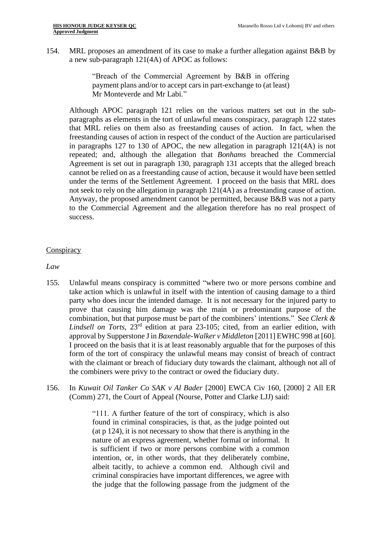154. MRL proposes an amendment of its case to make a further allegation against B&B by a new sub-paragraph 121(4A) of APOC as follows:

> "Breach of the Commercial Agreement by B&B in offering payment plans and/or to accept cars in part-exchange to (at least) Mr Monteverde and Mr Labi."

Although APOC paragraph 121 relies on the various matters set out in the subparagraphs as elements in the tort of unlawful means conspiracy, paragraph 122 states that MRL relies on them also as freestanding causes of action. In fact, when the freestanding causes of action in respect of the conduct of the Auction are particularised in paragraphs 127 to 130 of APOC, the new allegation in paragraph 121(4A) is not repeated; and, although the allegation that *Bonhams* breached the Commercial Agreement is set out in paragraph 130, paragraph 131 accepts that the alleged breach cannot be relied on as a freestanding cause of action, because it would have been settled under the terms of the Settlement Agreement. I proceed on the basis that MRL does not seek to rely on the allegation in paragraph 121(4A) as a freestanding cause of action. Anyway, the proposed amendment cannot be permitted, because B&B was not a party to the Commercial Agreement and the allegation therefore has no real prospect of success.

## **Conspiracy**

*Law*

- 155. Unlawful means conspiracy is committed "where two or more persons combine and take action which is unlawful in itself with the intention of causing damage to a third party who does incur the intended damage. It is not necessary for the injured party to prove that causing him damage was the main or predominant purpose of the combination, but that purpose must be part of the combiners' intentions." See *Clerk & Lindsell on Torts,* 23rd edition at para 23-105; cited, from an earlier edition, with approval by Supperstone J in *Baxendale-Walker v Middleton* [2011] EWHC 998 at [60]. I proceed on the basis that it is at least reasonably arguable that for the purposes of this form of the tort of conspiracy the unlawful means may consist of breach of contract with the claimant or breach of fiduciary duty towards the claimant, although not all of the combiners were privy to the contract or owed the fiduciary duty.
- 156. In *Kuwait Oil Tanker Co SAK v Al Bader* [2000] EWCA Civ 160, [2000] 2 All ER (Comm) 271, the Court of Appeal (Nourse, Potter and Clarke LJJ) said:

"111. A further feature of the tort of conspiracy, which is also found in criminal conspiracies, is that, as the judge pointed out (at p 124), it is not necessary to show that there is anything in the nature of an express agreement, whether formal or informal. It is sufficient if two or more persons combine with a common intention, or, in other words, that they deliberately combine, albeit tacitly, to achieve a common end. Although civil and criminal conspiracies have important differences, we agree with the judge that the following passage from the judgment of the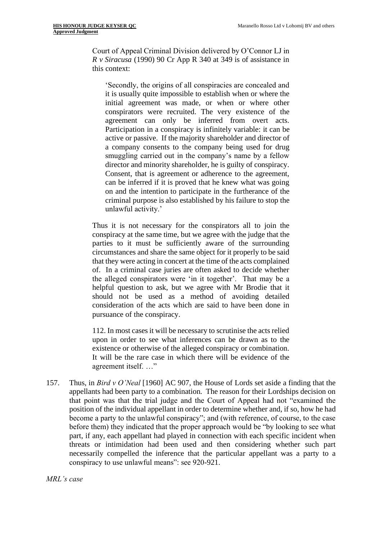Court of Appeal Criminal Division delivered by O'Connor LJ in *R v Siracusa* (1990) 90 Cr App R 340 at 349 is of assistance in this context:

'Secondly, the origins of all conspiracies are concealed and it is usually quite impossible to establish when or where the initial agreement was made, or when or where other conspirators were recruited. The very existence of the agreement can only be inferred from overt acts. Participation in a conspiracy is infinitely variable: it can be active or passive. If the majority shareholder and director of a company consents to the company being used for drug smuggling carried out in the company's name by a fellow director and minority shareholder, he is guilty of conspiracy. Consent, that is agreement or adherence to the agreement, can be inferred if it is proved that he knew what was going on and the intention to participate in the furtherance of the criminal purpose is also established by his failure to stop the unlawful activity.'

Thus it is not necessary for the conspirators all to join the conspiracy at the same time, but we agree with the judge that the parties to it must be sufficiently aware of the surrounding circumstances and share the same object for it properly to be said that they were acting in concert at the time of the acts complained of. In a criminal case juries are often asked to decide whether the alleged conspirators were 'in it together'. That may be a helpful question to ask, but we agree with Mr Brodie that it should not be used as a method of avoiding detailed consideration of the acts which are said to have been done in pursuance of the conspiracy.

112. In most cases it will be necessary to scrutinise the acts relied upon in order to see what inferences can be drawn as to the existence or otherwise of the alleged conspiracy or combination. It will be the rare case in which there will be evidence of the agreement itself. …"

157. Thus, in *Bird v O'Neal* [1960] AC 907, the House of Lords set aside a finding that the appellants had been party to a combination. The reason for their Lordships decision on that point was that the trial judge and the Court of Appeal had not "examined the position of the individual appellant in order to determine whether and, if so, how he had become a party to the unlawful conspiracy"; and (with reference, of course, to the case before them) they indicated that the proper approach would be "by looking to see what part, if any, each appellant had played in connection with each specific incident when threats or intimidation had been used and then considering whether such part necessarily compelled the inference that the particular appellant was a party to a conspiracy to use unlawful means": see 920-921.

*MRL's case*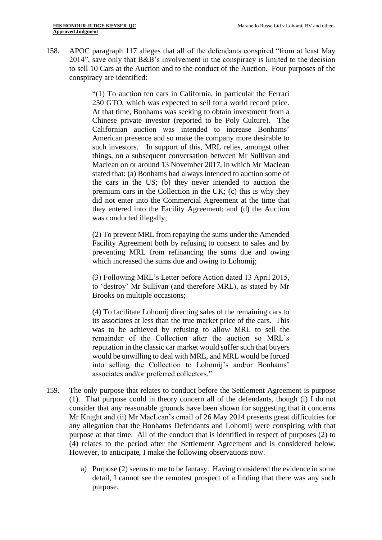158. APOC paragraph 117 alleges that all of the defendants conspired "from at least May 2014", save only that B&B's involvement in the conspiracy is limited to the decision to sell 10 Cars at the Auction and to the conduct of the Auction. Four purposes of the conspiracy are identified:

> "(1) To auction ten cars in California, in particular the Ferrari 250 GTO, which was expected to sell for a world record price. At that time, Bonhams was seeking to obtain investment from a Chinese private investor (reported to be Poly Culture). The Californian auction was intended to increase Bonhams' American presence and so make the company more desirable to such investors. In support of this, MRL relies, amongst other things, on a subsequent conversation between Mr Sullivan and Maclean on or around 13 November 2017, in which Mr Maclean stated that: (a) Bonhams had always intended to auction some of the cars in the US; (b) they never intended to auction the premium cars in the Collection in the UK; (c) this is why they did not enter into the Commercial Agreement at the time that they entered into the Facility Agreement; and (d) the Auction was conducted illegally;

> (2) To prevent MRL from repaying the sums under the Amended Facility Agreement both by refusing to consent to sales and by preventing MRL from refinancing the sums due and owing which increased the sums due and owing to Lohomij;

> (3) Following MRL's Letter before Action dated 13 April 2015, to 'destroy' Mr Sullivan (and therefore MRL), as stated by Mr Brooks on multiple occasions;

> (4) To facilitate Lohomij directing sales of the remaining cars to its associates at less than the true market price of the cars. This was to be achieved by refusing to allow MRL to sell the remainder of the Collection after the auction so MRL's reputation in the classic car market would suffer such that buyers would be unwilling to deal with MRL, and MRL would be forced into selling the Collection to Lohomij's and/or Bonhams' associates and/or preferred collectors."

- 159. The only purpose that relates to conduct before the Settlement Agreement is purpose (1). That purpose could in theory concern all of the defendants, though (i) I do not consider that any reasonable grounds have been shown for suggesting that it concerns Mr Knight and (ii) Mr MacLean's email of 26 May 2014 presents great difficulties for any allegation that the Bonhams Defendants and Lohomij were conspiring with that purpose at that time. All of the conduct that is identified in respect of purposes (2) to (4) relates to the period after the Settlement Agreement and is considered below. However, to anticipate, I make the following observations now.
	- a) Purpose (2) seems to me to be fantasy. Having considered the evidence in some detail, I cannot see the remotest prospect of a finding that there was any such purpose.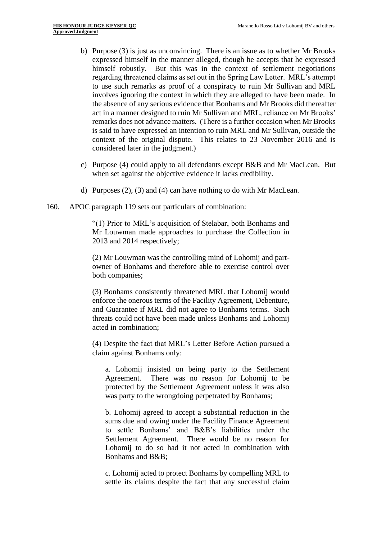- b) Purpose (3) is just as unconvincing. There is an issue as to whether Mr Brooks expressed himself in the manner alleged, though he accepts that he expressed himself robustly. But this was in the context of settlement negotiations regarding threatened claims as set out in the Spring Law Letter. MRL's attempt to use such remarks as proof of a conspiracy to ruin Mr Sullivan and MRL involves ignoring the context in which they are alleged to have been made. In the absence of any serious evidence that Bonhams and Mr Brooks did thereafter act in a manner designed to ruin Mr Sullivan and MRL, reliance on Mr Brooks' remarks does not advance matters. (There is a further occasion when Mr Brooks is said to have expressed an intention to ruin MRL and Mr Sullivan, outside the context of the original dispute. This relates to 23 November 2016 and is considered later in the judgment.)
- c) Purpose (4) could apply to all defendants except B&B and Mr MacLean. But when set against the objective evidence it lacks credibility.
- d) Purposes (2), (3) and (4) can have nothing to do with Mr MacLean.
- 160. APOC paragraph 119 sets out particulars of combination:

"(1) Prior to MRL's acquisition of Stelabar, both Bonhams and Mr Louwman made approaches to purchase the Collection in 2013 and 2014 respectively;

(2) Mr Louwman was the controlling mind of Lohomij and partowner of Bonhams and therefore able to exercise control over both companies;

(3) Bonhams consistently threatened MRL that Lohomij would enforce the onerous terms of the Facility Agreement, Debenture, and Guarantee if MRL did not agree to Bonhams terms. Such threats could not have been made unless Bonhams and Lohomij acted in combination;

(4) Despite the fact that MRL's Letter Before Action pursued a claim against Bonhams only:

a. Lohomij insisted on being party to the Settlement Agreement. There was no reason for Lohomij to be protected by the Settlement Agreement unless it was also was party to the wrongdoing perpetrated by Bonhams;

b. Lohomij agreed to accept a substantial reduction in the sums due and owing under the Facility Finance Agreement to settle Bonhams' and B&B's liabilities under the Settlement Agreement. There would be no reason for Lohomij to do so had it not acted in combination with Bonhams and B&B;

c. Lohomij acted to protect Bonhams by compelling MRL to settle its claims despite the fact that any successful claim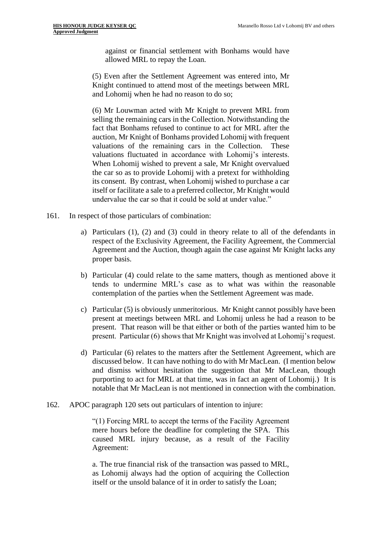against or financial settlement with Bonhams would have allowed MRL to repay the Loan.

(5) Even after the Settlement Agreement was entered into, Mr Knight continued to attend most of the meetings between MRL and Lohomij when he had no reason to do so;

(6) Mr Louwman acted with Mr Knight to prevent MRL from selling the remaining cars in the Collection. Notwithstanding the fact that Bonhams refused to continue to act for MRL after the auction, Mr Knight of Bonhams provided Lohomij with frequent valuations of the remaining cars in the Collection. These valuations fluctuated in accordance with Lohomij's interests. When Lohomij wished to prevent a sale, Mr Knight overvalued the car so as to provide Lohomij with a pretext for withholding its consent. By contrast, when Lohomij wished to purchase a car itself or facilitate a sale to a preferred collector, Mr Knight would undervalue the car so that it could be sold at under value."

- 161. In respect of those particulars of combination:
	- a) Particulars (1), (2) and (3) could in theory relate to all of the defendants in respect of the Exclusivity Agreement, the Facility Agreement, the Commercial Agreement and the Auction, though again the case against Mr Knight lacks any proper basis.
	- b) Particular (4) could relate to the same matters, though as mentioned above it tends to undermine MRL's case as to what was within the reasonable contemplation of the parties when the Settlement Agreement was made.
	- c) Particular (5) is obviously unmeritorious. Mr Knight cannot possibly have been present at meetings between MRL and Lohomij unless he had a reason to be present. That reason will be that either or both of the parties wanted him to be present. Particular (6) shows that Mr Knight was involved at Lohomij's request.
	- d) Particular (6) relates to the matters after the Settlement Agreement, which are discussed below. It can have nothing to do with Mr MacLean. (I mention below and dismiss without hesitation the suggestion that Mr MacLean, though purporting to act for MRL at that time, was in fact an agent of Lohomij.) It is notable that Mr MacLean is not mentioned in connection with the combination.
- 162. APOC paragraph 120 sets out particulars of intention to injure:

"(1) Forcing MRL to accept the terms of the Facility Agreement mere hours before the deadline for completing the SPA. This caused MRL injury because, as a result of the Facility Agreement:

a. The true financial risk of the transaction was passed to MRL, as Lohomij always had the option of acquiring the Collection itself or the unsold balance of it in order to satisfy the Loan;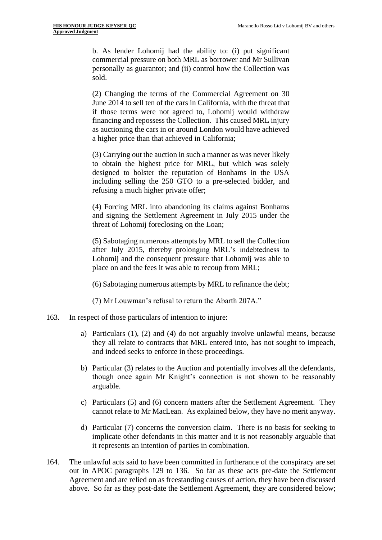b. As lender Lohomij had the ability to: (i) put significant commercial pressure on both MRL as borrower and Mr Sullivan personally as guarantor; and (ii) control how the Collection was sold.

(2) Changing the terms of the Commercial Agreement on 30 June 2014 to sell ten of the cars in California, with the threat that if those terms were not agreed to, Lohomij would withdraw financing and repossess the Collection. This caused MRL injury as auctioning the cars in or around London would have achieved a higher price than that achieved in California;

(3) Carrying out the auction in such a manner as was never likely to obtain the highest price for MRL, but which was solely designed to bolster the reputation of Bonhams in the USA including selling the 250 GTO to a pre-selected bidder, and refusing a much higher private offer;

(4) Forcing MRL into abandoning its claims against Bonhams and signing the Settlement Agreement in July 2015 under the threat of Lohomij foreclosing on the Loan;

(5) Sabotaging numerous attempts by MRL to sell the Collection after July 2015, thereby prolonging MRL's indebtedness to Lohomij and the consequent pressure that Lohomij was able to place on and the fees it was able to recoup from MRL;

(6) Sabotaging numerous attempts by MRL to refinance the debt;

(7) Mr Louwman's refusal to return the Abarth 207A."

- 163. In respect of those particulars of intention to injure:
	- a) Particulars (1), (2) and (4) do not arguably involve unlawful means, because they all relate to contracts that MRL entered into, has not sought to impeach, and indeed seeks to enforce in these proceedings.
	- b) Particular (3) relates to the Auction and potentially involves all the defendants, though once again Mr Knight's connection is not shown to be reasonably arguable.
	- c) Particulars (5) and (6) concern matters after the Settlement Agreement. They cannot relate to Mr MacLean. As explained below, they have no merit anyway.
	- d) Particular (7) concerns the conversion claim. There is no basis for seeking to implicate other defendants in this matter and it is not reasonably arguable that it represents an intention of parties in combination.
- 164. The unlawful acts said to have been committed in furtherance of the conspiracy are set out in APOC paragraphs 129 to 136. So far as these acts pre-date the Settlement Agreement and are relied on as freestanding causes of action, they have been discussed above. So far as they post-date the Settlement Agreement, they are considered below;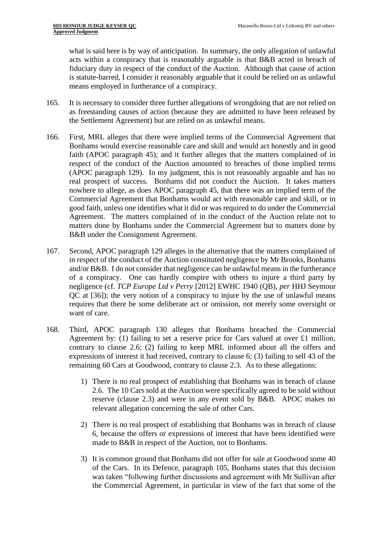what is said here is by way of anticipation. In summary, the only allegation of unlawful acts within a conspiracy that is reasonably arguable is that B&B acted in breach of fiduciary duty in respect of the conduct of the Auction. Although that cause of action is statute-barred, I consider it reasonably arguable that it could be relied on as unlawful means employed in furtherance of a conspiracy.

- 165. It is necessary to consider three further allegations of wrongdoing that are not relied on as freestanding causes of action (because they are admitted to have been released by the Settlement Agreement) but are relied on as unlawful means.
- 166. First, MRL alleges that there were implied terms of the Commercial Agreement that Bonhams would exercise reasonable care and skill and would act honestly and in good faith (APOC paragraph 45); and it further alleges that the matters complained of in respect of the conduct of the Auction amounted to breaches of those implied terms (APOC paragraph 129). In my judgment, this is not reasonably arguable and has no real prospect of success. Bonhams did not conduct the Auction. It takes matters nowhere to allege, as does APOC paragraph 45, that there was an implied term of the Commercial Agreement that Bonhams would act with reasonable care and skill, or in good faith, unless one identifies what it did or was required to do under the Commercial Agreement. The matters complained of in the conduct of the Auction relate not to matters done by Bonhams under the Commercial Agreement but to matters done by B&B under the Consignment Agreement.
- 167. Second, APOC paragraph 129 alleges in the alternative that the matters complained of in respect of the conduct of the Auction constituted negligence by Mr Brooks, Bonhams and/or B&B. I do not consider that negligence can be unlawful means in the furtherance of a conspiracy. One can hardly conspire with others to injure a third party by negligence (cf. *TCP Europe Ltd v Perry* [2012] EWHC 1940 (QB), *per* HHJ Seymour QC at [36]); the very notion of a conspiracy to injure by the use of unlawful means requires that there be some deliberate act or omission, not merely some oversight or want of care.
- 168. Third, APOC paragraph 130 alleges that Bonhams breached the Commercial Agreement by: (1) failing to set a reserve price for Cars valued at over £1 million, contrary to clause 2.6; (2) failing to keep MRL informed about all the offers and expressions of interest it had received, contrary to clause 6; (3) failing to sell 43 of the remaining 60 Cars at Goodwood, contrary to clause 2.3. As to these allegations:
	- 1) There is no real prospect of establishing that Bonhams was in breach of clause 2.6. The 10 Cars sold at the Auction were specifically agreed to be sold without reserve (clause 2.3) and were in any event sold by B&B. APOC makes no relevant allegation concerning the sale of other Cars.
	- 2) There is no real prospect of establishing that Bonhams was in breach of clause 6, because the offers or expressions of interest that have been identified were made to B&B in respect of the Auction, not to Bonhams.
	- 3) It is common ground that Bonhams did not offer for sale at Goodwood some 40 of the Cars. In its Defence, paragraph 105, Bonhams states that this decision was taken "following further discussions and agreement with Mr Sullivan after the Commercial Agreement, in particular in view of the fact that some of the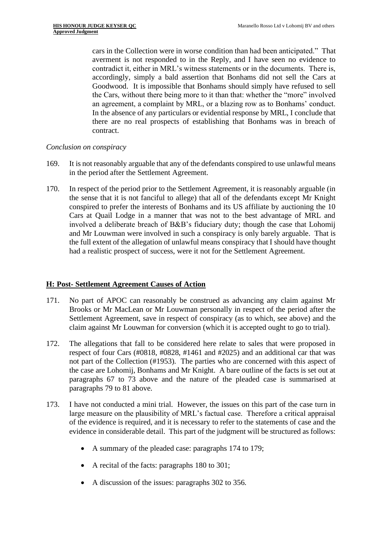cars in the Collection were in worse condition than had been anticipated." That averment is not responded to in the Reply, and I have seen no evidence to contradict it, either in MRL's witness statements or in the documents. There is, accordingly, simply a bald assertion that Bonhams did not sell the Cars at Goodwood. It is impossible that Bonhams should simply have refused to sell the Cars, without there being more to it than that: whether the "more" involved an agreement, a complaint by MRL, or a blazing row as to Bonhams' conduct. In the absence of any particulars or evidential response by MRL, I conclude that there are no real prospects of establishing that Bonhams was in breach of contract.

# *Conclusion on conspiracy*

- 169. It is not reasonably arguable that any of the defendants conspired to use unlawful means in the period after the Settlement Agreement.
- 170. In respect of the period prior to the Settlement Agreement, it is reasonably arguable (in the sense that it is not fanciful to allege) that all of the defendants except Mr Knight conspired to prefer the interests of Bonhams and its US affiliate by auctioning the 10 Cars at Quail Lodge in a manner that was not to the best advantage of MRL and involved a deliberate breach of B&B's fiduciary duty; though the case that Lohomij and Mr Louwman were involved in such a conspiracy is only barely arguable. That is the full extent of the allegation of unlawful means conspiracy that I should have thought had a realistic prospect of success, were it not for the Settlement Agreement.

### **H: Post- Settlement Agreement Causes of Action**

- 171. No part of APOC can reasonably be construed as advancing any claim against Mr Brooks or Mr MacLean or Mr Louwman personally in respect of the period after the Settlement Agreement, save in respect of conspiracy (as to which, see above) and the claim against Mr Louwman for conversion (which it is accepted ought to go to trial).
- 172. The allegations that fall to be considered here relate to sales that were proposed in respect of four Cars (#0818, #0828, #1461 and #2025) and an additional car that was not part of the Collection (#1953). The parties who are concerned with this aspect of the case are Lohomij, Bonhams and Mr Knight. A bare outline of the facts is set out at paragraphs 67 to 73 above and the nature of the pleaded case is summarised at paragraphs 79 to 81 above.
- 173. I have not conducted a mini trial. However, the issues on this part of the case turn in large measure on the plausibility of MRL's factual case. Therefore a critical appraisal of the evidence is required, and it is necessary to refer to the statements of case and the evidence in considerable detail. This part of the judgment will be structured as follows:
	- A summary of the pleaded case: paragraphs 174 to 179;
	- A recital of the facts: paragraphs 180 to 301;
	- A discussion of the issues: paragraphs 302 to 356.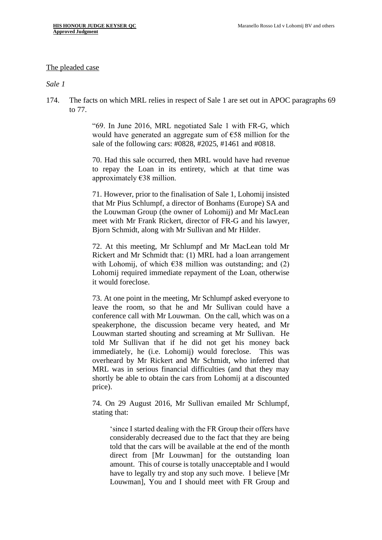#### The pleaded case

#### *Sale 1*

174. The facts on which MRL relies in respect of Sale 1 are set out in APOC paragraphs 69 to 77.

> "69. In June 2016, MRL negotiated Sale 1 with FR-G, which would have generated an aggregate sum of €58 million for the sale of the following cars: #0828, #2025, #1461 and #0818.

> 70. Had this sale occurred, then MRL would have had revenue to repay the Loan in its entirety, which at that time was approximately  $€38$  million.

> 71. However, prior to the finalisation of Sale 1, Lohomij insisted that Mr Pius Schlumpf, a director of Bonhams (Europe) SA and the Louwman Group (the owner of Lohomij) and Mr MacLean meet with Mr Frank Rickert, director of FR-G and his lawyer, Bjorn Schmidt, along with Mr Sullivan and Mr Hilder.

> 72. At this meeting, Mr Schlumpf and Mr MacLean told Mr Rickert and Mr Schmidt that: (1) MRL had a loan arrangement with Lohomij, of which  $\epsilon$ 38 million was outstanding; and (2) Lohomij required immediate repayment of the Loan, otherwise it would foreclose.

> 73. At one point in the meeting, Mr Schlumpf asked everyone to leave the room, so that he and Mr Sullivan could have a conference call with Mr Louwman. On the call, which was on a speakerphone, the discussion became very heated, and Mr Louwman started shouting and screaming at Mr Sullivan. He told Mr Sullivan that if he did not get his money back immediately, he (i.e. Lohomij) would foreclose. This was overheard by Mr Rickert and Mr Schmidt, who inferred that MRL was in serious financial difficulties (and that they may shortly be able to obtain the cars from Lohomij at a discounted price).

> 74. On 29 August 2016, Mr Sullivan emailed Mr Schlumpf, stating that:

'since I started dealing with the FR Group their offers have considerably decreased due to the fact that they are being told that the cars will be available at the end of the month direct from [Mr Louwman] for the outstanding loan amount. This of course is totally unacceptable and I would have to legally try and stop any such move. I believe [Mr Louwman], You and I should meet with FR Group and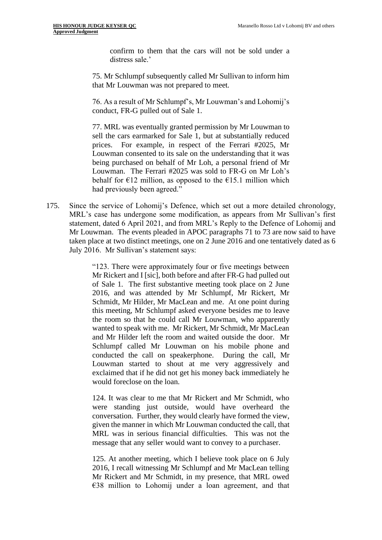confirm to them that the cars will not be sold under a distress sale.'

75. Mr Schlumpf subsequently called Mr Sullivan to inform him that Mr Louwman was not prepared to meet.

76. As a result of Mr Schlumpf's, Mr Louwman's and Lohomij's conduct, FR-G pulled out of Sale 1.

77. MRL was eventually granted permission by Mr Louwman to sell the cars earmarked for Sale 1, but at substantially reduced prices. For example, in respect of the Ferrari #2025, Mr Louwman consented to its sale on the understanding that it was being purchased on behalf of Mr Loh, a personal friend of Mr Louwman. The Ferrari #2025 was sold to FR-G on Mr Loh's behalf for  $\epsilon$ 12 million, as opposed to the  $\epsilon$ 15.1 million which had previously been agreed."

175. Since the service of Lohomij's Defence, which set out a more detailed chronology, MRL's case has undergone some modification, as appears from Mr Sullivan's first statement, dated 6 April 2021, and from MRL's Reply to the Defence of Lohomij and Mr Louwman. The events pleaded in APOC paragraphs 71 to 73 are now said to have taken place at two distinct meetings, one on 2 June 2016 and one tentatively dated as 6 July 2016. Mr Sullivan's statement says:

> "123. There were approximately four or five meetings between Mr Rickert and I [sic], both before and after FR-G had pulled out of Sale 1. The first substantive meeting took place on 2 June 2016, and was attended by Mr Schlumpf, Mr Rickert, Mr Schmidt, Mr Hilder, Mr MacLean and me. At one point during this meeting, Mr Schlumpf asked everyone besides me to leave the room so that he could call Mr Louwman, who apparently wanted to speak with me. Mr Rickert, Mr Schmidt, Mr MacLean and Mr Hilder left the room and waited outside the door. Mr Schlumpf called Mr Louwman on his mobile phone and conducted the call on speakerphone. During the call, Mr Louwman started to shout at me very aggressively and exclaimed that if he did not get his money back immediately he would foreclose on the loan.

> 124. It was clear to me that Mr Rickert and Mr Schmidt, who were standing just outside, would have overheard the conversation. Further, they would clearly have formed the view, given the manner in which Mr Louwman conducted the call, that MRL was in serious financial difficulties. This was not the message that any seller would want to convey to a purchaser.

> 125. At another meeting, which I believe took place on 6 July 2016, I recall witnessing Mr Schlumpf and Mr MacLean telling Mr Rickert and Mr Schmidt, in my presence, that MRL owed €38 million to Lohomij under a loan agreement, and that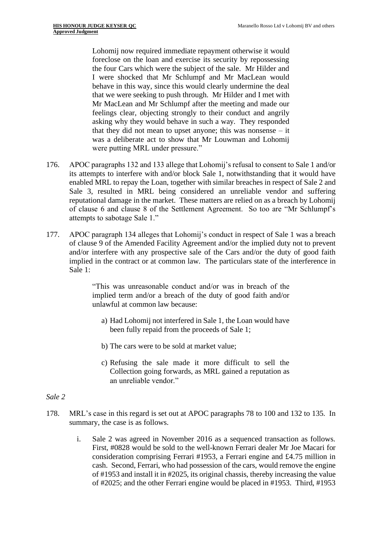Lohomij now required immediate repayment otherwise it would foreclose on the loan and exercise its security by repossessing the four Cars which were the subject of the sale. Mr Hilder and I were shocked that Mr Schlumpf and Mr MacLean would behave in this way, since this would clearly undermine the deal that we were seeking to push through. Mr Hilder and I met with Mr MacLean and Mr Schlumpf after the meeting and made our feelings clear, objecting strongly to their conduct and angrily asking why they would behave in such a way. They responded that they did not mean to upset anyone; this was nonsense  $-$  it was a deliberate act to show that Mr Louwman and Lohomij were putting MRL under pressure."

- 176. APOC paragraphs 132 and 133 allege that Lohomij's refusal to consent to Sale 1 and/or its attempts to interfere with and/or block Sale 1, notwithstanding that it would have enabled MRL to repay the Loan, together with similar breaches in respect of Sale 2 and Sale 3, resulted in MRL being considered an unreliable vendor and suffering reputational damage in the market. These matters are relied on as a breach by Lohomij of clause 6 and clause 8 of the Settlement Agreement. So too are "Mr Schlumpf's attempts to sabotage Sale 1."
- 177. APOC paragraph 134 alleges that Lohomij's conduct in respect of Sale 1 was a breach of clause 9 of the Amended Facility Agreement and/or the implied duty not to prevent and/or interfere with any prospective sale of the Cars and/or the duty of good faith implied in the contract or at common law. The particulars state of the interference in Sale 1:

"This was unreasonable conduct and/or was in breach of the implied term and/or a breach of the duty of good faith and/or unlawful at common law because:

- a) Had Lohomij not interfered in Sale 1, the Loan would have been fully repaid from the proceeds of Sale 1;
- b) The cars were to be sold at market value;
- c) Refusing the sale made it more difficult to sell the Collection going forwards, as MRL gained a reputation as an unreliable vendor."

# *Sale 2*

- 178. MRL's case in this regard is set out at APOC paragraphs 78 to 100 and 132 to 135. In summary, the case is as follows.
	- i. Sale 2 was agreed in November 2016 as a sequenced transaction as follows. First, #0828 would be sold to the well-known Ferrari dealer Mr Joe Macari for consideration comprising Ferrari #1953, a Ferrari engine and £4.75 million in cash. Second, Ferrari, who had possession of the cars, would remove the engine of #1953 and install it in #2025, its original chassis, thereby increasing the value of #2025; and the other Ferrari engine would be placed in #1953. Third, #1953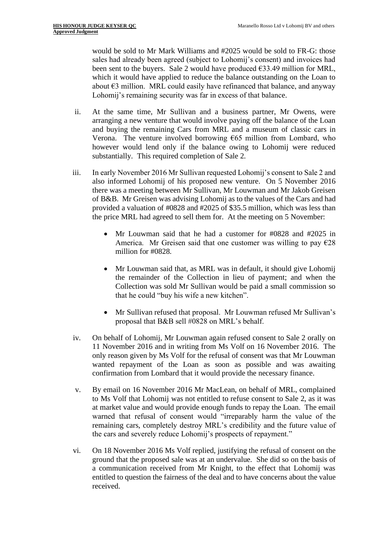would be sold to Mr Mark Williams and #2025 would be sold to FR-G: those sales had already been agreed (subject to Lohomij's consent) and invoices had been sent to the buyers. Sale 2 would have produced  $\epsilon$ 33.49 million for MRL, which it would have applied to reduce the balance outstanding on the Loan to about  $\epsilon$ 3 million. MRL could easily have refinanced that balance, and anyway Lohomij's remaining security was far in excess of that balance.

- ii. At the same time, Mr Sullivan and a business partner, Mr Owens, were arranging a new venture that would involve paying off the balance of the Loan and buying the remaining Cars from MRL and a museum of classic cars in Verona. The venture involved borrowing €65 million from Lombard, who however would lend only if the balance owing to Lohomij were reduced substantially. This required completion of Sale 2.
- iii. In early November 2016 Mr Sullivan requested Lohomij's consent to Sale 2 and also informed Lohomij of his proposed new venture. On 5 November 2016 there was a meeting between Mr Sullivan, Mr Louwman and Mr Jakob Greisen of B&B. Mr Greisen was advising Lohomij as to the values of the Cars and had provided a valuation of #0828 and #2025 of \$35.5 million, which was less than the price MRL had agreed to sell them for. At the meeting on 5 November:
	- Mr Louwman said that he had a customer for #0828 and #2025 in America. Mr Greisen said that one customer was willing to pay  $\epsilon$ 28 million for #0828.
	- Mr Louwman said that, as MRL was in default, it should give Lohomij the remainder of the Collection in lieu of payment; and when the Collection was sold Mr Sullivan would be paid a small commission so that he could "buy his wife a new kitchen".
	- Mr Sullivan refused that proposal. Mr Louwman refused Mr Sullivan's proposal that B&B sell #0828 on MRL's behalf.
- iv. On behalf of Lohomij, Mr Louwman again refused consent to Sale 2 orally on 11 November 2016 and in writing from Ms Volf on 16 November 2016. The only reason given by Ms Volf for the refusal of consent was that Mr Louwman wanted repayment of the Loan as soon as possible and was awaiting confirmation from Lombard that it would provide the necessary finance.
- v. By email on 16 November 2016 Mr MacLean, on behalf of MRL, complained to Ms Volf that Lohomij was not entitled to refuse consent to Sale 2, as it was at market value and would provide enough funds to repay the Loan. The email warned that refusal of consent would "irreparably harm the value of the remaining cars, completely destroy MRL's credibility and the future value of the cars and severely reduce Lohomij's prospects of repayment."
- vi. On 18 November 2016 Ms Volf replied, justifying the refusal of consent on the ground that the proposed sale was at an undervalue. She did so on the basis of a communication received from Mr Knight, to the effect that Lohomij was entitled to question the fairness of the deal and to have concerns about the value received.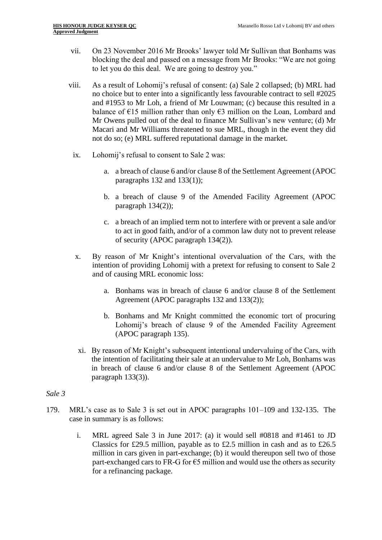- vii. On 23 November 2016 Mr Brooks' lawyer told Mr Sullivan that Bonhams was blocking the deal and passed on a message from Mr Brooks: "We are not going to let you do this deal. We are going to destroy you."
- viii. As a result of Lohomij's refusal of consent: (a) Sale 2 collapsed; (b) MRL had no choice but to enter into a significantly less favourable contract to sell #2025 and #1953 to Mr Loh, a friend of Mr Louwman; (c) because this resulted in a balance of  $E$ 15 million rather than only  $E$ 3 million on the Loan, Lombard and Mr Owens pulled out of the deal to finance Mr Sullivan's new venture; (d) Mr Macari and Mr Williams threatened to sue MRL, though in the event they did not do so; (e) MRL suffered reputational damage in the market.
- ix. Lohomij's refusal to consent to Sale 2 was:
	- a. a breach of clause 6 and/or clause 8 of the Settlement Agreement (APOC paragraphs  $132$  and  $133(1)$ ;
	- b. a breach of clause 9 of the Amended Facility Agreement (APOC paragraph 134(2));
	- c. a breach of an implied term not to interfere with or prevent a sale and/or to act in good faith, and/or of a common law duty not to prevent release of security (APOC paragraph 134(2)).
- x. By reason of Mr Knight's intentional overvaluation of the Cars, with the intention of providing Lohomij with a pretext for refusing to consent to Sale 2 and of causing MRL economic loss:
	- a. Bonhams was in breach of clause 6 and/or clause 8 of the Settlement Agreement (APOC paragraphs 132 and 133(2));
	- b. Bonhams and Mr Knight committed the economic tort of procuring Lohomij's breach of clause 9 of the Amended Facility Agreement (APOC paragraph 135).
- xi. By reason of Mr Knight's subsequent intentional undervaluing of the Cars, with the intention of facilitating their sale at an undervalue to Mr Loh, Bonhams was in breach of clause 6 and/or clause 8 of the Settlement Agreement (APOC paragraph 133(3)).

### *Sale 3*

- 179. MRL's case as to Sale 3 is set out in APOC paragraphs 101–109 and 132-135. The case in summary is as follows:
	- i. MRL agreed Sale 3 in June 2017: (a) it would sell #0818 and #1461 to JD Classics for £29.5 million, payable as to £2.5 million in cash and as to £26.5 million in cars given in part-exchange; (b) it would thereupon sell two of those part-exchanged cars to FR-G for  $\epsilon$ 5 million and would use the others as security for a refinancing package.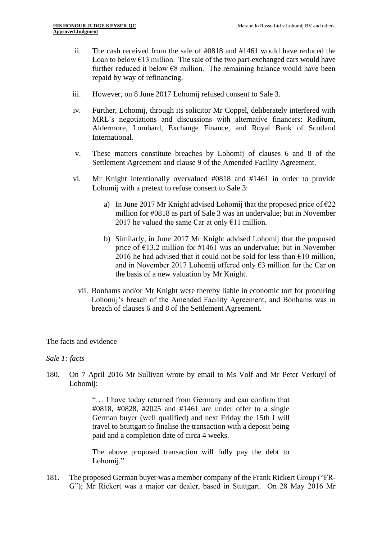- ii. The cash received from the sale of #0818 and #1461 would have reduced the Loan to below  $\epsilon$ 13 million. The sale of the two part-exchanged cars would have further reduced it below  $\epsilon$ 8 million. The remaining balance would have been repaid by way of refinancing.
- iii. However, on 8 June 2017 Lohomij refused consent to Sale 3.
- iv. Further, Lohomij, through its solicitor Mr Coppel, deliberately interfered with MRL's negotiations and discussions with alternative financers: Reditum, Aldermore, Lombard, Exchange Finance, and Royal Bank of Scotland International.
- v. These matters constitute breaches by Lohomij of clauses 6 and 8 of the Settlement Agreement and clause 9 of the Amended Facility Agreement.
- vi. Mr Knight intentionally overvalued #0818 and #1461 in order to provide Lohomij with a pretext to refuse consent to Sale 3:
	- a) In June 2017 Mr Knight advised Lohomij that the proposed price of  $\epsilon$ 22 million for #0818 as part of Sale 3 was an undervalue; but in November 2017 he valued the same Car at only  $E$ 11 million.
	- b) Similarly, in June 2017 Mr Knight advised Lohomij that the proposed price of €13.2 million for #1461 was an undervalue; but in November 2016 he had advised that it could not be sold for less than  $\epsilon$ 10 million, and in November 2017 Lohomij offered only €3 million for the Car on the basis of a new valuation by Mr Knight.
	- vii. Bonhams and/or Mr Knight were thereby liable in economic tort for procuring Lohomij's breach of the Amended Facility Agreement, and Bonhams was in breach of clauses 6 and 8 of the Settlement Agreement.

# The facts and evidence

### *Sale 1: facts*

180. On 7 April 2016 Mr Sullivan wrote by email to Ms Volf and Mr Peter Verkuyl of Lohomij:

> "… I have today returned from Germany and can confirm that #0818, #0828, #2025 and #1461 are under offer to a single German buyer (well qualified) and next Friday the 15th I will travel to Stuttgart to finalise the transaction with a deposit being paid and a completion date of circa 4 weeks.

> The above proposed transaction will fully pay the debt to Lohomij."

181. The proposed German buyer was a member company of the Frank Rickert Group ("FR-G"); Mr Rickert was a major car dealer, based in Stuttgart. On 28 May 2016 Mr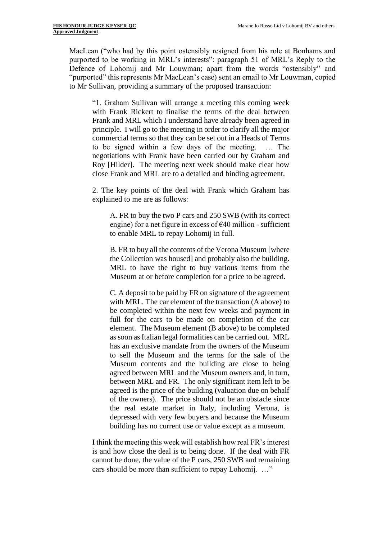MacLean ("who had by this point ostensibly resigned from his role at Bonhams and purported to be working in MRL's interests": paragraph 51 of MRL's Reply to the Defence of Lohomij and Mr Louwman; apart from the words "ostensibly" and "purported" this represents Mr MacLean's case) sent an email to Mr Louwman, copied to Mr Sullivan, providing a summary of the proposed transaction:

"1. Graham Sullivan will arrange a meeting this coming week with Frank Rickert to finalise the terms of the deal between Frank and MRL which I understand have already been agreed in principle. I will go to the meeting in order to clarify all the major commercial terms so that they can be set out in a Heads of Terms to be signed within a few days of the meeting. … The negotiations with Frank have been carried out by Graham and Roy [Hilder]. The meeting next week should make clear how close Frank and MRL are to a detailed and binding agreement.

2. The key points of the deal with Frank which Graham has explained to me are as follows:

A. FR to buy the two P cars and 250 SWB (with its correct engine) for a net figure in excess of  $\epsilon$ 40 million - sufficient to enable MRL to repay Lohomij in full.

B. FR to buy all the contents of the Verona Museum [where the Collection was housed] and probably also the building. MRL to have the right to buy various items from the Museum at or before completion for a price to be agreed.

C. A deposit to be paid by FR on signature of the agreement with MRL. The car element of the transaction (A above) to be completed within the next few weeks and payment in full for the cars to be made on completion of the car element. The Museum element (B above) to be completed as soon as Italian legal formalities can be carried out. MRL has an exclusive mandate from the owners of the Museum to sell the Museum and the terms for the sale of the Museum contents and the building are close to being agreed between MRL and the Museum owners and, in turn, between MRL and FR. The only significant item left to be agreed is the price of the building (valuation due on behalf of the owners). The price should not be an obstacle since the real estate market in Italy, including Verona, is depressed with very few buyers and because the Museum building has no current use or value except as a museum.

I think the meeting this week will establish how real FR's interest is and how close the deal is to being done. If the deal with FR cannot be done, the value of the P cars, 250 SWB and remaining cars should be more than sufficient to repay Lohomij. …"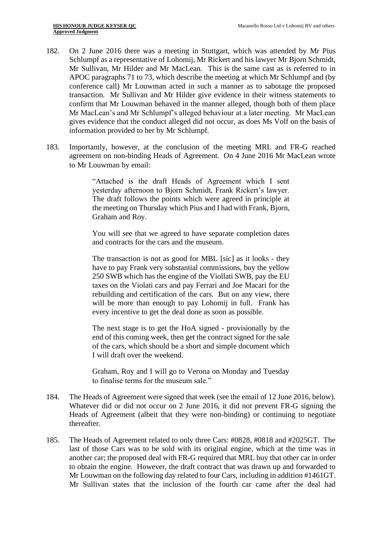- 182. On 2 June 2016 there was a meeting in Stuttgart, which was attended by Mr Pius Schlumpf as a representative of Lohomij, Mr Rickert and his lawyer Mr Bjorn Schmidt, Mr Sullivan, Mr Hilder and Mr MacLean. This is the same cast as is referred to in APOC paragraphs 71 to 73, which describe the meeting at which Mr Schlumpf and (by conference call) Mr Louwman acted in such a manner as to sabotage the proposed transaction. Mr Sullivan and Mr Hilder give evidence in their witness statements to confirm that Mr Louwman behaved in the manner alleged, though both of them place Mr MacLean's and Mr Schlumpf's alleged behaviour at a later meeting. Mr MacLean gives evidence that the conduct alleged did not occur, as does Ms Volf on the basis of information provided to her by Mr Schlumpf.
- 183. Importantly, however, at the conclusion of the meeting MRL and FR-G reached agreement on non-binding Heads of Agreement. On 4 June 2016 Mr MacLean wrote to Mr Louwman by email:

"Attached is the draft Heads of Agreement which I sent yesterday afternoon to Bjorn Schmidt, Frank Rickert's lawyer. The draft follows the points which were agreed in principle at the meeting on Thursday which Pius and I had with Frank, Bjorn, Graham and Roy.

You will see that we agreed to have separate completion dates and contracts for the cars and the museum.

The transaction is not as good for MBL [sic] as it looks - they have to pay Frank very substantial commissions, buy the yellow 250 SWB which has the engine of the Viollati SWB, pay the EU taxes on the Violati cars and pay Ferrari and Joe Macari for the rebuilding and certification of the cars. But on any view, there will be more than enough to pay Lohomij in full. Frank has every incentive to get the deal done as soon as possible.

The next stage is to get the HoA signed - provisionally by the end of this coming week, then get the contract signed for the sale of the cars, which should be a short and simple document which I will draft over the weekend.

Graham, Roy and I will go to Verona on Monday and Tuesday to finalise terms for the museum sale."

- 184. The Heads of Agreement were signed that week (see the email of 12 June 2016, below). Whatever did or did not occur on 2 June 2016, it did not prevent FR-G signing the Heads of Agreement (albeit that they were non-binding) or continuing to negotiate thereafter.
- 185. The Heads of Agreement related to only three Cars: #0828, #0818 and #2025GT. The last of those Cars was to be sold with its original engine, which at the time was in another car; the proposed deal with FR-G required that MRL buy that other car in order to obtain the engine. However, the draft contract that was drawn up and forwarded to Mr Louwman on the following day related to four Cars, including in addition #1461GT. Mr Sullivan states that the inclusion of the fourth car came after the deal had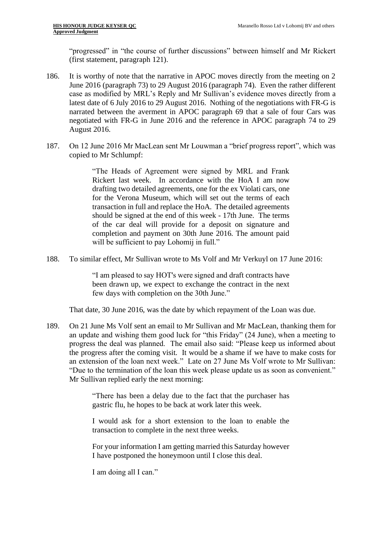"progressed" in "the course of further discussions" between himself and Mr Rickert (first statement, paragraph 121).

- 186. It is worthy of note that the narrative in APOC moves directly from the meeting on 2 June 2016 (paragraph 73) to 29 August 2016 (paragraph 74). Even the rather different case as modified by MRL's Reply and Mr Sullivan's evidence moves directly from a latest date of 6 July 2016 to 29 August 2016. Nothing of the negotiations with FR-G is narrated between the averment in APOC paragraph 69 that a sale of four Cars was negotiated with FR-G in June 2016 and the reference in APOC paragraph 74 to 29 August 2016.
- 187. On 12 June 2016 Mr MacLean sent Mr Louwman a "brief progress report", which was copied to Mr Schlumpf:

"The Heads of Agreement were signed by MRL and Frank Rickert last week. In accordance with the HoA I am now drafting two detailed agreements, one for the ex Violati cars, one for the Verona Museum, which will set out the terms of each transaction in full and replace the HoA. The detailed agreements should be signed at the end of this week - 17th June. The terms of the car deal will provide for a deposit on signature and completion and payment on 30th June 2016. The amount paid will be sufficient to pay Lohomij in full."

188. To similar effect, Mr Sullivan wrote to Ms Volf and Mr Verkuyl on 17 June 2016:

"I am pleased to say HOT's were signed and draft contracts have been drawn up, we expect to exchange the contract in the next few days with completion on the 30th June."

That date, 30 June 2016, was the date by which repayment of the Loan was due.

189. On 21 June Ms Volf sent an email to Mr Sullivan and Mr MacLean, thanking them for an update and wishing them good luck for "this Friday" (24 June), when a meeting to progress the deal was planned. The email also said: "Please keep us informed about the progress after the coming visit. It would be a shame if we have to make costs for an extension of the loan next week." Late on 27 June Ms Volf wrote to Mr Sullivan: "Due to the termination of the loan this week please update us as soon as convenient." Mr Sullivan replied early the next morning:

> "There has been a delay due to the fact that the purchaser has gastric flu, he hopes to be back at work later this week.

> I would ask for a short extension to the loan to enable the transaction to complete in the next three weeks.

> For your information I am getting married this Saturday however I have postponed the honeymoon until I close this deal.

I am doing all I can."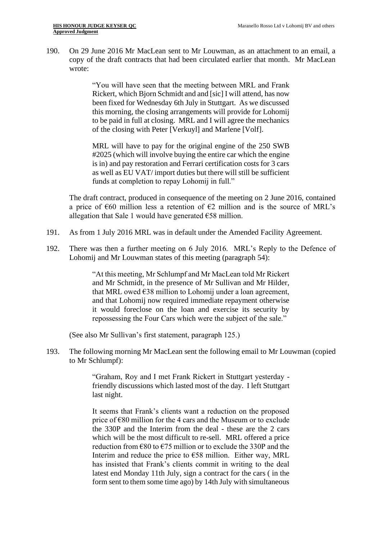190. On 29 June 2016 Mr MacLean sent to Mr Louwman, as an attachment to an email, a copy of the draft contracts that had been circulated earlier that month. Mr MacLean wrote:

> "You will have seen that the meeting between MRL and Frank Rickert, which Bjorn Schmidt and and [sic] I will attend, has now been fixed for Wednesday 6th July in Stuttgart. As we discussed this morning, the closing arrangements will provide for Lohomij to be paid in full at closing. MRL and I will agree the mechanics of the closing with Peter [Verkuyl] and Marlene [Volf].

> MRL will have to pay for the original engine of the 250 SWB #2025 (which will involve buying the entire car which the engine is in) and pay restoration and Ferrari certification costs for 3 cars as well as EU VAT/ import duties but there will still be sufficient funds at completion to repay Lohomij in full."

The draft contract, produced in consequence of the meeting on 2 June 2016, contained a price of  $\epsilon$ 60 million less a retention of  $\epsilon$ 2 million and is the source of MRL's allegation that Sale 1 would have generated  $\epsilon$ 58 million.

- 191. As from 1 July 2016 MRL was in default under the Amended Facility Agreement.
- 192. There was then a further meeting on 6 July 2016. MRL's Reply to the Defence of Lohomij and Mr Louwman states of this meeting (paragraph 54):

"At this meeting, Mr Schlumpf and Mr MacLean told Mr Rickert and Mr Schmidt, in the presence of Mr Sullivan and Mr Hilder, that MRL owed  $\epsilon$ 38 million to Lohomij under a loan agreement, and that Lohomij now required immediate repayment otherwise it would foreclose on the loan and exercise its security by repossessing the Four Cars which were the subject of the sale."

(See also Mr Sullivan's first statement, paragraph 125.)

193. The following morning Mr MacLean sent the following email to Mr Louwman (copied to Mr Schlumpf):

> "Graham, Roy and I met Frank Rickert in Stuttgart yesterday friendly discussions which lasted most of the day. I left Stuttgart last night.

> It seems that Frank's clients want a reduction on the proposed price of €80 million for the 4 cars and the Museum or to exclude the 330P and the Interim from the deal - these are the 2 cars which will be the most difficult to re-sell. MRL offered a price reduction from  $\epsilon$ 80 to  $\epsilon$ 75 million or to exclude the 330P and the Interim and reduce the price to  $E$ 58 million. Either way, MRL has insisted that Frank's clients commit in writing to the deal latest end Monday 11th July, sign a contract for the cars ( in the form sent to them some time ago) by 14th July with simultaneous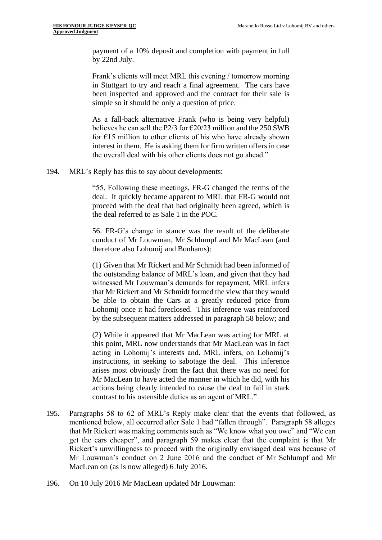payment of a 10% deposit and completion with payment in full by 22nd July.

Frank's clients will meet MRL this evening / tomorrow morning in Stuttgart to try and reach a final agreement. The cars have been inspected and approved and the contract for their sale is simple so it should be only a question of price.

As a fall-back alternative Frank (who is being very helpful) believes he can sell the P2/3 for  $\epsilon$ 20/23 million and the 250 SWB for  $E15$  million to other clients of his who have already shown interest in them. He is asking them for firm written offers in case the overall deal with his other clients does not go ahead."

194. MRL's Reply has this to say about developments:

"55. Following these meetings, FR-G changed the terms of the deal. It quickly became apparent to MRL that FR-G would not proceed with the deal that had originally been agreed, which is the deal referred to as Sale 1 in the POC.

56. FR-G's change in stance was the result of the deliberate conduct of Mr Louwman, Mr Schlumpf and Mr MacLean (and therefore also Lohomij and Bonhams):

(1) Given that Mr Rickert and Mr Schmidt had been informed of the outstanding balance of MRL's loan, and given that they had witnessed Mr Louwman's demands for repayment, MRL infers that Mr Rickert and Mr Schmidt formed the view that they would be able to obtain the Cars at a greatly reduced price from Lohomij once it had foreclosed. This inference was reinforced by the subsequent matters addressed in paragraph 58 below; and

(2) While it appeared that Mr MacLean was acting for MRL at this point, MRL now understands that Mr MacLean was in fact acting in Lohomij's interests and, MRL infers, on Lohomij's instructions, in seeking to sabotage the deal. This inference arises most obviously from the fact that there was no need for Mr MacLean to have acted the manner in which he did, with his actions being clearly intended to cause the deal to fail in stark contrast to his ostensible duties as an agent of MRL."

- 195. Paragraphs 58 to 62 of MRL's Reply make clear that the events that followed, as mentioned below, all occurred after Sale 1 had "fallen through". Paragraph 58 alleges that Mr Rickert was making comments such as "We know what you owe" and "We can get the cars cheaper", and paragraph 59 makes clear that the complaint is that Mr Rickert's unwillingness to proceed with the originally envisaged deal was because of Mr Louwman's conduct on 2 June 2016 and the conduct of Mr Schlumpf and Mr MacLean on (as is now alleged) 6 July 2016.
- 196. On 10 July 2016 Mr MacLean updated Mr Louwman: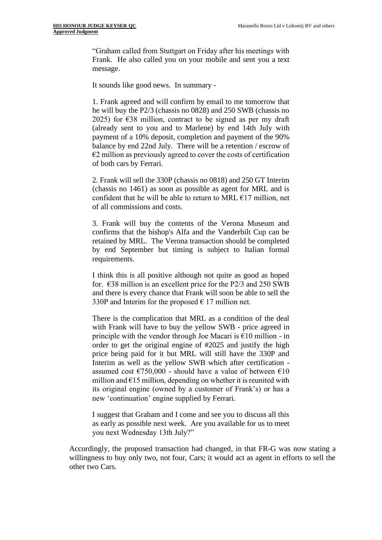"Graham called from Stuttgart on Friday after his meetings with Frank. He also called you on your mobile and sent you a text message.

It sounds like good news. In summary -

1. Frank agreed and will confirm by email to me tomorrow that he will buy the P2/3 (chassis no 0828) and 250 SWB (chassis no 2025) for  $\epsilon$ 38 million, contract to be signed as per my draft (already sent to you and to Marlene) by end 14th July with payment of a 10% deposit, completion and payment of the 90% balance by end 22nd July. There will be a retention / escrow of  $E2$  million as previously agreed to cover the costs of certification of both cars by Ferrari.

2. Frank will sell the 330P (chassis no 0818) and 250 GT Interim (chassis no 1461) as soon as possible as agent for MRL and is confident that he will be able to return to MRL  $E17$  million, net of all commissions and costs.

3. Frank will buy the contents of the Verona Museum and confirms that the bishop's Alfa and the Vanderbilt Cup can be retained by MRL. The Verona transaction should be completed by end September but timing is subject to Italian formal requirements.

I think this is all positive although not quite as good as hoped for.  $\epsilon$ 38 million is an excellent price for the P2/3 and 250 SWB and there is every chance that Frank will soon be able to sell the 330P and Interim for the proposed  $\epsilon$  17 million net.

There is the complication that MRL as a condition of the deal with Frank will have to buy the yellow SWB - price agreed in principle with the vendor through Joe Macari is  $€10$  million - in order to get the original engine of #2025 and justify the high price being paid for it but MRL will still have the 330P and Interim as well as the yellow SWB which after certification assumed cost  $\epsilon$ 750,000 - should have a value of between  $\epsilon$ 10 million and  $E15$  million, depending on whether it is reunited with its original engine (owned by a customer of Frank's) or has a new 'continuation' engine supplied by Ferrari.

I suggest that Graham and I come and see you to discuss all this as early as possible next week. Are you available for us to meet you next Wednesday 13th July?"

Accordingly, the proposed transaction had changed, in that FR-G was now stating a willingness to buy only two, not four, Cars; it would act as agent in efforts to sell the other two Cars.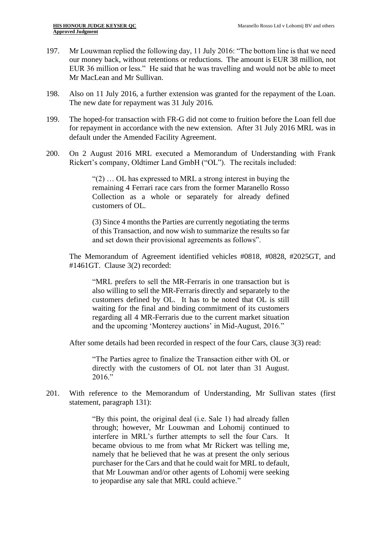- 197. Mr Louwman replied the following day, 11 July 2016: "The bottom line is that we need our money back, without retentions or reductions. The amount is EUR 38 million, not EUR 36 million or less." He said that he was travelling and would not be able to meet Mr MacLean and Mr Sullivan.
- 198. Also on 11 July 2016, a further extension was granted for the repayment of the Loan. The new date for repayment was 31 July 2016.
- 199. The hoped-for transaction with FR-G did not come to fruition before the Loan fell due for repayment in accordance with the new extension. After 31 July 2016 MRL was in default under the Amended Facility Agreement.
- 200. On 2 August 2016 MRL executed a Memorandum of Understanding with Frank Rickert's company, Oldtimer Land GmbH ("OL"). The recitals included:

"(2) … OL has expressed to MRL a strong interest in buying the remaining 4 Ferrari race cars from the former Maranello Rosso Collection as a whole or separately for already defined customers of OL.

(3) Since 4 months the Parties are currently negotiating the terms of this Transaction, and now wish to summarize the results so far and set down their provisional agreements as follows".

The Memorandum of Agreement identified vehicles #0818, #0828, #2025GT, and #1461GT. Clause 3(2) recorded:

"MRL prefers to sell the MR-Ferraris in one transaction but is also willing to sell the MR-Ferraris directly and separately to the customers defined by OL. It has to be noted that OL is still waiting for the final and binding commitment of its customers regarding all 4 MR-Ferraris due to the current market situation and the upcoming 'Monterey auctions' in Mid-August, 2016."

After some details had been recorded in respect of the four Cars, clause 3(3) read:

"The Parties agree to finalize the Transaction either with OL or directly with the customers of OL not later than 31 August. 2016."

201. With reference to the Memorandum of Understanding, Mr Sullivan states (first statement, paragraph 131):

> "By this point, the original deal (i.e. Sale 1) had already fallen through; however, Mr Louwman and Lohomij continued to interfere in MRL's further attempts to sell the four Cars. It became obvious to me from what Mr Rickert was telling me, namely that he believed that he was at present the only serious purchaser for the Cars and that he could wait for MRL to default, that Mr Louwman and/or other agents of Lohomij were seeking to jeopardise any sale that MRL could achieve."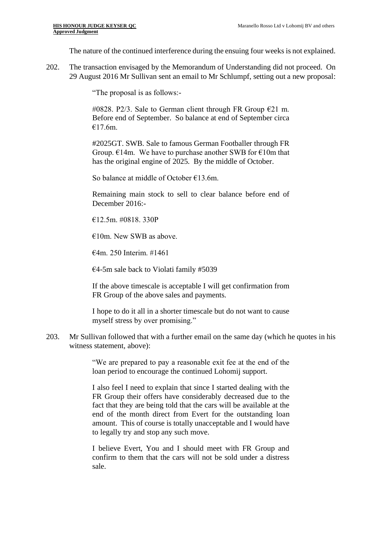The nature of the continued interference during the ensuing four weeks is not explained.

202. The transaction envisaged by the Memorandum of Understanding did not proceed. On 29 August 2016 Mr Sullivan sent an email to Mr Schlumpf, setting out a new proposal:

"The proposal is as follows:-

#0828. P2/3. Sale to German client through FR Group  $\epsilon$ 21 m. Before end of September. So balance at end of September circa €17.6m.

#2025GT. SWB. Sale to famous German Footballer through FR Group.  $E14m$ . We have to purchase another SWB for  $E10m$  that has the original engine of 2025. By the middle of October.

So balance at middle of October €13.6m.

Remaining main stock to sell to clear balance before end of December 2016:-

€12.5m. #0818. 330P

€10m. New SWB as above.

€4m. 250 Interim. #1461

 $€4-5m$  sale back to Violati family #5039

If the above timescale is acceptable I will get confirmation from FR Group of the above sales and payments.

I hope to do it all in a shorter timescale but do not want to cause myself stress by over promising."

203. Mr Sullivan followed that with a further email on the same day (which he quotes in his witness statement, above):

> "We are prepared to pay a reasonable exit fee at the end of the loan period to encourage the continued Lohomij support.

> I also feel I need to explain that since I started dealing with the FR Group their offers have considerably decreased due to the fact that they are being told that the cars will be available at the end of the month direct from Evert for the outstanding loan amount. This of course is totally unacceptable and I would have to legally try and stop any such move.

> I believe Evert, You and I should meet with FR Group and confirm to them that the cars will not be sold under a distress sale.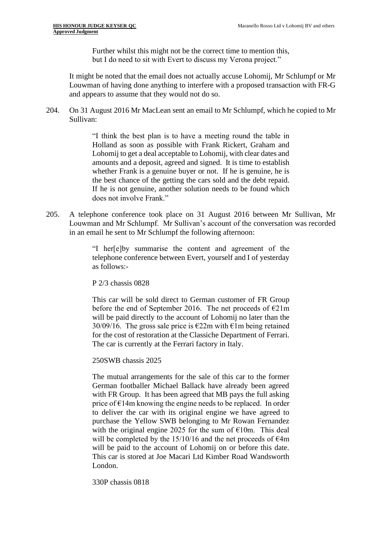Further whilst this might not be the correct time to mention this, but I do need to sit with Evert to discuss my Verona project."

It might be noted that the email does not actually accuse Lohomij, Mr Schlumpf or Mr Louwman of having done anything to interfere with a proposed transaction with FR-G and appears to assume that they would not do so.

204. On 31 August 2016 Mr MacLean sent an email to Mr Schlumpf, which he copied to Mr Sullivan:

> "I think the best plan is to have a meeting round the table in Holland as soon as possible with Frank Rickert, Graham and Lohomij to get a deal acceptable to Lohomij, with clear dates and amounts and a deposit, agreed and signed. It is time to establish whether Frank is a genuine buyer or not. If he is genuine, he is the best chance of the getting the cars sold and the debt repaid. If he is not genuine, another solution needs to be found which does not involve Frank."

205. A telephone conference took place on 31 August 2016 between Mr Sullivan, Mr Louwman and Mr Schlumpf. Mr Sullivan's account of the conversation was recorded in an email he sent to Mr Schlumpf the following afternoon:

> "I her[e]by summarise the content and agreement of the telephone conference between Evert, yourself and I of yesterday as follows:-

P 2/3 chassis 0828

This car will be sold direct to German customer of FR Group before the end of September 2016. The net proceeds of  $E21m$ will be paid directly to the account of Lohomij no later than the 30/09/16. The gross sale price is  $\epsilon$ 22m with  $\epsilon$ 1m being retained for the cost of restoration at the Classiche Department of Ferrari. The car is currently at the Ferrari factory in Italy.

250SWB chassis 2025

The mutual arrangements for the sale of this car to the former German footballer Michael Ballack have already been agreed with FR Group. It has been agreed that MB pays the full asking price of  $\epsilon$ 14m knowing the engine needs to be replaced. In order to deliver the car with its original engine we have agreed to purchase the Yellow SWB belonging to Mr Rowan Fernandez with the original engine 2025 for the sum of  $E10m$ . This deal will be completed by the 15/10/16 and the net proceeds of  $\epsilon$ 4m will be paid to the account of Lohomij on or before this date. This car is stored at Joe Macari Ltd Kimber Road Wandsworth London.

330P chassis 0818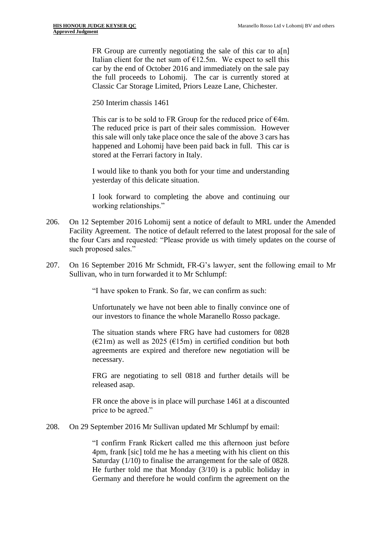FR Group are currently negotiating the sale of this car to a[n] Italian client for the net sum of  $E12.5m$ . We expect to sell this car by the end of October 2016 and immediately on the sale pay the full proceeds to Lohomij. The car is currently stored at Classic Car Storage Limited, Priors Leaze Lane, Chichester.

250 Interim chassis 1461

This car is to be sold to FR Group for the reduced price of  $\epsilon$ 4m. The reduced price is part of their sales commission. However this sale will only take place once the sale of the above 3 cars has happened and Lohomij have been paid back in full. This car is stored at the Ferrari factory in Italy.

I would like to thank you both for your time and understanding yesterday of this delicate situation.

I look forward to completing the above and continuing our working relationships."

- 206. On 12 September 2016 Lohomij sent a notice of default to MRL under the Amended Facility Agreement. The notice of default referred to the latest proposal for the sale of the four Cars and requested: "Please provide us with timely updates on the course of such proposed sales."
- 207. On 16 September 2016 Mr Schmidt, FR-G's lawyer, sent the following email to Mr Sullivan, who in turn forwarded it to Mr Schlumpf:

"I have spoken to Frank. So far, we can confirm as such:

Unfortunately we have not been able to finally convince one of our investors to finance the whole Maranello Rosso package.

The situation stands where FRG have had customers for 0828  $(E21m)$  as well as 2025  $(E15m)$  in certified condition but both agreements are expired and therefore new negotiation will be necessary.

FRG are negotiating to sell 0818 and further details will be released asap.

FR once the above is in place will purchase 1461 at a discounted price to be agreed."

208. On 29 September 2016 Mr Sullivan updated Mr Schlumpf by email:

"I confirm Frank Rickert called me this afternoon just before 4pm, frank [sic] told me he has a meeting with his client on this Saturday (1/10) to finalise the arrangement for the sale of 0828. He further told me that Monday (3/10) is a public holiday in Germany and therefore he would confirm the agreement on the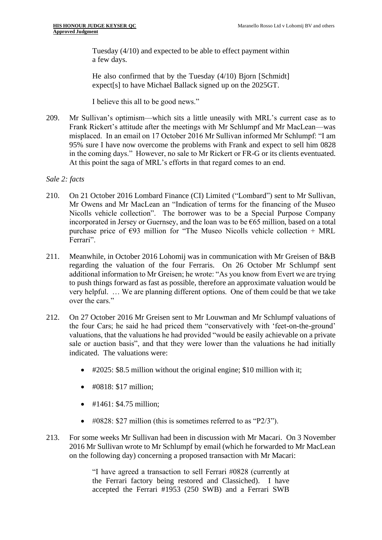Tuesday (4/10) and expected to be able to effect payment within a few days.

He also confirmed that by the Tuesday (4/10) Bjorn [Schmidt] expect[s] to have Michael Ballack signed up on the 2025GT.

I believe this all to be good news."

209. Mr Sullivan's optimism—which sits a little uneasily with MRL's current case as to Frank Rickert's attitude after the meetings with Mr Schlumpf and Mr MacLean—was misplaced. In an email on 17 October 2016 Mr Sullivan informed Mr Schlumpf: "I am 95% sure I have now overcome the problems with Frank and expect to sell him 0828 in the coming days." However, no sale to Mr Rickert or FR-G or its clients eventuated. At this point the saga of MRL's efforts in that regard comes to an end.

## *Sale 2: facts*

- 210. On 21 October 2016 Lombard Finance (CI) Limited ("Lombard") sent to Mr Sullivan, Mr Owens and Mr MacLean an "Indication of terms for the financing of the Museo Nicolls vehicle collection". The borrower was to be a Special Purpose Company incorporated in Jersey or Guernsey, and the loan was to be €65 million, based on a total purchase price of  $\epsilon$ 93 million for "The Museo Nicolls vehicle collection + MRL Ferrari".
- 211. Meanwhile, in October 2016 Lohomij was in communication with Mr Greisen of B&B regarding the valuation of the four Ferraris. On 26 October Mr Schlumpf sent additional information to Mr Greisen; he wrote: "As you know from Evert we are trying to push things forward as fast as possible, therefore an approximate valuation would be very helpful. … We are planning different options. One of them could be that we take over the cars."
- 212. On 27 October 2016 Mr Greisen sent to Mr Louwman and Mr Schlumpf valuations of the four Cars; he said he had priced them "conservatively with 'feet-on-the-ground' valuations, that the valuations he had provided "would be easily achievable on a private sale or auction basis", and that they were lower than the valuations he had initially indicated. The valuations were:
	- #2025: \$8.5 million without the original engine; \$10 million with it;
	- $\#0818: $17 \text{ million};$
	- $\bullet$  #1461: \$4.75 million;
	- #0828: \$27 million (this is sometimes referred to as "P2/3").
- 213. For some weeks Mr Sullivan had been in discussion with Mr Macari. On 3 November 2016 Mr Sullivan wrote to Mr Schlumpf by email (which he forwarded to Mr MacLean on the following day) concerning a proposed transaction with Mr Macari:

"I have agreed a transaction to sell Ferrari #0828 (currently at the Ferrari factory being restored and Classiched). I have accepted the Ferrari #1953 (250 SWB) and a Ferrari SWB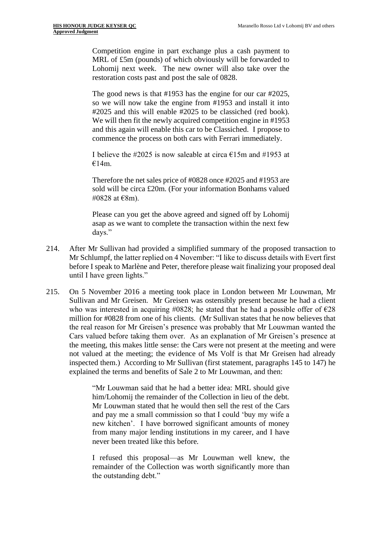Competition engine in part exchange plus a cash payment to MRL of £5m (pounds) of which obviously will be forwarded to Lohomij next week. The new owner will also take over the restoration costs past and post the sale of 0828.

The good news is that #1953 has the engine for our car #2025, so we will now take the engine from #1953 and install it into #2025 and this will enable #2025 to be classiched (red book). We will then fit the newly acquired competition engine in #1953 and this again will enable this car to be Classiched. I propose to commence the process on both cars with Ferrari immediately.

I believe the #2025 is now saleable at circa  $\epsilon$ 15m and #1953 at €14m.

Therefore the net sales price of #0828 once #2025 and #1953 are sold will be circa £20m. (For your information Bonhams valued #0828 at €8m).

Please can you get the above agreed and signed off by Lohomij asap as we want to complete the transaction within the next few days."

- 214. After Mr Sullivan had provided a simplified summary of the proposed transaction to Mr Schlumpf, the latter replied on 4 November: "I like to discuss details with Evert first before I speak to Marlène and Peter, therefore please wait finalizing your proposed deal until I have green lights."
- 215. On 5 November 2016 a meeting took place in London between Mr Louwman, Mr Sullivan and Mr Greisen. Mr Greisen was ostensibly present because he had a client who was interested in acquiring #0828; he stated that he had a possible offer of  $\epsilon$ 28 million for #0828 from one of his clients. (Mr Sullivan states that he now believes that the real reason for Mr Greisen's presence was probably that Mr Louwman wanted the Cars valued before taking them over. As an explanation of Mr Greisen's presence at the meeting, this makes little sense: the Cars were not present at the meeting and were not valued at the meeting; the evidence of Ms Volf is that Mr Greisen had already inspected them.) According to Mr Sullivan (first statement, paragraphs 145 to 147) he explained the terms and benefits of Sale 2 to Mr Louwman, and then:

"Mr Louwman said that he had a better idea: MRL should give him/Lohomij the remainder of the Collection in lieu of the debt. Mr Louwman stated that he would then sell the rest of the Cars and pay me a small commission so that I could 'buy my wife a new kitchen'. I have borrowed significant amounts of money from many major lending institutions in my career, and I have never been treated like this before.

I refused this proposal—as Mr Louwman well knew, the remainder of the Collection was worth significantly more than the outstanding debt."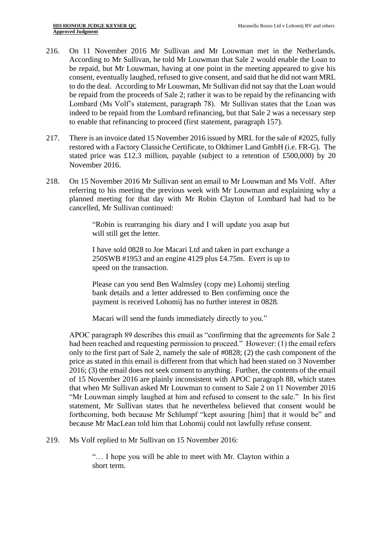- 216. On 11 November 2016 Mr Sullivan and Mr Louwman met in the Netherlands. According to Mr Sullivan, he told Mr Louwman that Sale 2 would enable the Loan to be repaid, but Mr Louwman, having at one point in the meeting appeared to give his consent, eventually laughed, refused to give consent, and said that he did not want MRL to do the deal. According to Mr Louwman, Mr Sullivan did not say that the Loan would be repaid from the proceeds of Sale 2; rather it was to be repaid by the refinancing with Lombard (Ms Volf's statement, paragraph 78). Mr Sullivan states that the Loan was indeed to be repaid from the Lombard refinancing, but that Sale 2 was a necessary step to enable that refinancing to proceed (first statement, paragraph 157).
- 217. There is an invoice dated 15 November 2016 issued by MRL for the sale of #2025, fully restored with a Factory Classiche Certificate, to Oldtimer Land GmbH (i.e. FR-G). The stated price was £12.3 million, payable (subject to a retention of £500,000) by 20 November 2016.
- 218. On 15 November 2016 Mr Sullivan sent an email to Mr Louwman and Ms Volf. After referring to his meeting the previous week with Mr Louwman and explaining why a planned meeting for that day with Mr Robin Clayton of Lombard had had to be cancelled, Mr Sullivan continued:

"Robin is rearranging his diary and I will update you asap but will still get the letter.

I have sold 0828 to Joe Macari Ltd and taken in part exchange a 250SWB #1953 and an engine 4129 plus £4.75m. Evert is up to speed on the transaction.

Please can you send Ben Walmsley (copy me) Lohomij sterling bank details and a letter addressed to Ben confirming once the payment is received Lohomij has no further interest in 0828.

Macari will send the funds immediately directly to you."

APOC paragraph 89 describes this email as "confirming that the agreements for Sale 2 had been reached and requesting permission to proceed." However: (1) the email refers only to the first part of Sale 2, namely the sale of #0828; (2) the cash component of the price as stated in this email is different from that which had been stated on 3 November 2016; (3) the email does not seek consent to anything. Further, the contents of the email of 15 November 2016 are plainly inconsistent with APOC paragraph 88, which states that when Mr Sullivan asked Mr Louwman to consent to Sale 2 on 11 November 2016 "Mr Louwman simply laughed at him and refused to consent to the sale." In his first statement, Mr Sullivan states that he nevertheless believed that consent would be forthcoming, both because Mr Schlumpf "kept assuring [him] that it would be" and because Mr MacLean told him that Lohomij could not lawfully refuse consent.

219. Ms Volf replied to Mr Sullivan on 15 November 2016:

"… I hope you will be able to meet with Mr. Clayton within a short term.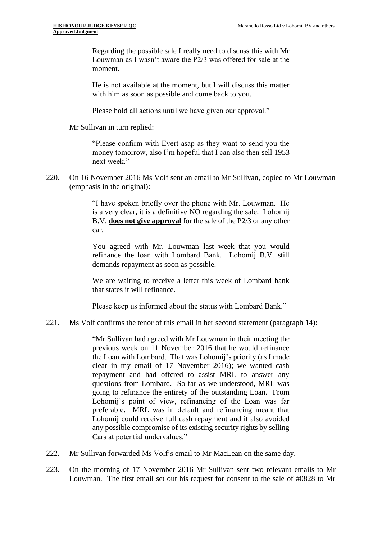Regarding the possible sale I really need to discuss this with Mr Louwman as I wasn't aware the P2/3 was offered for sale at the moment.

He is not available at the moment, but I will discuss this matter with him as soon as possible and come back to you.

Please hold all actions until we have given our approval."

Mr Sullivan in turn replied:

"Please confirm with Evert asap as they want to send you the money tomorrow, also I'm hopeful that I can also then sell 1953 next week."

220. On 16 November 2016 Ms Volf sent an email to Mr Sullivan, copied to Mr Louwman (emphasis in the original):

> "I have spoken briefly over the phone with Mr. Louwman. He is a very clear, it is a definitive NO regarding the sale. Lohomij B.V. **does not give approval** for the sale of the P2/3 or any other car.

> You agreed with Mr. Louwman last week that you would refinance the loan with Lombard Bank. Lohomij B.V. still demands repayment as soon as possible.

> We are waiting to receive a letter this week of Lombard bank that states it will refinance.

Please keep us informed about the status with Lombard Bank."

221. Ms Volf confirms the tenor of this email in her second statement (paragraph 14):

"Mr Sullivan had agreed with Mr Louwman in their meeting the previous week on 11 November 2016 that he would refinance the Loan with Lombard. That was Lohomij's priority (as I made clear in my email of 17 November 2016); we wanted cash repayment and had offered to assist MRL to answer any questions from Lombard. So far as we understood, MRL was going to refinance the entirety of the outstanding Loan. From Lohomij's point of view, refinancing of the Loan was far preferable. MRL was in default and refinancing meant that Lohomij could receive full cash repayment and it also avoided any possible compromise of its existing security rights by selling Cars at potential undervalues."

- 222. Mr Sullivan forwarded Ms Volf's email to Mr MacLean on the same day.
- 223. On the morning of 17 November 2016 Mr Sullivan sent two relevant emails to Mr Louwman. The first email set out his request for consent to the sale of #0828 to Mr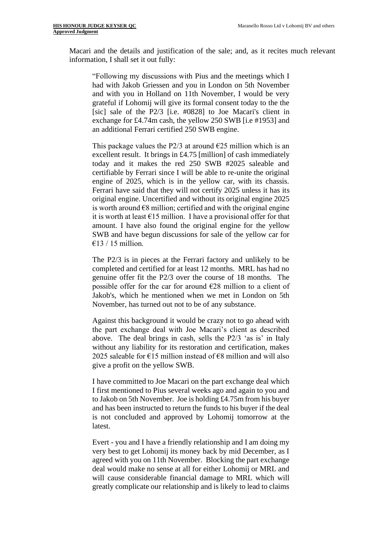Macari and the details and justification of the sale; and, as it recites much relevant information, I shall set it out fully:

"Following my discussions with Pius and the meetings which I had with Jakob Griessen and you in London on 5th November and with you in Holland on 11th November, I would be very grateful if Lohomij will give its formal consent today to the the [sic] sale of the P2/3 [i.e. #0828] to Joe Macari's client in exchange for £4.74m cash, the yellow 250 SWB [i.e #1953] and an additional Ferrari certified 250 SWB engine.

This package values the P2/3 at around  $\epsilon$ 25 million which is an excellent result. It brings in £4.75 [million] of cash immediately today and it makes the red 250 SWB #2025 saleable and certifiable by Ferrari since I will be able to re-unite the original engine of 2025, which is in the yellow car, with its chassis. Ferrari have said that they will not certify 2025 unless it has its original engine. Uncertified and without its original engine 2025 is worth around  $€8$  million; certified and with the original engine it is worth at least  $E15$  million. I have a provisional offer for that amount. I have also found the original engine for the yellow SWB and have begun discussions for sale of the yellow car for  $\epsilon$ 13 / 15 million.

The P2/3 is in pieces at the Ferrari factory and unlikely to be completed and certified for at least 12 months. MRL has had no genuine offer fit the P2/3 over the course of 18 months. The possible offer for the car for around  $E28$  million to a client of Jakob's, which he mentioned when we met in London on 5th November, has turned out not to be of any substance.

Against this background it would be crazy not to go ahead with the part exchange deal with Joe Macari's client as described above. The deal brings in cash, sells the P2/3 'as is' in Italy without any liability for its restoration and certification, makes 2025 saleable for  $\epsilon$ 15 million instead of  $\epsilon$ 8 million and will also give a profit on the yellow SWB.

I have committed to Joe Macari on the part exchange deal which I first mentioned to Pius several weeks ago and again to you and to Jakob on 5th November. Joe is holding £4.75m from his buyer and has been instructed to return the funds to his buyer if the deal is not concluded and approved by Lohomij tomorrow at the latest.

Evert - you and I have a friendly relationship and I am doing my very best to get Lohomij its money back by mid December, as I agreed with you on 11th November. Blocking the part exchange deal would make no sense at all for either Lohomij or MRL and will cause considerable financial damage to MRL which will greatly complicate our relationship and is likely to lead to claims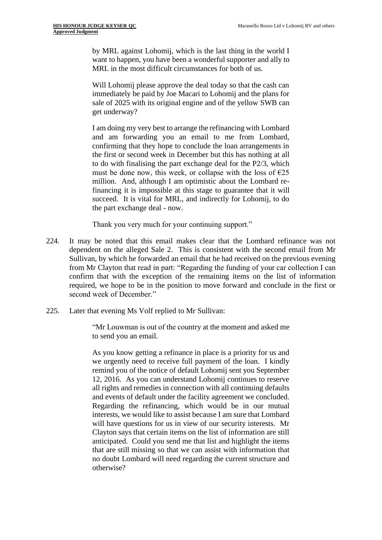by MRL against Lohomij, which is the last thing in the world I want to happen, you have been a wonderful supporter and ally to MRL in the most difficult circumstances for both of us.

Will Lohomij please approve the deal today so that the cash can immediately be paid by Joe Macari to Lohomij and the plans for sale of 2025 with its original engine and of the yellow SWB can get underway?

I am doing my very best to arrange the refinancing with Lombard and am forwarding you an email to me from Lombard, confirming that they hope to conclude the loan arrangements in the first or second week in December but this has nothing at all to do with finalising the part exchange deal for the P2/3, which must be done now, this week, or collapse with the loss of  $E25$ million. And, although I am optimistic about the Lombard refinancing it is impossible at this stage to guarantee that it will succeed. It is vital for MRL, and indirectly for Lohomij, to do the part exchange deal - now.

Thank you very much for your continuing support."

- 224. It may be noted that this email makes clear that the Lombard refinance was not dependent on the alleged Sale 2. This is consistent with the second email from Mr Sullivan, by which he forwarded an email that he had received on the previous evening from Mr Clayton that read in part: "Regarding the funding of your car collection I can confirm that with the exception of the remaining items on the list of information required, we hope to be in the position to move forward and conclude in the first or second week of December."
- 225. Later that evening Ms Volf replied to Mr Sullivan:

"Mr Louwman is out of the country at the moment and asked me to send you an email.

As you know getting a refinance in place is a priority for us and we urgently need to receive full payment of the loan. I kindly remind you of the notice of default Lohomij sent you September 12, 2016. As you can understand Lohomij continues to reserve all rights and remedies in connection with all continuing defaults and events of default under the facility agreement we concluded. Regarding the refinancing, which would be in our mutual interests, we would like to assist because I am sure that Lombard will have questions for us in view of our security interests. Mr Clayton says that certain items on the list of information are still anticipated. Could you send me that list and highlight the items that are still missing so that we can assist with information that no doubt Lombard will need regarding the current structure and otherwise?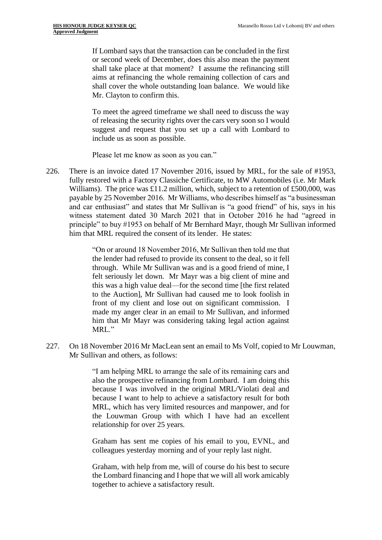If Lombard says that the transaction can be concluded in the first or second week of December, does this also mean the payment shall take place at that moment? I assume the refinancing still aims at refinancing the whole remaining collection of cars and shall cover the whole outstanding loan balance. We would like Mr. Clayton to confirm this.

To meet the agreed timeframe we shall need to discuss the way of releasing the security rights over the cars very soon so I would suggest and request that you set up a call with Lombard to include us as soon as possible.

Please let me know as soon as you can."

226. There is an invoice dated 17 November 2016, issued by MRL, for the sale of #1953, fully restored with a Factory Classiche Certificate, to MW Automobiles (i.e. Mr Mark Williams). The price was £11.2 million, which, subject to a retention of £500,000, was payable by 25 November 2016. Mr Williams, who describes himself as "a businessman and car enthusiast" and states that Mr Sullivan is "a good friend" of his, says in his witness statement dated 30 March 2021 that in October 2016 he had "agreed in principle" to buy #1953 on behalf of Mr Bernhard Mayr, though Mr Sullivan informed him that MRL required the consent of its lender. He states:

> "On or around 18 November 2016, Mr Sullivan then told me that the lender had refused to provide its consent to the deal, so it fell through. While Mr Sullivan was and is a good friend of mine, I felt seriously let down. Mr Mayr was a big client of mine and this was a high value deal—for the second time [the first related to the Auction], Mr Sullivan had caused me to look foolish in front of my client and lose out on significant commission. I made my anger clear in an email to Mr Sullivan, and informed him that Mr Mayr was considering taking legal action against MRL."

227. On 18 November 2016 Mr MacLean sent an email to Ms Volf, copied to Mr Louwman, Mr Sullivan and others, as follows:

> "I am helping MRL to arrange the sale of its remaining cars and also the prospective refinancing from Lombard. I am doing this because I was involved in the original MRL/Violati deal and because I want to help to achieve a satisfactory result for both MRL, which has very limited resources and manpower, and for the Louwman Group with which I have had an excellent relationship for over 25 years.

> Graham has sent me copies of his email to you, EVNL, and colleagues yesterday morning and of your reply last night.

> Graham, with help from me, will of course do his best to secure the Lombard financing and I hope that we will all work amicably together to achieve a satisfactory result.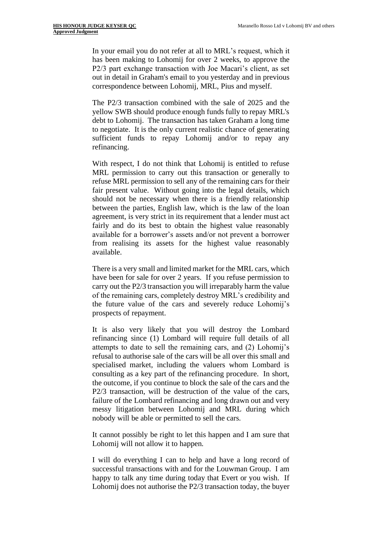In your email you do not refer at all to MRL's request, which it has been making to Lohomij for over 2 weeks, to approve the P2/3 part exchange transaction with Joe Macari's client, as set out in detail in Graham's email to you yesterday and in previous correspondence between Lohomij, MRL, Pius and myself.

The P2/3 transaction combined with the sale of 2025 and the yellow SWB should produce enough funds fully to repay MRL's debt to Lohomij. The transaction has taken Graham a long time to negotiate. It is the only current realistic chance of generating sufficient funds to repay Lohomij and/or to repay any refinancing.

With respect, I do not think that Lohomij is entitled to refuse MRL permission to carry out this transaction or generally to refuse MRL permission to sell any of the remaining cars for their fair present value. Without going into the legal details, which should not be necessary when there is a friendly relationship between the parties, English law, which is the law of the loan agreement, is very strict in its requirement that a lender must act fairly and do its best to obtain the highest value reasonably available for a borrower's assets and/or not prevent a borrower from realising its assets for the highest value reasonably available.

There is a very small and limited market for the MRL cars, which have been for sale for over 2 years. If you refuse permission to carry out the P2/3 transaction you will irreparably harm the value of the remaining cars, completely destroy MRL's credibility and the future value of the cars and severely reduce Lohomij's prospects of repayment.

It is also very likely that you will destroy the Lombard refinancing since (1) Lombard will require full details of all attempts to date to sell the remaining cars, and (2) Lohomij's refusal to authorise sale of the cars will be all over this small and specialised market, including the valuers whom Lombard is consulting as a key part of the refinancing procedure. In short, the outcome, if you continue to block the sale of the cars and the P2/3 transaction, will be destruction of the value of the cars, failure of the Lombard refinancing and long drawn out and very messy litigation between Lohomij and MRL during which nobody will be able or permitted to sell the cars.

It cannot possibly be right to let this happen and I am sure that Lohomij will not allow it to happen.

I will do everything I can to help and have a long record of successful transactions with and for the Louwman Group. I am happy to talk any time during today that Evert or you wish. If Lohomij does not authorise the P2/3 transaction today, the buyer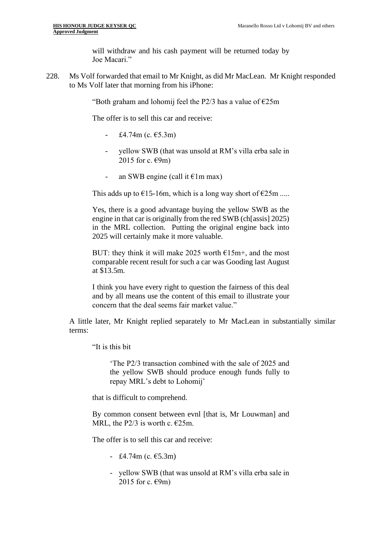will withdraw and his cash payment will be returned today by Joe Macari."

228. Ms Volf forwarded that email to Mr Knight, as did Mr MacLean. Mr Knight responded to Ms Volf later that morning from his iPhone:

"Both graham and lohomij feel the P2/3 has a value of  $E25m$ 

The offer is to sell this car and receive:

- £4.74m (c.  $\epsilon$ 5.3m)
- yellow SWB (that was unsold at RM's villa erba sale in 2015 for c.  $\epsilon$ 9m)
- an SWB engine (call it  $E1m$  max)

This adds up to  $\text{\textsterling}15$ -16m, which is a long way short of  $\text{\textsterling}25m$  .....

Yes, there is a good advantage buying the yellow SWB as the engine in that car is originally from the red SWB (ch[assis] 2025) in the MRL collection. Putting the original engine back into 2025 will certainly make it more valuable.

BUT: they think it will make 2025 worth  $\epsilon$ 15m+, and the most comparable recent result for such a car was Gooding last August at \$13.5m.

I think you have every right to question the fairness of this deal and by all means use the content of this email to illustrate your concern that the deal seems fair market value."

A little later, Mr Knight replied separately to Mr MacLean in substantially similar terms:

"It is this bit

'The P2/3 transaction combined with the sale of 2025 and the yellow SWB should produce enough funds fully to repay MRL's debt to Lohomij'

that is difficult to comprehend.

By common consent between evnl [that is, Mr Louwman] and MRL, the P2/3 is worth c.  $E25m$ .

The offer is to sell this car and receive:

- £4.74m (c. €5.3m)
- yellow SWB (that was unsold at RM's villa erba sale in 2015 for c.  $\epsilon$ 9m)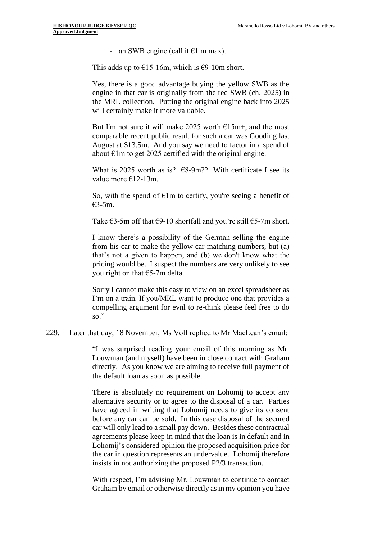- an SWB engine (call it  $\epsilon$ 1 m max).

This adds up to  $\epsilon$ 15-16m, which is  $\epsilon$ 9-10m short.

Yes, there is a good advantage buying the yellow SWB as the engine in that car is originally from the red SWB (ch. 2025) in the MRL collection. Putting the original engine back into 2025 will certainly make it more valuable.

But I'm not sure it will make 2025 worth  $E15m+$ , and the most comparable recent public result for such a car was Gooding last August at \$13.5m. And you say we need to factor in a spend of about  $\epsilon$ 1m to get 2025 certified with the original engine.

What is 2025 worth as is?  $\epsilon$ 8-9m?? With certificate I see its value more €12-13m.

So, with the spend of  $\epsilon$ 1m to certify, you're seeing a benefit of €3-5m.

Take  $\epsilon$ 3-5m off that  $\epsilon$ 9-10 shortfall and you're still  $\epsilon$ 5-7m short.

I know there's a possibility of the German selling the engine from his car to make the yellow car matching numbers, but (a) that's not a given to happen, and (b) we don't know what the pricing would be. I suspect the numbers are very unlikely to see you right on that €5-7m delta.

Sorry I cannot make this easy to view on an excel spreadsheet as I'm on a train. If you/MRL want to produce one that provides a compelling argument for evnl to re-think please feel free to do so."

229. Later that day, 18 November, Ms Volf replied to Mr MacLean's email:

"I was surprised reading your email of this morning as Mr. Louwman (and myself) have been in close contact with Graham directly. As you know we are aiming to receive full payment of the default loan as soon as possible.

There is absolutely no requirement on Lohomij to accept any alternative security or to agree to the disposal of a car. Parties have agreed in writing that Lohomij needs to give its consent before any car can be sold. In this case disposal of the secured car will only lead to a small pay down. Besides these contractual agreements please keep in mind that the loan is in default and in Lohomij's considered opinion the proposed acquisition price for the car in question represents an undervalue. Lohomij therefore insists in not authorizing the proposed P2/3 transaction.

With respect, I'm advising Mr. Louwman to continue to contact Graham by email or otherwise directly as in my opinion you have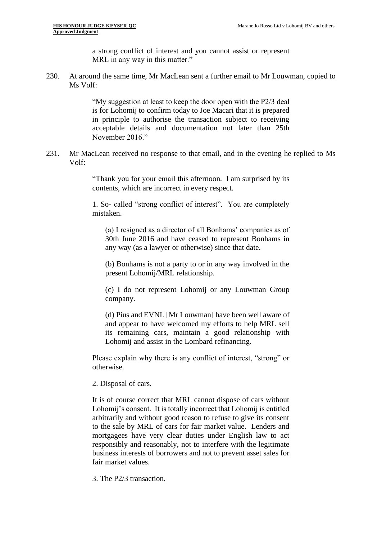a strong conflict of interest and you cannot assist or represent MRL in any way in this matter."

230. At around the same time, Mr MacLean sent a further email to Mr Louwman, copied to Ms Volf:

> "My suggestion at least to keep the door open with the P2/3 deal is for Lohomij to confirm today to Joe Macari that it is prepared in principle to authorise the transaction subject to receiving acceptable details and documentation not later than 25th November 2016."

231. Mr MacLean received no response to that email, and in the evening he replied to Ms Volf:

> "Thank you for your email this afternoon. I am surprised by its contents, which are incorrect in every respect.

> 1. So- called "strong conflict of interest". You are completely mistaken.

(a) I resigned as a director of all Bonhams' companies as of 30th June 2016 and have ceased to represent Bonhams in any way (as a lawyer or otherwise) since that date.

(b) Bonhams is not a party to or in any way involved in the present Lohomij/MRL relationship.

(c) I do not represent Lohomij or any Louwman Group company.

(d) Pius and EVNL [Mr Louwman] have been well aware of and appear to have welcomed my efforts to help MRL sell its remaining cars, maintain a good relationship with Lohomij and assist in the Lombard refinancing.

Please explain why there is any conflict of interest, "strong" or otherwise.

2. Disposal of cars.

It is of course correct that MRL cannot dispose of cars without Lohomij's consent. It is totally incorrect that Lohomij is entitled arbitrarily and without good reason to refuse to give its consent to the sale by MRL of cars for fair market value. Lenders and mortgagees have very clear duties under English law to act responsibly and reasonably, not to interfere with the legitimate business interests of borrowers and not to prevent asset sales for fair market values.

3. The P2/3 transaction.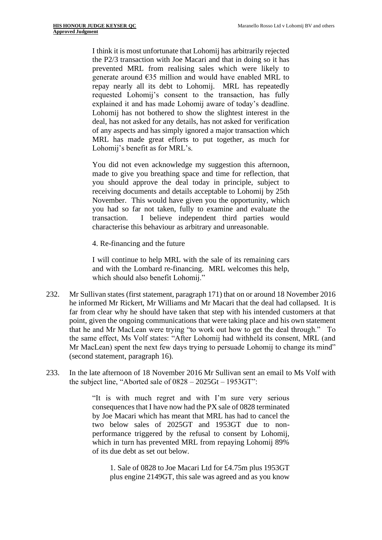I think it is most unfortunate that Lohomij has arbitrarily rejected the P2/3 transaction with Joe Macari and that in doing so it has prevented MRL from realising sales which were likely to generate around  $E35$  million and would have enabled MRL to repay nearly all its debt to Lohomij. MRL has repeatedly requested Lohomij's consent to the transaction, has fully explained it and has made Lohomij aware of today's deadline. Lohomij has not bothered to show the slightest interest in the deal, has not asked for any details, has not asked for verification of any aspects and has simply ignored a major transaction which MRL has made great efforts to put together, as much for Lohomij's benefit as for MRL's.

You did not even acknowledge my suggestion this afternoon, made to give you breathing space and time for reflection, that you should approve the deal today in principle, subject to receiving documents and details acceptable to Lohomij by 25th November. This would have given you the opportunity, which you had so far not taken, fully to examine and evaluate the transaction. I believe independent third parties would characterise this behaviour as arbitrary and unreasonable.

4. Re-financing and the future

I will continue to help MRL with the sale of its remaining cars and with the Lombard re-financing. MRL welcomes this help, which should also benefit Lohomij."

- 232. Mr Sullivan states (first statement, paragraph 171) that on or around 18 November 2016 he informed Mr Rickert, Mr Williams and Mr Macari that the deal had collapsed. It is far from clear why he should have taken that step with his intended customers at that point, given the ongoing communications that were taking place and his own statement that he and Mr MacLean were trying "to work out how to get the deal through." To the same effect, Ms Volf states: "After Lohomij had withheld its consent, MRL (and Mr MacLean) spent the next few days trying to persuade Lohomij to change its mind" (second statement, paragraph 16).
- 233. In the late afternoon of 18 November 2016 Mr Sullivan sent an email to Ms Volf with the subject line, "Aborted sale of 0828 – 2025Gt – 1953GT":

"It is with much regret and with I'm sure very serious consequences that I have now had the PX sale of 0828 terminated by Joe Macari which has meant that MRL has had to cancel the two below sales of 2025GT and 1953GT due to nonperformance triggered by the refusal to consent by Lohomij, which in turn has prevented MRL from repaying Lohomij 89% of its due debt as set out below.

1. Sale of 0828 to Joe Macari Ltd for £4.75m plus 1953GT plus engine 2149GT, this sale was agreed and as you know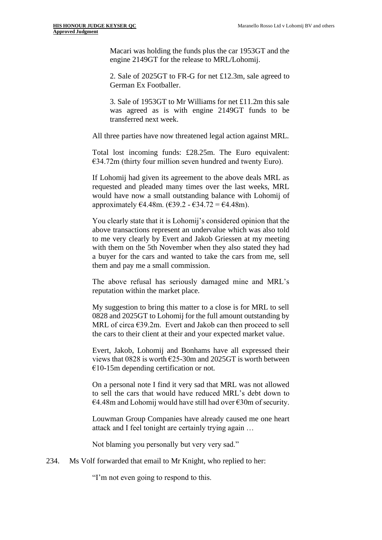Macari was holding the funds plus the car 1953GT and the engine 2149GT for the release to MRL/Lohomij.

2. Sale of 2025GT to FR-G for net £12.3m, sale agreed to German Ex Footballer.

3. Sale of 1953GT to Mr Williams for net £11.2m this sale was agreed as is with engine 2149GT funds to be transferred next week.

All three parties have now threatened legal action against MRL.

Total lost incoming funds: £28.25m. The Euro equivalent: €34.72m (thirty four million seven hundred and twenty Euro).

If Lohomij had given its agreement to the above deals MRL as requested and pleaded many times over the last weeks, MRL would have now a small outstanding balance with Lohomij of approximately  $64.48m$ . ( $639.2 - 634.72 = 64.48m$ ).

You clearly state that it is Lohomij's considered opinion that the above transactions represent an undervalue which was also told to me very clearly by Evert and Jakob Griessen at my meeting with them on the 5th November when they also stated they had a buyer for the cars and wanted to take the cars from me, sell them and pay me a small commission.

The above refusal has seriously damaged mine and MRL's reputation within the market place.

My suggestion to bring this matter to a close is for MRL to sell 0828 and 2025GT to Lohomij for the full amount outstanding by MRL of circa €39.2m. Evert and Jakob can then proceed to sell the cars to their client at their and your expected market value.

Evert, Jakob, Lohomij and Bonhams have all expressed their views that  $0828$  is worth  $\epsilon$ 25-30m and 2025GT is worth between  $€10-15m$  depending certification or not.

On a personal note I find it very sad that MRL was not allowed to sell the cars that would have reduced MRL's debt down to  $€4.48m$  and Lohomij would have still had over  $€30m$  of security.

Louwman Group Companies have already caused me one heart attack and I feel tonight are certainly trying again …

Not blaming you personally but very very sad."

234. Ms Volf forwarded that email to Mr Knight, who replied to her:

"I'm not even going to respond to this.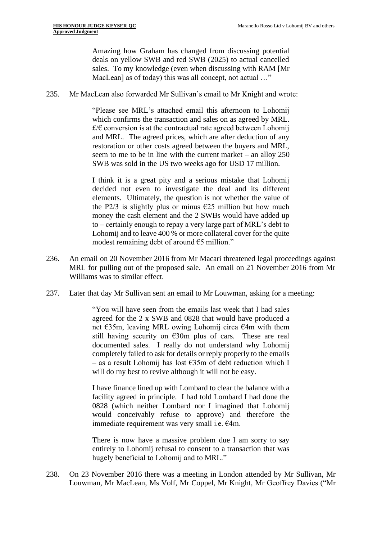Amazing how Graham has changed from discussing potential deals on yellow SWB and red SWB (2025) to actual cancelled sales. To my knowledge (even when discussing with RAM [Mr MacLean] as of today) this was all concept, not actual ..."

235. Mr MacLean also forwarded Mr Sullivan's email to Mr Knight and wrote:

"Please see MRL's attached email this afternoon to Lohomij which confirms the transaction and sales on as agreed by MRL.  $f \in \mathcal{E}$  conversion is at the contractual rate agreed between Lohomij and MRL. The agreed prices, which are after deduction of any restoration or other costs agreed between the buyers and MRL, seem to me to be in line with the current market – an alloy 250 SWB was sold in the US two weeks ago for USD 17 million.

I think it is a great pity and a serious mistake that Lohomij decided not even to investigate the deal and its different elements. Ultimately, the question is not whether the value of the P2/3 is slightly plus or minus  $\epsilon$ 25 million but how much money the cash element and the 2 SWBs would have added up to – certainly enough to repay a very large part of MRL's debt to Lohomij and to leave 400 % or more collateral cover for the quite modest remaining debt of around  $\epsilon$ 5 million."

- 236. An email on 20 November 2016 from Mr Macari threatened legal proceedings against MRL for pulling out of the proposed sale. An email on 21 November 2016 from Mr Williams was to similar effect.
- 237. Later that day Mr Sullivan sent an email to Mr Louwman, asking for a meeting:

"You will have seen from the emails last week that I had sales agreed for the 2 x SWB and 0828 that would have produced a net €35m, leaving MRL owing Lohomij circa €4m with them still having security on  $\epsilon$ 30m plus of cars. These are real documented sales. I really do not understand why Lohomij completely failed to ask for details or reply properly to the emails – as a result Lohomij has lost  $E35m$  of debt reduction which I will do my best to revive although it will not be easy.

I have finance lined up with Lombard to clear the balance with a facility agreed in principle. I had told Lombard I had done the 0828 (which neither Lombard nor I imagined that Lohomij would conceivably refuse to approve) and therefore the immediate requirement was very small i.e. €4m.

There is now have a massive problem due I am sorry to say entirely to Lohomij refusal to consent to a transaction that was hugely beneficial to Lohomij and to MRL."

238. On 23 November 2016 there was a meeting in London attended by Mr Sullivan, Mr Louwman, Mr MacLean, Ms Volf, Mr Coppel, Mr Knight, Mr Geoffrey Davies ("Mr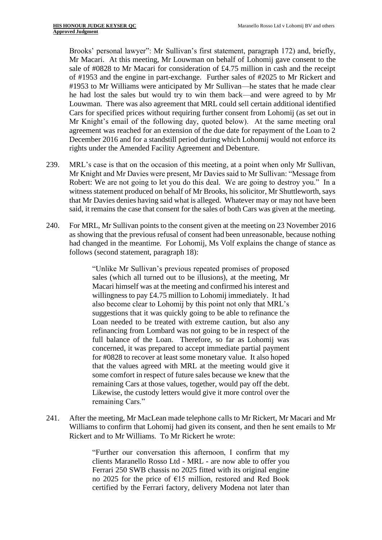Brooks' personal lawyer": Mr Sullivan's first statement, paragraph 172) and, briefly, Mr Macari. At this meeting, Mr Louwman on behalf of Lohomij gave consent to the sale of #0828 to Mr Macari for consideration of £4.75 million in cash and the receipt of #1953 and the engine in part-exchange. Further sales of #2025 to Mr Rickert and #1953 to Mr Williams were anticipated by Mr Sullivan—he states that he made clear he had lost the sales but would try to win them back—and were agreed to by Mr Louwman. There was also agreement that MRL could sell certain additional identified Cars for specified prices without requiring further consent from Lohomij (as set out in Mr Knight's email of the following day, quoted below). At the same meeting oral agreement was reached for an extension of the due date for repayment of the Loan to 2 December 2016 and for a standstill period during which Lohomij would not enforce its rights under the Amended Facility Agreement and Debenture.

- 239. MRL's case is that on the occasion of this meeting, at a point when only Mr Sullivan, Mr Knight and Mr Davies were present, Mr Davies said to Mr Sullivan: "Message from Robert: We are not going to let you do this deal. We are going to destroy you." In a witness statement produced on behalf of Mr Brooks, his solicitor, Mr Shuttleworth, says that Mr Davies denies having said what is alleged. Whatever may or may not have been said, it remains the case that consent for the sales of both Cars was given at the meeting.
- 240. For MRL, Mr Sullivan points to the consent given at the meeting on 23 November 2016 as showing that the previous refusal of consent had been unreasonable, because nothing had changed in the meantime. For Lohomij, Ms Volf explains the change of stance as follows (second statement, paragraph 18):

"Unlike Mr Sullivan's previous repeated promises of proposed sales (which all turned out to be illusions), at the meeting, Mr Macari himself was at the meeting and confirmed his interest and willingness to pay £4.75 million to Lohomij immediately. It had also become clear to Lohomij by this point not only that MRL's suggestions that it was quickly going to be able to refinance the Loan needed to be treated with extreme caution, but also any refinancing from Lombard was not going to be in respect of the full balance of the Loan. Therefore, so far as Lohomij was concerned, it was prepared to accept immediate partial payment for #0828 to recover at least some monetary value. It also hoped that the values agreed with MRL at the meeting would give it some comfort in respect of future sales because we knew that the remaining Cars at those values, together, would pay off the debt. Likewise, the custody letters would give it more control over the remaining Cars."

241. After the meeting, Mr MacLean made telephone calls to Mr Rickert, Mr Macari and Mr Williams to confirm that Lohomij had given its consent, and then he sent emails to Mr Rickert and to Mr Williams. To Mr Rickert he wrote:

> "Further our conversation this afternoon, I confirm that my clients Maranello Rosso Ltd - MRL - are now able to offer you Ferrari 250 SWB chassis no 2025 fitted with its original engine no 2025 for the price of €15 million, restored and Red Book certified by the Ferrari factory, delivery Modena not later than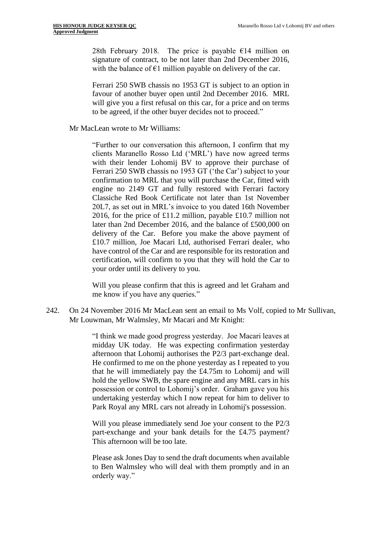28th February 2018. The price is payable  $E14$  million on signature of contract, to be not later than 2nd December 2016, with the balance of  $\epsilon$ 1 million payable on delivery of the car.

Ferrari 250 SWB chassis no 1953 GT is subject to an option in favour of another buyer open until 2nd December 2016. MRL will give you a first refusal on this car, for a price and on terms to be agreed, if the other buyer decides not to proceed."

Mr MacLean wrote to Mr Williams:

"Further to our conversation this afternoon, I confirm that my clients Maranello Rosso Ltd ('MRL') have now agreed terms with their lender Lohomij BV to approve their purchase of Ferrari 250 SWB chassis no 1953 GT ('the Car') subject to your confirmation to MRL that you will purchase the Car, fitted with engine no 2149 GT and fully restored with Ferrari factory Classiche Red Book Certificate not later than 1st November 20L7, as set out in MRL's invoice to you dated 16th November 2016, for the price of £11.2 million, payable £10.7 million not later than 2nd December 2016, and the balance of £500,000 on delivery of the Car. Before you make the above payment of £10.7 million, Joe Macari Ltd, authorised Ferrari dealer, who have control of the Car and are responsible for its restoration and certification, will confirm to you that they will hold the Car to your order until its delivery to you.

Will you please confirm that this is agreed and let Graham and me know if you have any queries."

242. On 24 November 2016 Mr MacLean sent an email to Ms Volf, copied to Mr Sullivan, Mr Louwman, Mr Walmsley, Mr Macari and Mr Knight:

> "I think we made good progress yesterday. Joe Macari leaves at midday UK today. He was expecting confirmation yesterday afternoon that Lohomij authorises the P2/3 part-exchange deal. He confirmed to me on the phone yesterday as I repeated to you that he will immediately pay the £4.75m to Lohomij and will hold the yellow SWB, the spare engine and any MRL cars in his possession or control to Lohomij's order. Graham gave you his undertaking yesterday which I now repeat for him to deliver to Park Royal any MRL cars not already in Lohomij's possession.

> Will you please immediately send Joe your consent to the P2/3 part-exchange and your bank details for the £4.75 payment? This afternoon will be too late.

> Please ask Jones Day to send the draft documents when available to Ben Walmsley who will deal with them promptly and in an orderly way."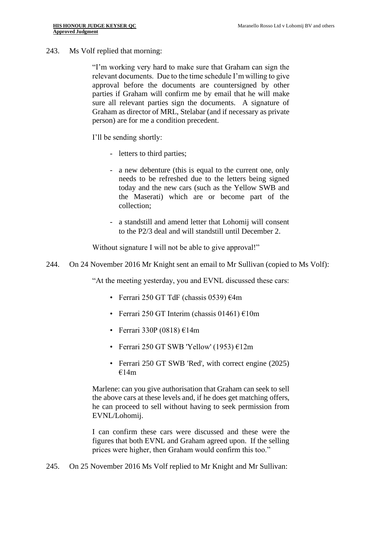243. Ms Volf replied that morning:

"I'm working very hard to make sure that Graham can sign the relevant documents. Due to the time schedule I'm willing to give approval before the documents are countersigned by other parties if Graham will confirm me by email that he will make sure all relevant parties sign the documents. A signature of Graham as director of MRL, Stelabar (and if necessary as private person) are for me a condition precedent.

I'll be sending shortly:

- letters to third parties;
- a new debenture (this is equal to the current one, only needs to be refreshed due to the letters being signed today and the new cars (such as the Yellow SWB and the Maserati) which are or become part of the collection;
- a standstill and amend letter that Lohomij will consent to the P2/3 deal and will standstill until December 2.

Without signature I will not be able to give approval!"

244. On 24 November 2016 Mr Knight sent an email to Mr Sullivan (copied to Ms Volf):

"At the meeting yesterday, you and EVNL discussed these cars:

- Ferrari 250 GT TdF (chassis 0539)  $\epsilon$ 4m
- Ferrari 250 GT Interim (chassis 01461)  $£10m$
- Ferrari 330P (0818)  $€14m$
- Ferrari 250 GT SWB 'Yellow' (1953)  $E12m$
- Ferrari 250 GT SWB 'Red', with correct engine (2025) €14m

Marlene: can you give authorisation that Graham can seek to sell the above cars at these levels and, if he does get matching offers, he can proceed to sell without having to seek permission from EVNL/Lohomij.

I can confirm these cars were discussed and these were the figures that both EVNL and Graham agreed upon. If the selling prices were higher, then Graham would confirm this too."

245. On 25 November 2016 Ms Volf replied to Mr Knight and Mr Sullivan: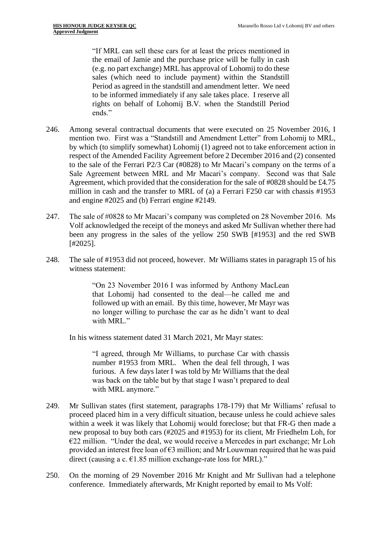"If MRL can sell these cars for at least the prices mentioned in the email of Jamie and the purchase price will be fully in cash (e.g. no part exchange) MRL has approval of Lohomij to do these sales (which need to include payment) within the Standstill Period as agreed in the standstill and amendment letter. We need to be informed immediately if any sale takes place. I reserve all rights on behalf of Lohomij B.V. when the Standstill Period ends."

- 246. Among several contractual documents that were executed on 25 November 2016, I mention two. First was a "Standstill and Amendment Letter" from Lohomij to MRL, by which (to simplify somewhat) Lohomij (1) agreed not to take enforcement action in respect of the Amended Facility Agreement before 2 December 2016 and (2) consented to the sale of the Ferrari P2/3 Car (#0828) to Mr Macari's company on the terms of a Sale Agreement between MRL and Mr Macari's company. Second was that Sale Agreement, which provided that the consideration for the sale of #0828 should be £4.75 million in cash and the transfer to MRL of (a) a Ferrari F250 car with chassis #1953 and engine #2025 and (b) Ferrari engine #2149.
- 247. The sale of #0828 to Mr Macari's company was completed on 28 November 2016. Ms Volf acknowledged the receipt of the moneys and asked Mr Sullivan whether there had been any progress in the sales of the yellow 250 SWB [#1953] and the red SWB [#2025].
- 248. The sale of #1953 did not proceed, however. Mr Williams states in paragraph 15 of his witness statement:

"On 23 November 2016 I was informed by Anthony MacLean that Lohomij had consented to the deal—he called me and followed up with an email. By this time, however, Mr Mayr was no longer willing to purchase the car as he didn't want to deal with MRL."

In his witness statement dated 31 March 2021, Mr Mayr states:

"I agreed, through Mr Williams, to purchase Car with chassis number #1953 from MRL. When the deal fell through, I was furious. A few days later I was told by Mr Williams that the deal was back on the table but by that stage I wasn't prepared to deal with MRL anymore."

- 249. Mr Sullivan states (first statement, paragraphs 178-179) that Mr Williams' refusal to proceed placed him in a very difficult situation, because unless he could achieve sales within a week it was likely that Lohomij would foreclose; but that FR-G then made a new proposal to buy both cars (#2025 and #1953) for its client, Mr Friedhelm Loh, for €22 million. "Under the deal, we would receive a Mercedes in part exchange; Mr Loh provided an interest free loan of €3 million; and Mr Louwman required that he was paid direct (causing a c.  $\epsilon$ 1.85 million exchange-rate loss for MRL)."
- 250. On the morning of 29 November 2016 Mr Knight and Mr Sullivan had a telephone conference. Immediately afterwards, Mr Knight reported by email to Ms Volf: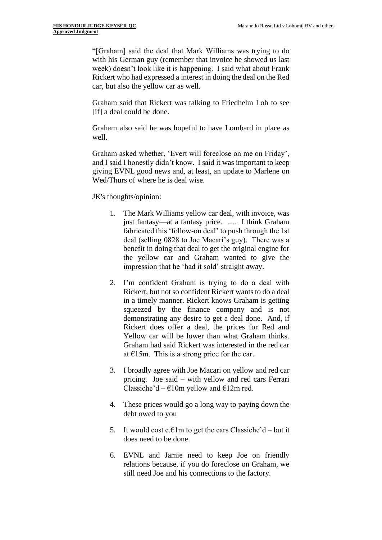"[Graham] said the deal that Mark Williams was trying to do with his German guy (remember that invoice he showed us last week) doesn't look like it is happening. I said what about Frank Rickert who had expressed a interest in doing the deal on the Red car, but also the yellow car as well.

Graham said that Rickert was talking to Friedhelm Loh to see [if] a deal could be done.

Graham also said he was hopeful to have Lombard in place as well.

Graham asked whether, 'Evert will foreclose on me on Friday', and I said I honestly didn't know. I said it was important to keep giving EVNL good news and, at least, an update to Marlene on Wed/Thurs of where he is deal wise.

JK's thoughts/opinion:

- 1. The Mark Williams yellow car deal, with invoice, was just fantasy—at a fantasy price. ..... I think Graham fabricated this 'follow-on deal' to push through the 1st deal (selling 0828 to Joe Macari's guy). There was a benefit in doing that deal to get the original engine for the yellow car and Graham wanted to give the impression that he 'had it sold' straight away.
- 2. I'm confident Graham is trying to do a deal with Rickert, but not so confident Rickert wants to do a deal in a timely manner. Rickert knows Graham is getting squeezed by the finance company and is not demonstrating any desire to get a deal done. And, if Rickert does offer a deal, the prices for Red and Yellow car will be lower than what Graham thinks. Graham had said Rickert was interested in the red car at  $E15m$ . This is a strong price for the car.
- 3. I broadly agree with Joe Macari on yellow and red car pricing. Joe said – with yellow and red cars Ferrari Classiche'd –  $\epsilon$ 10m yellow and  $\epsilon$ 12m red.
- 4. These prices would go a long way to paying down the debt owed to you
- 5. It would cost c. $\epsilon$ 1m to get the cars Classiche'd but it does need to be done.
- 6. EVNL and Jamie need to keep Joe on friendly relations because, if you do foreclose on Graham, we still need Joe and his connections to the factory.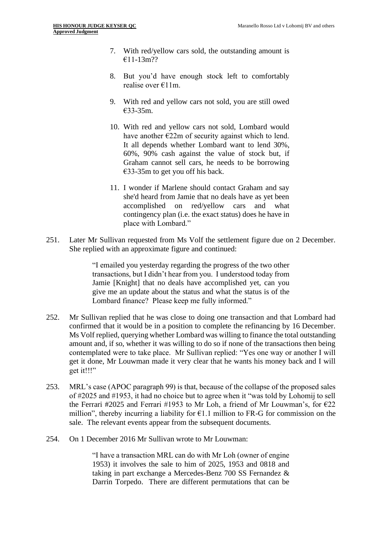- 7. With red/yellow cars sold, the outstanding amount is €11-13m??
- 8. But you'd have enough stock left to comfortably realise over €11m.
- 9. With red and yellow cars not sold, you are still owed €33-35m.
- 10. With red and yellow cars not sold, Lombard would have another  $E22m$  of security against which to lend. It all depends whether Lombard want to lend 30%, 60%, 90% cash against the value of stock but, if Graham cannot sell cars, he needs to be borrowing €33-35m to get you off his back.
- 11. I wonder if Marlene should contact Graham and say she'd heard from Jamie that no deals have as yet been accomplished on red/yellow cars and what contingency plan (i.e. the exact status) does he have in place with Lombard."
- 251. Later Mr Sullivan requested from Ms Volf the settlement figure due on 2 December. She replied with an approximate figure and continued:

"I emailed you yesterday regarding the progress of the two other transactions, but I didn't hear from you. I understood today from Jamie [Knight] that no deals have accomplished yet, can you give me an update about the status and what the status is of the Lombard finance? Please keep me fully informed."

- 252. Mr Sullivan replied that he was close to doing one transaction and that Lombard had confirmed that it would be in a position to complete the refinancing by 16 December. Ms Volf replied, querying whether Lombard was willing to finance the total outstanding amount and, if so, whether it was willing to do so if none of the transactions then being contemplated were to take place. Mr Sullivan replied: "Yes one way or another I will get it done, Mr Louwman made it very clear that he wants his money back and I will get it!!!"
- 253. MRL's case (APOC paragraph 99) is that, because of the collapse of the proposed sales of #2025 and #1953, it had no choice but to agree when it "was told by Lohomij to sell the Ferrari #2025 and Ferrari #1953 to Mr Loh, a friend of Mr Louwman's, for  $\epsilon$ 22 million", thereby incurring a liability for  $\epsilon$ 1.1 million to FR-G for commission on the sale. The relevant events appear from the subsequent documents.
- 254. On 1 December 2016 Mr Sullivan wrote to Mr Louwman:

"I have a transaction MRL can do with Mr Loh (owner of engine 1953) it involves the sale to him of 2025, 1953 and 0818 and taking in part exchange a Mercedes-Benz 700 SS Fernandez & Darrin Torpedo. There are different permutations that can be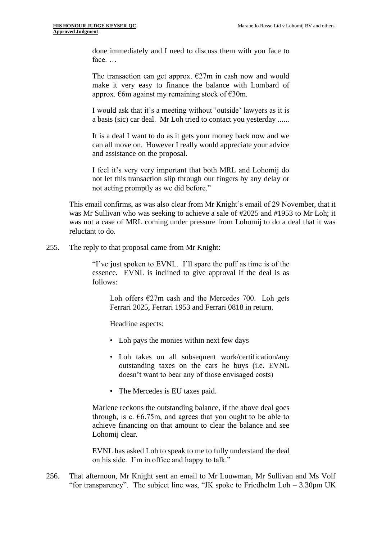done immediately and I need to discuss them with you face to face. …

The transaction can get approx.  $E27m$  in cash now and would make it very easy to finance the balance with Lombard of approx.  $\epsilon$ 6m against my remaining stock of  $\epsilon$ 30m.

I would ask that it's a meeting without 'outside' lawyers as it is a basis (sic) car deal. Mr Loh tried to contact you yesterday ......

It is a deal I want to do as it gets your money back now and we can all move on. However I really would appreciate your advice and assistance on the proposal.

I feel it's very very important that both MRL and Lohomij do not let this transaction slip through our fingers by any delay or not acting promptly as we did before."

This email confirms, as was also clear from Mr Knight's email of 29 November, that it was Mr Sullivan who was seeking to achieve a sale of #2025 and #1953 to Mr Loh; it was not a case of MRL coming under pressure from Lohomij to do a deal that it was reluctant to do.

255. The reply to that proposal came from Mr Knight:

"I've just spoken to EVNL. I'll spare the puff as time is of the essence. EVNL is inclined to give approval if the deal is as follows:

Loh offers  $E27m$  cash and the Mercedes 700. Loh gets Ferrari 2025, Ferrari 1953 and Ferrari 0818 in return.

Headline aspects:

- Loh pays the monies within next few days
- Loh takes on all subsequent work/certification/any outstanding taxes on the cars he buys (i.e. EVNL doesn't want to bear any of those envisaged costs)
- The Mercedes is EU taxes paid.

Marlene reckons the outstanding balance, if the above deal goes through, is c.  $6.75m$ , and agrees that you ought to be able to achieve financing on that amount to clear the balance and see Lohomij clear.

EVNL has asked Loh to speak to me to fully understand the deal on his side. I'm in office and happy to talk."

256. That afternoon, Mr Knight sent an email to Mr Louwman, Mr Sullivan and Ms Volf "for transparency". The subject line was, "JK spoke to Friedhelm Loh  $-3.30$ pm UK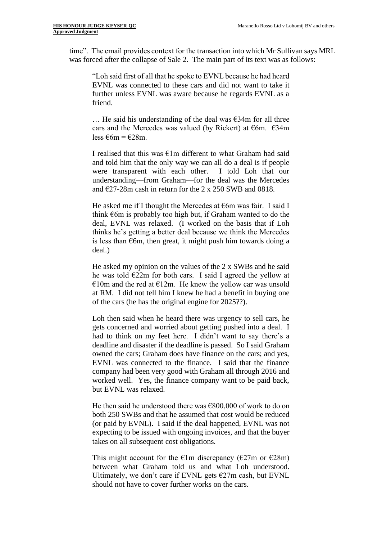time". The email provides context for the transaction into which Mr Sullivan says MRL was forced after the collapse of Sale 2. The main part of its text was as follows:

"Loh said first of all that he spoke to EVNL because he had heard EVNL was connected to these cars and did not want to take it further unless EVNL was aware because he regards EVNL as a friend.

... He said his understanding of the deal was  $€34m$  for all three cars and the Mercedes was valued (by Rickert) at  $\epsilon$ 6m.  $\epsilon$ 34m less  $\epsilon$ 6m =  $\epsilon$ 28m.

I realised that this was  $\epsilon$ 1m different to what Graham had said and told him that the only way we can all do a deal is if people were transparent with each other. I told Loh that our understanding—from Graham—for the deal was the Mercedes and €27-28m cash in return for the 2 x 250 SWB and 0818.

He asked me if I thought the Mercedes at  $\epsilon$ 6m was fair. I said I think  $\epsilon$ 6m is probably too high but, if Graham wanted to do the deal, EVNL was relaxed. (I worked on the basis that if Loh thinks he's getting a better deal because we think the Mercedes is less than  $\epsilon$ 6m, then great, it might push him towards doing a deal.)

He asked my opinion on the values of the 2 x SWBs and he said he was told €22m for both cars. I said I agreed the yellow at €10m and the red at €12m. He knew the yellow car was unsold at RM. I did not tell him I knew he had a benefit in buying one of the cars (he has the original engine for 2025??).

Loh then said when he heard there was urgency to sell cars, he gets concerned and worried about getting pushed into a deal. I had to think on my feet here. I didn't want to say there's a deadline and disaster if the deadline is passed. So I said Graham owned the cars; Graham does have finance on the cars; and yes, EVNL was connected to the finance. I said that the finance company had been very good with Graham all through 2016 and worked well. Yes, the finance company want to be paid back, but EVNL was relaxed.

He then said he understood there was €800,000 of work to do on both 250 SWBs and that he assumed that cost would be reduced (or paid by EVNL). I said if the deal happened, EVNL was not expecting to be issued with ongoing invoices, and that the buyer takes on all subsequent cost obligations.

This might account for the  $\epsilon$ 1m discrepancy ( $\epsilon$ 27m or  $\epsilon$ 28m) between what Graham told us and what Loh understood. Ultimately, we don't care if EVNL gets  $E27m$  cash, but EVNL should not have to cover further works on the cars.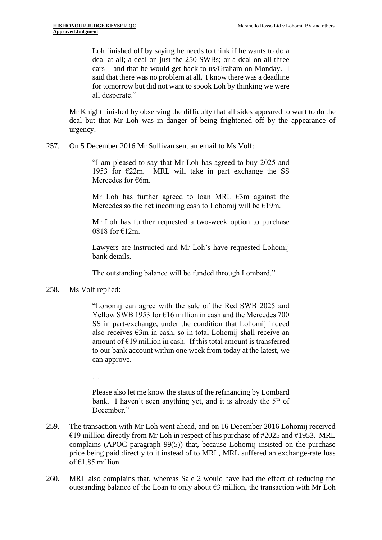Loh finished off by saying he needs to think if he wants to do a deal at all; a deal on just the 250 SWBs; or a deal on all three cars – and that he would get back to us/Graham on Monday. I said that there was no problem at all. I know there was a deadline for tomorrow but did not want to spook Loh by thinking we were all desperate."

Mr Knight finished by observing the difficulty that all sides appeared to want to do the deal but that Mr Loh was in danger of being frightened off by the appearance of urgency.

257. On 5 December 2016 Mr Sullivan sent an email to Ms Volf:

"I am pleased to say that Mr Loh has agreed to buy 2025 and 1953 for  $E22m$ . MRL will take in part exchange the SS Mercedes for €6m.

Mr Loh has further agreed to loan MRL  $\epsilon$ 3m against the Mercedes so the net incoming cash to Lohomij will be  $E19m$ .

Mr Loh has further requested a two-week option to purchase 0818 for €12m.

Lawyers are instructed and Mr Loh's have requested Lohomij bank details.

The outstanding balance will be funded through Lombard."

258. Ms Volf replied:

"Lohomij can agree with the sale of the Red SWB 2025 and Yellow SWB 1953 for €16 million in cash and the Mercedes 700 SS in part-exchange, under the condition that Lohomij indeed also receives €3m in cash, so in total Lohomij shall receive an amount of  $E19$  million in cash. If this total amount is transferred to our bank account within one week from today at the latest, we can approve.

…

Please also let me know the status of the refinancing by Lombard bank. I haven't seen anything yet, and it is already the  $5<sup>th</sup>$  of December."

- 259. The transaction with Mr Loh went ahead, and on 16 December 2016 Lohomij received  $€19$  million directly from Mr Loh in respect of his purchase of #2025 and #1953. MRL complains (APOC paragraph 99(5)) that, because Lohomij insisted on the purchase price being paid directly to it instead of to MRL, MRL suffered an exchange-rate loss of €1.85 million.
- 260. MRL also complains that, whereas Sale 2 would have had the effect of reducing the outstanding balance of the Loan to only about  $\epsilon$ 3 million, the transaction with Mr Loh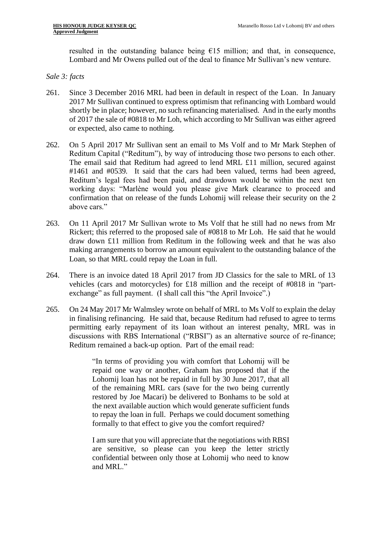resulted in the outstanding balance being  $£15$  million; and that, in consequence, Lombard and Mr Owens pulled out of the deal to finance Mr Sullivan's new venture.

### *Sale 3: facts*

- 261. Since 3 December 2016 MRL had been in default in respect of the Loan. In January 2017 Mr Sullivan continued to express optimism that refinancing with Lombard would shortly be in place; however, no such refinancing materialised. And in the early months of 2017 the sale of #0818 to Mr Loh, which according to Mr Sullivan was either agreed or expected, also came to nothing.
- 262. On 5 April 2017 Mr Sullivan sent an email to Ms Volf and to Mr Mark Stephen of Reditum Capital ("Reditum"), by way of introducing those two persons to each other. The email said that Reditum had agreed to lend MRL £11 million, secured against #1461 and #0539. It said that the cars had been valued, terms had been agreed, Reditum's legal fees had been paid, and drawdown would be within the next ten working days: "Marlène would you please give Mark clearance to proceed and confirmation that on release of the funds Lohomij will release their security on the 2 above cars."
- 263. On 11 April 2017 Mr Sullivan wrote to Ms Volf that he still had no news from Mr Rickert; this referred to the proposed sale of #0818 to Mr Loh. He said that he would draw down £11 million from Reditum in the following week and that he was also making arrangements to borrow an amount equivalent to the outstanding balance of the Loan, so that MRL could repay the Loan in full.
- 264. There is an invoice dated 18 April 2017 from JD Classics for the sale to MRL of 13 vehicles (cars and motorcycles) for £18 million and the receipt of #0818 in "partexchange" as full payment. (I shall call this "the April Invoice".)
- 265. On 24 May 2017 Mr Walmsley wrote on behalf of MRL to Ms Volf to explain the delay in finalising refinancing. He said that, because Reditum had refused to agree to terms permitting early repayment of its loan without an interest penalty, MRL was in discussions with RBS International ("RBSI") as an alternative source of re-finance; Reditum remained a back-up option. Part of the email read:

"In terms of providing you with comfort that Lohomij will be repaid one way or another, Graham has proposed that if the Lohomij loan has not be repaid in full by 30 June 2017, that all of the remaining MRL cars (save for the two being currently restored by Joe Macari) be delivered to Bonhams to be sold at the next available auction which would generate sufficient funds to repay the loan in full. Perhaps we could document something formally to that effect to give you the comfort required?

I am sure that you will appreciate that the negotiations with RBSI are sensitive, so please can you keep the letter strictly confidential between only those at Lohomij who need to know and MRL."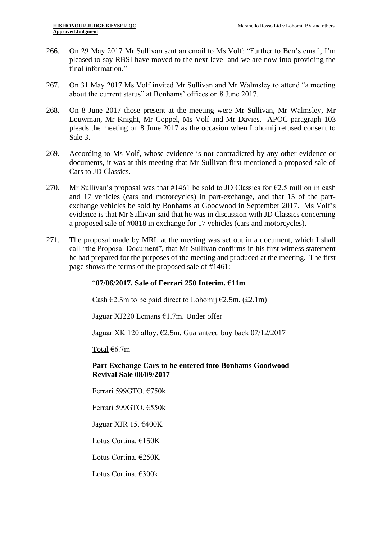- 266. On 29 May 2017 Mr Sullivan sent an email to Ms Volf: "Further to Ben's email, I'm pleased to say RBSI have moved to the next level and we are now into providing the final information."
- 267. On 31 May 2017 Ms Volf invited Mr Sullivan and Mr Walmsley to attend "a meeting about the current status" at Bonhams' offices on 8 June 2017.
- 268. On 8 June 2017 those present at the meeting were Mr Sullivan, Mr Walmsley, Mr Louwman, Mr Knight, Mr Coppel, Ms Volf and Mr Davies. APOC paragraph 103 pleads the meeting on 8 June 2017 as the occasion when Lohomij refused consent to Sale 3.
- 269. According to Ms Volf, whose evidence is not contradicted by any other evidence or documents, it was at this meeting that Mr Sullivan first mentioned a proposed sale of Cars to JD Classics.
- 270. Mr Sullivan's proposal was that #1461 be sold to JD Classics for  $\epsilon$ 2.5 million in cash and 17 vehicles (cars and motorcycles) in part-exchange, and that 15 of the partexchange vehicles be sold by Bonhams at Goodwood in September 2017. Ms Volf's evidence is that Mr Sullivan said that he was in discussion with JD Classics concerning a proposed sale of #0818 in exchange for 17 vehicles (cars and motorcycles).
- 271. The proposal made by MRL at the meeting was set out in a document, which I shall call "the Proposal Document", that Mr Sullivan confirms in his first witness statement he had prepared for the purposes of the meeting and produced at the meeting. The first page shows the terms of the proposed sale of #1461:

# "**07/06/2017. Sale of Ferrari 250 Interim. €11m**

Cash  $\epsilon$ 2.5m to be paid direct to Lohomij  $\epsilon$ 2.5m. (£2.1m)

Jaguar XJ220 Lemans €1.7m. Under offer

Jaguar XK 120 alloy. €2.5m. Guaranteed buy back 07/12/2017

Total €6.7m

# **Part Exchange Cars to be entered into Bonhams Goodwood Revival Sale 08/09/2017**

Ferrari 599GTO. €750k

Ferrari 599GTO. €550k

Jaguar XJR 15. €400K

Lotus Cortina. €150K

Lotus Cortina. €250K

Lotus Cortina. €300k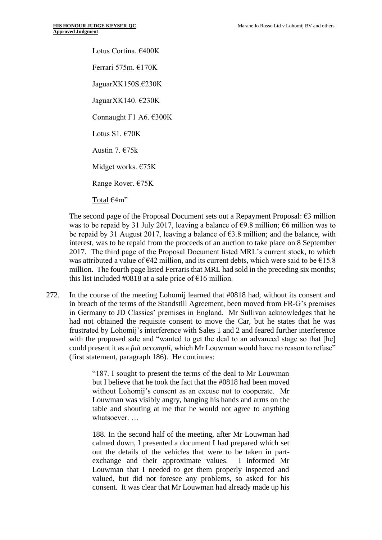Lotus Cortina. €400K Ferrari 575m. €170K JaguarXK150S.€230K JaguarXK140. €230K Connaught F1 A6. €300K Lotus S1. €70K Austin 7. €75k Midget works. €75K Range Rover. €75K Total €4m"

The second page of the Proposal Document sets out a Repayment Proposal:  $\epsilon$ 3 million was to be repaid by 31 July 2017, leaving a balance of €9.8 million; €6 million was to be repaid by 31 August 2017, leaving a balance of  $\epsilon$ 3.8 million; and the balance, with interest, was to be repaid from the proceeds of an auction to take place on 8 September 2017. The third page of the Proposal Document listed MRL's current stock, to which was attributed a value of  $\epsilon$ 42 million, and its current debts, which were said to be  $\epsilon$ 15.8 million. The fourth page listed Ferraris that MRL had sold in the preceding six months; this list included #0818 at a sale price of  $\epsilon$ 16 million.

272. In the course of the meeting Lohomij learned that #0818 had, without its consent and in breach of the terms of the Standstill Agreement, been moved from FR-G's premises in Germany to JD Classics' premises in England. Mr Sullivan acknowledges that he had not obtained the requisite consent to move the Car, but he states that he was frustrated by Lohomij's interference with Sales 1 and 2 and feared further interference with the proposed sale and "wanted to get the deal to an advanced stage so that [he] could present it as a *fait accompli,* which Mr Louwman would have no reason to refuse" (first statement, paragraph 186). He continues:

> "187. I sought to present the terms of the deal to Mr Louwman but I believe that he took the fact that the #0818 had been moved without Lohomij's consent as an excuse not to cooperate. Mr Louwman was visibly angry, banging his hands and arms on the table and shouting at me that he would not agree to anything whatsoever. …

> 188. In the second half of the meeting, after Mr Louwman had calmed down, I presented a document I had prepared which set out the details of the vehicles that were to be taken in partexchange and their approximate values. I informed Mr Louwman that I needed to get them properly inspected and valued, but did not foresee any problems, so asked for his consent. It was clear that Mr Louwman had already made up his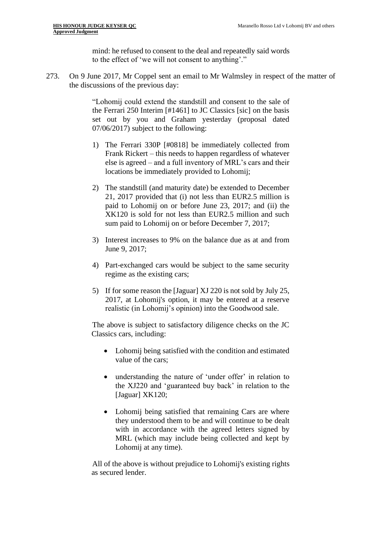mind: he refused to consent to the deal and repeatedly said words to the effect of 'we will not consent to anything'."

273. On 9 June 2017, Mr Coppel sent an email to Mr Walmsley in respect of the matter of the discussions of the previous day:

> "Lohomij could extend the standstill and consent to the sale of the Ferrari 250 Interim [#1461] to JC Classics [sic] on the basis set out by you and Graham yesterday (proposal dated 07/06/2017) subject to the following:

- 1) The Ferrari 330P [#0818] be immediately collected from Frank Rickert – this needs to happen regardless of whatever else is agreed – and a full inventory of MRL's cars and their locations be immediately provided to Lohomij;
- 2) The standstill (and maturity date) be extended to December 21, 2017 provided that (i) not less than EUR2.5 million is paid to Lohomij on or before June 23, 2017; and (ii) the XK120 is sold for not less than EUR2.5 million and such sum paid to Lohomij on or before December 7, 2017;
- 3) Interest increases to 9% on the balance due as at and from June 9, 2017;
- 4) Part-exchanged cars would be subject to the same security regime as the existing cars;
- 5) If for some reason the [Jaguar] XJ 220 is not sold by July 25, 2017, at Lohomij's option, it may be entered at a reserve realistic (in Lohomij's opinion) into the Goodwood sale.

The above is subject to satisfactory diligence checks on the JC Classics cars, including:

- Lohomij being satisfied with the condition and estimated value of the cars;
- understanding the nature of 'under offer' in relation to the XJ220 and 'guaranteed buy back' in relation to the [Jaguar] XK120;
- Lohomij being satisfied that remaining Cars are where they understood them to be and will continue to be dealt with in accordance with the agreed letters signed by MRL (which may include being collected and kept by Lohomij at any time).

All of the above is without prejudice to Lohomij's existing rights as secured lender.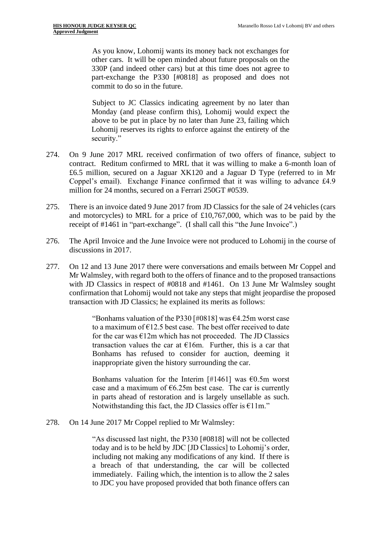As you know, Lohomij wants its money back not exchanges for other cars. It will be open minded about future proposals on the 330P (and indeed other cars) but at this time does not agree to part-exchange the P330 [#0818] as proposed and does not commit to do so in the future.

Subject to JC Classics indicating agreement by no later than Monday (and please confirm this), Lohomij would expect the above to be put in place by no later than June 23, failing which Lohomij reserves its rights to enforce against the entirety of the security."

- 274. On 9 June 2017 MRL received confirmation of two offers of finance, subject to contract. Reditum confirmed to MRL that it was willing to make a 6-month loan of £6.5 million, secured on a Jaguar XK120 and a Jaguar D Type (referred to in Mr Coppel's email). Exchange Finance confirmed that it was willing to advance £4.9 million for 24 months, secured on a Ferrari 250GT #0539.
- 275. There is an invoice dated 9 June 2017 from JD Classics for the sale of 24 vehicles (cars and motorcycles) to MRL for a price of £10,767,000, which was to be paid by the receipt of #1461 in "part-exchange". (I shall call this "the June Invoice".)
- 276. The April Invoice and the June Invoice were not produced to Lohomij in the course of discussions in 2017.
- 277. On 12 and 13 June 2017 there were conversations and emails between Mr Coppel and Mr Walmsley, with regard both to the offers of finance and to the proposed transactions with JD Classics in respect of #0818 and #1461. On 13 June Mr Walmsley sought confirmation that Lohomij would not take any steps that might jeopardise the proposed transaction with JD Classics; he explained its merits as follows:

"Bonhams valuation of the P330 [#0818] was  $\epsilon$ 4.25m worst case to a maximum of  $\epsilon$ 12.5 best case. The best offer received to date for the car was  $E12m$  which has not proceeded. The JD Classics transaction values the car at  $E16m$ . Further, this is a car that Bonhams has refused to consider for auction, deeming it inappropriate given the history surrounding the car.

Bonhams valuation for the Interim [#1461] was  $\epsilon$ 0.5m worst case and a maximum of  $66.25m$  best case. The car is currently in parts ahead of restoration and is largely unsellable as such. Notwithstanding this fact, the JD Classics offer is  $E11m$ ."

278. On 14 June 2017 Mr Coppel replied to Mr Walmsley:

"As discussed last night, the P330 [#0818] will not be collected today and is to be held by JDC [JD Classics] to Lohomij's order, including not making any modifications of any kind. If there is a breach of that understanding, the car will be collected immediately. Failing which, the intention is to allow the 2 sales to JDC you have proposed provided that both finance offers can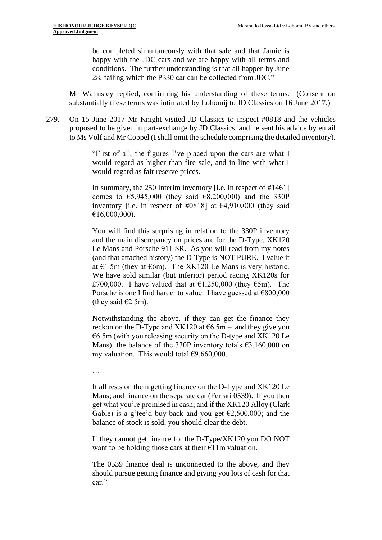be completed simultaneously with that sale and that Jamie is happy with the JDC cars and we are happy with all terms and conditions. The further understanding is that all happen by June 28, failing which the P330 car can be collected from JDC."

Mr Walmsley replied, confirming his understanding of these terms. (Consent on substantially these terms was intimated by Lohomij to JD Classics on 16 June 2017.)

279. On 15 June 2017 Mr Knight visited JD Classics to inspect #0818 and the vehicles proposed to be given in part-exchange by JD Classics, and he sent his advice by email to Ms Volf and Mr Coppel (I shall omit the schedule comprising the detailed inventory).

> "First of all, the figures I've placed upon the cars are what I would regard as higher than fire sale, and in line with what I would regard as fair reserve prices.

> In summary, the 250 Interim inventory [i.e. in respect of #1461] comes to  $\text{\textsterling}5,945,000$  (they said  $\text{\textsterling}8,200,000$ ) and the 330P inventory [i.e. in respect of #0818] at  $\epsilon$ 4,910,000 (they said €16,000,000).

> You will find this surprising in relation to the 330P inventory and the main discrepancy on prices are for the D-Type, XK120 Le Mans and Porsche 911 SR. As you will read from my notes (and that attached history) the D-Type is NOT PURE. I value it at  $\epsilon$ 1.5m (they at  $\epsilon$ 6m). The XK120 Le Mans is very historic. We have sold similar (but inferior) period racing XK120s for £700,000. I have valued that at  $\epsilon$ 1,250,000 (they  $\epsilon$ 5m). The Porsche is one I find harder to value. I have guessed at  $\epsilon$ 800,000 (they said  $E2.5m$ ).

> Notwithstanding the above, if they can get the finance they reckon on the D-Type and XK120 at  $\epsilon$ 6.5m – and they give you  $66.5$ m (with you releasing security on the D-type and XK120 Le Mans), the balance of the 330P inventory totals  $63,160,000$  on my valuation. This would total  $\epsilon$ 9,660,000.

…

It all rests on them getting finance on the D-Type and XK120 Le Mans; and finance on the separate car (Ferrari 0539). If you then get what you're promised in cash; and if the XK120 Alloy (Clark Gable) is a g'tee'd buy-back and you get  $\epsilon$ 2,500,000; and the balance of stock is sold, you should clear the debt.

If they cannot get finance for the D-Type/XK120 you DO NOT want to be holding those cars at their  $E11m$  valuation.

The 0539 finance deal is unconnected to the above, and they should pursue getting finance and giving you lots of cash for that car."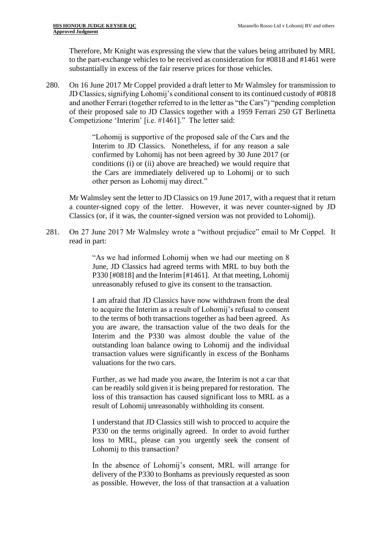Therefore, Mr Knight was expressing the view that the values being attributed by MRL to the part-exchange vehicles to be received as consideration for #0818 and #1461 were substantially in excess of the fair reserve prices for those vehicles.

280. On 16 June 2017 Mr Coppel provided a draft letter to Mr Walmsley for transmission to JD Classics, signifying Lohomij's conditional consent to its continued custody of #0818 and another Ferrari (together referred to in the letter as "the Cars") "pending completion of their proposed sale to JD Classics together with a 1959 Ferrari 250 GT Berlinetta Competizione 'Interim' [i.e. #1461]." The letter said:

> "Lohomij is supportive of the proposed sale of the Cars and the Interim to JD Classics. Nonetheless, if for any reason a sale confirmed by Lohomij has not been agreed by 30 June 2017 (or conditions (i) or (ii) above are breached) we would require that the Cars are immediately delivered up to Lohomij or to such other person as Lohomij may direct."

Mr Walmsley sent the letter to JD Classics on 19 June 2017, with a request that it return a counter-signed copy of the letter. However, it was never counter-signed by JD Classics (or, if it was, the counter-signed version was not provided to Lohomij).

281. On 27 June 2017 Mr Walmsley wrote a "without prejudice" email to Mr Coppel. It read in part:

> "As we had informed Lohomij when we had our meeting on 8 June, JD Classics had agreed terms with MRL to buy both the P330 [#0818] and the Interim [#1461]. At that meeting, Lohomij unreasonably refused to give its consent to the transaction.

> I am afraid that JD Classics have now withdrawn from the deal to acquire the Interim as a result of Lohomij's refusal to consent to the terms of both transactions together as had been agreed. As you are aware, the transaction value of the two deals for the Interim and the P330 was almost double the value of the outstanding loan balance owing to Lohomij and the individual transaction values were significantly in excess of the Bonhams valuations for the two cars.

> Further, as we had made you aware, the Interim is not a car that can be readily sold given it is being prepared for restoration. The loss of this transaction has caused significant loss to MRL as a result of Lohomij unreasonably withholding its consent.

> I understand that JD Classics still wish to procced to acquire the P330 on the terms originally agreed. In order to avoid further loss to MRL, please can you urgently seek the consent of Lohomij to this transaction?

> In the absence of Lohomij's consent, MRL will arrange for delivery of the P330 to Bonhams as previously requested as soon as possible. However, the loss of that transaction at a valuation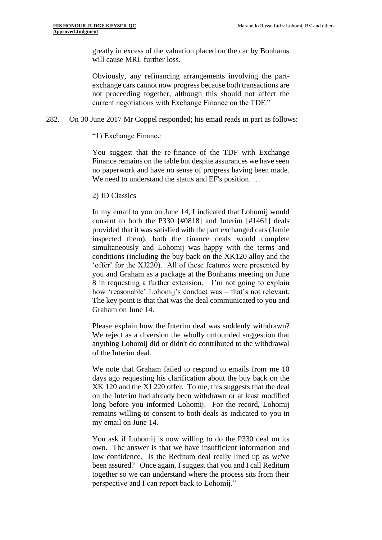greatly in excess of the valuation placed on the car by Bonhams will cause MRL further loss.

Obviously, any refinancing arrangements involving the partexchange cars cannot now progress because both transactions are not proceeding together, although this should not affect the current negotiations with Exchange Finance on the TDF."

282. On 30 June 2017 Mr Coppel responded; his email reads in part as follows:

### "1) Exchange Finance

You suggest that the re-finance of the TDF with Exchange Finance remains on the table but despite assurances we have seen no paperwork and have no sense of progress having been made. We need to understand the status and EF's position. …

### 2) JD Classics

In my email to you on June 14, I indicated that Lohomij would consent to both the P330 [#0818] and Interim [#1461] deals provided that it was satisfied with the part exchanged cars (Jamie inspected them), both the finance deals would complete simultaneously and Lohomij was happy with the terms and conditions (including the buy back on the XK120 alloy and the 'offer' for the XJ220). All of these features were presented by you and Graham as a package at the Bonhams meeting on June 8 in requesting a further extension. I'm not going to explain how 'reasonable' Lohomij's conduct was – that's not relevant. The key point is that that was the deal communicated to you and Graham on June 14.

Please explain how the Interim deal was suddenly withdrawn? We reject as a diversion the wholly unfounded suggestion that anything Lohomij did or didn't do contributed to the withdrawal of the Interim deal.

We note that Graham failed to respond to emails from me 10 days ago requesting his clarification about the buy back on the XK 120 and the XJ 220 offer. To me, this suggests that the deal on the Interim had already been withdrawn or at least modified long before you informed Lohomij. For the record, Lohomij remains willing to consent to both deals as indicated to you in my email on June 14.

You ask if Lohomij is now willing to do the P330 deal on its own. The answer is that we have insufficient information and low confidence. Is the Reditum deal really lined up as we've been assured? Once again, I suggest that you and I call Reditum together so we can understand where the process sits from their perspective and I can report back to Lohomij."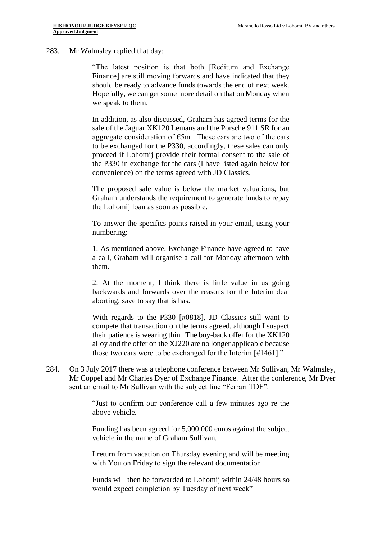#### 283. Mr Walmsley replied that day:

"The latest position is that both [Reditum and Exchange Finance] are still moving forwards and have indicated that they should be ready to advance funds towards the end of next week. Hopefully, we can get some more detail on that on Monday when we speak to them.

In addition, as also discussed, Graham has agreed terms for the sale of the Jaguar XK120 Lemans and the Porsche 911 SR for an aggregate consideration of  $\epsilon$ 5m. These cars are two of the cars to be exchanged for the P330, accordingly, these sales can only proceed if Lohomij provide their formal consent to the sale of the P330 in exchange for the cars (I have listed again below for convenience) on the terms agreed with JD Classics.

The proposed sale value is below the market valuations, but Graham understands the requirement to generate funds to repay the Lohomij loan as soon as possible.

To answer the specifics points raised in your email, using your numbering:

1. As mentioned above, Exchange Finance have agreed to have a call, Graham will organise a call for Monday afternoon with them.

2. At the moment, I think there is little value in us going backwards and forwards over the reasons for the Interim deal aborting, save to say that is has.

With regards to the P330 [#0818], JD Classics still want to compete that transaction on the terms agreed, although I suspect their patience is wearing thin. The buy-back offer for the XK120 alloy and the offer on the XJ220 are no longer applicable because those two cars were to be exchanged for the Interim [#1461]."

284. On 3 July 2017 there was a telephone conference between Mr Sullivan, Mr Walmsley, Mr Coppel and Mr Charles Dyer of Exchange Finance. After the conference, Mr Dyer sent an email to Mr Sullivan with the subject line "Ferrari TDF":

> "Just to confirm our conference call a few minutes ago re the above vehicle.

> Funding has been agreed for 5,000,000 euros against the subject vehicle in the name of Graham Sullivan.

> I return from vacation on Thursday evening and will be meeting with You on Friday to sign the relevant documentation.

> Funds will then be forwarded to Lohomij within 24/48 hours so would expect completion by Tuesday of next week"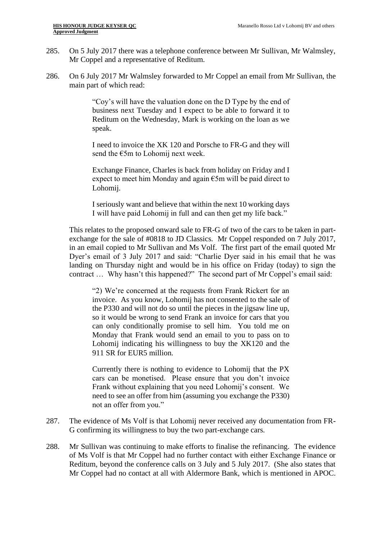- 285. On 5 July 2017 there was a telephone conference between Mr Sullivan, Mr Walmsley, Mr Coppel and a representative of Reditum.
- 286. On 6 July 2017 Mr Walmsley forwarded to Mr Coppel an email from Mr Sullivan, the main part of which read:

"Coy's will have the valuation done on the D Type by the end of business next Tuesday and I expect to be able to forward it to Reditum on the Wednesday, Mark is working on the loan as we speak.

I need to invoice the XK 120 and Porsche to FR-G and they will send the €5m to Lohomij next week.

Exchange Finance, Charles is back from holiday on Friday and I expect to meet him Monday and again  $\epsilon$ 5m will be paid direct to Lohomij.

I seriously want and believe that within the next 10 working days I will have paid Lohomij in full and can then get my life back."

This relates to the proposed onward sale to FR-G of two of the cars to be taken in partexchange for the sale of #0818 to JD Classics. Mr Coppel responded on 7 July 2017, in an email copied to Mr Sullivan and Ms Volf. The first part of the email quoted Mr Dyer's email of 3 July 2017 and said: "Charlie Dyer said in his email that he was landing on Thursday night and would be in his office on Friday (today) to sign the contract … Why hasn't this happened?" The second part of Mr Coppel's email said:

"2) We're concerned at the requests from Frank Rickert for an invoice. As you know, Lohomij has not consented to the sale of the P330 and will not do so until the pieces in the jigsaw line up, so it would be wrong to send Frank an invoice for cars that you can only conditionally promise to sell him. You told me on Monday that Frank would send an email to you to pass on to Lohomij indicating his willingness to buy the XK120 and the 911 SR for EUR5 million.

Currently there is nothing to evidence to Lohomij that the PX cars can be monetised. Please ensure that you don't invoice Frank without explaining that you need Lohomij's consent. We need to see an offer from him (assuming you exchange the P330) not an offer from you."

- 287. The evidence of Ms Volf is that Lohomij never received any documentation from FR-G confirming its willingness to buy the two part-exchange cars.
- 288. Mr Sullivan was continuing to make efforts to finalise the refinancing. The evidence of Ms Volf is that Mr Coppel had no further contact with either Exchange Finance or Reditum, beyond the conference calls on 3 July and 5 July 2017. (She also states that Mr Coppel had no contact at all with Aldermore Bank, which is mentioned in APOC.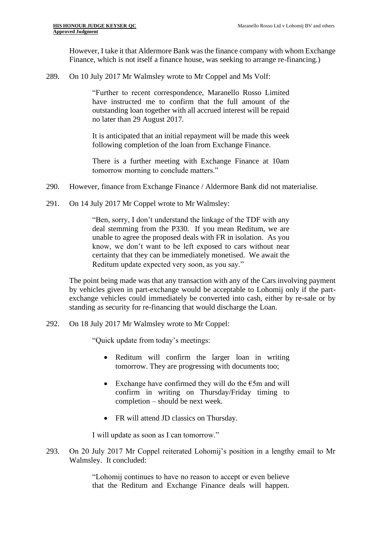However, I take it that Aldermore Bank was the finance company with whom Exchange Finance, which is not itself a finance house, was seeking to arrange re-financing.)

289. On 10 July 2017 Mr Walmsley wrote to Mr Coppel and Ms Volf:

"Further to recent correspondence, Maranello Rosso Limited have instructed me to confirm that the full amount of the outstanding loan together with all accrued interest will be repaid no later than 29 August 2017.

It is anticipated that an initial repayment will be made this week following completion of the loan from Exchange Finance.

There is a further meeting with Exchange Finance at 10am tomorrow morning to conclude matters."

- 290. However, finance from Exchange Finance / Aldermore Bank did not materialise.
- 291. On 14 July 2017 Mr Coppel wrote to Mr Walmsley:

"Ben, sorry, I don't understand the linkage of the TDF with any deal stemming from the P330. If you mean Reditum, we are unable to agree the proposed deals with FR in isolation. As you know, we don't want to be left exposed to cars without near certainty that they can be immediately monetised. We await the Reditum update expected very soon, as you say."

The point being made was that any transaction with any of the Cars involving payment by vehicles given in part-exchange would be acceptable to Lohomij only if the partexchange vehicles could immediately be converted into cash, either by re-sale or by standing as security for re-financing that would discharge the Loan.

292. On 18 July 2017 Mr Walmsley wrote to Mr Coppel:

"Quick update from today's meetings:

- Reditum will confirm the larger loan in writing tomorrow. They are progressing with documents too;
- Exchange have confirmed they will do the  $\epsilon$ 5m and will confirm in writing on Thursday/Friday timing to completion – should be next week.
- FR will attend JD classics on Thursday.

I will update as soon as I can tomorrow."

293. On 20 July 2017 Mr Coppel reiterated Lohomij's position in a lengthy email to Mr Walmsley. It concluded:

> "Lohomij continues to have no reason to accept or even believe that the Reditum and Exchange Finance deals will happen.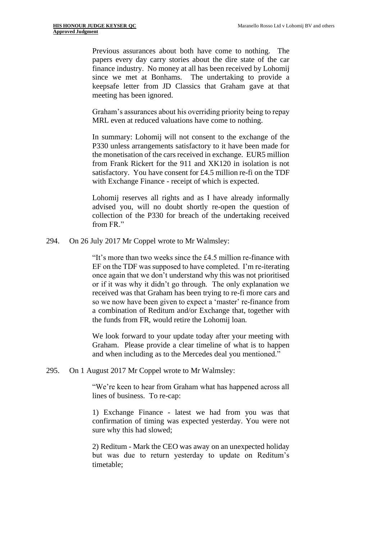Previous assurances about both have come to nothing. The papers every day carry stories about the dire state of the car finance industry. No money at all has been received by Lohomij since we met at Bonhams. The undertaking to provide a keepsafe letter from JD Classics that Graham gave at that meeting has been ignored.

Graham's assurances about his overriding priority being to repay MRL even at reduced valuations have come to nothing.

In summary: Lohomij will not consent to the exchange of the P330 unless arrangements satisfactory to it have been made for the monetisation of the cars received in exchange. EUR5 million from Frank Rickert for the 911 and XK120 in isolation is not satisfactory. You have consent for £4.5 million re-fi on the TDF with Exchange Finance - receipt of which is expected.

Lohomij reserves all rights and as I have already informally advised you, will no doubt shortly re-open the question of collection of the P330 for breach of the undertaking received from FR."

294. On 26 July 2017 Mr Coppel wrote to Mr Walmsley:

"It's more than two weeks since the £4.5 million re-finance with EF on the TDF was supposed to have completed. I'm re-iterating once again that we don't understand why this was not prioritised or if it was why it didn't go through. The only explanation we received was that Graham has been trying to re-fi more cars and so we now have been given to expect a 'master' re-finance from a combination of Reditum and/or Exchange that, together with the funds from FR, would retire the Lohomij loan.

We look forward to your update today after your meeting with Graham. Please provide a clear timeline of what is to happen and when including as to the Mercedes deal you mentioned."

295. On 1 August 2017 Mr Coppel wrote to Mr Walmsley:

"We're keen to hear from Graham what has happened across all lines of business. To re-cap:

1) Exchange Finance - latest we had from you was that confirmation of timing was expected yesterday. You were not sure why this had slowed;

2) Reditum - Mark the CEO was away on an unexpected holiday but was due to return yesterday to update on Reditum's timetable;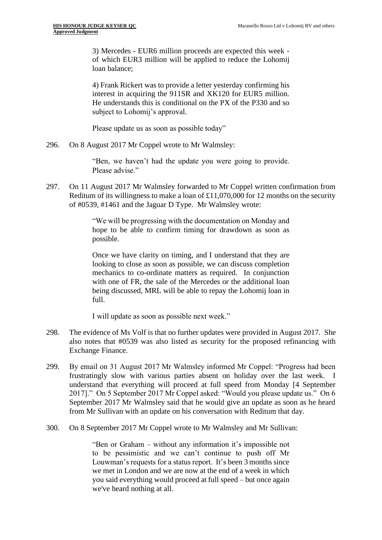3) Mercedes - EUR6 million proceeds are expected this week of which EUR3 million will be applied to reduce the Lohomij loan balance;

4) Frank Rickert was to provide a letter yesterday confirming his interest in acquiring the 911SR and XK120 for EUR5 million. He understands this is conditional on the PX of the P330 and so subject to Lohomij's approval.

Please update us as soon as possible today"

296. On 8 August 2017 Mr Coppel wrote to Mr Walmsley:

"Ben, we haven't had the update you were going to provide. Please advise."

297. On 11 August 2017 Mr Walmsley forwarded to Mr Coppel written confirmation from Reditum of its willingness to make a loan of  $£11,070,000$  for 12 months on the security of #0539, #1461 and the Jaguar D Type. Mr Walmsley wrote:

> "We will be progressing with the documentation on Monday and hope to be able to confirm timing for drawdown as soon as possible.

> Once we have clarity on timing, and I understand that they are looking to close as soon as possible, we can discuss completion mechanics to co-ordinate matters as required. In conjunction with one of FR, the sale of the Mercedes or the additional loan being discussed, MRL will be able to repay the Lohomij loan in full.

I will update as soon as possible next week."

- 298. The evidence of Ms Volf is that no further updates were provided in August 2017. She also notes that #0539 was also listed as security for the proposed refinancing with Exchange Finance.
- 299. By email on 31 August 2017 Mr Walmsley informed Mr Coppel: "Progress had been frustratingly slow with various parties absent on holiday over the last week. I understand that everything will proceed at full speed from Monday [4 September 2017]." On 5 September 2017 Mr Coppel asked: "Would you please update us." On 6 September 2017 Mr Walmsley said that he would give an update as soon as he heard from Mr Sullivan with an update on his conversation with Reditum that day.
- 300. On 8 September 2017 Mr Coppel wrote to Mr Walmsley and Mr Sullivan:

"Ben or Graham – without any information it's impossible not to be pessimistic and we can't continue to push off Mr Louwman's requests for a status report. It's been 3 months since we met in London and we are now at the end of a week in which you said everything would proceed at full speed – but once again we've heard nothing at all.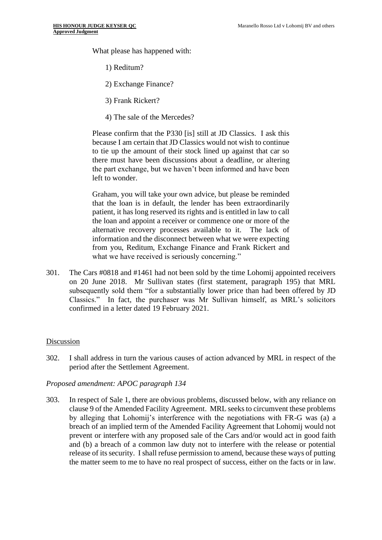What please has happened with:

- 1) Reditum?
- 2) Exchange Finance?
- 3) Frank Rickert?
- 4) The sale of the Mercedes?

Please confirm that the P330 [is] still at JD Classics. I ask this because I am certain that JD Classics would not wish to continue to tie up the amount of their stock lined up against that car so there must have been discussions about a deadline, or altering the part exchange, but we haven't been informed and have been left to wonder.

Graham, you will take your own advice, but please be reminded that the loan is in default, the lender has been extraordinarily patient, it has long reserved its rights and is entitled in law to call the loan and appoint a receiver or commence one or more of the alternative recovery processes available to it. The lack of information and the disconnect between what we were expecting from you, Reditum, Exchange Finance and Frank Rickert and what we have received is seriously concerning."

301. The Cars #0818 and #1461 had not been sold by the time Lohomij appointed receivers on 20 June 2018. Mr Sullivan states (first statement, paragraph 195) that MRL subsequently sold them "for a substantially lower price than had been offered by JD Classics." In fact, the purchaser was Mr Sullivan himself, as MRL's solicitors confirmed in a letter dated 19 February 2021.

### Discussion

302. I shall address in turn the various causes of action advanced by MRL in respect of the period after the Settlement Agreement.

### *Proposed amendment: APOC paragraph 134*

303. In respect of Sale 1, there are obvious problems, discussed below, with any reliance on clause 9 of the Amended Facility Agreement. MRL seeks to circumvent these problems by alleging that Lohomij's interference with the negotiations with FR-G was (a) a breach of an implied term of the Amended Facility Agreement that Lohomij would not prevent or interfere with any proposed sale of the Cars and/or would act in good faith and (b) a breach of a common law duty not to interfere with the release or potential release of its security. I shall refuse permission to amend, because these ways of putting the matter seem to me to have no real prospect of success, either on the facts or in law.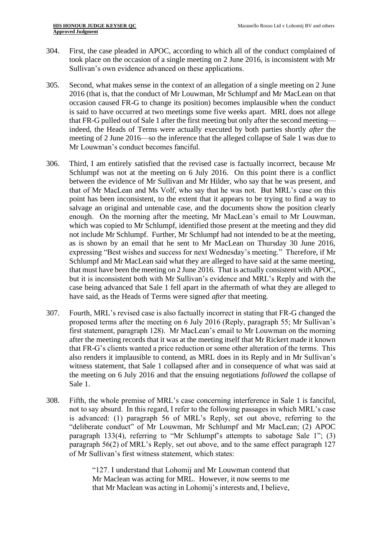- 304. First, the case pleaded in APOC, according to which all of the conduct complained of took place on the occasion of a single meeting on 2 June 2016, is inconsistent with Mr Sullivan's own evidence advanced on these applications.
- 305. Second, what makes sense in the context of an allegation of a single meeting on 2 June 2016 (that is, that the conduct of Mr Louwman, Mr Schlumpf and Mr MacLean on that occasion caused FR-G to change its position) becomes implausible when the conduct is said to have occurred at two meetings some five weeks apart. MRL does not allege that FR-G pulled out of Sale 1 after the first meeting but only after the second meeting indeed, the Heads of Terms were actually executed by both parties shortly *after* the meeting of 2 June 2016—so the inference that the alleged collapse of Sale 1 was due to Mr Louwman's conduct becomes fanciful.
- 306. Third, I am entirely satisfied that the revised case is factually incorrect, because Mr Schlumpf was not at the meeting on 6 July 2016. On this point there is a conflict between the evidence of Mr Sullivan and Mr Hilder, who say that he was present, and that of Mr MacLean and Ms Volf, who say that he was not. But MRL's case on this point has been inconsistent, to the extent that it appears to be trying to find a way to salvage an original and untenable case, and the documents show the position clearly enough. On the morning after the meeting, Mr MacLean's email to Mr Louwman, which was copied to Mr Schlumpf, identified those present at the meeting and they did not include Mr Schlumpf. Further, Mr Schlumpf had not intended to be at the meeting, as is shown by an email that he sent to Mr MacLean on Thursday 30 June 2016, expressing "Best wishes and success for next Wednesday's meeting." Therefore, if Mr Schlumpf and Mr MacLean said what they are alleged to have said at the same meeting, that must have been the meeting on 2 June 2016. That is actually consistent with APOC, but it is inconsistent both with Mr Sullivan's evidence and MRL's Reply and with the case being advanced that Sale 1 fell apart in the aftermath of what they are alleged to have said, as the Heads of Terms were signed *after* that meeting.
- 307. Fourth, MRL's revised case is also factually incorrect in stating that FR-G changed the proposed terms after the meeting on 6 July 2016 (Reply, paragraph 55; Mr Sullivan's first statement, paragraph 128). Mr MacLean's email to Mr Louwman on the morning after the meeting records that it was at the meeting itself that Mr Rickert made it known that FR-G's clients wanted a price reduction or some other alteration of the terms. This also renders it implausible to contend, as MRL does in its Reply and in Mr Sullivan's witness statement, that Sale 1 collapsed after and in consequence of what was said at the meeting on 6 July 2016 and that the ensuing negotiations *followed* the collapse of Sale 1.
- 308. Fifth, the whole premise of MRL's case concerning interference in Sale 1 is fanciful, not to say absurd. In this regard, I refer to the following passages in which MRL's case is advanced: (1) paragraph 56 of MRL's Reply, set out above, referring to the "deliberate conduct" of Mr Louwman, Mr Schlumpf and Mr MacLean; (2) APOC paragraph 133(4), referring to "Mr Schlumpf's attempts to sabotage Sale 1"; (3) paragraph 56(2) of MRL's Reply, set out above, and to the same effect paragraph 127 of Mr Sullivan's first witness statement, which states:

"127. I understand that Lohomij and Mr Louwman contend that Mr Maclean was acting for MRL. However, it now seems to me that Mr Maclean was acting in Lohomij's interests and, I believe,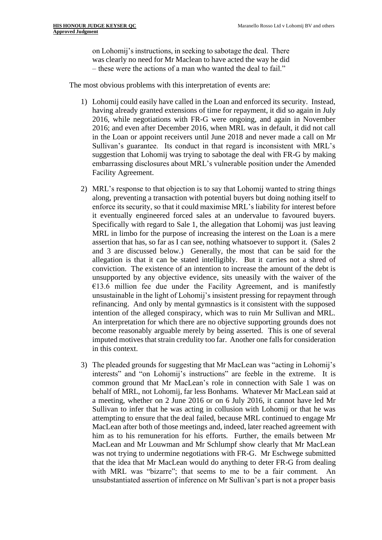on Lohomij's instructions, in seeking to sabotage the deal. There was clearly no need for Mr Maclean to have acted the way he did – these were the actions of a man who wanted the deal to fail."

The most obvious problems with this interpretation of events are:

- 1) Lohomij could easily have called in the Loan and enforced its security. Instead, having already granted extensions of time for repayment, it did so again in July 2016, while negotiations with FR-G were ongoing, and again in November 2016; and even after December 2016, when MRL was in default, it did not call in the Loan or appoint receivers until June 2018 and never made a call on Mr Sullivan's guarantee. Its conduct in that regard is inconsistent with MRL's suggestion that Lohomij was trying to sabotage the deal with FR-G by making embarrassing disclosures about MRL's vulnerable position under the Amended Facility Agreement.
- 2) MRL's response to that objection is to say that Lohomij wanted to string things along, preventing a transaction with potential buyers but doing nothing itself to enforce its security, so that it could maximise MRL's liability for interest before it eventually engineered forced sales at an undervalue to favoured buyers. Specifically with regard to Sale 1, the allegation that Lohomij was just leaving MRL in limbo for the purpose of increasing the interest on the Loan is a mere assertion that has, so far as I can see, nothing whatsoever to support it. (Sales 2 and 3 are discussed below.) Generally, the most that can be said for the allegation is that it can be stated intelligibly. But it carries not a shred of conviction. The existence of an intention to increase the amount of the debt is unsupported by any objective evidence, sits uneasily with the waiver of the  $€13.6$  million fee due under the Facility Agreement, and is manifestly unsustainable in the light of Lohomij's insistent pressing for repayment through refinancing. And only by mental gymnastics is it consistent with the supposed intention of the alleged conspiracy, which was to ruin Mr Sullivan and MRL. An interpretation for which there are no objective supporting grounds does not become reasonably arguable merely by being asserted. This is one of several imputed motives that strain credulity too far. Another one falls for consideration in this context.
- 3) The pleaded grounds for suggesting that Mr MacLean was "acting in Lohomij's interests" and "on Lohomij's instructions" are feeble in the extreme. It is common ground that Mr MacLean's role in connection with Sale 1 was on behalf of MRL, not Lohomij, far less Bonhams. Whatever Mr MacLean said at a meeting, whether on 2 June 2016 or on 6 July 2016, it cannot have led Mr Sullivan to infer that he was acting in collusion with Lohomij or that he was attempting to ensure that the deal failed, because MRL continued to engage Mr MacLean after both of those meetings and, indeed, later reached agreement with him as to his remuneration for his efforts. Further, the emails between Mr MacLean and Mr Louwman and Mr Schlumpf show clearly that Mr MacLean was not trying to undermine negotiations with FR-G. Mr Eschwege submitted that the idea that Mr MacLean would do anything to deter FR-G from dealing with MRL was "bizarre"; that seems to me to be a fair comment. unsubstantiated assertion of inference on Mr Sullivan's part is not a proper basis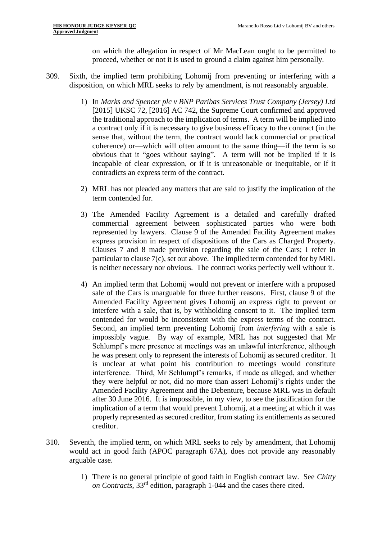on which the allegation in respect of Mr MacLean ought to be permitted to proceed, whether or not it is used to ground a claim against him personally.

- 309. Sixth, the implied term prohibiting Lohomij from preventing or interfering with a disposition, on which MRL seeks to rely by amendment, is not reasonably arguable.
	- 1) In *Marks and Spencer plc v BNP Paribas Services Trust Company (Jersey) Ltd* [2015] UKSC 72, [2016] AC 742, the Supreme Court confirmed and approved the traditional approach to the implication of terms. A term will be implied into a contract only if it is necessary to give business efficacy to the contract (in the sense that, without the term, the contract would lack commercial or practical coherence) or—which will often amount to the same thing—if the term is so obvious that it "goes without saying". A term will not be implied if it is incapable of clear expression, or if it is unreasonable or inequitable, or if it contradicts an express term of the contract.
	- 2) MRL has not pleaded any matters that are said to justify the implication of the term contended for.
	- 3) The Amended Facility Agreement is a detailed and carefully drafted commercial agreement between sophisticated parties who were both represented by lawyers. Clause 9 of the Amended Facility Agreement makes express provision in respect of dispositions of the Cars as Charged Property. Clauses 7 and 8 made provision regarding the sale of the Cars; I refer in particular to clause 7(c), set out above. The implied term contended for by MRL is neither necessary nor obvious. The contract works perfectly well without it.
	- 4) An implied term that Lohomij would not prevent or interfere with a proposed sale of the Cars is unarguable for three further reasons. First, clause 9 of the Amended Facility Agreement gives Lohomij an express right to prevent or interfere with a sale, that is, by withholding consent to it. The implied term contended for would be inconsistent with the express terms of the contract. Second, an implied term preventing Lohomij from *interfering* with a sale is impossibly vague. By way of example, MRL has not suggested that Mr Schlumpf's mere presence at meetings was an unlawful interference, although he was present only to represent the interests of Lohomij as secured creditor. It is unclear at what point his contribution to meetings would constitute interference. Third, Mr Schlumpf's remarks, if made as alleged, and whether they were helpful or not, did no more than assert Lohomij's rights under the Amended Facility Agreement and the Debenture, because MRL was in default after 30 June 2016. It is impossible, in my view, to see the justification for the implication of a term that would prevent Lohomij, at a meeting at which it was properly represented as secured creditor, from stating its entitlements as secured creditor.
- 310. Seventh, the implied term, on which MRL seeks to rely by amendment, that Lohomij would act in good faith (APOC paragraph 67A), does not provide any reasonably arguable case.
	- 1) There is no general principle of good faith in English contract law. See *Chitty on Contracts*, 33rd edition, paragraph 1-044 and the cases there cited.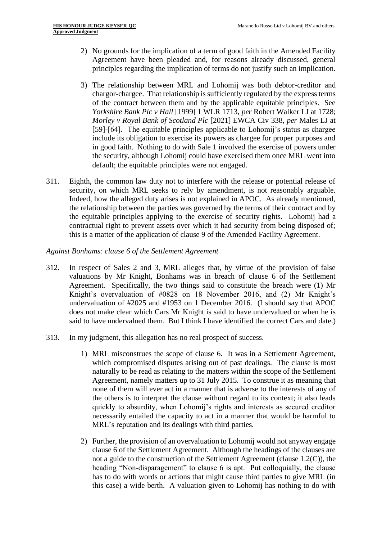- 2) No grounds for the implication of a term of good faith in the Amended Facility Agreement have been pleaded and, for reasons already discussed, general principles regarding the implication of terms do not justify such an implication.
- 3) The relationship between MRL and Lohomij was both debtor-creditor and chargor-chargee. That relationship is sufficiently regulated by the express terms of the contract between them and by the applicable equitable principles. See *Yorkshire Bank Plc v Hall* [1999] 1 WLR 1713, *per* Robert Walker LJ at 1728; *Morley v Royal Bank of Scotland Plc* [2021] EWCA Civ 338, *per* Males LJ at [59]-[64]. The equitable principles applicable to Lohomij's status as chargee include its obligation to exercise its powers as chargee for proper purposes and in good faith. Nothing to do with Sale 1 involved the exercise of powers under the security, although Lohomij could have exercised them once MRL went into default; the equitable principles were not engaged.
- 311. Eighth, the common law duty not to interfere with the release or potential release of security, on which MRL seeks to rely by amendment, is not reasonably arguable. Indeed, how the alleged duty arises is not explained in APOC. As already mentioned, the relationship between the parties was governed by the terms of their contract and by the equitable principles applying to the exercise of security rights. Lohomij had a contractual right to prevent assets over which it had security from being disposed of; this is a matter of the application of clause 9 of the Amended Facility Agreement.

# *Against Bonhams: clause 6 of the Settlement Agreement*

- 312. In respect of Sales 2 and 3, MRL alleges that, by virtue of the provision of false valuations by Mr Knight, Bonhams was in breach of clause 6 of the Settlement Agreement. Specifically, the two things said to constitute the breach were (1) Mr Knight's overvaluation of #0828 on 18 November 2016, and (2) Mr Knight's undervaluation of #2025 and #1953 on 1 December 2016. (I should say that APOC does not make clear which Cars Mr Knight is said to have undervalued or when he is said to have undervalued them. But I think I have identified the correct Cars and date.)
- 313. In my judgment, this allegation has no real prospect of success.
	- 1) MRL misconstrues the scope of clause 6. It was in a Settlement Agreement, which compromised disputes arising out of past dealings. The clause is most naturally to be read as relating to the matters within the scope of the Settlement Agreement, namely matters up to 31 July 2015. To construe it as meaning that none of them will ever act in a manner that is adverse to the interests of any of the others is to interpret the clause without regard to its context; it also leads quickly to absurdity, when Lohomij's rights and interests as secured creditor necessarily entailed the capacity to act in a manner that would be harmful to MRL's reputation and its dealings with third parties.
	- 2) Further, the provision of an overvaluation to Lohomij would not anyway engage clause 6 of the Settlement Agreement. Although the headings of the clauses are not a guide to the construction of the Settlement Agreement (clause 1.2(C)), the heading "Non-disparagement" to clause 6 is apt. Put colloquially, the clause has to do with words or actions that might cause third parties to give MRL (in this case) a wide berth. A valuation given to Lohomij has nothing to do with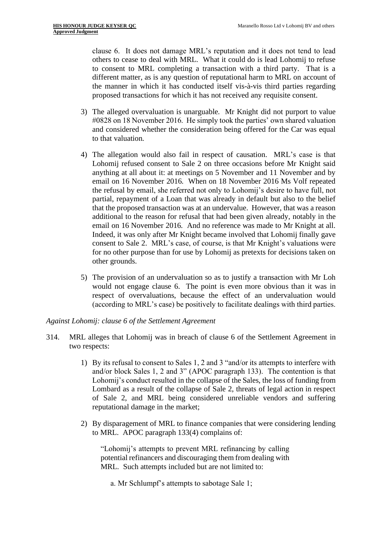clause 6. It does not damage MRL's reputation and it does not tend to lead others to cease to deal with MRL. What it could do is lead Lohomij to refuse to consent to MRL completing a transaction with a third party. That is a different matter, as is any question of reputational harm to MRL on account of the manner in which it has conducted itself vis-à-vis third parties regarding proposed transactions for which it has not received any requisite consent.

- 3) The alleged overvaluation is unarguable. Mr Knight did not purport to value #0828 on 18 November 2016. He simply took the parties' own shared valuation and considered whether the consideration being offered for the Car was equal to that valuation.
- 4) The allegation would also fail in respect of causation. MRL's case is that Lohomij refused consent to Sale 2 on three occasions before Mr Knight said anything at all about it: at meetings on 5 November and 11 November and by email on 16 November 2016. When on 18 November 2016 Ms Volf repeated the refusal by email, she referred not only to Lohomij's desire to have full, not partial, repayment of a Loan that was already in default but also to the belief that the proposed transaction was at an undervalue. However, that was a reason additional to the reason for refusal that had been given already, notably in the email on 16 November 2016. And no reference was made to Mr Knight at all. Indeed, it was only after Mr Knight became involved that Lohomij finally gave consent to Sale 2. MRL's case, of course, is that Mr Knight's valuations were for no other purpose than for use by Lohomij as pretexts for decisions taken on other grounds.
- 5) The provision of an undervaluation so as to justify a transaction with Mr Loh would not engage clause 6. The point is even more obvious than it was in respect of overvaluations, because the effect of an undervaluation would (according to MRL's case) be positively to facilitate dealings with third parties.

### *Against Lohomij: clause 6 of the Settlement Agreement*

- 314. MRL alleges that Lohomij was in breach of clause 6 of the Settlement Agreement in two respects:
	- 1) By its refusal to consent to Sales 1, 2 and 3 "and/or its attempts to interfere with and/or block Sales 1, 2 and 3" (APOC paragraph 133). The contention is that Lohomij's conduct resulted in the collapse of the Sales, the loss of funding from Lombard as a result of the collapse of Sale 2, threats of legal action in respect of Sale 2, and MRL being considered unreliable vendors and suffering reputational damage in the market;
	- 2) By disparagement of MRL to finance companies that were considering lending to MRL. APOC paragraph 133(4) complains of:

"Lohomij's attempts to prevent MRL refinancing by calling potential refinancers and discouraging them from dealing with MRL. Such attempts included but are not limited to:

a. Mr Schlumpf's attempts to sabotage Sale 1;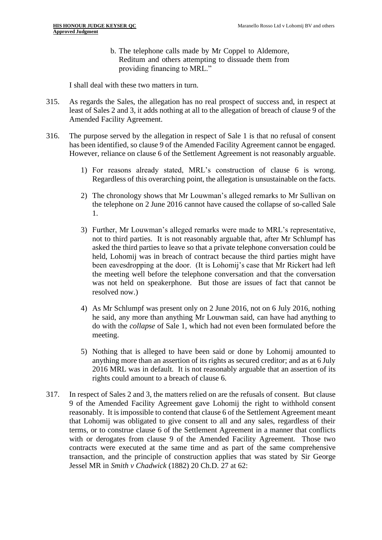b. The telephone calls made by Mr Coppel to Aldemore, Reditum and others attempting to dissuade them from providing financing to MRL."

I shall deal with these two matters in turn.

- 315. As regards the Sales, the allegation has no real prospect of success and, in respect at least of Sales 2 and 3, it adds nothing at all to the allegation of breach of clause 9 of the Amended Facility Agreement.
- 316. The purpose served by the allegation in respect of Sale 1 is that no refusal of consent has been identified, so clause 9 of the Amended Facility Agreement cannot be engaged. However, reliance on clause 6 of the Settlement Agreement is not reasonably arguable.
	- 1) For reasons already stated, MRL's construction of clause 6 is wrong. Regardless of this overarching point, the allegation is unsustainable on the facts.
	- 2) The chronology shows that Mr Louwman's alleged remarks to Mr Sullivan on the telephone on 2 June 2016 cannot have caused the collapse of so-called Sale 1.
	- 3) Further, Mr Louwman's alleged remarks were made to MRL's representative, not to third parties. It is not reasonably arguable that, after Mr Schlumpf has asked the third parties to leave so that a private telephone conversation could be held, Lohomij was in breach of contract because the third parties might have been eavesdropping at the door. (It is Lohomij's case that Mr Rickert had left the meeting well before the telephone conversation and that the conversation was not held on speakerphone. But those are issues of fact that cannot be resolved now.)
	- 4) As Mr Schlumpf was present only on 2 June 2016, not on 6 July 2016, nothing he said, any more than anything Mr Louwman said, can have had anything to do with the *collapse* of Sale 1, which had not even been formulated before the meeting.
	- 5) Nothing that is alleged to have been said or done by Lohomij amounted to anything more than an assertion of its rights as secured creditor; and as at 6 July 2016 MRL was in default. It is not reasonably arguable that an assertion of its rights could amount to a breach of clause 6.
- 317. In respect of Sales 2 and 3, the matters relied on are the refusals of consent. But clause 9 of the Amended Facility Agreement gave Lohomij the right to withhold consent reasonably. It is impossible to contend that clause 6 of the Settlement Agreement meant that Lohomij was obligated to give consent to all and any sales, regardless of their terms, or to construe clause 6 of the Settlement Agreement in a manner that conflicts with or derogates from clause 9 of the Amended Facility Agreement. Those two contracts were executed at the same time and as part of the same comprehensive transaction, and the principle of construction applies that was stated by Sir George Jessel MR in *Smith v Chadwick* (1882) 20 Ch.D. 27 at 62: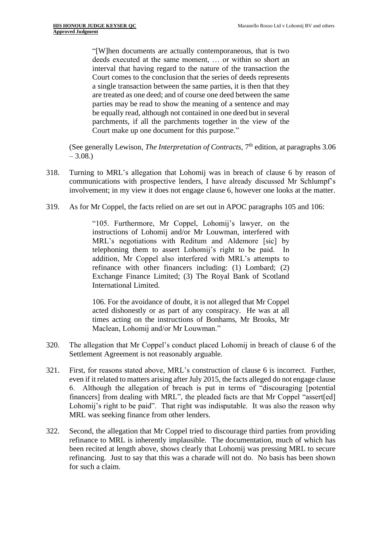"[W]hen documents are actually contemporaneous, that is two deeds executed at the same moment, … or within so short an interval that having regard to the nature of the transaction the Court comes to the conclusion that the series of deeds represents a single transaction between the same parties, it is then that they are treated as one deed; and of course one deed between the same parties may be read to show the meaning of a sentence and may be equally read, although not contained in one deed but in several parchments, if all the parchments together in the view of the Court make up one document for this purpose."

(See generally Lewison, *The Interpretation of Contracts*, 7<sup>th</sup> edition, at paragraphs 3.06  $-3.08.$ 

- 318. Turning to MRL's allegation that Lohomij was in breach of clause 6 by reason of communications with prospective lenders, I have already discussed Mr Schlumpf's involvement; in my view it does not engage clause 6, however one looks at the matter.
- 319. As for Mr Coppel, the facts relied on are set out in APOC paragraphs 105 and 106:

"105. Furthermore, Mr Coppel, Lohomij's lawyer, on the instructions of Lohomij and/or Mr Louwman, interfered with MRL's negotiations with Reditum and Aldemore [sic] by telephoning them to assert Lohomij's right to be paid. In addition, Mr Coppel also interfered with MRL's attempts to refinance with other financers including: (1) Lombard; (2) Exchange Finance Limited; (3) The Royal Bank of Scotland International Limited.

106. For the avoidance of doubt, it is not alleged that Mr Coppel acted dishonestly or as part of any conspiracy. He was at all times acting on the instructions of Bonhams, Mr Brooks, Mr Maclean, Lohomij and/or Mr Louwman."

- 320. The allegation that Mr Coppel's conduct placed Lohomij in breach of clause 6 of the Settlement Agreement is not reasonably arguable.
- 321. First, for reasons stated above, MRL's construction of clause 6 is incorrect. Further, even if it related to matters arising after July 2015, the facts alleged do not engage clause 6. Although the allegation of breach is put in terms of "discouraging [potential financers] from dealing with MRL", the pleaded facts are that Mr Coppel "assert[ed] Lohomij's right to be paid". That right was indisputable. It was also the reason why MRL was seeking finance from other lenders.
- 322. Second, the allegation that Mr Coppel tried to discourage third parties from providing refinance to MRL is inherently implausible. The documentation, much of which has been recited at length above, shows clearly that Lohomij was pressing MRL to secure refinancing. Just to say that this was a charade will not do. No basis has been shown for such a claim.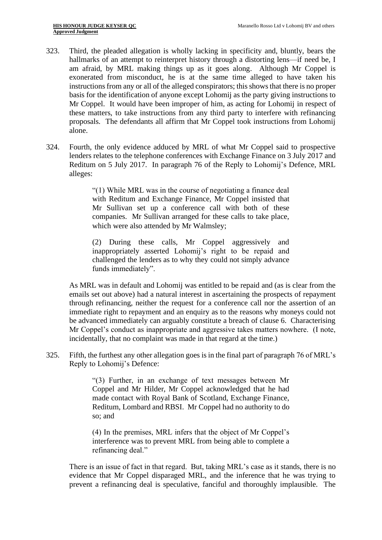- 323. Third, the pleaded allegation is wholly lacking in specificity and, bluntly, bears the hallmarks of an attempt to reinterpret history through a distorting lens—if need be, I am afraid, by MRL making things up as it goes along. Although Mr Coppel is exonerated from misconduct, he is at the same time alleged to have taken his instructions from any or all of the alleged conspirators; this shows that there is no proper basis for the identification of anyone except Lohomij as the party giving instructions to Mr Coppel. It would have been improper of him, as acting for Lohomij in respect of these matters, to take instructions from any third party to interfere with refinancing proposals. The defendants all affirm that Mr Coppel took instructions from Lohomij alone.
- 324. Fourth, the only evidence adduced by MRL of what Mr Coppel said to prospective lenders relates to the telephone conferences with Exchange Finance on 3 July 2017 and Reditum on 5 July 2017. In paragraph 76 of the Reply to Lohomij's Defence, MRL alleges:

"(1) While MRL was in the course of negotiating a finance deal with Reditum and Exchange Finance, Mr Coppel insisted that Mr Sullivan set up a conference call with both of these companies. Mr Sullivan arranged for these calls to take place, which were also attended by Mr Walmsley;

(2) During these calls, Mr Coppel aggressively and inappropriately asserted Lohomij's right to be repaid and challenged the lenders as to why they could not simply advance funds immediately".

As MRL was in default and Lohomij was entitled to be repaid and (as is clear from the emails set out above) had a natural interest in ascertaining the prospects of repayment through refinancing, neither the request for a conference call nor the assertion of an immediate right to repayment and an enquiry as to the reasons why moneys could not be advanced immediately can arguably constitute a breach of clause 6. Characterising Mr Coppel's conduct as inappropriate and aggressive takes matters nowhere. (I note, incidentally, that no complaint was made in that regard at the time.)

325. Fifth, the furthest any other allegation goes is in the final part of paragraph 76 of MRL's Reply to Lohomij's Defence:

> "(3) Further, in an exchange of text messages between Mr Coppel and Mr Hilder, Mr Coppel acknowledged that he had made contact with Royal Bank of Scotland, Exchange Finance, Reditum, Lombard and RBSI. Mr Coppel had no authority to do so; and

> (4) In the premises, MRL infers that the object of Mr Coppel's interference was to prevent MRL from being able to complete a refinancing deal."

There is an issue of fact in that regard. But, taking MRL's case as it stands, there is no evidence that Mr Coppel disparaged MRL, and the inference that he was trying to prevent a refinancing deal is speculative, fanciful and thoroughly implausible. The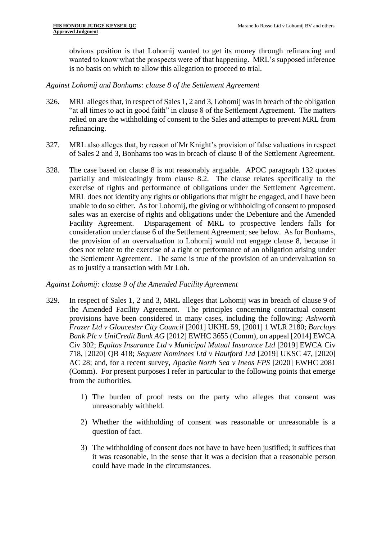obvious position is that Lohomij wanted to get its money through refinancing and wanted to know what the prospects were of that happening. MRL's supposed inference is no basis on which to allow this allegation to proceed to trial.

#### *Against Lohomij and Bonhams: clause 8 of the Settlement Agreement*

- 326. MRL alleges that, in respect of Sales 1, 2 and 3, Lohomij was in breach of the obligation "at all times to act in good faith" in clause 8 of the Settlement Agreement. The matters relied on are the withholding of consent to the Sales and attempts to prevent MRL from refinancing.
- 327. MRL also alleges that, by reason of Mr Knight's provision of false valuations in respect of Sales 2 and 3, Bonhams too was in breach of clause 8 of the Settlement Agreement.
- 328. The case based on clause 8 is not reasonably arguable. APOC paragraph 132 quotes partially and misleadingly from clause 8.2. The clause relates specifically to the exercise of rights and performance of obligations under the Settlement Agreement. MRL does not identify any rights or obligations that might be engaged, and I have been unable to do so either. As for Lohomij, the giving or withholding of consent to proposed sales was an exercise of rights and obligations under the Debenture and the Amended Facility Agreement. Disparagement of MRL to prospective lenders falls for consideration under clause 6 of the Settlement Agreement; see below. As for Bonhams, the provision of an overvaluation to Lohomij would not engage clause 8, because it does not relate to the exercise of a right or performance of an obligation arising under the Settlement Agreement. The same is true of the provision of an undervaluation so as to justify a transaction with Mr Loh.

### *Against Lohomij: clause 9 of the Amended Facility Agreement*

- 329. In respect of Sales 1, 2 and 3, MRL alleges that Lohomij was in breach of clause 9 of the Amended Facility Agreement. The principles concerning contractual consent provisions have been considered in many cases, including the following: *Ashworth Frazer Ltd v Gloucester City Council* [2001] UKHL 59, [2001] 1 WLR 2180; *Barclays Bank Plc v UniCredit Bank AG* [2012] EWHC 3655 (Comm), on appeal [2014] EWCA Civ 302; *Equitas Insurance Ltd v Municipal Mutual Insurance Ltd* [2019] EWCA Civ 718, [2020] QB 418; *Sequent Nominees Ltd v Hautford Ltd* [2019] UKSC 47, [2020] AC 28; and, for a recent survey, *Apache North Sea v Ineos FPS* [2020] EWHC 2081 (Comm). For present purposes I refer in particular to the following points that emerge from the authorities.
	- 1) The burden of proof rests on the party who alleges that consent was unreasonably withheld.
	- 2) Whether the withholding of consent was reasonable or unreasonable is a question of fact.
	- 3) The withholding of consent does not have to have been justified; it suffices that it was reasonable, in the sense that it was a decision that a reasonable person could have made in the circumstances.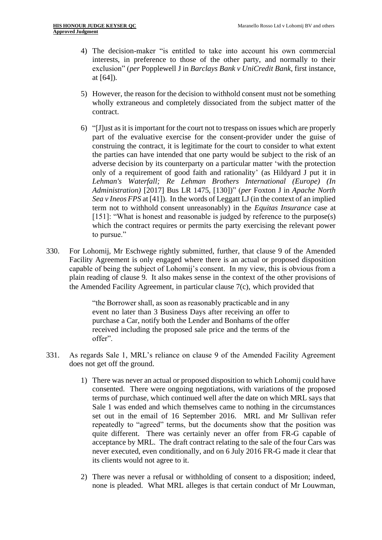- 4) The decision-maker "is entitled to take into account his own commercial interests, in preference to those of the other party, and normally to their exclusion" (*per* Popplewell J in *Barclays Bank v UniCredit Bank*, first instance, at [64]).
- 5) However, the reason for the decision to withhold consent must not be something wholly extraneous and completely dissociated from the subject matter of the contract.
- 6) "[J]ust as it is important for the court not to trespass on issues which are properly part of the evaluative exercise for the consent-provider under the guise of construing the contract, it is legitimate for the court to consider to what extent the parties can have intended that one party would be subject to the risk of an adverse decision by its counterparty on a particular matter 'with the protection only of a requirement of good faith and rationality' (as Hildyard J put it in *Lehman's Waterfall; Re Lehman Brothers International (Europe) (In Administration)* [2017] Bus LR 1475, [130])" (*per* Foxton J in *Apache North Sea v Ineos FPS* at [41]). In the words of Leggatt LJ (in the context of an implied term not to withhold consent unreasonably) in the *Equitas Insurance* case at [151]: "What is honest and reasonable is judged by reference to the purpose(s) which the contract requires or permits the party exercising the relevant power to pursue."
- 330. For Lohomij, Mr Eschwege rightly submitted, further, that clause 9 of the Amended Facility Agreement is only engaged where there is an actual or proposed disposition capable of being the subject of Lohomij's consent. In my view, this is obvious from a plain reading of clause 9. It also makes sense in the context of the other provisions of the Amended Facility Agreement, in particular clause 7(c), which provided that

"the Borrower shall, as soon as reasonably practicable and in any event no later than 3 Business Days after receiving an offer to purchase a Car, notify both the Lender and Bonhams of the offer received including the proposed sale price and the terms of the offer".

- 331. As regards Sale 1, MRL's reliance on clause 9 of the Amended Facility Agreement does not get off the ground.
	- 1) There was never an actual or proposed disposition to which Lohomij could have consented. There were ongoing negotiations, with variations of the proposed terms of purchase, which continued well after the date on which MRL says that Sale 1 was ended and which themselves came to nothing in the circumstances set out in the email of 16 September 2016. MRL and Mr Sullivan refer repeatedly to "agreed" terms, but the documents show that the position was quite different. There was certainly never an offer from FR-G capable of acceptance by MRL. The draft contract relating to the sale of the four Cars was never executed, even conditionally, and on 6 July 2016 FR-G made it clear that its clients would not agree to it.
	- 2) There was never a refusal or withholding of consent to a disposition; indeed, none is pleaded. What MRL alleges is that certain conduct of Mr Louwman,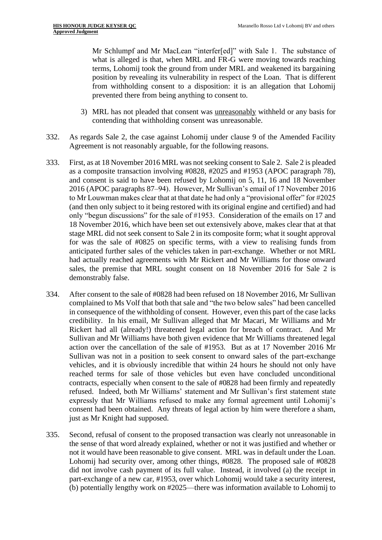Mr Schlumpf and Mr MacLean "interfer[ed]" with Sale 1. The substance of what is alleged is that, when MRL and FR-G were moving towards reaching terms, Lohomij took the ground from under MRL and weakened its bargaining position by revealing its vulnerability in respect of the Loan. That is different from withholding consent to a disposition: it is an allegation that Lohomij prevented there from being anything to consent to.

- 3) MRL has not pleaded that consent was unreasonably withheld or any basis for contending that withholding consent was unreasonable.
- 332. As regards Sale 2, the case against Lohomij under clause 9 of the Amended Facility Agreement is not reasonably arguable, for the following reasons.
- 333. First, as at 18 November 2016 MRL was not seeking consent to Sale 2. Sale 2 is pleaded as a composite transaction involving #0828, #2025 and #1953 (APOC paragraph 78), and consent is said to have been refused by Lohomij on 5, 11, 16 and 18 November 2016 (APOC paragraphs 87–94). However, Mr Sullivan's email of 17 November 2016 to Mr Louwman makes clear that at that date he had only a "provisional offer" for #2025 (and then only subject to it being restored with its original engine and certified) and had only "begun discussions" for the sale of #1953. Consideration of the emails on 17 and 18 November 2016, which have been set out extensively above, makes clear that at that stage MRL did not seek consent to Sale 2 in its composite form; what it sought approval for was the sale of #0825 on specific terms, with a view to realising funds from anticipated further sales of the vehicles taken in part-exchange. Whether or not MRL had actually reached agreements with Mr Rickert and Mr Williams for those onward sales, the premise that MRL sought consent on 18 November 2016 for Sale 2 is demonstrably false.
- 334. After consent to the sale of #0828 had been refused on 18 November 2016, Mr Sullivan complained to Ms Volf that both that sale and "the two below sales" had been cancelled in consequence of the withholding of consent. However, even this part of the case lacks credibility. In his email, Mr Sullivan alleged that Mr Macari, Mr Williams and Mr Rickert had all (already!) threatened legal action for breach of contract. And Mr Sullivan and Mr Williams have both given evidence that Mr Williams threatened legal action over the cancellation of the sale of #1953. But as at 17 November 2016 Mr Sullivan was not in a position to seek consent to onward sales of the part-exchange vehicles, and it is obviously incredible that within 24 hours he should not only have reached terms for sale of those vehicles but even have concluded unconditional contracts, especially when consent to the sale of #0828 had been firmly and repeatedly refused. Indeed, both Mr Williams' statement and Mr Sullivan's first statement state expressly that Mr Williams refused to make any formal agreement until Lohomij's consent had been obtained. Any threats of legal action by him were therefore a sham, just as Mr Knight had supposed.
- 335. Second, refusal of consent to the proposed transaction was clearly not unreasonable in the sense of that word already explained, whether or not it was justified and whether or not it would have been reasonable to give consent. MRL was in default under the Loan. Lohomij had security over, among other things, #0828. The proposed sale of #0828 did not involve cash payment of its full value. Instead, it involved (a) the receipt in part-exchange of a new car, #1953, over which Lohomij would take a security interest, (b) potentially lengthy work on #2025—there was information available to Lohomij to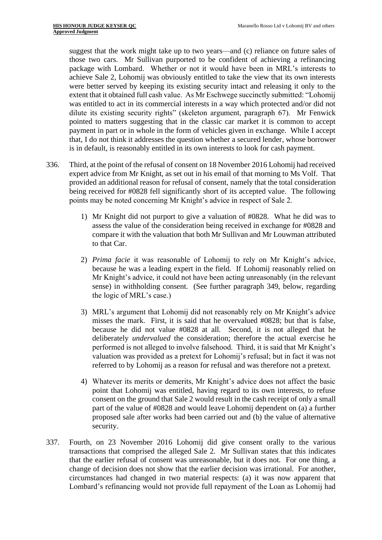suggest that the work might take up to two years—and (c) reliance on future sales of those two cars. Mr Sullivan purported to be confident of achieving a refinancing package with Lombard. Whether or not it would have been in MRL's interests to achieve Sale 2, Lohomij was obviously entitled to take the view that its own interests were better served by keeping its existing security intact and releasing it only to the extent that it obtained full cash value. As Mr Eschwege succinctly submitted: "Lohomij was entitled to act in its commercial interests in a way which protected and/or did not dilute its existing security rights" (skeleton argument, paragraph 67). Mr Fenwick pointed to matters suggesting that in the classic car market it is common to accept payment in part or in whole in the form of vehicles given in exchange. While I accept that, I do not think it addresses the question whether a secured lender, whose borrower is in default, is reasonably entitled in its own interests to look for cash payment.

- 336. Third, at the point of the refusal of consent on 18 November 2016 Lohomij had received expert advice from Mr Knight, as set out in his email of that morning to Ms Volf. That provided an additional reason for refusal of consent, namely that the total consideration being received for #0828 fell significantly short of its accepted value. The following points may be noted concerning Mr Knight's advice in respect of Sale 2.
	- 1) Mr Knight did not purport to give a valuation of #0828. What he did was to assess the value of the consideration being received in exchange for #0828 and compare it with the valuation that both Mr Sullivan and Mr Louwman attributed to that Car.
	- 2) *Prima facie* it was reasonable of Lohomij to rely on Mr Knight's advice, because he was a leading expert in the field. If Lohomij reasonably relied on Mr Knight's advice, it could not have been acting unreasonably (in the relevant sense) in withholding consent. (See further paragraph 349, below, regarding the logic of MRL's case.)
	- 3) MRL's argument that Lohomij did not reasonably rely on Mr Knight's advice misses the mark. First, it is said that he overvalued #0828; but that is false, because he did not value #0828 at all. Second, it is not alleged that he deliberately *undervalued* the consideration; therefore the actual exercise he performed is not alleged to involve falsehood. Third, it is said that Mr Knight's valuation was provided as a pretext for Lohomij's refusal; but in fact it was not referred to by Lohomij as a reason for refusal and was therefore not a pretext.
	- 4) Whatever its merits or demerits, Mr Knight's advice does not affect the basic point that Lohomij was entitled, having regard to its own interests, to refuse consent on the ground that Sale 2 would result in the cash receipt of only a small part of the value of #0828 and would leave Lohomij dependent on (a) a further proposed sale after works had been carried out and (b) the value of alternative security.
- 337. Fourth, on 23 November 2016 Lohomij did give consent orally to the various transactions that comprised the alleged Sale 2. Mr Sullivan states that this indicates that the earlier refusal of consent was unreasonable, but it does not. For one thing, a change of decision does not show that the earlier decision was irrational. For another, circumstances had changed in two material respects: (a) it was now apparent that Lombard's refinancing would not provide full repayment of the Loan as Lohomij had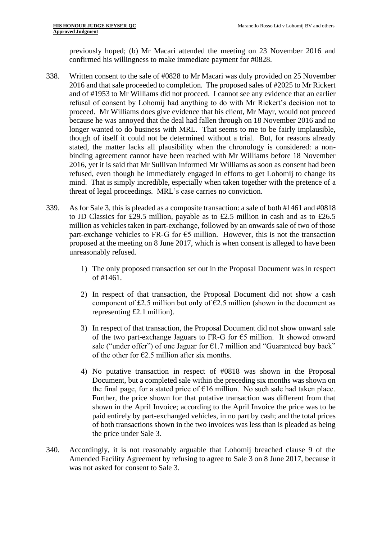previously hoped; (b) Mr Macari attended the meeting on 23 November 2016 and confirmed his willingness to make immediate payment for #0828.

- 338. Written consent to the sale of #0828 to Mr Macari was duly provided on 25 November 2016 and that sale proceeded to completion. The proposed sales of #2025 to Mr Rickert and of #1953 to Mr Williams did not proceed. I cannot see any evidence that an earlier refusal of consent by Lohomij had anything to do with Mr Rickert's decision not to proceed. Mr Williams does give evidence that his client, Mr Mayr, would not proceed because he was annoyed that the deal had fallen through on 18 November 2016 and no longer wanted to do business with MRL. That seems to me to be fairly implausible, though of itself it could not be determined without a trial. But, for reasons already stated, the matter lacks all plausibility when the chronology is considered: a nonbinding agreement cannot have been reached with Mr Williams before 18 November 2016, yet it is said that Mr Sullivan informed Mr Williams as soon as consent had been refused, even though he immediately engaged in efforts to get Lohomij to change its mind. That is simply incredible, especially when taken together with the pretence of a threat of legal proceedings. MRL's case carries no conviction.
- 339. As for Sale 3, this is pleaded as a composite transaction: a sale of both #1461 and #0818 to JD Classics for £29.5 million, payable as to £2.5 million in cash and as to £26.5 million as vehicles taken in part-exchange, followed by an onwards sale of two of those part-exchange vehicles to FR-G for  $\epsilon$ 5 million. However, this is not the transaction proposed at the meeting on 8 June 2017, which is when consent is alleged to have been unreasonably refused.
	- 1) The only proposed transaction set out in the Proposal Document was in respect of #1461.
	- 2) In respect of that transaction, the Proposal Document did not show a cash component of £2.5 million but only of  $\epsilon$ 2.5 million (shown in the document as representing £2.1 million).
	- 3) In respect of that transaction, the Proposal Document did not show onward sale of the two part-exchange Jaguars to FR-G for €5 million. It showed onward sale ("under offer") of one Jaguar for  $\epsilon$ 1.7 million and "Guaranteed buy back" of the other for  $\epsilon$ 2.5 million after six months.
	- 4) No putative transaction in respect of #0818 was shown in the Proposal Document, but a completed sale within the preceding six months was shown on the final page, for a stated price of  $E16$  million. No such sale had taken place. Further, the price shown for that putative transaction was different from that shown in the April Invoice; according to the April Invoice the price was to be paid entirely by part-exchanged vehicles, in no part by cash; and the total prices of both transactions shown in the two invoices was less than is pleaded as being the price under Sale 3.
- 340. Accordingly, it is not reasonably arguable that Lohomij breached clause 9 of the Amended Facility Agreement by refusing to agree to Sale 3 on 8 June 2017, because it was not asked for consent to Sale 3.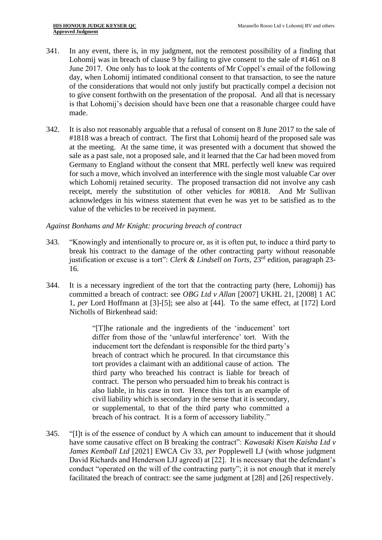- 341. In any event, there is, in my judgment, not the remotest possibility of a finding that Lohomij was in breach of clause 9 by failing to give consent to the sale of #1461 on 8 June 2017. One only has to look at the contents of Mr Coppel's email of the following day, when Lohomij intimated conditional consent to that transaction, to see the nature of the considerations that would not only justify but practically compel a decision not to give consent forthwith on the presentation of the proposal. And all that is necessary is that Lohomij's decision should have been one that a reasonable chargee could have made.
- 342. It is also not reasonably arguable that a refusal of consent on 8 June 2017 to the sale of #1818 was a breach of contract. The first that Lohomij heard of the proposed sale was at the meeting. At the same time, it was presented with a document that showed the sale as a past sale, not a proposed sale, and it learned that the Car had been moved from Germany to England without the consent that MRL perfectly well knew was required for such a move, which involved an interference with the single most valuable Car over which Lohomij retained security. The proposed transaction did not involve any cash receipt, merely the substitution of other vehicles for #0818. And Mr Sullivan acknowledges in his witness statement that even he was yet to be satisfied as to the value of the vehicles to be received in payment.

## *Against Bonhams and Mr Knight: procuring breach of contract*

- 343. "Knowingly and intentionally to procure or, as it is often put, to induce a third party to break his contract to the damage of the other contracting party without reasonable justification or excuse is a tort": *Clerk & Lindsell on Torts*, 23<sup>rd</sup> edition, paragraph 23-16.
- 344. It is a necessary ingredient of the tort that the contracting party (here, Lohomij) has committed a breach of contract: see *OBG Ltd v Allan* [2007] UKHL 21, [2008] 1 AC 1, *per* Lord Hoffmann at [3]-[5]; see also at [44]. To the same effect, at [172] Lord Nicholls of Birkenhead said:

"[T]he rationale and the ingredients of the 'inducement' tort differ from those of the 'unlawful interference' tort. With the inducement tort the defendant is responsible for the third party's breach of contract which he procured. In that circumstance this tort provides a claimant with an additional cause of action. The third party who breached his contract is liable for breach of contract. The person who persuaded him to break his contract is also liable, in his case in tort. Hence this tort is an example of civil liability which is secondary in the sense that it is secondary, or supplemental, to that of the third party who committed a breach of his contract. It is a form of accessory liability."

345. "[I]t is of the essence of conduct by A which can amount to inducement that it should have some causative effect on B breaking the contract": *Kawasaki Kisen Kaisha Ltd v James Kemball Ltd* [2021] EWCA Civ 33, *per* Popplewell LJ (with whose judgment David Richards and Henderson LJJ agreed) at [22]. It is necessary that the defendant's conduct "operated on the will of the contracting party"; it is not enough that it merely facilitated the breach of contract: see the same judgment at [28] and [26] respectively.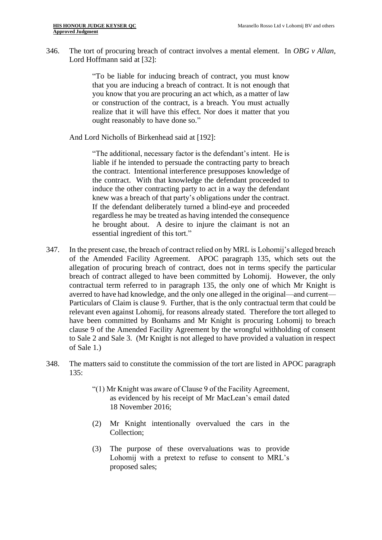346. The tort of procuring breach of contract involves a mental element. In *OBG v Allan,*  Lord Hoffmann said at [32]:

> "To be liable for inducing breach of contract, you must know that you are inducing a breach of contract. It is not enough that you know that you are procuring an act which, as a matter of law or construction of the contract, is a breach. You must actually realize that it will have this effect. Nor does it matter that you ought reasonably to have done so."

And Lord Nicholls of Birkenhead said at [192]:

"The additional, necessary factor is the defendant's intent. He is liable if he intended to persuade the contracting party to breach the contract. Intentional interference presupposes knowledge of the contract. With that knowledge the defendant proceeded to induce the other contracting party to act in a way the defendant knew was a breach of that party's obligations under the contract. If the defendant deliberately turned a blind-eye and proceeded regardless he may be treated as having intended the consequence he brought about. A desire to injure the claimant is not an essential ingredient of this tort."

- 347. In the present case, the breach of contract relied on by MRL is Lohomij's alleged breach of the Amended Facility Agreement. APOC paragraph 135, which sets out the allegation of procuring breach of contract, does not in terms specify the particular breach of contract alleged to have been committed by Lohomij. However, the only contractual term referred to in paragraph 135, the only one of which Mr Knight is averred to have had knowledge, and the only one alleged in the original—and current— Particulars of Claim is clause 9. Further, that is the only contractual term that could be relevant even against Lohomij, for reasons already stated. Therefore the tort alleged to have been committed by Bonhams and Mr Knight is procuring Lohomij to breach clause 9 of the Amended Facility Agreement by the wrongful withholding of consent to Sale 2 and Sale 3. (Mr Knight is not alleged to have provided a valuation in respect of Sale 1.)
- 348. The matters said to constitute the commission of the tort are listed in APOC paragraph 135:
	- "(1) Mr Knight was aware of Clause 9 of the Facility Agreement, as evidenced by his receipt of Mr MacLean's email dated 18 November 2016;
	- (2) Mr Knight intentionally overvalued the cars in the Collection;
	- (3) The purpose of these overvaluations was to provide Lohomij with a pretext to refuse to consent to MRL's proposed sales;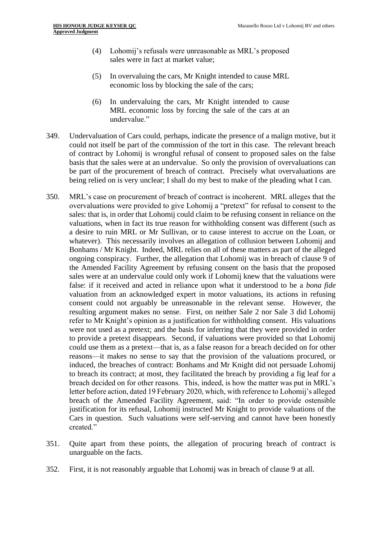- (4) Lohomij's refusals were unreasonable as MRL's proposed sales were in fact at market value;
- (5) In overvaluing the cars, Mr Knight intended to cause MRL economic loss by blocking the sale of the cars;
- (6) In undervaluing the cars, Mr Knight intended to cause MRL economic loss by forcing the sale of the cars at an undervalue."
- 349. Undervaluation of Cars could, perhaps, indicate the presence of a malign motive, but it could not itself be part of the commission of the tort in this case. The relevant breach of contract by Lohomij is wrongful refusal of consent to proposed sales on the false basis that the sales were at an undervalue. So only the provision of overvaluations can be part of the procurement of breach of contract. Precisely what overvaluations are being relied on is very unclear; I shall do my best to make of the pleading what I can.
- 350. MRL's case on procurement of breach of contract is incoherent. MRL alleges that the overvaluations were provided to give Lohomij a "pretext" for refusal to consent to the sales: that is, in order that Lohomij could claim to be refusing consent in reliance on the valuations, when in fact its true reason for withholding consent was different (such as a desire to ruin MRL or Mr Sullivan, or to cause interest to accrue on the Loan, or whatever). This necessarily involves an allegation of collusion between Lohomij and Bonhams / Mr Knight. Indeed, MRL relies on all of these matters as part of the alleged ongoing conspiracy. Further, the allegation that Lohomij was in breach of clause 9 of the Amended Facility Agreement by refusing consent on the basis that the proposed sales were at an undervalue could only work if Lohomij knew that the valuations were false: if it received and acted in reliance upon what it understood to be a *bona fide*  valuation from an acknowledged expert in motor valuations, its actions in refusing consent could not arguably be unreasonable in the relevant sense. However, the resulting argument makes no sense. First, on neither Sale 2 nor Sale 3 did Lohomij refer to Mr Knight's opinion as a justification for withholding consent. His valuations were not used as a pretext; and the basis for inferring that they were provided in order to provide a pretext disappears. Second, if valuations were provided so that Lohomij could use them as a pretext—that is, as a false reason for a breach decided on for other reasons—it makes no sense to say that the provision of the valuations procured, or induced, the breaches of contract: Bonhams and Mr Knight did not persuade Lohomij to breach its contract; at most, they facilitated the breach by providing a fig leaf for a breach decided on for other reasons. This, indeed, is how the matter was put in MRL's letter before action, dated 19 February 2020, which, with reference to Lohomij's alleged breach of the Amended Facility Agreement, said: "In order to provide ostensible justification for its refusal, Lohomij instructed Mr Knight to provide valuations of the Cars in question. Such valuations were self-serving and cannot have been honestly created."
- 351. Quite apart from these points, the allegation of procuring breach of contract is unarguable on the facts.
- 352. First, it is not reasonably arguable that Lohomij was in breach of clause 9 at all.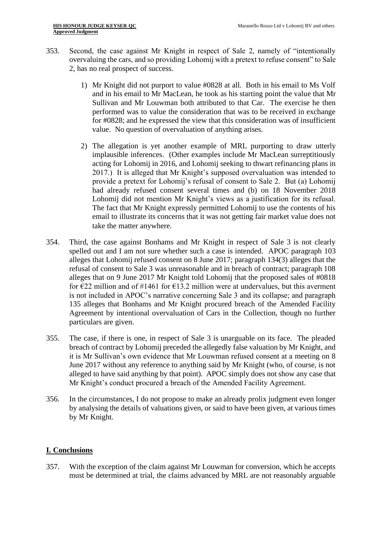- 353. Second, the case against Mr Knight in respect of Sale 2, namely of "intentionally overvaluing the cars, and so providing Lohomij with a pretext to refuse consent" to Sale 2, has no real prospect of success.
	- 1) Mr Knight did not purport to value #0828 at all. Both in his email to Ms Volf and in his email to Mr MacLean, he took as his starting point the value that Mr Sullivan and Mr Louwman both attributed to that Car. The exercise he then performed was to value the consideration that was to be received in exchange for #0828; and he expressed the view that this consideration was of insufficient value. No question of overvaluation of anything arises.
	- 2) The allegation is yet another example of MRL purporting to draw utterly implausible inferences. (Other examples include Mr MacLean surreptitiously acting for Lohomij in 2016, and Lohomij seeking to thwart refinancing plans in 2017.) It is alleged that Mr Knight's supposed overvaluation was intended to provide a pretext for Lohomij's refusal of consent to Sale 2. But (a) Lohomij had already refused consent several times and (b) on 18 November 2018 Lohomij did not mention Mr Knight's views as a justification for its refusal. The fact that Mr Knight expressly permitted Lohomij to use the contents of his email to illustrate its concerns that it was not getting fair market value does not take the matter anywhere.
- 354. Third, the case against Bonhams and Mr Knight in respect of Sale 3 is not clearly spelled out and I am not sure whether such a case is intended. APOC paragraph 103 alleges that Lohomij refused consent on 8 June 2017; paragraph 134(3) alleges that the refusal of consent to Sale 3 was unreasonable and in breach of contract; paragraph 108 alleges that on 9 June 2017 Mr Knight told Lohomij that the proposed sales of #0818 for  $E22$  million and of #1461 for  $E13.2$  million were at undervalues, but this averment is not included in APOC's narrative concerning Sale 3 and its collapse; and paragraph 135 alleges that Bonhams and Mr Knight procured breach of the Amended Facility Agreement by intentional overvaluation of Cars in the Collection, though no further particulars are given.
- 355. The case, if there is one, in respect of Sale 3 is unarguable on its face. The pleaded breach of contract by Lohomij preceded the allegedly false valuation by Mr Knight, and it is Mr Sullivan's own evidence that Mr Louwman refused consent at a meeting on 8 June 2017 without any reference to anything said by Mr Knight (who, of course, is not alleged to have said anything by that point). APOC simply does not show any case that Mr Knight's conduct procured a breach of the Amended Facility Agreement.
- 356. In the circumstances, I do not propose to make an already prolix judgment even longer by analysing the details of valuations given, or said to have been given, at various times by Mr Knight.

# **I. Conclusions**

357. With the exception of the claim against Mr Louwman for conversion, which he accepts must be determined at trial, the claims advanced by MRL are not reasonably arguable